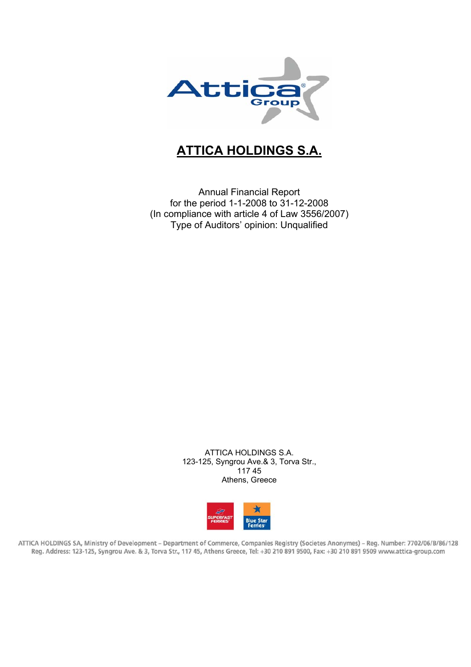

# **ATTICA HOLDINGS S.A.**

Annual Financial Report for the period 1-1-2008 to 31-12-2008 (In compliance with article 4 of Law 3556/2007) Type of Auditors' opinion: Unqualified

> ATTICA HOLDINGS S.A. 123-125, Syngrou Ave.& 3, Torva Str., 117 45 Athens, Greece



ATTICA HOLDINGS SA, Ministry of Development - Department of Commerce, Companies Registry (Societes Anonymes) - Reg. Number: 7702/06/B/86/128 Reg. Address: 123-125, Syngrou Ave. & 3, Torva Str., 117 45, Athens Greece, Tel: +30 210 891 9500, Fax: +30 210 891 9509 www.attica-group.com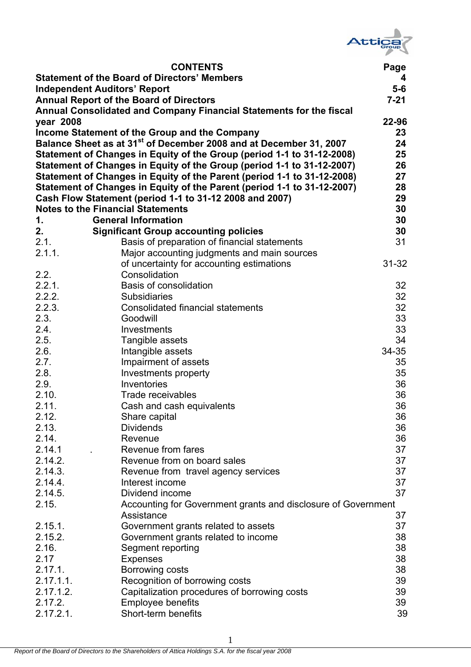

|                                                     | <b>CONTENTS</b>                                                                | Page      |  |  |  |  |  |  |  |
|-----------------------------------------------------|--------------------------------------------------------------------------------|-----------|--|--|--|--|--|--|--|
| <b>Statement of the Board of Directors' Members</b> |                                                                                |           |  |  |  |  |  |  |  |
|                                                     | <b>Independent Auditors' Report</b>                                            | $5-6$     |  |  |  |  |  |  |  |
|                                                     | <b>Annual Report of the Board of Directors</b>                                 | $7 - 21$  |  |  |  |  |  |  |  |
|                                                     | Annual Consolidated and Company Financial Statements for the fiscal            |           |  |  |  |  |  |  |  |
| year 2008                                           |                                                                                | 22-96     |  |  |  |  |  |  |  |
|                                                     | Income Statement of the Group and the Company                                  | 23        |  |  |  |  |  |  |  |
|                                                     | Balance Sheet as at 31 <sup>st</sup> of December 2008 and at December 31, 2007 | 24        |  |  |  |  |  |  |  |
|                                                     | Statement of Changes in Equity of the Group (period 1-1 to 31-12-2008)         | 25        |  |  |  |  |  |  |  |
|                                                     | Statement of Changes in Equity of the Group (period 1-1 to 31-12-2007)         | 26        |  |  |  |  |  |  |  |
|                                                     | Statement of Changes in Equity of the Parent (period 1-1 to 31-12-2008)        | 27        |  |  |  |  |  |  |  |
|                                                     | Statement of Changes in Equity of the Parent (period 1-1 to 31-12-2007)        | 28        |  |  |  |  |  |  |  |
|                                                     | Cash Flow Statement (period 1-1 to 31-12 2008 and 2007)                        | 29        |  |  |  |  |  |  |  |
|                                                     | <b>Notes to the Financial Statements</b>                                       | 30        |  |  |  |  |  |  |  |
| 1.                                                  | <b>General Information</b>                                                     | 30        |  |  |  |  |  |  |  |
| 2.                                                  | <b>Significant Group accounting policies</b>                                   | 30        |  |  |  |  |  |  |  |
| 2.1.                                                | Basis of preparation of financial statements                                   | 31        |  |  |  |  |  |  |  |
| 2.1.1.                                              | Major accounting judgments and main sources                                    |           |  |  |  |  |  |  |  |
|                                                     | of uncertainty for accounting estimations                                      | $31 - 32$ |  |  |  |  |  |  |  |
| 2.2.                                                | Consolidation                                                                  |           |  |  |  |  |  |  |  |
| 2.2.1.                                              | <b>Basis of consolidation</b>                                                  | 32        |  |  |  |  |  |  |  |
| 2.2.2.                                              | <b>Subsidiaries</b>                                                            | 32        |  |  |  |  |  |  |  |
| 2.2.3.                                              | <b>Consolidated financial statements</b>                                       | 32        |  |  |  |  |  |  |  |
| 2.3.                                                | Goodwill                                                                       | 33        |  |  |  |  |  |  |  |
| 2.4.                                                | Investments                                                                    | 33        |  |  |  |  |  |  |  |
| 2.5.                                                | Tangible assets                                                                | 34        |  |  |  |  |  |  |  |
| 2.6.                                                | Intangible assets                                                              | $34 - 35$ |  |  |  |  |  |  |  |
| 2.7.                                                | Impairment of assets                                                           | 35        |  |  |  |  |  |  |  |
| 2.8.                                                | Investments property                                                           | 35        |  |  |  |  |  |  |  |
| 2.9.                                                | Inventories                                                                    | 36        |  |  |  |  |  |  |  |
| 2.10.                                               | Trade receivables                                                              | 36        |  |  |  |  |  |  |  |
| 2.11.<br>2.12.                                      | Cash and cash equivalents                                                      | 36        |  |  |  |  |  |  |  |
| 2.13.                                               | Share capital                                                                  | 36        |  |  |  |  |  |  |  |
| 2.14.                                               | <b>Dividends</b><br>Revenue                                                    | 36<br>36  |  |  |  |  |  |  |  |
| 2.14.1                                              | Revenue from fares                                                             | 37        |  |  |  |  |  |  |  |
| 2.14.2.                                             | Revenue from on board sales                                                    | 37        |  |  |  |  |  |  |  |
| 2.14.3.                                             | Revenue from travel agency services                                            | 37        |  |  |  |  |  |  |  |
| 2.14.4.                                             | Interest income                                                                | 37        |  |  |  |  |  |  |  |
| 2.14.5.                                             | Dividend income                                                                | 37        |  |  |  |  |  |  |  |
| 2.15.                                               | Accounting for Government grants and disclosure of Government                  |           |  |  |  |  |  |  |  |
|                                                     | Assistance                                                                     | 37        |  |  |  |  |  |  |  |
| 2.15.1.                                             | Government grants related to assets                                            | 37        |  |  |  |  |  |  |  |
| 2.15.2.                                             | Government grants related to income                                            | 38        |  |  |  |  |  |  |  |
| 2.16.                                               | Segment reporting                                                              | 38        |  |  |  |  |  |  |  |
| 2.17                                                | <b>Expenses</b>                                                                | 38        |  |  |  |  |  |  |  |
| 2.17.1.                                             | Borrowing costs                                                                | 38        |  |  |  |  |  |  |  |
| 2.17.1.1.                                           | Recognition of borrowing costs                                                 | 39        |  |  |  |  |  |  |  |
| 2.17.1.2.                                           | Capitalization procedures of borrowing costs                                   | 39        |  |  |  |  |  |  |  |
| 2.17.2.                                             | <b>Employee benefits</b>                                                       | 39        |  |  |  |  |  |  |  |
| $2.17.2.1$ .                                        | Short-term benefits                                                            | 39        |  |  |  |  |  |  |  |
|                                                     |                                                                                |           |  |  |  |  |  |  |  |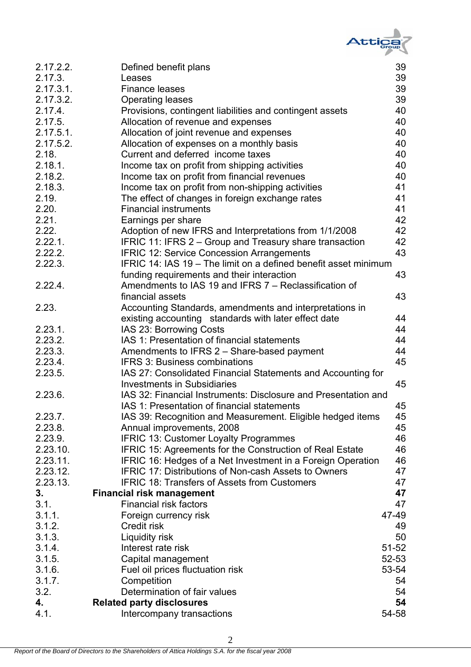

| 2.17.2.2. | Defined benefit plans                                           | 39        |
|-----------|-----------------------------------------------------------------|-----------|
| 2.17.3.   | Leases                                                          | 39        |
| 2.17.3.1. | <b>Finance leases</b>                                           | 39        |
| 2.17.3.2. | <b>Operating leases</b>                                         | 39        |
| 2.17.4.   | Provisions, contingent liabilities and contingent assets        | 40        |
| 2.17.5.   | Allocation of revenue and expenses                              | 40        |
| 2.17.5.1. | Allocation of joint revenue and expenses                        | 40        |
| 2.17.5.2. | Allocation of expenses on a monthly basis                       | 40        |
| 2.18.     | Current and deferred income taxes                               | 40        |
| 2.18.1.   | Income tax on profit from shipping activities                   | 40        |
| 2.18.2.   | Income tax on profit from financial revenues                    | 40        |
| 2.18.3.   | Income tax on profit from non-shipping activities               | 41        |
| 2.19.     | The effect of changes in foreign exchange rates                 | 41        |
| 2.20.     | <b>Financial instruments</b>                                    | 41        |
| 2.21.     | Earnings per share                                              | 42        |
| 2.22.     | Adoption of new IFRS and Interpretations from 1/1/2008          | 42        |
| 2.22.1.   | IFRIC 11: IFRS 2 - Group and Treasury share transaction         | 42        |
| 2.22.2.   | <b>IFRIC 12: Service Concession Arrangements</b>                | 43        |
| 2.22.3.   | IFRIC 14: IAS 19 – The limit on a defined benefit asset minimum |           |
|           | funding requirements and their interaction                      | 43        |
| 2.22.4.   | Amendments to IAS 19 and IFRS 7 - Reclassification of           |           |
|           | financial assets                                                | 43        |
| 2.23.     | Accounting Standards, amendments and interpretations in         |           |
|           | existing accounting standards with later effect date            | 44        |
| 2.23.1.   | IAS 23: Borrowing Costs                                         | 44        |
| 2.23.2.   | IAS 1: Presentation of financial statements                     | 44        |
| 2.23.3.   | Amendments to IFRS 2 - Share-based payment                      | 44        |
| 2.23.4.   | <b>IFRS 3: Business combinations</b>                            | 45        |
| 2.23.5.   | IAS 27: Consolidated Financial Statements and Accounting for    |           |
|           | <b>Investments in Subsidiaries</b>                              | 45        |
| 2.23.6.   | IAS 32: Financial Instruments: Disclosure and Presentation and  |           |
|           | IAS 1: Presentation of financial statements                     | 45        |
| 2.23.7.   | IAS 39: Recognition and Measurement. Eligible hedged items      | 45        |
| 2.23.8.   | Annual improvements, 2008                                       | 45        |
| 2.23.9.   | <b>IFRIC 13: Customer Loyalty Programmes</b>                    | 46        |
| 2.23.10.  | IFRIC 15: Agreements for the Construction of Real Estate        | 46        |
| 2.23.11.  | IFRIC 16: Hedges of a Net Investment in a Foreign Operation     | 46        |
| 2.23.12.  | <b>IFRIC 17: Distributions of Non-cash Assets to Owners</b>     | 47        |
| 2.23.13.  | IFRIC 18: Transfers of Assets from Customers                    | 47        |
| 3.        | <b>Financial risk management</b>                                | 47        |
| 3.1.      | <b>Financial risk factors</b>                                   | 47        |
| 3.1.1.    | Foreign currency risk                                           | 47-49     |
| 3.1.2.    | Credit risk                                                     | 49        |
| 3.1.3.    | Liquidity risk                                                  | 50        |
| 3.1.4.    | Interest rate risk                                              | $51 - 52$ |
| 3.1.5.    | Capital management                                              | $52 - 53$ |
| 3.1.6.    | Fuel oil prices fluctuation risk                                | 53-54     |
| 3.1.7.    | Competition                                                     | 54        |
| 3.2.      | Determination of fair values                                    | 54        |
| 4.        | <b>Related party disclosures</b>                                | 54        |
| 4.1.      | Intercompany transactions                                       | 54-58     |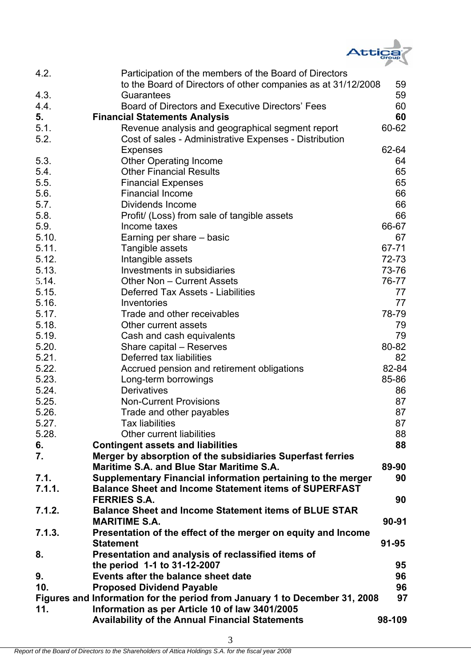

| 4.2.   | Participation of the members of the Board of Directors<br>to the Board of Directors of other companies as at 31/12/2008 | 59     |
|--------|-------------------------------------------------------------------------------------------------------------------------|--------|
| 4.3.   | Guarantees                                                                                                              | 59     |
| 4.4.   | Board of Directors and Executive Directors' Fees                                                                        | 60     |
| 5.     | <b>Financial Statements Analysis</b>                                                                                    | 60     |
| 5.1.   | Revenue analysis and geographical segment report                                                                        | 60-62  |
| 5.2.   | Cost of sales - Administrative Expenses - Distribution                                                                  |        |
|        | <b>Expenses</b>                                                                                                         | 62-64  |
| 5.3.   | <b>Other Operating Income</b>                                                                                           | 64     |
| 5.4.   | <b>Other Financial Results</b>                                                                                          | 65     |
| 5.5.   | <b>Financial Expenses</b>                                                                                               | 65     |
| 5.6.   | <b>Financial Income</b>                                                                                                 | 66     |
| 5.7.   | Dividends Income                                                                                                        | 66     |
| 5.8.   | Profit/ (Loss) from sale of tangible assets                                                                             | 66     |
| 5.9.   | Income taxes                                                                                                            | 66-67  |
| 5.10.  | Earning per share – basic                                                                                               | 67     |
| 5.11.  | Tangible assets                                                                                                         | 67-71  |
| 5.12.  | Intangible assets                                                                                                       | 72-73  |
| 5.13.  | Investments in subsidiaries                                                                                             | 73-76  |
| 5.14.  | Other Non - Current Assets                                                                                              | 76-77  |
| 5.15.  | Deferred Tax Assets - Liabilities                                                                                       | 77     |
| 5.16.  | Inventories                                                                                                             | 77     |
| 5.17.  | Trade and other receivables                                                                                             | 78-79  |
| 5.18.  | Other current assets                                                                                                    | 79     |
| 5.19.  | Cash and cash equivalents                                                                                               | 79     |
| 5.20.  | Share capital – Reserves                                                                                                | 80-82  |
| 5.21.  | Deferred tax liabilities                                                                                                | 82     |
| 5.22.  | Accrued pension and retirement obligations                                                                              | 82-84  |
| 5.23.  | Long-term borrowings                                                                                                    | 85-86  |
| 5.24.  | <b>Derivatives</b>                                                                                                      | 86     |
| 5.25.  | <b>Non-Current Provisions</b>                                                                                           | 87     |
| 5.26.  | Trade and other payables                                                                                                | 87     |
| 5.27.  | Tax liabilities                                                                                                         | 87     |
| 5.28.  | <b>Other current liabilities</b>                                                                                        | 88     |
| 6.     | <b>Contingent assets and liabilities</b>                                                                                | 88     |
| 7.     | Merger by absorption of the subsidiaries Superfast ferries                                                              |        |
|        | Maritime S.A. and Blue Star Maritime S.A.                                                                               | 89-90  |
| 7.1.   | Supplementary Financial information pertaining to the merger                                                            | 90     |
| 7.1.1. | <b>Balance Sheet and Income Statement items of SUPERFAST</b>                                                            |        |
|        | <b>FERRIES S.A.</b>                                                                                                     | 90     |
| 7.1.2. | <b>Balance Sheet and Income Statement items of BLUE STAR</b>                                                            |        |
|        | <b>MARITIME S.A.</b>                                                                                                    | 90-91  |
| 7.1.3. | Presentation of the effect of the merger on equity and Income                                                           |        |
|        | <b>Statement</b>                                                                                                        | 91-95  |
| 8.     | Presentation and analysis of reclassified items of                                                                      |        |
|        | the period 1-1 to 31-12-2007                                                                                            | 95     |
| 9.     | Events after the balance sheet date                                                                                     | 96     |
| 10.    | <b>Proposed Dividend Payable</b>                                                                                        | 96     |
|        | Figures and Information for the period from January 1 to December 31, 2008                                              | 97     |
| 11.    | Information as per Article 10 of law 3401/2005                                                                          |        |
|        | <b>Availability of the Annual Financial Statements</b>                                                                  | 98-109 |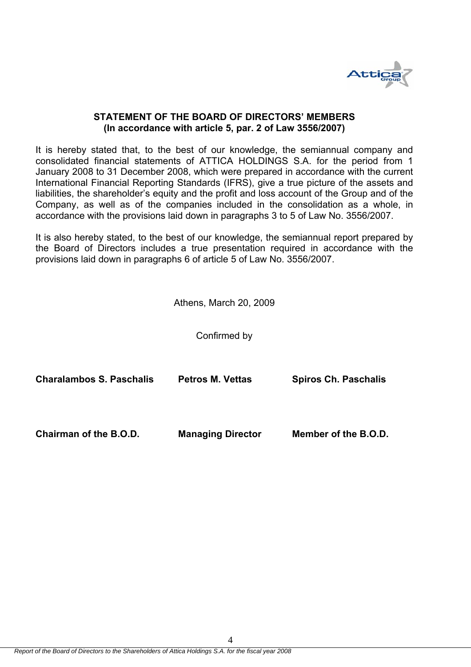

#### **STATEMENT OF THE BOARD OF DIRECTORS' MEMBERS (In accordance with article 5, par. 2 of Law 3556/2007)**

It is hereby stated that, to the best of our knowledge, the semiannual company and consolidated financial statements of ATTICA HOLDINGS S.A. for the period from 1 January 2008 to 31 December 2008, which were prepared in accordance with the current International Financial Reporting Standards (IFRS), give a true picture of the assets and liabilities, the shareholder's equity and the profit and loss account of the Group and of the Company, as well as of the companies included in the consolidation as a whole, in accordance with the provisions laid down in paragraphs 3 to 5 of Law No. 3556/2007.

It is also hereby stated, to the best of our knowledge, the semiannual report prepared by the Board of Directors includes a true presentation required in accordance with the provisions laid down in paragraphs 6 of article 5 of Law No. 3556/2007.

Athens, March 20, 2009

Confirmed by

| <b>Charalambos S. Paschalis</b> | <b>Petros M. Vettas</b>  | <b>Spiros Ch. Paschalis</b> |
|---------------------------------|--------------------------|-----------------------------|
| Chairman of the B.O.D.          | <b>Managing Director</b> | Member of the B.O.D.        |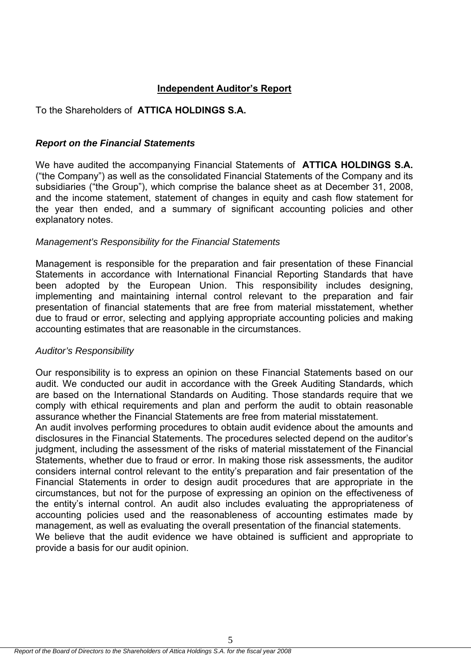# **Independent Auditor's Report**

# To the Shareholders of **ΑΤΤICA HOLDINGS S.A.**

# *Report on the Financial Statements*

We have audited the accompanying Financial Statements of **ATTICA HOLDINGS S.A.** ("the Company") as well as the consolidated Financial Statements of the Company and its subsidiaries ("the Group"), which comprise the balance sheet as at December 31, 2008, and the income statement, statement of changes in equity and cash flow statement for the year then ended, and a summary of significant accounting policies and other explanatory notes.

# *Management's Responsibility for the Financial Statements*

Management is responsible for the preparation and fair presentation of these Financial Statements in accordance with International Financial Reporting Standards that have been adopted by the European Union. This responsibility includes designing, implementing and maintaining internal control relevant to the preparation and fair presentation of financial statements that are free from material misstatement, whether due to fraud or error, selecting and applying appropriate accounting policies and making accounting estimates that are reasonable in the circumstances.

# *Auditor's Responsibility*

Our responsibility is to express an opinion on these Financial Statements based on our audit. We conducted our audit in accordance with the Greek Auditing Standards, which are based on the International Standards on Auditing. Those standards require that we comply with ethical requirements and plan and perform the audit to obtain reasonable assurance whether the Financial Statements are free from material misstatement.

An audit involves performing procedures to obtain audit evidence about the amounts and disclosures in the Financial Statements. The procedures selected depend on the auditor's judgment, including the assessment of the risks of material misstatement of the Financial Statements, whether due to fraud or error. In making those risk assessments, the auditor considers internal control relevant to the entity's preparation and fair presentation of the Financial Statements in order to design audit procedures that are appropriate in the circumstances, but not for the purpose of expressing an opinion on the effectiveness of the entity's internal control. An audit also includes evaluating the appropriateness of accounting policies used and the reasonableness of accounting estimates made by management, as well as evaluating the overall presentation of the financial statements. We believe that the audit evidence we have obtained is sufficient and appropriate to provide a basis for our audit opinion.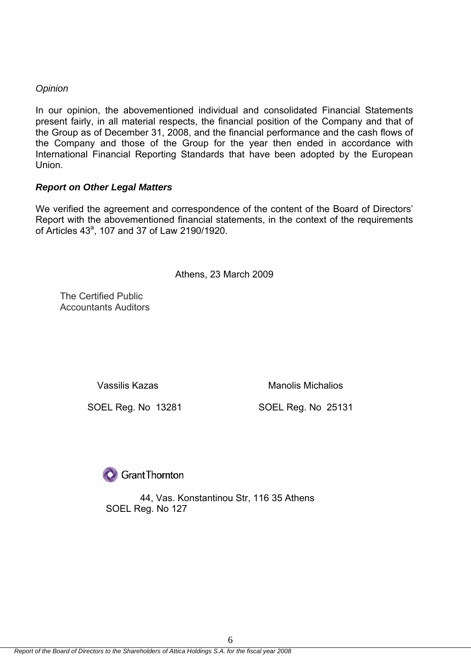# *Opinion*

In our opinion, the abovementioned individual and consolidated Financial Statements present fairly, in all material respects, the financial position of the Company and that of the Group as of December 31, 2008, and the financial performance and the cash flows of the Company and those of the Group for the year then ended in accordance with International Financial Reporting Standards that have been adopted by the European Union.

# *Report on Other Legal Matters*

We verified the agreement and correspondence of the content of the Board of Directors' Report with the abovementioned financial statements, in the context of the requirements of Articles 43<sup>a</sup>, 107 and 37 of Law 2190/1920.

Athens, 23 March 2009

The Certified Public Accountants Auditors

Vassilis Kazas **Manolis Michalios** Manolis Michalios

SOEL Reg. No 13281 SOEL Reg. No 25131

**O** Grant Thornton

 44, Vas. Konstantinou Str, 116 35 Αthens SOEL Reg. No 127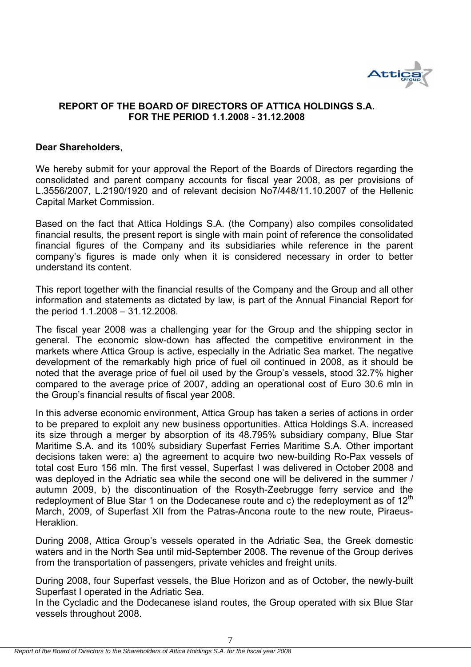

# **REPORT OF THE BOARD OF DIRECTORS OF ATTICA HOLDINGS S.A. FOR THE PERIOD 1.1.2008 - 31.12.2008**

#### **Dear Shareholders**,

We hereby submit for your approval the Report of the Boards of Directors regarding the consolidated and parent company accounts for fiscal year 2008, as per provisions of L.3556/2007, L.2190/1920 and of relevant decision No7/448/11.10.2007 of the Hellenic Capital Market Commission.

Based on the fact that Attica Holdings S.A. (the Company) also compiles consolidated financial results, the present report is single with main point of reference the consolidated financial figures of the Company and its subsidiaries while reference in the parent company's figures is made only when it is considered necessary in order to better understand its content.

This report together with the financial results of the Company and the Group and all other information and statements as dictated by law, is part of the Annual Financial Report for the period 1.1.2008 – 31.12.2008.

The fiscal year 2008 was a challenging year for the Group and the shipping sector in general. The economic slow-down has affected the competitive environment in the markets where Attica Group is active, especially in the Adriatic Sea market. The negative development of the remarkably high price of fuel oil continued in 2008, as it should be noted that the average price of fuel oil used by the Group's vessels, stood 32.7% higher compared to the average price of 2007, adding an operational cost of Euro 30.6 mln in the Group's financial results of fiscal year 2008.

In this adverse economic environment, Attica Group has taken a series of actions in order to be prepared to exploit any new business opportunities. Attica Holdings S.A. increased its size through a merger by absorption of its 48.795% subsidiary company, Blue Star Maritime S.A. and its 100% subsidiary Superfast Ferries Maritime S.A. Other important decisions taken were: a) the agreement to acquire two new-building Ro-Pax vessels of total cost Euro 156 mln. The first vessel, Superfast I was delivered in October 2008 and was deployed in the Adriatic sea while the second one will be delivered in the summer / autumn 2009, b) the discontinuation of the Rosyth-Zeebrugge ferry service and the redeployment of Blue Star 1 on the Dodecanese route and c) the redeployment as of  $12<sup>th</sup>$ March, 2009, of Superfast XII from the Patras-Ancona route to the new route, Piraeus-Heraklion.

During 2008, Attica Group's vessels operated in the Adriatic Sea, the Greek domestic waters and in the North Sea until mid-September 2008. The revenue of the Group derives from the transportation of passengers, private vehicles and freight units.

During 2008, four Superfast vessels, the Blue Horizon and as of October, the newly-built Superfast I operated in the Adriatic Sea.

In the Cycladic and the Dodecanese island routes, the Group operated with six Blue Star vessels throughout 2008.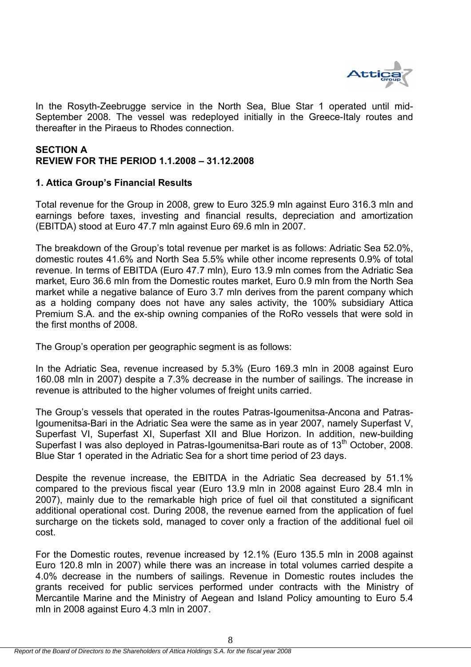

In the Rosyth-Zeebrugge service in the North Sea, Blue Star 1 operated until mid-September 2008. The vessel was redeployed initially in the Greece-Italy routes and thereafter in the Piraeus to Rhodes connection.

# **SECTION A REVIEW FOR THE PERIOD 1.1.2008 – 31.12.2008**

# **1. Attica Group's Financial Results**

Total revenue for the Group in 2008, grew to Euro 325.9 mln against Euro 316.3 mln and earnings before taxes, investing and financial results, depreciation and amortization (EBITDA) stood at Euro 47.7 mln against Euro 69.6 mln in 2007.

The breakdown of the Group's total revenue per market is as follows: Adriatic Sea 52.0%, domestic routes 41.6% and North Sea 5.5% while other income represents 0.9% of total revenue. In terms of EBITDA (Euro 47.7 mln), Euro 13.9 mln comes from the Adriatic Sea market, Euro 36.6 mln from the Domestic routes market, Euro 0.9 mln from the North Sea market while a negative balance of Euro 3.7 mln derives from the parent company which as a holding company does not have any sales activity, the 100% subsidiary Attica Premium S.A. and the ex-ship owning companies of the RoRo vessels that were sold in the first months of 2008.

The Group's operation per geographic segment is as follows:

In the Adriatic Sea, revenue increased by 5.3% (Euro 169.3 mln in 2008 against Euro 160.08 mln in 2007) despite a 7.3% decrease in the number of sailings. The increase in revenue is attributed to the higher volumes of freight units carried.

The Group's vessels that operated in the routes Patras-Igoumenitsa-Ancona and Patras-Igoumenitsa-Bari in the Adriatic Sea were the same as in year 2007, namely Superfast V, Superfast VI, Superfast XI, Superfast XII and Blue Horizon. In addition, new-building Superfast I was also deployed in Patras-Igoumenitsa-Bari route as of 13<sup>th</sup> October, 2008. Blue Star 1 operated in the Adriatic Sea for a short time period of 23 days.

Despite the revenue increase, the EBITDA in the Adriatic Sea decreased by 51.1% compared to the previous fiscal year (Euro 13.9 mln in 2008 against Euro 28.4 mln in 2007), mainly due to the remarkable high price of fuel oil that constituted a significant additional operational cost. During 2008, the revenue earned from the application of fuel surcharge on the tickets sold, managed to cover only a fraction of the additional fuel oil cost.

For the Domestic routes, revenue increased by 12.1% (Euro 135.5 mln in 2008 against Euro 120.8 mln in 2007) while there was an increase in total volumes carried despite a 4.0% decrease in the numbers of sailings. Revenue in Domestic routes includes the grants received for public services performed under contracts with the Ministry of Mercantile Marine and the Ministry of Aegean and Island Policy amounting to Euro 5.4 mln in 2008 against Euro 4.3 mln in 2007.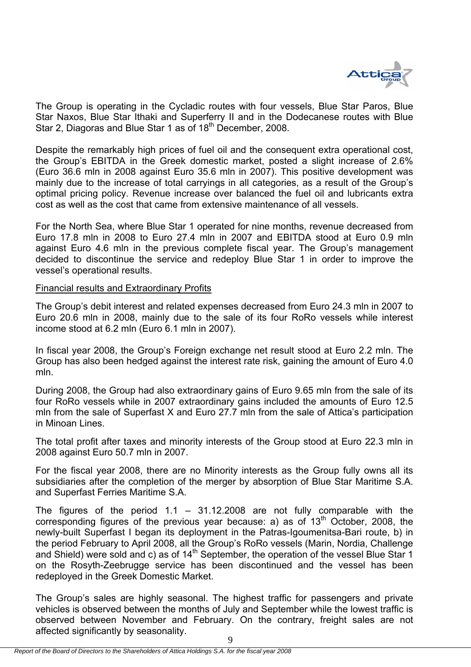

The Group is operating in the Cycladic routes with four vessels, Blue Star Paros, Blue Star Naxos, Blue Star Ithaki and Superferry II and in the Dodecanese routes with Blue Star 2, Diagoras and Blue Star 1 as of 18<sup>th</sup> December, 2008.

Despite the remarkably high prices of fuel oil and the consequent extra operational cost, the Group's EBITDA in the Greek domestic market, posted a slight increase of 2.6% (Euro 36.6 mln in 2008 against Euro 35.6 mln in 2007). This positive development was mainly due to the increase of total carryings in all categories, as a result of the Group's optimal pricing policy. Revenue increase over balanced the fuel oil and lubricants extra cost as well as the cost that came from extensive maintenance of all vessels.

For the North Sea, where Blue Star 1 operated for nine months, revenue decreased from Euro 17.8 mln in 2008 to Euro 27.4 mln in 2007 and EBITDA stood at Euro 0.9 mln against Euro 4.6 mln in the previous complete fiscal year. The Group's management decided to discontinue the service and redeploy Blue Star 1 in order to improve the vessel's operational results.

### Financial results and Extraordinary Profits

The Group's debit interest and related expenses decreased from Euro 24.3 mln in 2007 to Euro 20.6 mln in 2008, mainly due to the sale of its four RoRo vessels while interest income stood at 6.2 mln (Euro 6.1 mln in 2007).

In fiscal year 2008, the Group's Foreign exchange net result stood at Euro 2.2 mln. The Group has also been hedged against the interest rate risk, gaining the amount of Euro 4.0 mln.

During 2008, the Group had also extraordinary gains of Euro 9.65 mln from the sale of its four RoRo vessels while in 2007 extraordinary gains included the amounts of Euro 12.5 mln from the sale of Superfast X and Euro 27.7 mln from the sale of Attica's participation in Minoan Lines.

The total profit after taxes and minority interests of the Group stood at Euro 22.3 mln in 2008 against Euro 50.7 mln in 2007.

For the fiscal year 2008, there are no Minority interests as the Group fully owns all its subsidiaries after the completion of the merger by absorption of Blue Star Maritime S.A. and Superfast Ferries Maritime S.A.

The figures of the period  $1.1 - 31.12.2008$  are not fully comparable with the corresponding figures of the previous year because: a) as of 13<sup>th</sup> October, 2008, the newly-built Superfast I began its deployment in the Patras-Igoumenitsa-Bari route, b) in the period February to April 2008, all the Group's RoRo vessels (Marin, Nordia, Challenge and Shield) were sold and c) as of  $14<sup>th</sup>$  September, the operation of the vessel Blue Star 1 on the Rosyth-Zeebrugge service has been discontinued and the vessel has been redeployed in the Greek Domestic Market.

The Group's sales are highly seasonal. The highest traffic for passengers and private vehicles is observed between the months of July and September while the lowest traffic is observed between November and February. On the contrary, freight sales are not affected significantly by seasonality.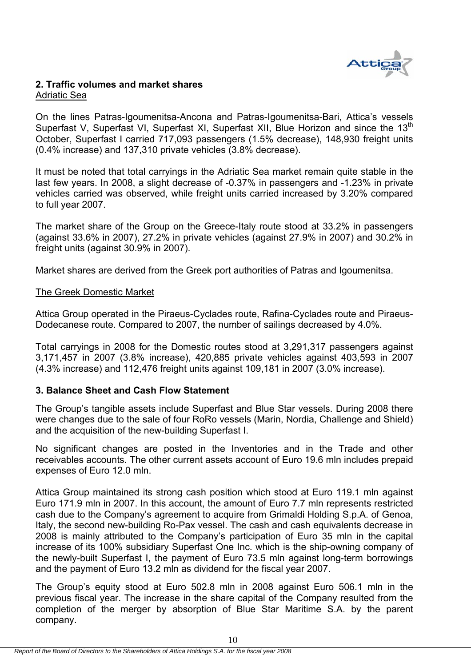

# **2. Traffic volumes and market shares**  Adriatic Sea

On the lines Patras-Igoumenitsa-Ancona and Patras-Igoumenitsa-Bari, Attica's vessels Superfast V, Superfast VI, Superfast XI, Superfast XII, Blue Horizon and since the 13<sup>th</sup> October, Superfast I carried 717,093 passengers (1.5% decrease), 148,930 freight units (0.4% increase) and 137,310 private vehicles (3.8% decrease).

It must be noted that total carryings in the Adriatic Sea market remain quite stable in the last few years. In 2008, a slight decrease of -0.37% in passengers and -1.23% in private vehicles carried was observed, while freight units carried increased by 3.20% compared to full year 2007.

The market share of the Group on the Greece-Italy route stood at 33.2% in passengers (against 33.6% in 2007), 27.2% in private vehicles (against 27.9% in 2007) and 30.2% in freight units (against 30.9% in 2007).

Market shares are derived from the Greek port authorities of Patras and Igoumenitsa.

### The Greek Domestic Market

Attica Group operated in the Piraeus-Cyclades route, Rafina-Cyclades route and Piraeus-Dodecanese route. Compared to 2007, the number of sailings decreased by 4.0%.

Total carryings in 2008 for the Domestic routes stood at 3,291,317 passengers against 3,171,457 in 2007 (3.8% increase), 420,885 private vehicles against 403,593 in 2007 (4.3% increase) and 112,476 freight units against 109,181 in 2007 (3.0% increase).

# **3. Balance Sheet and Cash Flow Statement**

The Group's tangible assets include Superfast and Blue Star vessels. During 2008 there were changes due to the sale of four RoRo vessels (Marin, Nordia, Challenge and Shield) and the acquisition of the new-building Superfast I.

No significant changes are posted in the Inventories and in the Trade and other receivables accounts. The other current assets account of Euro 19.6 mln includes prepaid expenses of Euro 12.0 mln.

Attica Group maintained its strong cash position which stood at Euro 119.1 mln against Euro 171.9 mln in 2007. In this account, the amount of Euro 7.7 mln represents restricted cash due to the Company's agreement to acquire from Grimaldi Holding S.p.A. of Genoa, Italy, the second new-building Ro-Pax vessel. The cash and cash equivalents decrease in 2008 is mainly attributed to the Company's participation of Euro 35 mln in the capital increase of its 100% subsidiary Superfast One Inc. which is the ship-owning company of the newly-built Superfast I, the payment of Euro 73.5 mln against long-term borrowings and the payment of Euro 13.2 mln as dividend for the fiscal year 2007.

The Group's equity stood at Euro 502.8 mln in 2008 against Euro 506.1 mln in the previous fiscal year. The increase in the share capital of the Company resulted from the completion of the merger by absorption of Blue Star Maritime S.A. by the parent company.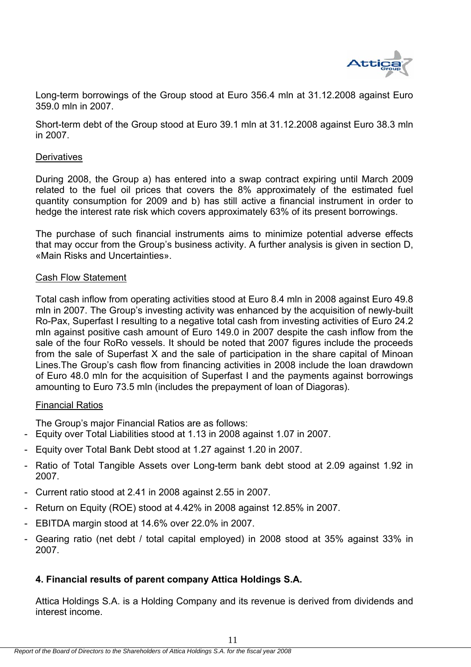

Long-term borrowings of the Group stood at Euro 356.4 mln at 31.12.2008 against Euro 359.0 mln in 2007.

Short-term debt of the Group stood at Euro 39.1 mln at 31.12.2008 against Euro 38.3 mln in 2007.

### **Derivatives**

During 2008, the Group a) has entered into a swap contract expiring until March 2009 related to the fuel oil prices that covers the 8% approximately of the estimated fuel quantity consumption for 2009 and b) has still active a financial instrument in order to hedge the interest rate risk which covers approximately 63% of its present borrowings.

The purchase of such financial instruments aims to minimize potential adverse effects that may occur from the Group's business activity. A further analysis is given in section D, «Main Risks and Uncertainties».

#### Cash Flow Statement

Total cash inflow from operating activities stood at Euro 8.4 mln in 2008 against Euro 49.8 mln in 2007. The Group's investing activity was enhanced by the acquisition of newly-built Ro-Pax, Superfast I resulting to a negative total cash from investing activities of Euro 24.2 mln against positive cash amount of Euro 149.0 in 2007 despite the cash inflow from the sale of the four RoRo vessels. It should be noted that 2007 figures include the proceeds from the sale of Superfast X and the sale of participation in the share capital of Minoan Lines.The Group's cash flow from financing activities in 2008 include the loan drawdown of Euro 48.0 mln for the acquisition of Superfast I and the payments against borrowings amounting to Euro 73.5 mln (includes the prepayment of loan of Diagoras).

#### Financial Ratios

The Group's major Financial Ratios are as follows:

- Equity over Total Liabilities stood at 1.13 in 2008 against 1.07 in 2007.
- Equity over Total Bank Debt stood at 1.27 against 1.20 in 2007.
- Ratio of Total Tangible Assets over Long-term bank debt stood at 2.09 against 1.92 in 2007.
- Current ratio stood at 2.41 in 2008 against 2.55 in 2007.
- Return on Equity (ROE) stood at 4.42% in 2008 against 12.85% in 2007.
- EBITDA margin stood at 14.6% over 22.0% in 2007.
- Gearing ratio (net debt / total capital employed) in 2008 stood at 35% against 33% in 2007.

# **4. Financial results of parent company Attica Holdings S.A.**

Attica Holdings S.A. is a Holding Company and its revenue is derived from dividends and interest income.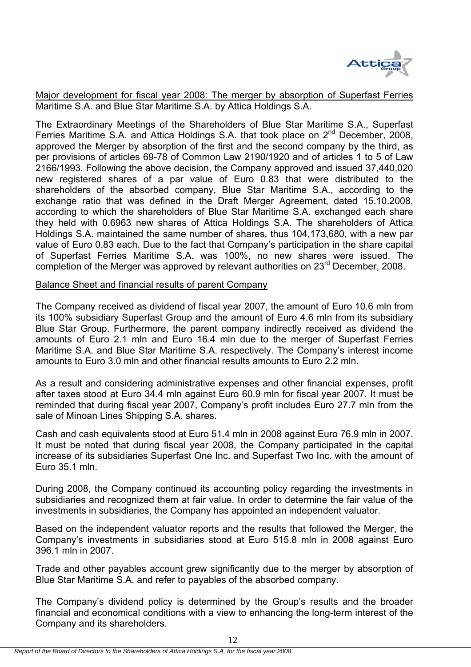

Major development for fiscal year 2008: The merger by absorption of Superfast Ferries Maritime S.A. and Blue Star Maritime S.A. by Attica Holdings S.A.

The Extraordinary Meetings of the Shareholders of Blue Star Maritime S.A., Superfast Ferries Maritime S.A. and Attica Holdings S.A. that took place on  $2^{nd}$  December, 2008, approved the Merger by absorption of the first and the second company by the third, as per provisions of articles 69-78 of Common Law 2190/1920 and of articles 1 to 5 of Law 2166/1993. Following the above decision, the Company approved and issued 37,440,020 new registered shares of a par value of Euro 0.83 that were distributed to the shareholders of the absorbed company, Blue Star Maritime S.A., according to the exchange ratio that was defined in the Draft Merger Agreement, dated 15.10.2008, according to which the shareholders of Blue Star Maritime S.A. exchanged each share they held with 0.6963 new shares of Attica Holdings S.A. The shareholders of Attica Holdings S.A. maintained the same number of shares, thus 104,173,680, with a new par value of Euro 0.83 each. Due to the fact that Company's participation in the share capital of Superfast Ferries Maritime S.A. was 100%, no new shares were issued. The completion of the Merger was approved by relevant authorities on 23<sup>rd</sup> December, 2008.

### Balance Sheet and financial results of parent Company

The Company received as dividend of fiscal year 2007, the amount of Euro 10.6 mln from its 100% subsidiary Superfast Group and the amount of Euro 4.6 mln from its subsidiary Blue Star Group. Furthermore, the parent company indirectly received as dividend the amounts of Euro 2.1 mln and Euro 16.4 mln due to the merger of Superfast Ferries Maritime S.A. and Blue Star Maritime S.A. respectively. The Company's interest income amounts to Euro 3.0 mln and other financial results amounts to Euro 2.2 mln.

As a result and considering administrative expenses and other financial expenses, profit after taxes stood at Euro 34.4 mln against Euro 60.9 mln for fiscal year 2007. It must be reminded that during fiscal year 2007, Company's profit includes Euro 27.7 mln from the sale of Minoan Lines Shipping S.A. shares.

Cash and cash equivalents stood at Euro 51.4 mln in 2008 against Euro 76.9 mln in 2007. It must be noted that during fiscal year 2008, the Company participated in the capital increase of its subsidiaries Superfast One Inc. and Superfast Two Inc. with the amount of Euro 35.1 mln.

During 2008, the Company continued its accounting policy regarding the investments in subsidiaries and recognized them at fair value. In order to determine the fair value of the investments in subsidiaries, the Company has appointed an independent valuator.

Based on the independent valuator reports and the results that followed the Merger, the Company's investments in subsidiaries stood at Euro 515.8 mln in 2008 against Euro 396.1 mln in 2007.

Trade and other payables account grew significantly due to the merger by absorption of Blue Star Maritime S.A. and refer to payables of the absorbed company.

The Company's dividend policy is determined by the Group's results and the broader financial and economical conditions with a view to enhancing the long-term interest of the Company and its shareholders.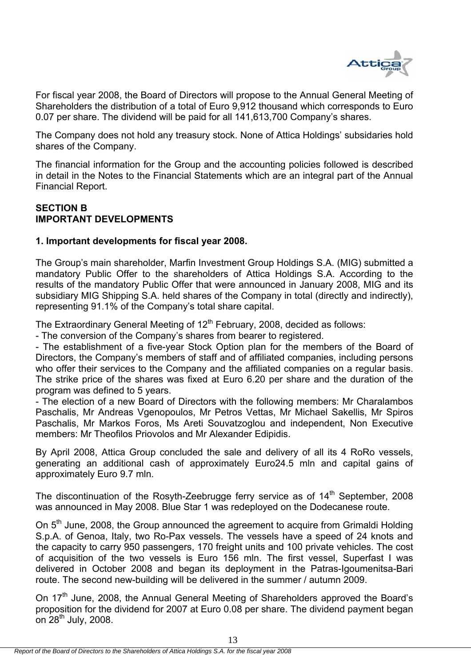

For fiscal year 2008, the Board of Directors will propose to the Annual General Meeting of Shareholders the distribution of a total of Euro 9,912 thousand which corresponds to Euro 0.07 per share. The dividend will be paid for all 141,613,700 Company's shares.

The Company does not hold any treasury stock. None of Attica Holdings' subsidaries hold shares of the Company.

The financial information for the Group and the accounting policies followed is described in detail in the Notes to the Financial Statements which are an integral part of the Annual Financial Report.

# **SECTION B IMPORTANT DEVELOPMENTS**

# **1. Important developments for fiscal year 2008.**

The Group's main shareholder, Marfin Investment Group Holdings S.A. (MIG) submitted a mandatory Public Offer to the shareholders of Attica Holdings S.A. According to the results of the mandatory Public Offer that were announced in January 2008, MIG and its subsidiary MIG Shipping S.A. held shares of the Company in total (directly and indirectly), representing 91.1% of the Company's total share capital.

The Extraordinary General Meeting of  $12<sup>th</sup>$  February, 2008, decided as follows:

- The conversion of the Company's shares from bearer to registered.

- The establishment of a five-year Stock Option plan for the members of the Board of Directors, the Company's members of staff and of affiliated companies, including persons who offer their services to the Company and the affiliated companies on a regular basis. The strike price of the shares was fixed at Euro 6.20 per share and the duration of the program was defined to 5 years.

- The election of a new Board of Directors with the following members: Mr Charalambos Paschalis, Mr Andreas Vgenopoulos, Mr Petros Vettas, Mr Michael Sakellis, Mr Spiros Paschalis, Mr Markos Foros, Ms Areti Souvatzoglou and independent, Non Executive members: Mr Theofilos Priovolos and Mr Alexander Edipidis.

By April 2008, Attica Group concluded the sale and delivery of all its 4 RoRo vessels, generating an additional cash of approximately Euro24.5 mln and capital gains of approximately Euro 9.7 mln.

The discontinuation of the Rosyth-Zeebrugge ferry service as of  $14<sup>th</sup>$  September, 2008 was announced in May 2008. Blue Star 1 was redeployed on the Dodecanese route.

On 5<sup>th</sup> June, 2008, the Group announced the agreement to acquire from Grimaldi Holding S.p.A. of Genoa, Italy, two Ro-Pax vessels. The vessels have a speed of 24 knots and the capacity to carry 950 passengers, 170 freight units and 100 private vehicles. The cost of acquisition of the two vessels is Euro 156 mln. The first vessel, Superfast I was delivered in October 2008 and began its deployment in the Patras-Igoumenitsa-Bari route. The second new-building will be delivered in the summer / autumn 2009.

On 17<sup>th</sup> June, 2008, the Annual General Meeting of Shareholders approved the Board's proposition for the dividend for 2007 at Euro 0.08 per share. The dividend payment began on  $28<sup>th</sup>$  July, 2008.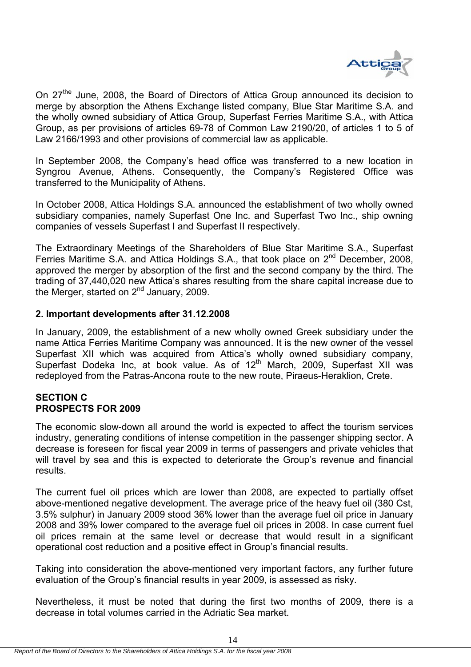

On 27<sup>the</sup> June, 2008, the Board of Directors of Attica Group announced its decision to merge by absorption the Athens Exchange listed company, Blue Star Maritime S.A. and the wholly owned subsidiary of Attica Group, Superfast Ferries Maritime S.A., with Attica Group, as per provisions of articles 69-78 of Common Law 2190/20, of articles 1 to 5 of Law 2166/1993 and other provisions of commercial law as applicable.

In September 2008, the Company's head office was transferred to a new location in Syngrou Avenue, Athens. Consequently, the Company's Registered Office was transferred to the Municipality of Athens.

In October 2008, Attica Holdings S.A. announced the establishment of two wholly owned subsidiary companies, namely Superfast One Inc. and Superfast Two Inc., ship owning companies of vessels Superfast I and Superfast II respectively.

The Extraordinary Meetings of the Shareholders of Blue Star Maritime S.A., Superfast Ferries Maritime S.A. and Attica Holdings S.A., that took place on 2<sup>nd</sup> December, 2008, approved the merger by absorption of the first and the second company by the third. The trading of 37,440,020 new Attica's shares resulting from the share capital increase due to the Merger, started on 2<sup>nd</sup> January, 2009.

### **2. Important developments after 31.12.2008**

In January, 2009, the establishment of a new wholly owned Greek subsidiary under the name Attica Ferries Maritime Company was announced. It is the new owner of the vessel Superfast XII which was acquired from Attica's wholly owned subsidiary company, Superfast Dodeka Inc, at book value. As of 12<sup>th</sup> March, 2009, Superfast XII was redeployed from the Patras-Ancona route to the new route, Piraeus-Heraklion, Crete.

# **SECTION C PROSPECTS FOR 2009**

The economic slow-down all around the world is expected to affect the tourism services industry, generating conditions of intense competition in the passenger shipping sector. A decrease is foreseen for fiscal year 2009 in terms of passengers and private vehicles that will travel by sea and this is expected to deteriorate the Group's revenue and financial results.

The current fuel oil prices which are lower than 2008, are expected to partially offset above-mentioned negative development. The average price of the heavy fuel oil (380 Cst, 3.5% sulphur) in January 2009 stood 36% lower than the average fuel oil price in January 2008 and 39% lower compared to the average fuel oil prices in 2008. In case current fuel oil prices remain at the same level or decrease that would result in a significant operational cost reduction and a positive effect in Group's financial results.

Taking into consideration the above-mentioned very important factors, any further future evaluation of the Group's financial results in year 2009, is assessed as risky.

Nevertheless, it must be noted that during the first two months of 2009, there is a decrease in total volumes carried in the Adriatic Sea market.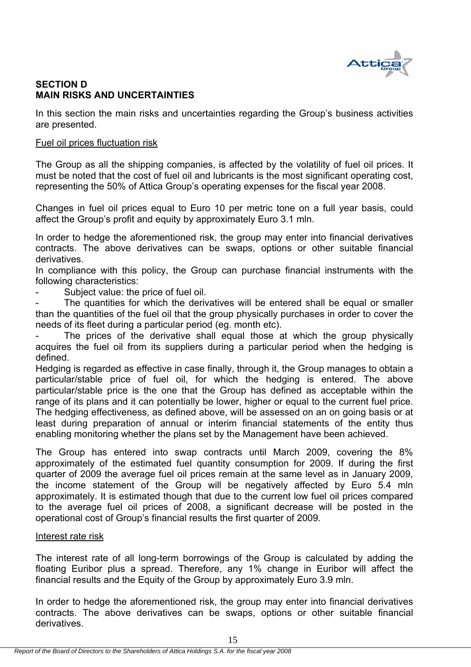

# **SECTION D MAIN RISKS AND UNCERTAINTIES**

In this section the main risks and uncertainties regarding the Group's business activities are presented.

# Fuel oil prices fluctuation risk

The Group as all the shipping companies, is affected by the volatility of fuel oil prices. It must be noted that the cost of fuel oil and lubricants is the most significant operating cost, representing the 50% of Attica Group's operating expenses for the fiscal year 2008.

Changes in fuel oil prices equal to Euro 10 per metric tone on a full year basis, could affect the Group's profit and equity by approximately Euro 3.1 mln.

In order to hedge the aforementioned risk, the group may enter into financial derivatives contracts. The above derivatives can be swaps, options or other suitable financial derivatives.

In compliance with this policy, the Group can purchase financial instruments with the following characteristics:

Subject value: the price of fuel oil.

The quantities for which the derivatives will be entered shall be equal or smaller than the quantities of the fuel oil that the group physically purchases in order to cover the needs of its fleet during a particular period (eg. month etc).

The prices of the derivative shall equal those at which the group physically acquires the fuel oil from its suppliers during a particular period when the hedging is defined.

Hedging is regarded as effective in case finally, through it, the Group manages to obtain a particular/stable price of fuel oil, for which the hedging is entered. The above particular/stable price is the one that the Group has defined as acceptable within the range of its plans and it can potentially be lower, higher or equal to the current fuel price. The hedging effectiveness, as defined above, will be assessed on an on going basis or at least during preparation of annual or interim financial statements of the entity thus enabling monitoring whether the plans set by the Management have been achieved.

The Group has entered into swap contracts until March 2009, covering the 8% approximately of the estimated fuel quantity consumption for 2009. If during the first quarter of 2009 the average fuel oil prices remain at the same level as in January 2009, the income statement of the Group will be negatively affected by Euro 5.4 mln approximately. It is estimated though that due to the current low fuel oil prices compared to the average fuel oil prices of 2008, a significant decrease will be posted in the operational cost of Group's financial results the first quarter of 2009.

#### Interest rate risk

The interest rate of all long-term borrowings of the Group is calculated by adding the floating Euribor plus a spread. Therefore, any 1% change in Euribor will affect the financial results and the Equity of the Group by approximately Euro 3.9 mln.

In order to hedge the aforementioned risk, the group may enter into financial derivatives contracts. The above derivatives can be swaps, options or other suitable financial derivatives.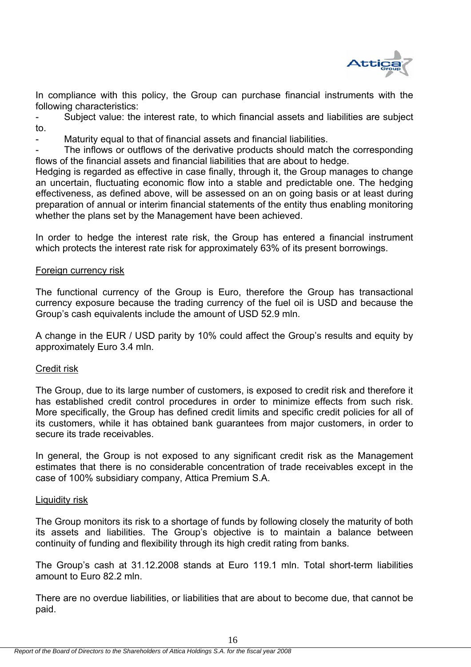

In compliance with this policy, the Group can purchase financial instruments with the following characteristics:

Subject value: the interest rate, to which financial assets and liabilities are subject to.

Maturity equal to that of financial assets and financial liabilities.

The inflows or outflows of the derivative products should match the corresponding flows of the financial assets and financial liabilities that are about to hedge.

Hedging is regarded as effective in case finally, through it, the Group manages to change an uncertain, fluctuating economic flow into a stable and predictable one. The hedging effectiveness, as defined above, will be assessed on an on going basis or at least during preparation of annual or interim financial statements of the entity thus enabling monitoring whether the plans set by the Management have been achieved.

In order to hedge the interest rate risk, the Group has entered a financial instrument which protects the interest rate risk for approximately 63% of its present borrowings.

# Foreign currency risk

The functional currency of the Group is Euro, therefore the Group has transactional currency exposure because the trading currency of the fuel oil is USD and because the Group's cash equivalents include the amount of USD 52.9 mln.

A change in the EUR / USD parity by 10% could affect the Group's results and equity by approximately Euro 3.4 mln.

#### Credit risk

The Group, due to its large number of customers, is exposed to credit risk and therefore it has established credit control procedures in order to minimize effects from such risk. More specifically, the Group has defined credit limits and specific credit policies for all of its customers, while it has obtained bank guarantees from major customers, in order to secure its trade receivables.

In general, the Group is not exposed to any significant credit risk as the Management estimates that there is no considerable concentration of trade receivables except in the case of 100% subsidiary company, Attica Premium S.A.

#### Liquidity risk

The Group monitors its risk to a shortage of funds by following closely the maturity of both its assets and liabilities. The Group's objective is to maintain a balance between continuity of funding and flexibility through its high credit rating from banks.

The Group's cash at 31.12.2008 stands at Euro 119.1 mln. Total short-term liabilities amount to Euro 82.2 mln.

There are no overdue liabilities, or liabilities that are about to become due, that cannot be paid.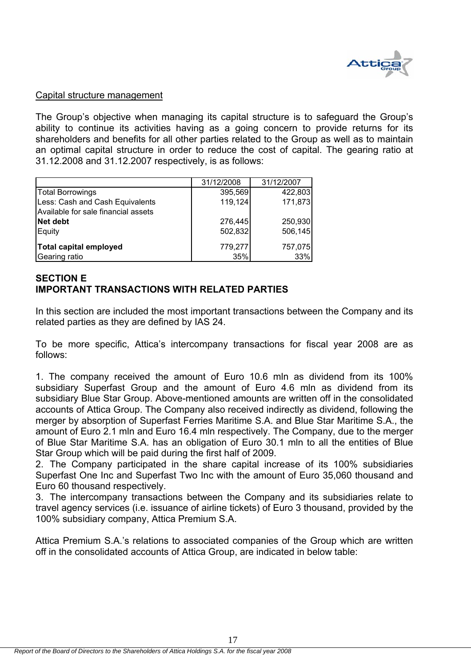

#### Capital structure management

The Group's objective when managing its capital structure is to safeguard the Group's ability to continue its activities having as a going concern to provide returns for its shareholders and benefits for all other parties related to the Group as well as to maintain an optimal capital structure in order to reduce the cost of capital. The gearing ratio at 31.12.2008 and 31.12.2007 respectively, is as follows:

|                                     | 31/12/2008 | 31/12/2007 |
|-------------------------------------|------------|------------|
| <b>Total Borrowings</b>             | 395,569    | 422,803    |
| Less: Cash and Cash Equivalents     | 119,124    | 171,873    |
| Available for sale financial assets |            |            |
| Net debt                            | 276,445    | 250,930    |
| Equity                              | 502,832    | 506,145    |
| <b>Total capital employed</b>       | 779,277    | 757,075    |
| Gearing ratio                       | 35%        | 33%        |

# **SECTION E IMPORTANT TRANSACTIONS WITH RELATED PARTIES**

In this section are included the most important transactions between the Company and its related parties as they are defined by IAS 24.

To be more specific, Attica's intercompany transactions for fiscal year 2008 are as follows:

1. The company received the amount of Euro 10.6 mln as dividend from its 100% subsidiary Superfast Group and the amount of Euro 4.6 mln as dividend from its subsidiary Blue Star Group. Above-mentioned amounts are written off in the consolidated accounts of Attica Group. The Company also received indirectly as dividend, following the merger by absorption of Superfast Ferries Maritime S.A. and Blue Star Maritime S.A., the amount of Euro 2.1 mln and Euro 16.4 mln respectively. The Company, due to the merger of Blue Star Maritime S.A. has an obligation of Euro 30.1 mln to all the entities of Blue Star Group which will be paid during the first half of 2009.

2. The Company participated in the share capital increase of its 100% subsidiaries Superfast One Inc and Superfast Two Inc with the amount of Euro 35,060 thousand and Euro 60 thousand respectively.

3. The intercompany transactions between the Company and its subsidiaries relate to travel agency services (i.e. issuance of airline tickets) of Euro 3 thousand, provided by the 100% subsidiary company, Attica Premium S.A.

Attica Premium S.A.'s relations to associated companies of the Group which are written off in the consolidated accounts of Attica Group, are indicated in below table: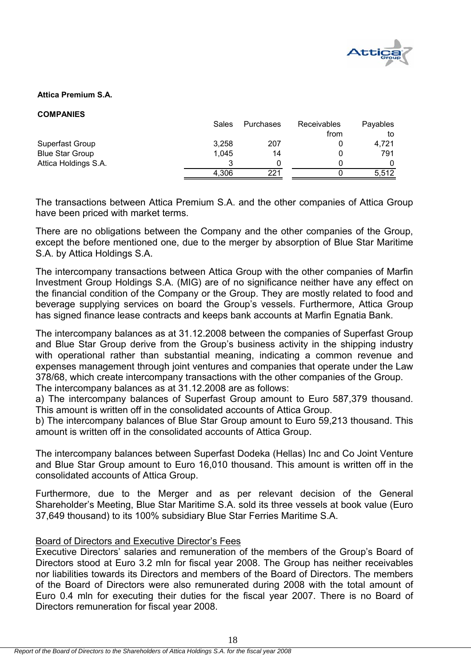

#### **Attica Premium S.A.**

| <b>COMPANIES</b> |
|------------------|
|------------------|

| Sales | Purchases | Receivables | Payables |
|-------|-----------|-------------|----------|
|       |           | from        | to       |
| 3,258 | 207       |             | 4.721    |
| 1,045 | 14        |             | 791      |
|       |           |             |          |
| 4,306 | 221       |             | 5,512    |
|       |           |             |          |

The transactions between Attica Premium S.A. and the other companies of Attica Group have been priced with market terms.

There are no obligations between the Company and the other companies of the Group, except the before mentioned one, due to the merger by absorption of Blue Star Maritime S.A. by Attica Holdings S.A.

The intercompany transactions between Attica Group with the other companies of Marfin Investment Group Holdings S.A. (MIG) are of no significance neither have any effect on the financial condition of the Company or the Group. They are mostly related to food and beverage supplying services on board the Group's vessels. Furthermore, Attica Group has signed finance lease contracts and keeps bank accounts at Marfin Egnatia Bank.

The intercompany balances as at 31.12.2008 between the companies of Superfast Group and Blue Star Group derive from the Group's business activity in the shipping industry with operational rather than substantial meaning, indicating a common revenue and expenses management through joint ventures and companies that operate under the Law 378/68, which create intercompany transactions with the other companies of the Group. The intercompany balances as at 31.12.2008 are as follows:

a) The intercompany balances of Superfast Group amount to Euro 587,379 thousand. This amount is written off in the consolidated accounts of Attica Group.

b) The intercompany balances of Blue Star Group amount to Euro 59,213 thousand. This amount is written off in the consolidated accounts of Attica Group.

The intercompany balances between Superfast Dodeka (Hellas) Inc and Co Joint Venture and Blue Star Group amount to Euro 16,010 thousand. This amount is written off in the consolidated accounts of Attica Group.

Furthermore, due to the Merger and as per relevant decision of the General Shareholder's Meeting, Blue Star Maritime S.A. sold its three vessels at book value (Euro 37,649 thousand) to its 100% subsidiary Blue Star Ferries Maritime S.A.

#### Board of Directors and Executive Director's Fees

Executive Directors' salaries and remuneration of the members of the Group's Board of Directors stood at Euro 3.2 mln for fiscal year 2008. The Group has neither receivables nor liabilities towards its Directors and members of the Board of Directors. The members of the Board of Directors were also remunerated during 2008 with the total amount of Euro 0.4 mln for executing their duties for the fiscal year 2007. There is no Board of Directors remuneration for fiscal year 2008.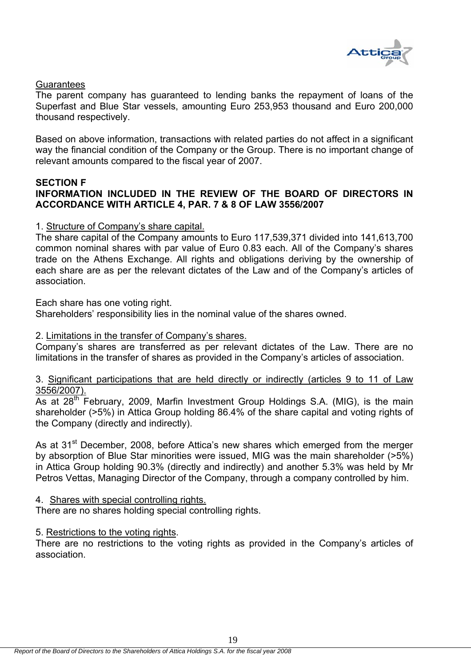

# **Guarantees**

The parent company has guaranteed to lending banks the repayment of loans of the Superfast and Blue Star vessels, amounting Euro 253,953 thousand and Euro 200,000 thousand respectively.

Based on above information, transactions with related parties do not affect in a significant way the financial condition of the Company or the Group. There is no important change of relevant amounts compared to the fiscal year of 2007.

#### **SECTION F**

# **INFORMATION INCLUDED IN THE REVIEW OF THE BOARD OF DIRECTORS IN ACCORDANCE WITH ARTICLE 4, PAR. 7 & 8 OF LAW 3556/2007**

### 1. Structure of Company's share capital.

The share capital of the Company amounts to Euro 117,539,371 divided into 141,613,700 common nominal shares with par value of Euro 0.83 each. All of the Company's shares trade on the Athens Exchange. All rights and obligations deriving by the ownership of each share are as per the relevant dictates of the Law and of the Company's articles of association.

#### Each share has one voting right.

Shareholders' responsibility lies in the nominal value of the shares owned.

#### 2. Limitations in the transfer of Company's shares.

Company's shares are transferred as per relevant dictates of the Law. There are no limitations in the transfer of shares as provided in the Company's articles of association.

#### 3. Significant participations that are held directly or indirectly (articles 9 to 11 of Law 3556/2007).

As at 28<sup>th</sup> February, 2009, Marfin Investment Group Holdings S.A. (MIG), is the main shareholder (>5%) in Attica Group holding 86.4% of the share capital and voting rights of the Company (directly and indirectly).

As at 31<sup>st</sup> December, 2008, before Attica's new shares which emerged from the merger by absorption of Blue Star minorities were issued, MIG was the main shareholder (>5%) in Attica Group holding 90.3% (directly and indirectly) and another 5.3% was held by Mr Petros Vettas, Managing Director of the Company, through a company controlled by him.

#### 4. Shares with special controlling rights.

There are no shares holding special controlling rights.

#### 5. Restrictions to the voting rights.

There are no restrictions to the voting rights as provided in the Company's articles of association.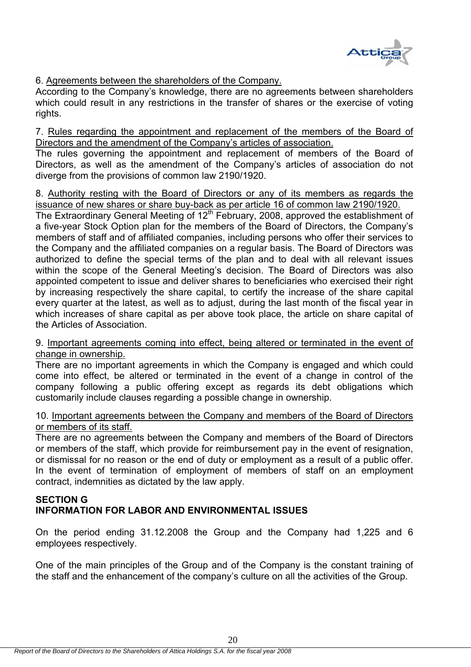

6. Agreements between the shareholders of the Company.

According to the Company's knowledge, there are no agreements between shareholders which could result in any restrictions in the transfer of shares or the exercise of voting rights.

7. Rules regarding the appointment and replacement of the members of the Board of Directors and the amendment of the Company's articles of association.

The rules governing the appointment and replacement of members of the Board of Directors, as well as the amendment of the Company's articles of association do not diverge from the provisions of common law 2190/1920.

8. Authority resting with the Board of Directors or any of its members as regards the issuance of new shares or share buy-back as per article 16 of common law 2190/1920.

The Extraordinary General Meeting of  $12<sup>th</sup>$  February, 2008, approved the establishment of a five-year Stock Option plan for the members of the Board of Directors, the Company's members of staff and of affiliated companies, including persons who offer their services to the Company and the affiliated companies on a regular basis. The Board of Directors was authorized to define the special terms of the plan and to deal with all relevant issues within the scope of the General Meeting's decision. The Board of Directors was also appointed competent to issue and deliver shares to beneficiaries who exercised their right by increasing respectively the share capital, to certify the increase of the share capital every quarter at the latest, as well as to adjust, during the last month of the fiscal year in which increases of share capital as per above took place, the article on share capital of the Articles of Association.

# 9. Important agreements coming into effect, being altered or terminated in the event of change in ownership.

There are no important agreements in which the Company is engaged and which could come into effect, be altered or terminated in the event of a change in control of the company following a public offering except as regards its debt obligations which customarily include clauses regarding a possible change in ownership.

# 10. Important agreements between the Company and members of the Board of Directors or members of its staff.

There are no agreements between the Company and members of the Board of Directors or members of the staff, which provide for reimbursement pay in the event of resignation, or dismissal for no reason or the end of duty or employment as a result of a public offer. In the event of termination of employment of members of staff on an employment contract, indemnities as dictated by the law apply.

# **SECTION G INFORMATION FOR LABOR AND ENVIRONMENTAL ISSUES**

On the period ending 31.12.2008 the Group and the Company had 1,225 and 6 employees respectively.

One of the main principles of the Group and of the Company is the constant training of the staff and the enhancement of the company's culture on all the activities of the Group.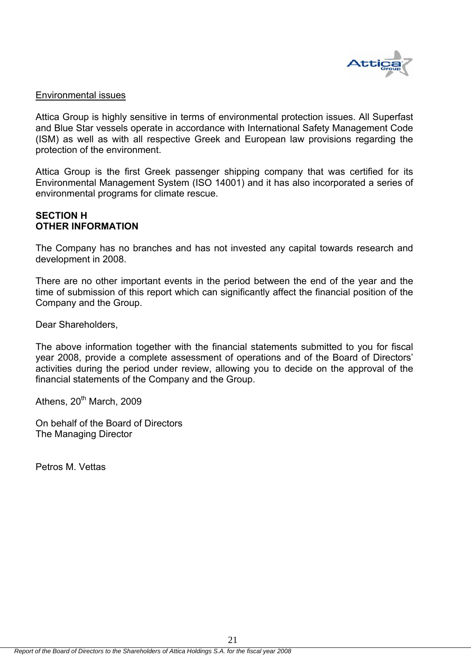

#### Environmental issues

Attica Group is highly sensitive in terms of environmental protection issues. All Superfast and Blue Star vessels operate in accordance with International Safety Management Code (ISM) as well as with all respective Greek and European law provisions regarding the protection of the environment.

Attica Group is the first Greek passenger shipping company that was certified for its Environmental Management System (ISO 14001) and it has also incorporated a series of environmental programs for climate rescue.

# **SECTION H OTHER INFORMATION**

The Company has no branches and has not invested any capital towards research and development in 2008.

There are no other important events in the period between the end of the year and the time of submission of this report which can significantly affect the financial position of the Company and the Group.

Dear Shareholders,

The above information together with the financial statements submitted to you for fiscal year 2008, provide a complete assessment of operations and of the Board of Directors' activities during the period under review, allowing you to decide on the approval of the financial statements of the Company and the Group.

21

Athens, 20<sup>th</sup> March, 2009

On behalf of the Board of Directors The Managing Director

Petros M. Vettas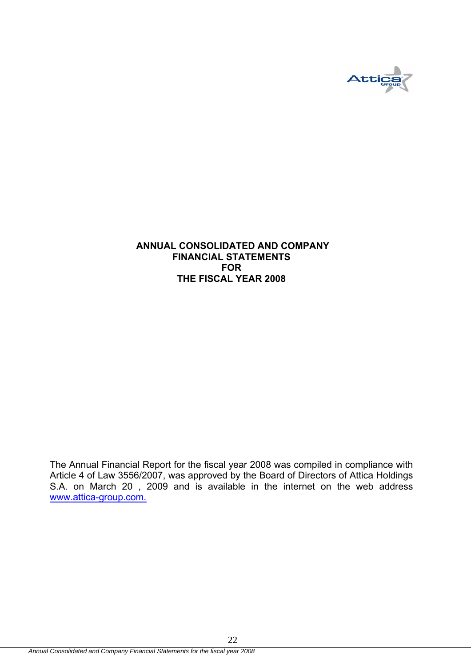

# **ANNUAL CONSOLIDATED AND COMPANY FINANCIAL STATEMENTS FOR THE FISCAL YEAR 2008**

The Annual Financial Report for the fiscal year 2008 was compiled in compliance with Article 4 of Law 3556/2007, was approved by the Board of Directors of Attica Holdings S.A. on March 20 , 2009 and is available in the internet on the web address www.attica-group.com.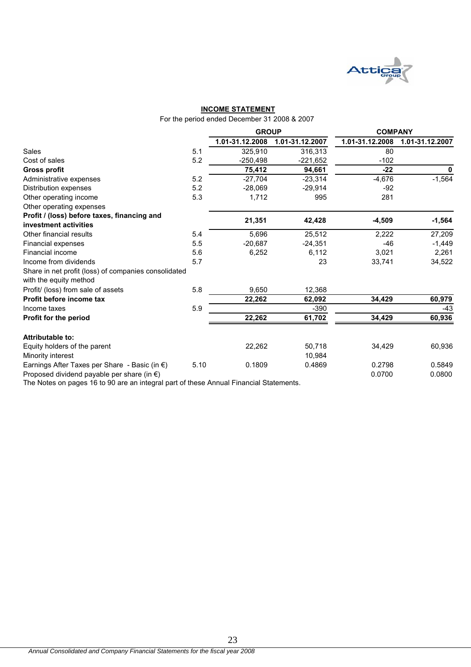

#### **INCOME STATEMENT**

For the period ended December 31 2008 & 2007

|                   |                 | <b>COMPANY</b>                   |                    |  |  |
|-------------------|-----------------|----------------------------------|--------------------|--|--|
| 1.01-31.12.2008   | 1.01-31.12.2007 | 1.01-31.12.2008                  | 1.01-31.12.2007    |  |  |
| 5.1<br>325.910    | 316,313         | 80                               |                    |  |  |
| 5.2<br>$-250,498$ | $-221.652$      | $-102$                           |                    |  |  |
| 75,412            | 94,661          | $-22$                            | 0                  |  |  |
| 5.2<br>$-27.704$  | $-23,314$       | $-4,676$                         | $-1,564$           |  |  |
| 5.2<br>$-28.069$  | $-29.914$       | $-92$                            |                    |  |  |
| 5.3<br>1,712      | 995             | 281                              |                    |  |  |
|                   |                 |                                  |                    |  |  |
|                   |                 |                                  | $-1,564$           |  |  |
|                   |                 |                                  |                    |  |  |
| 5.4<br>5,696      | 25,512          | 2,222                            | 27,209             |  |  |
| 5.5<br>$-20,687$  | $-24,351$       | $-46$                            | $-1,449$           |  |  |
| 5.6<br>6,252      | 6,112           | 3,021                            | 2,261              |  |  |
| 5.7               | 23              | 33,741                           | 34,522             |  |  |
|                   |                 |                                  |                    |  |  |
| 5.8<br>9,650      | 12,368          |                                  |                    |  |  |
| 22,262            | 62,092          | 34,429                           | 60,979             |  |  |
| 5.9               | $-390$          |                                  | $-43$              |  |  |
| 22,262            | 61,702          | 34,429                           | 60,936             |  |  |
|                   |                 |                                  |                    |  |  |
| 22,262            | 50,718          | 34,429                           | 60,936             |  |  |
| 5.10<br>0.1809    | 0.4869          | 0.2798                           | 0.5849<br>0.0800   |  |  |
|                   | 21,351          | <b>GROUP</b><br>42,428<br>10,984 | $-4,509$<br>0.0700 |  |  |

The Notes on pages 16 to 90 are an integral part of these Annual Financial Statements.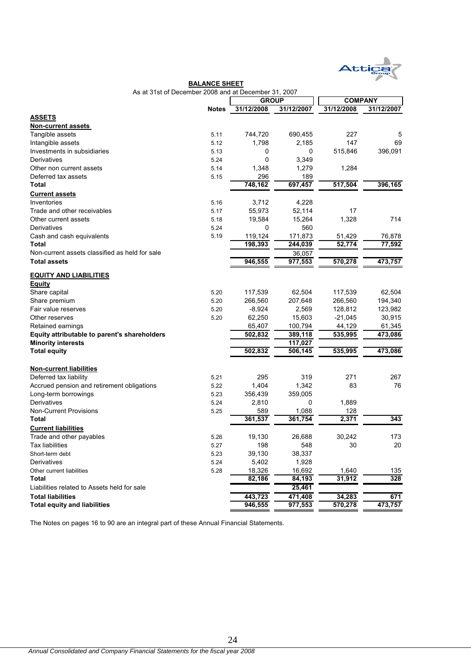

| As at 31st of December 2008 and at December 31, 2007 |              |              |            |                |            |  |
|------------------------------------------------------|--------------|--------------|------------|----------------|------------|--|
|                                                      |              | <b>GROUP</b> |            | <b>COMPANY</b> |            |  |
|                                                      | <b>Notes</b> | 31/12/2008   | 31/12/2007 | 31/12/2008     | 31/12/2007 |  |
| <b>ASSETS</b>                                        |              |              |            |                |            |  |
| <b>Non-current assets</b>                            |              |              |            |                |            |  |
| Tangible assets                                      | 5.11         | 744,720      | 690,455    | 227            | 5          |  |
| Intangible assets                                    | 5.12         | 1,798        | 2,185      | 147            | 69         |  |
| Investments in subsidiaries                          | 5.13         | 0            | 0          | 515,846        | 396,091    |  |
| Derivatives                                          | 5.24         | 0            | 3,349      |                |            |  |
| Other non current assets                             | 5.14         | 1,348        | 1,279      | 1,284          |            |  |
| Deferred tax assets                                  | 5.15         | 296          | 189        |                |            |  |
| Total                                                |              | 748,162      | 697,457    | 517,504        | 396,165    |  |
| <b>Current assets</b>                                |              |              |            |                |            |  |
| Inventories                                          | 5.16         | 3,712        | 4,228      |                |            |  |
| Trade and other receivables                          | 5.17         | 55,973       | 52,114     | 17             |            |  |
| Other current assets                                 | 5.18         | 19,584       | 15,264     | 1,328          | 714        |  |
| Derivatives                                          | 5.24         | 0            | 560        |                |            |  |
| Cash and cash equivalents                            | 5.19         | 119,124      | 171,873    | 51,429         | 76,878     |  |
| Total                                                |              | 198.393      | 244,039    | 52,774         | 77,592     |  |
| Non-current assets classified as held for sale       |              |              | 36,057     |                |            |  |
| <b>Total assets</b>                                  |              | 946,555      | 977,553    | 570,278        | 473,757    |  |
|                                                      |              |              |            |                |            |  |
| <b>EQUITY AND LIABILITIES</b>                        |              |              |            |                |            |  |
| <b>Equity</b>                                        |              |              |            |                |            |  |
| Share capital                                        | 5.20         | 117,539      | 62,504     | 117,539        | 62,504     |  |
| Share premium                                        | 5.20         | 266,560      | 207,648    | 266,560        | 194,340    |  |
| Fair value reserves                                  | 5.20         | $-8,924$     | 2,569      | 128,812        | 123,982    |  |
| Other reserves                                       | 5.20         | 62,250       | 15,603     | $-21,045$      | 30,915     |  |
| Retained earnings                                    |              | 65,407       | 100,794    | 44,129         | 61,345     |  |
| Equity attributable to parent's shareholders         |              | 502,832      | 389,118    | 535,995        | 473,086    |  |
| <b>Minority interests</b>                            |              |              | 117,027    |                |            |  |
| <b>Total equity</b>                                  |              | 502,832      | 506,145    | 535,995        | 473,086    |  |
|                                                      |              |              |            |                |            |  |
| <b>Non-current liabilities</b>                       |              |              |            |                |            |  |
| Deferred tax liability                               | 5.21         | 295          | 319        | 271            | 267        |  |
| Accrued pension and retirement obligations           |              | 1,404        | 1,342      | 83             | 76         |  |
|                                                      | 5.22         |              |            |                |            |  |
| Long-term borrowings<br>Derivatives                  | 5.23         | 356,439      | 359,005    |                |            |  |
|                                                      | 5.24         | 2,810        | 0          | 1,889          |            |  |
| Non-Current Provisions                               | 5.25         | 589          | 1,088      | 128            |            |  |
| Total                                                |              | 361,537      | 361,754    | 2,371          | 343        |  |
| <b>Current liabilities</b>                           |              |              |            |                |            |  |
| Trade and other payables                             | 5.26         | 19,130       | 26,688     | 30,242         | 173        |  |
| Tax liabilities                                      | 5.27         | 198          | 548        | 30             | 20         |  |
| Short-term debt                                      | 5.23         | 39,130       | 38,337     |                |            |  |
| Derivatives                                          | 5.24         | 5,402        | 1,928      |                |            |  |
| Other current liabilities                            | 5.28         | 18,326       | 16,692     | 1,640          | 135        |  |
| Total                                                |              | 82,186       | 84,193     | 31,912         | 328        |  |
| Liabilities related to Assets held for sale          |              |              | 25,461     |                |            |  |
| <b>Total liabilities</b>                             |              | 443,723      | 471,408    | 34,283         | 671        |  |
| <b>Total equity and liabilities</b>                  |              | 946,555      | 977,553    | 570,278        | 473,757    |  |

**BALANCE SHEET**

The Notes on pages 16 to 90 are an integral part of these Annual Financial Statements.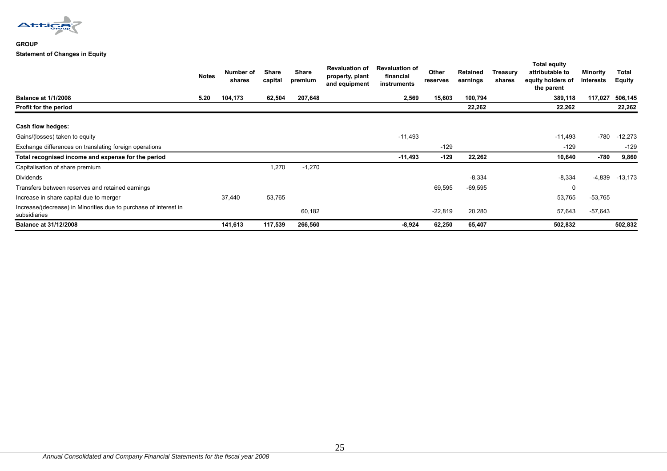

#### **GROUP Statement of Changes in Equity**

|                                                                                  | <b>Notes</b> | Number of<br>shares | Share<br>capital | <b>Share</b><br>premium | <b>Revaluation of</b><br>property, plant<br>and equipment | <b>Revaluation of</b><br>financial<br>instruments | Other<br>reserves | Retained<br>earnings | Treasury<br>shares | <b>Total equity</b><br>attributable to<br>equity holders of<br>the parent | Minority<br>interests | Total<br><b>Equity</b> |
|----------------------------------------------------------------------------------|--------------|---------------------|------------------|-------------------------|-----------------------------------------------------------|---------------------------------------------------|-------------------|----------------------|--------------------|---------------------------------------------------------------------------|-----------------------|------------------------|
| <b>Balance at 1/1/2008</b>                                                       | 5.20         | 104,173             | 62,504           | 207,648                 |                                                           | 2,569                                             | 15,603            | 100,794              |                    | 389,118                                                                   | 117,027               | 506,145                |
| Profit for the period                                                            |              |                     |                  |                         |                                                           |                                                   |                   | 22,262               |                    | 22,262                                                                    |                       | 22,262                 |
| Cash flow hedges:                                                                |              |                     |                  |                         |                                                           |                                                   |                   |                      |                    |                                                                           |                       |                        |
| Gains/(losses) taken to equity                                                   |              |                     |                  |                         |                                                           | $-11,493$                                         |                   |                      |                    | -11,493                                                                   | $-780$                | $-12,273$              |
| Exchange differences on translating foreign operations                           |              |                     |                  |                         |                                                           |                                                   | $-129$            |                      |                    | $-129$                                                                    |                       | $-129$                 |
| Total recognised income and expense for the period                               |              |                     |                  |                         |                                                           | -11,493                                           | $-129$            | 22,262               |                    | 10,640                                                                    | -780                  | 9,860                  |
| Capitalisation of share premium                                                  |              |                     | 1,270            | $-1,270$                |                                                           |                                                   |                   |                      |                    |                                                                           |                       |                        |
| Dividends                                                                        |              |                     |                  |                         |                                                           |                                                   |                   | $-8,334$             |                    | $-8,334$                                                                  | $-4,839$              | $-13,173$              |
| Transfers between reserves and retained earnings                                 |              |                     |                  |                         |                                                           |                                                   | 69,595            | $-69,595$            |                    | 0                                                                         |                       |                        |
| Increase in share capital due to merger                                          |              | 37,440              | 53,765           |                         |                                                           |                                                   |                   |                      |                    | 53,765                                                                    | $-53,765$             |                        |
| Increase/(decrease) in Minorities due to purchase of interest in<br>subsidiaries |              |                     |                  | 60,182                  |                                                           |                                                   | $-22,819$         | 20,280               |                    | 57,643                                                                    | $-57,643$             |                        |
| <b>Balance at 31/12/2008</b>                                                     |              | 141,613             | 117,539          | 266,560                 |                                                           | $-8,924$                                          | 62,250            | 65,407               |                    | 502,832                                                                   |                       | 502,832                |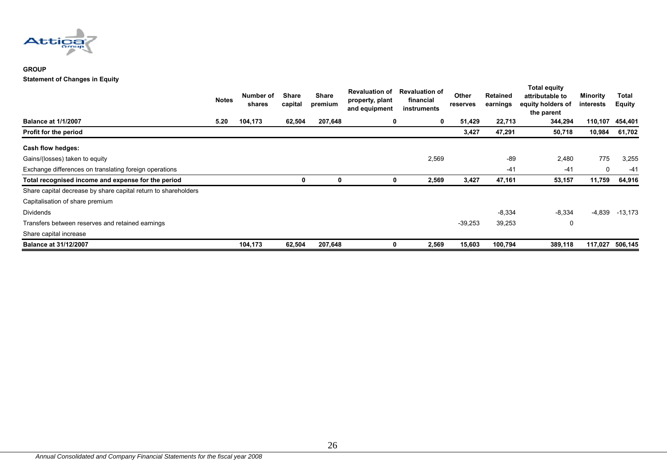

#### **GROUP Statement of Changes in Equity**

|                                                                | Notes | Number of<br>shares | <b>Share</b><br>capital | <b>Share</b><br>premium | <b>Revaluation of</b><br>property, plant<br>and equipment | <b>Revaluation of</b><br>financial<br>instruments | Other<br>reserves | <b>Retained</b><br>earnings | Total equity<br>attributable to<br>equity holders of<br>the parent | <b>Minority</b><br>interests | Total<br><b>Equity</b> |
|----------------------------------------------------------------|-------|---------------------|-------------------------|-------------------------|-----------------------------------------------------------|---------------------------------------------------|-------------------|-----------------------------|--------------------------------------------------------------------|------------------------------|------------------------|
| <b>Balance at 1/1/2007</b>                                     | 5.20  | 104,173             | 62,504                  | 207,648                 | 0                                                         | 0                                                 | 51,429            | 22,713                      | 344,294                                                            | 110,107                      | 454,401                |
| Profit for the period                                          |       |                     |                         |                         |                                                           |                                                   | 3,427             | 47,291                      | 50,718                                                             | 10,984                       | 61,702                 |
| Cash flow hedges:                                              |       |                     |                         |                         |                                                           |                                                   |                   |                             |                                                                    |                              |                        |
| Gains/(losses) taken to equity                                 |       |                     |                         |                         |                                                           | 2,569                                             |                   | $-89$                       | 2,480                                                              | 775                          | 3,255                  |
| Exchange differences on translating foreign operations         |       |                     |                         |                         |                                                           |                                                   |                   | $-41$                       | $-41$                                                              | 0                            | -41                    |
| Total recognised income and expense for the period             |       |                     | 0                       | 0                       |                                                           | 2,569                                             | 3,427             | 47,161                      | 53,157                                                             | 11,759                       | 64,916                 |
| Share capital decrease by share capital return to shareholders |       |                     |                         |                         |                                                           |                                                   |                   |                             |                                                                    |                              |                        |
| Capitalisation of share premium                                |       |                     |                         |                         |                                                           |                                                   |                   |                             |                                                                    |                              |                        |
| <b>Dividends</b>                                               |       |                     |                         |                         |                                                           |                                                   |                   | $-8,334$                    | $-8,334$                                                           | $-4,839$                     | $-13,173$              |
| Transfers between reserves and retained earnings               |       |                     |                         |                         |                                                           |                                                   | $-39,253$         | 39,253                      | 0                                                                  |                              |                        |
| Share capital increase                                         |       |                     |                         |                         |                                                           |                                                   |                   |                             |                                                                    |                              |                        |
| <b>Balance at 31/12/2007</b>                                   |       | 104,173             | 62,504                  | 207,648                 |                                                           | 2,569                                             | 15,603            | 100,794                     | 389,118                                                            | 117,027                      | 506,145                |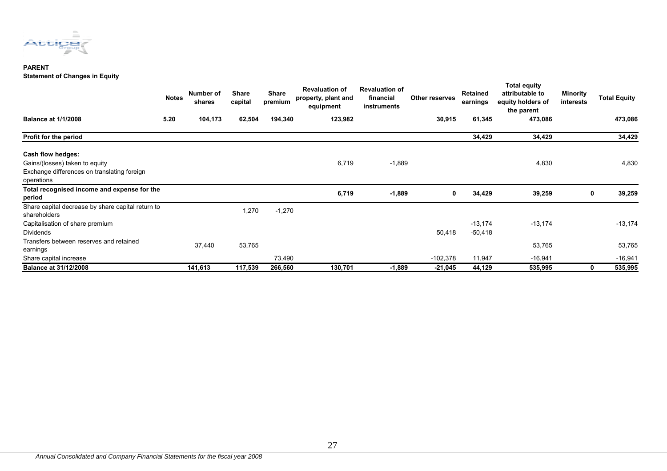

#### **PARENT Statement of Changes in Equity**

|                                                                   | <b>Notes</b> | Number of<br>shares | <b>Share</b><br>capital | <b>Share</b><br>premium | <b>Revaluation of</b><br>property, plant and<br>equipment | <b>Revaluation of</b><br>financial<br>instruments | Other reserves | Retained<br>earnings | <b>Total equity</b><br>attributable to<br>equity holders of<br>the parent | Minority<br>interests | <b>Total Equity</b> |
|-------------------------------------------------------------------|--------------|---------------------|-------------------------|-------------------------|-----------------------------------------------------------|---------------------------------------------------|----------------|----------------------|---------------------------------------------------------------------------|-----------------------|---------------------|
| <b>Balance at 1/1/2008</b>                                        | 5.20         | 104,173             | 62,504                  | 194,340                 | 123,982                                                   |                                                   | 30,915         | 61,345               | 473,086                                                                   |                       | 473,086             |
| Profit for the period                                             |              |                     |                         |                         |                                                           |                                                   |                | 34,429               | 34,429                                                                    |                       | 34,429              |
| Cash flow hedges:                                                 |              |                     |                         |                         |                                                           |                                                   |                |                      |                                                                           |                       |                     |
| Gains/(losses) taken to equity                                    |              |                     |                         |                         | 6,719                                                     | $-1,889$                                          |                |                      | 4,830                                                                     |                       | 4,830               |
| Exchange differences on translating foreign<br>operations         |              |                     |                         |                         |                                                           |                                                   |                |                      |                                                                           |                       |                     |
| Total recognised income and expense for the<br>period             |              |                     |                         |                         | 6,719                                                     | $-1,889$                                          | 0              | 34,429               | 39,259                                                                    | 0                     | 39,259              |
| Share capital decrease by share capital return to<br>shareholders |              |                     | 1,270                   | $-1,270$                |                                                           |                                                   |                |                      |                                                                           |                       |                     |
| Capitalisation of share premium                                   |              |                     |                         |                         |                                                           |                                                   |                | $-13,174$            | $-13,174$                                                                 |                       | $-13,174$           |
| <b>Dividends</b>                                                  |              |                     |                         |                         |                                                           |                                                   | 50,418         | $-50,418$            |                                                                           |                       |                     |
| Transfers between reserves and retained<br>earnings               |              | 37,440              | 53,765                  |                         |                                                           |                                                   |                |                      | 53,765                                                                    |                       | 53,765              |
| Share capital increase                                            |              |                     |                         | 73,490                  |                                                           |                                                   | $-102,378$     | 11,947               | $-16,941$                                                                 |                       | $-16,941$           |
| <b>Balance at 31/12/2008</b>                                      |              | 141,613             | 117,539                 | 266,560                 | 130,701                                                   | $-1,889$                                          | $-21,045$      | 44,129               | 535,995                                                                   |                       | 535,995             |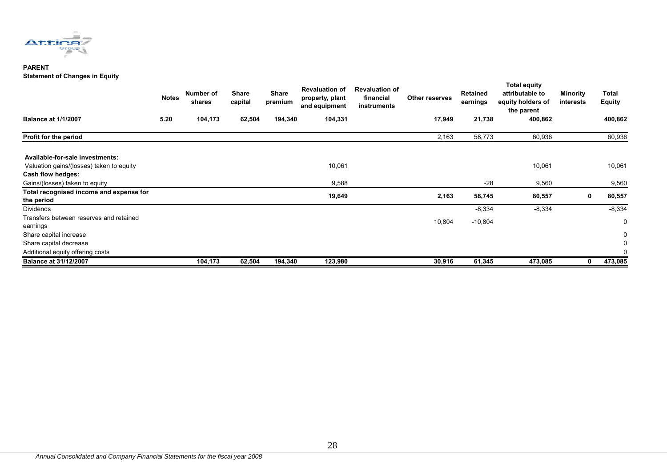

#### **PARENT Statement of Changes in Equity**

|                                          | <b>Notes</b> | Number of<br>shares | <b>Share</b><br>capital | <b>Share</b><br>premium | <b>Revaluation of</b><br>property, plant<br>and equipment | <b>Revaluation of</b><br>financial<br>instruments | Other reserves | Retained<br>earnings | Total equity<br>attributable to<br>equity holders of<br>the parent | Minority<br>interests | Total<br><b>Equity</b> |
|------------------------------------------|--------------|---------------------|-------------------------|-------------------------|-----------------------------------------------------------|---------------------------------------------------|----------------|----------------------|--------------------------------------------------------------------|-----------------------|------------------------|
| <b>Balance at 1/1/2007</b>               | 5.20         | 104,173             | 62,504                  | 194,340                 | 104,331                                                   |                                                   | 17,949         | 21,738               | 400,862                                                            |                       | 400,862                |
| Profit for the period                    |              |                     |                         |                         |                                                           |                                                   | 2,163          | 58,773               | 60,936                                                             |                       | 60,936                 |
| Available-for-sale investments:          |              |                     |                         |                         |                                                           |                                                   |                |                      |                                                                    |                       |                        |
| Valuation gains/(losses) taken to equity |              |                     |                         |                         | 10,061                                                    |                                                   |                |                      | 10,061                                                             |                       | 10,061                 |
| Cash flow hedges:                        |              |                     |                         |                         |                                                           |                                                   |                |                      |                                                                    |                       |                        |
| Gains/(losses) taken to equity           |              |                     |                         |                         | 9,588                                                     |                                                   |                | $-28$                | 9,560                                                              |                       | 9,560                  |
| Total recognised income and expense for  |              |                     |                         |                         | 19,649                                                    |                                                   | 2,163          | 58,745               | 80,557                                                             | 0                     | 80,557                 |
| the period                               |              |                     |                         |                         |                                                           |                                                   |                |                      |                                                                    |                       |                        |
| Dividends                                |              |                     |                         |                         |                                                           |                                                   |                | $-8,334$             | $-8,334$                                                           |                       | $-8,334$               |
| Transfers between reserves and retained  |              |                     |                         |                         |                                                           |                                                   | 10,804         | $-10,804$            |                                                                    |                       | 0                      |
| earnings                                 |              |                     |                         |                         |                                                           |                                                   |                |                      |                                                                    |                       |                        |
| Share capital increase                   |              |                     |                         |                         |                                                           |                                                   |                |                      |                                                                    |                       | 0                      |
| Share capital decrease                   |              |                     |                         |                         |                                                           |                                                   |                |                      |                                                                    |                       | 0                      |
| Additional equity offering costs         |              |                     |                         |                         |                                                           |                                                   |                |                      |                                                                    |                       | 0                      |
| <b>Balance at 31/12/2007</b>             |              | 104,173             | 62,504                  | 194,340                 | 123,980                                                   |                                                   | 30,916         | 61,345               | 473,085                                                            | 0                     | 473,085                |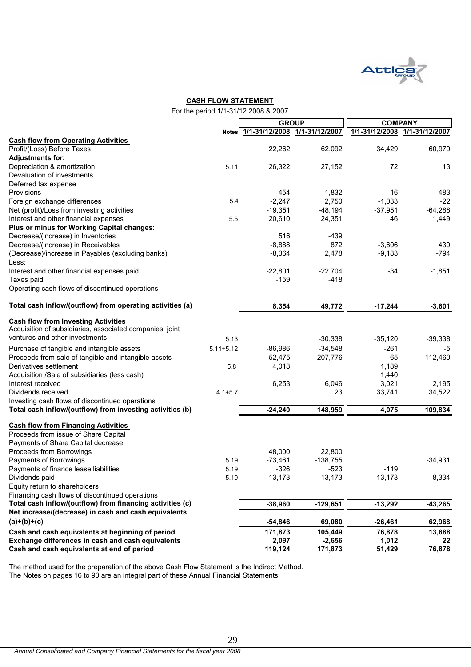

#### **CASH FLOW STATEMENT**

|  | For the period 1/1-31/12 2008 & 2007 |  |
|--|--------------------------------------|--|
|  |                                      |  |

|                                                                                                        |               | <b>GROUP</b>                        |            | <b>COMPANY</b> |                               |  |
|--------------------------------------------------------------------------------------------------------|---------------|-------------------------------------|------------|----------------|-------------------------------|--|
|                                                                                                        |               | Notes 1/1-31/12/2008 1/1-31/12/2007 |            |                | 1/1-31/12/2008 1/1-31/12/2007 |  |
| <b>Cash flow from Operating Activities</b>                                                             |               |                                     |            |                |                               |  |
| Profit/(Loss) Before Taxes                                                                             |               | 22,262                              | 62,092     | 34,429         | 60,979                        |  |
| <b>Adjustments for:</b>                                                                                |               |                                     |            |                |                               |  |
| Depreciation & amortization                                                                            | 5.11          | 26,322                              | 27,152     | 72             | 13                            |  |
| Devaluation of investments                                                                             |               |                                     |            |                |                               |  |
| Deferred tax expense                                                                                   |               |                                     |            |                |                               |  |
| Provisions                                                                                             |               | 454                                 | 1,832      | 16             | 483                           |  |
| Foreign exchange differences                                                                           | 5.4           | $-2,247$                            | 2,750      | $-1,033$       | $-22$                         |  |
| Net (profit)/Loss from investing activities                                                            |               | $-19,351$                           | $-48,194$  | $-37,951$      | $-64,288$                     |  |
| Interest and other financial expenses                                                                  | 5.5           | 20,610                              | 24,351     | 46             | 1,449                         |  |
| Plus or minus for Working Capital changes:                                                             |               |                                     |            |                |                               |  |
| Decrease/(increase) in Inventories                                                                     |               | 516                                 | $-439$     |                |                               |  |
| Decrease/(increase) in Receivables                                                                     |               | $-8,888$                            | 872        | $-3,606$       | 430                           |  |
| (Decrease)/increase in Payables (excluding banks)                                                      |               | $-8,364$                            | 2,478      | $-9,183$       | $-794$                        |  |
| Less:                                                                                                  |               |                                     |            |                |                               |  |
| Interest and other financial expenses paid                                                             |               | $-22,801$                           | $-22,704$  | $-34$          | $-1,851$                      |  |
| Taxes paid                                                                                             |               | $-159$                              | $-418$     |                |                               |  |
| Operating cash flows of discontinued operations                                                        |               |                                     |            |                |                               |  |
| Total cash inflow/(outflow) from operating activities (a)                                              |               | 8,354                               | 49,772     | $-17,244$      | $-3,601$                      |  |
|                                                                                                        |               |                                     |            |                |                               |  |
| <b>Cash flow from Investing Activities</b><br>Acquisition of subsidiaries, associated companies, joint |               |                                     |            |                |                               |  |
| ventures and other investments                                                                         | 5.13          |                                     | $-30,338$  | $-35,120$      | $-39,338$                     |  |
| Purchase of tangible and intangible assets                                                             | $5.11 + 5.12$ | $-86,986$                           | $-34,548$  | $-261$         | -5                            |  |
| Proceeds from sale of tangible and intangible assets                                                   |               | 52,475                              | 207,776    | 65             | 112,460                       |  |
| Derivatives settlement                                                                                 | 5.8           | 4,018                               |            | 1,189          |                               |  |
| Acquisition /Sale of subsidiaries (less cash)                                                          |               |                                     |            | 1,440          |                               |  |
| Interest received                                                                                      |               | 6,253                               | 6,046      | 3,021          | 2,195                         |  |
| Dividends received                                                                                     | $4.1 + 5.7$   |                                     | 23         | 33,741         | 34,522                        |  |
| Investing cash flows of discontinued operations                                                        |               |                                     |            |                |                               |  |
| Total cash inflow/(outflow) from investing activities (b)                                              |               | $-24,240$                           | 148,959    | 4,075          | 109,834                       |  |
| <b>Cash flow from Financing Activities</b>                                                             |               |                                     |            |                |                               |  |
| Proceeds from issue of Share Capital                                                                   |               |                                     |            |                |                               |  |
| Payments of Share Capital decrease                                                                     |               |                                     |            |                |                               |  |
| Proceeds from Borrowings                                                                               |               | 48,000                              | 22,800     |                |                               |  |
| Payments of Borrowings                                                                                 | 5.19          | $-73,461$                           | $-138,755$ |                | $-34,931$                     |  |
| Payments of finance lease liabilities                                                                  | 5.19          | $-326$                              | $-523$     | $-119$         |                               |  |
| Dividends paid                                                                                         | 5.19          | $-13,173$                           | $-13,173$  | $-13,173$      | $-8,334$                      |  |
| Equity return to shareholders                                                                          |               |                                     |            |                |                               |  |
| Financing cash flows of discontinued operations                                                        |               |                                     |            |                |                               |  |
| Total cash inflow/(outflow) from financing activities (c)                                              |               | $-38,960$                           | $-129,651$ | $-13,292$      | $-43,265$                     |  |
| Net increase/(decrease) in cash and cash equivalents                                                   |               |                                     |            |                |                               |  |
| $(a)+(b)+(c)$                                                                                          |               | $-54,846$                           | 69,080     | $-26,461$      | 62,968                        |  |
| Cash and cash equivalents at beginning of period                                                       |               | 171,873                             | 105,449    | 76,878         | 13,888                        |  |
| Exchange differences in cash and cash equivalents                                                      |               | 2,097                               | $-2,656$   | 1,012          | 22                            |  |
| Cash and cash equivalents at end of period                                                             |               | 119,124                             | 171,873    | 51,429         | 76,878                        |  |

The method used for the preparation of the above Cash Flow Statement is the Indirect Method. The Notes on pages 16 to 90 are an integral part of these Annual Financial Statements.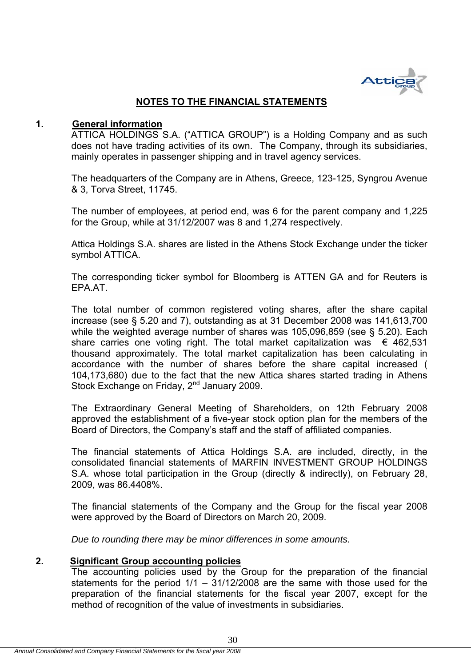

# **NOTES TO THE FINANCIAL STATEMENTS**

#### **1. General information**

ATTICA HOLDINGS S.A. ("ATTICA GROUP") is a Holding Company and as such does not have trading activities of its own. The Company, through its subsidiaries, mainly operates in passenger shipping and in travel agency services.

The headquarters of the Company are in Athens, Greece, 123-125, Syngrou Avenue & 3, Torva Street, 11745.

The number of employees, at period end, was 6 for the parent company and 1,225 for the Group, while at 31/12/2007 was 8 and 1,274 respectively.

Attica Holdings S.A. shares are listed in the Athens Stock Exchange under the ticker symbol ATTICA.

The corresponding ticker symbol for Bloomberg is ATTEN GA and for Reuters is EPA.AT.

The total number of common registered voting shares, after the share capital increase (see § 5.20 and 7), outstanding as at 31 December 2008 was 141,613,700 while the weighted average number of shares was 105,096,859 (see § 5.20). Each share carries one voting right. The total market capitalization was  $\epsilon$  462,531 thousand approximately. The total market capitalization has been calculating in accordance with the number of shares before the share capital increased ( 104,173,680) due to the fact that the new Attica shares started trading in Athens Stock Exchange on Friday, 2<sup>nd</sup> January 2009.

The Extraordinary General Meeting of Shareholders, on 12th February 2008 approved the establishment of a five-year stock option plan for the members of the Board of Directors, the Company's staff and the staff of affiliated companies.

The financial statements of Attica Holdings S.A. are included, directly, in the consolidated financial statements of MARFIN INVESTMENT GROUP HOLDINGS S.A. whose total participation in the Group (directly & indirectly), on February 28, 2009, was 86.4408%.

The financial statements of the Company and the Group for the fiscal year 2008 were approved by the Board of Directors on March 20, 2009.

*Due to rounding there may be minor differences in some amounts.* 

# **2. Significant Group accounting policies**

The accounting policies used by the Group for the preparation of the financial statements for the period 1/1 – 31/12/2008 are the same with those used for the preparation of the financial statements for the fiscal year 2007, except for the method of recognition of the value of investments in subsidiaries.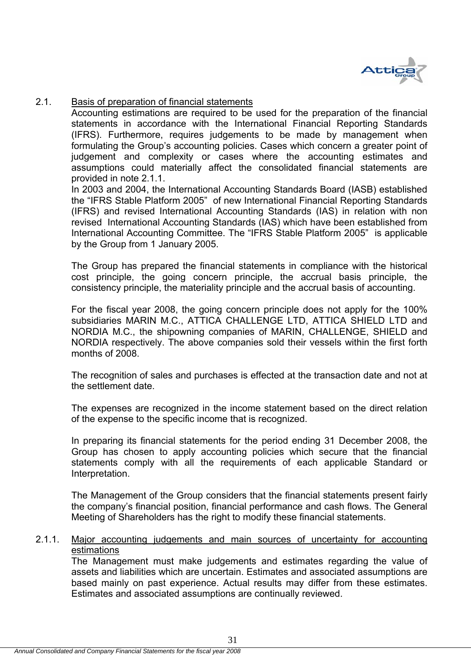

# 2.1. Basis of preparation of financial statements

Accounting estimations are required to be used for the preparation of the financial statements in accordance with the International Financial Reporting Standards (IFRS). Furthermore, requires judgements to be made by management when formulating the Group's accounting policies. Cases which concern a greater point of judgement and complexity or cases where the accounting estimates and assumptions could materially affect the consolidated financial statements are provided in note 2.1.1.

In 2003 and 2004, the International Accounting Standards Board (IASB) established the "IFRS Stable Platform 2005" of new International Financial Reporting Standards (IFRS) and revised International Accounting Standards (IAS) in relation with non revised International Accounting Standards (IAS) which have been established from International Accounting Committee. The "IFRS Stable Platform 2005" is applicable by the Group from 1 January 2005.

The Group has prepared the financial statements in compliance with the historical cost principle, the going concern principle, the accrual basis principle, the consistency principle, the materiality principle and the accrual basis of accounting.

For the fiscal year 2008, the going concern principle does not apply for the 100% subsidiaries MARIN M.C., ATTICA CHALLENGE LTD, ATTICA SHIELD LTD and NORDIA M.C., the shipowning companies of MARIN, CHALLENGE, SHIELD and NORDIA respectively. The above companies sold their vessels within the first forth months of 2008.

The recognition of sales and purchases is effected at the transaction date and not at the settlement date.

The expenses are recognized in the income statement based on the direct relation of the expense to the specific income that is recognized.

In preparing its financial statements for the period ending 31 December 2008, the Group has chosen to apply accounting policies which secure that the financial statements comply with all the requirements of each applicable Standard or Interpretation.

The Management of the Group considers that the financial statements present fairly the company's financial position, financial performance and cash flows. The General Meeting of Shareholders has the right to modify these financial statements.

# 2.1.1. Major accounting judgements and main sources of uncertainty for accounting estimations

The Management must make judgements and estimates regarding the value of assets and liabilities which are uncertain. Estimates and associated assumptions are based mainly on past experience. Actual results may differ from these estimates. Estimates and associated assumptions are continually reviewed.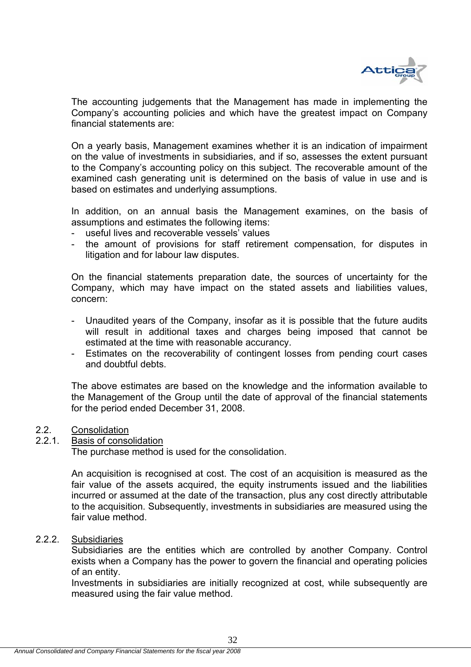

The accounting judgements that the Management has made in implementing the Company's accounting policies and which have the greatest impact on Company financial statements are:

On a yearly basis, Management examines whether it is an indication of impairment on the value of investments in subsidiaries, and if so, assesses the extent pursuant to the Company's accounting policy on this subject. The recoverable amount of the examined cash generating unit is determined on the basis of value in use and is based on estimates and underlying assumptions.

In addition, on an annual basis the Management examines, on the basis of assumptions and estimates the following items:

- useful lives and recoverable vessels' values
- the amount of provisions for staff retirement compensation, for disputes in litigation and for labour law disputes.

On the financial statements preparation date, the sources of uncertainty for the Company, which may have impact on the stated assets and liabilities values, concern:

- Unaudited years of the Company, insofar as it is possible that the future audits will result in additional taxes and charges being imposed that cannot be estimated at the time with reasonable accurancy.
- Estimates on the recoverability of contingent losses from pending court cases and doubtful debts.

 The above estimates are based οn the knowledge and the information available to the Management of the Group until the date of approval of the financial statements for the period ended December 31, 2008.

### 2.2. Consolidation

#### 2.2.1. Basis of consolidation

The purchase method is used for the consolidation.

An acquisition is recognised at cost. The cost of an acquisition is measured as the fair value of the assets acquired, the equity instruments issued and the liabilities incurred or assumed at the date of the transaction, plus any cost directly attributable to the acquisition. Subsequently, investments in subsidiaries are measured using the fair value method.

#### 2.2.2. Subsidiaries

Subsidiaries are the entities which are controlled by another Company. Control exists when a Company has the power to govern the financial and operating policies of an entity.

Investments in subsidiaries are initially recognized at cost, while subsequently are measured using the fair value method.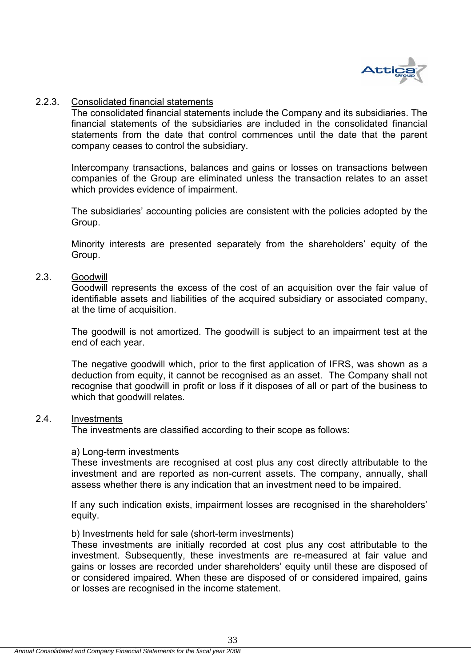

#### 2.2.3. Consolidated financial statements

The consolidated financial statements include the Company and its subsidiaries. The financial statements of the subsidiaries are included in the consolidated financial statements from the date that control commences until the date that the parent company ceases to control the subsidiary.

Intercompany transactions, balances and gains or losses on transactions between companies of the Group are eliminated unless the transaction relates to an asset which provides evidence of impairment.

The subsidiaries' accounting policies are consistent with the policies adopted by the Group.

Minority interests are presented separately from the shareholders' equity of the Group.

#### 2.3. Goodwill

Goodwill represents the excess of the cost of an acquisition over the fair value of identifiable assets and liabilities of the acquired subsidiary or associated company, at the time of acquisition.

The goodwill is not amortized. The goodwill is subject to an impairment test at the end of each year.

The negative goodwill which, prior to the first application of IFRS, was shown as a deduction from equity, it cannot be recognised as an asset. The Company shall not recognise that goodwill in profit or loss if it disposes of all or part of the business to which that goodwill relates.

#### 2.4. Investments

The investments are classified according to their scope as follows:

#### a) Long-term investments

These investments are recognised at cost plus any cost directly attributable to the investment and are reported as non-current assets. The company, annually, shall assess whether there is any indication that an investment need to be impaired.

If any such indication exists, impairment losses are recognised in the shareholders' equity.

#### b) Investments held for sale (short-term investments)

These investments are initially recorded at cost plus any cost attributable to the investment. Subsequently, these investments are re-measured at fair value and gains or losses are recorded under shareholders' equity until these are disposed of or considered impaired. When these are disposed of or considered impaired, gains or losses are recognised in the income statement.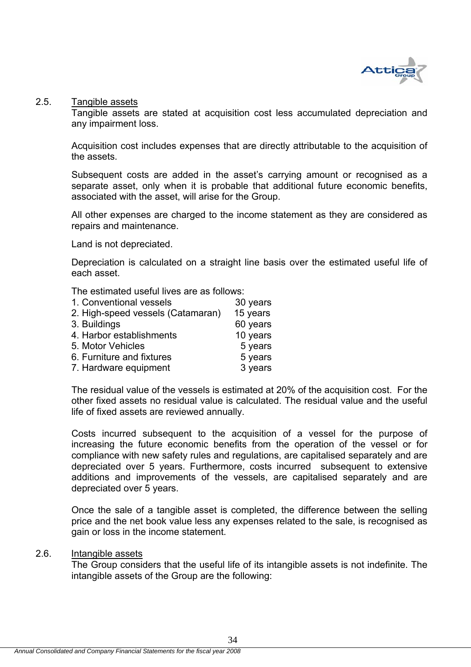

# 2.5. Tangible assets

Tangible assets are stated at acquisition cost less accumulated depreciation and any impairment loss.

Acquisition cost includes expenses that are directly attributable to the acquisition of the assets.

Subsequent costs are added in the asset's carrying amount or recognised as a separate asset, only when it is probable that additional future economic benefits, associated with the asset, will arise for the Group.

All other expenses are charged to the income statement as they are considered as repairs and maintenance.

Land is not depreciated.

Depreciation is calculated on a straight line basis over the estimated useful life of each asset.

The estimated useful lives are as follows:

| 30 years |
|----------|
| 15 years |
| 60 years |
| 10 years |
| 5 years  |
| 5 years  |
| 3 years  |
|          |

The residual value of the vessels is estimated at 20% of the acquisition cost. For the other fixed assets no residual value is calculated. The residual value and the useful life of fixed assets are reviewed annually.

Costs incurred subsequent to the acquisition of a vessel for the purpose of increasing the future economic benefits from the operation of the vessel or for compliance with new safety rules and regulations, are capitalised separately and are depreciated over 5 years. Furthermore, costs incurred subsequent to extensive additions and improvements of the vessels, are capitalised separately and are depreciated over 5 years.

Once the sale of a tangible asset is completed, the difference between the selling price and the net book value less any expenses related to the sale, is recognised as gain or loss in the income statement.

#### 2.6. Intangible assets

The Group considers that the useful life of its intangible assets is not indefinite. The intangible assets of the Group are the following: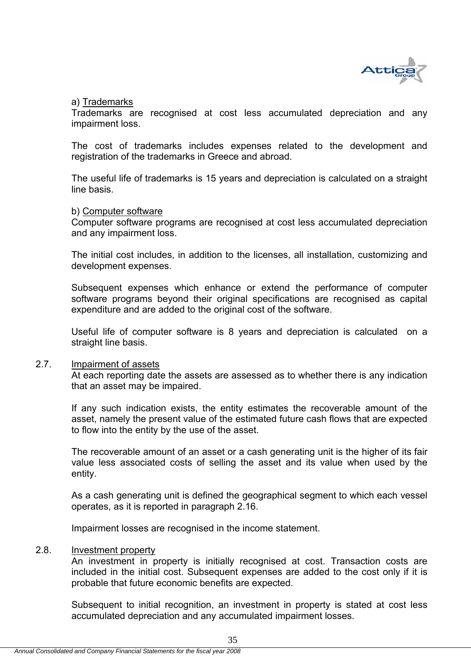

### a) Trademarks

Trademarks are recognised at cost less accumulated depreciation and any impairment loss.

The cost of trademarks includes expenses related to the development and registration of the trademarks in Greece and abroad.

The useful life of trademarks is 15 years and depreciation is calculated on a straight line basis.

#### b) Computer software

Computer software programs are recognised at cost less accumulated depreciation and any impairment loss.

The initial cost includes, in addition to the licenses, all installation, customizing and development expenses.

Subsequent expenses which enhance or extend the performance of computer software programs beyond their original specifications are recognised as capital expenditure and are added to the original cost of the software.

Useful life of computer software is 8 years and depreciation is calculated on a straight line basis.

# 2.7. Impairment of assets

At each reporting date the assets are assessed as to whether there is any indication that an asset may be impaired.

If any such indication exists, the entity estimates the recoverable amount of the asset, namely the present value of the estimated future cash flows that are expected to flow into the entity by the use of the asset.

The recoverable amount of an asset or a cash generating unit is the higher of its fair value less associated costs of selling the asset and its value when used by the entity.

As a cash generating unit is defined the geographical segment to which each vessel operates, as it is reported in paragraph 2.16.

Impairment losses are recognised in the income statement.

#### 2.8. Investment property

An investment in property is initially recognised at cost. Transaction costs are included in the initial cost. Subsequent expenses are added to the cost only if it is probable that future economic benefits are expected.

Subsequent to initial recognition, an investment in property is stated at cost less accumulated depreciation and any accumulated impairment losses.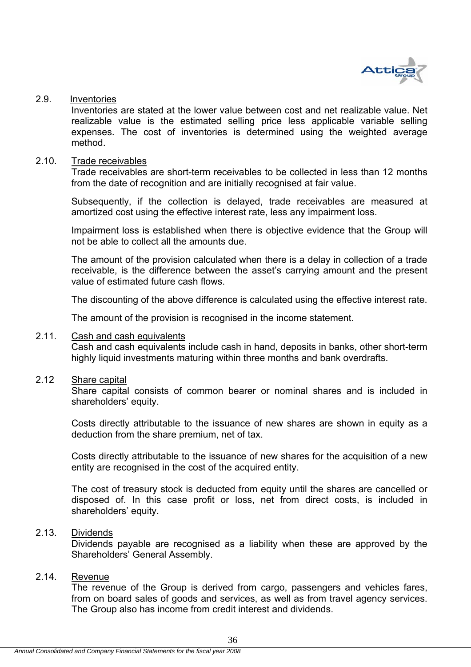

#### 2.9. Inventories

Inventories are stated at the lower value between cost and net realizable value. Net realizable value is the estimated selling price less applicable variable selling expenses. The cost of inventories is determined using the weighted average method.

#### 2.10. Trade receivables

Trade receivables are short-term receivables to be collected in less than 12 months from the date of recognition and are initially recognised at fair value.

Subsequently, if the collection is delayed, trade receivables are measured at amortized cost using the effective interest rate, less any impairment loss.

Impairment loss is established when there is objective evidence that the Group will not be able to collect all the amounts due.

The amount of the provision calculated when there is a delay in collection of a trade receivable, is the difference between the asset's carrying amount and the present value of estimated future cash flows.

The discounting of the above difference is calculated using the effective interest rate.

The amount of the provision is recognised in the income statement.

## 2.11. Cash and cash equivalents

Cash and cash equivalents include cash in hand, deposits in banks, other short-term highly liquid investments maturing within three months and bank overdrafts.

## 2.12 Share capital

Share capital consists of common bearer or nominal shares and is included in shareholders' equity.

Costs directly attributable to the issuance of new shares are shown in equity as a deduction from the share premium, net of tax.

Costs directly attributable to the issuance of new shares for the acquisition of a new entity are recognised in the cost of the acquired entity.

The cost of treasury stock is deducted from equity until the shares are cancelled or disposed of. In this case profit or loss, net from direct costs, is included in shareholders' equity.

## 2.13. Dividends

Dividends payable are recognised as a liability when these are approved by the Shareholders' General Assembly.

## 2.14. Revenue

The revenue of the Group is derived from cargo, passengers and vehicles fares, from on board sales of goods and services, as well as from travel agency services. The Group also has income from credit interest and dividends.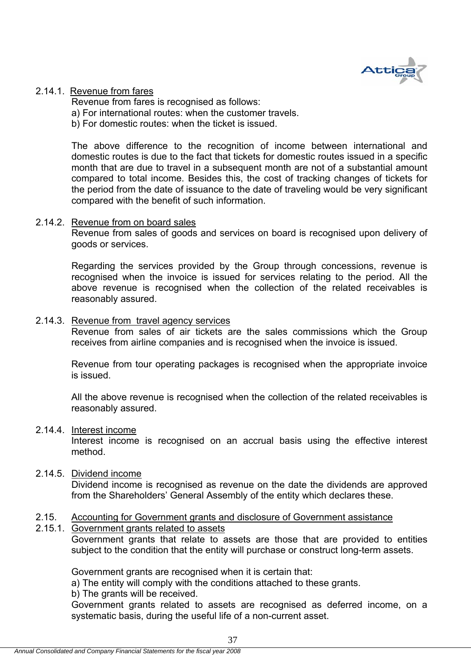

## 2.14.1. Revenue from fares

Revenue from fares is recognised as follows: a) For international routes: when the customer travels. b) For domestic routes: when the ticket is issued.

The above difference to the recognition of income between international and domestic routes is due to the fact that tickets for domestic routes issued in a specific month that are due to travel in a subsequent month are not of a substantial amount compared to total income. Besides this, the cost of tracking changes of tickets for the period from the date of issuance to the date of traveling would be very significant compared with the benefit of such information.

## 2.14.2. Revenue from on board sales

Revenue from sales of goods and services on board is recognised upon delivery of goods or services.

Regarding the services provided by the Group through concessions, revenue is recognised when the invoice is issued for services relating to the period. All the above revenue is recognised when the collection of the related receivables is reasonably assured.

## 2.14.3. Revenue from travel agency services

Revenue from sales of air tickets are the sales commissions which the Group receives from airline companies and is recognised when the invoice is issued.

Revenue from tour operating packages is recognised when the appropriate invoice is issued.

All the above revenue is recognised when the collection of the related receivables is reasonably assured.

#### 2.14.4. Interest income

Interest income is recognised on an accrual basis using the effective interest method.

## 2.14.5. Dividend income

Dividend income is recognised as revenue on the date the dividends are approved from the Shareholders' General Assembly of the entity which declares these.

## 2.15. Accounting for Government grants and disclosure of Government assistance

## 2.15.1. Government grants related to assets

Government grants that relate to assets are those that are provided to entities subject to the condition that the entity will purchase or construct long-term assets.

Government grants are recognised when it is certain that:

a) The entity will comply with the conditions attached to these grants.

b) The grants will be received.

Government grants related to assets are recognised as deferred income, on a systematic basis, during the useful life of a non-current asset.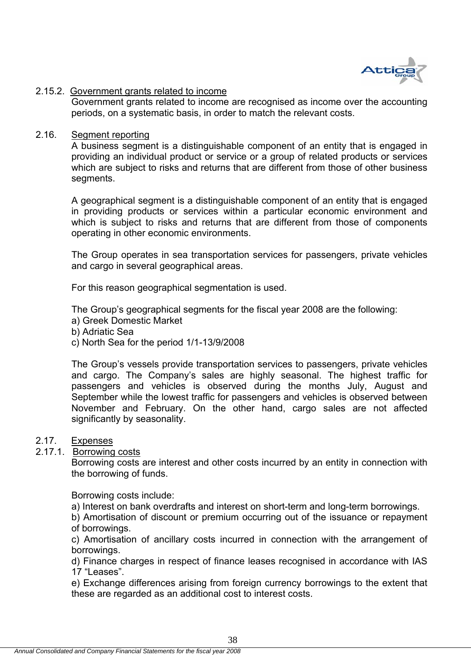

## 2.15.2. Government grants related to income

Government grants related to income are recognised as income over the accounting periods, on a systematic basis, in order to match the relevant costs.

## 2.16. Segment reporting

A business segment is a distinguishable component of an entity that is engaged in providing an individual product or service or a group of related products or services which are subject to risks and returns that are different from those of other business segments.

A geographical segment is a distinguishable component of an entity that is engaged in providing products or services within a particular economic environment and which is subject to risks and returns that are different from those of components operating in other economic environments.

The Group operates in sea transportation services for passengers, private vehicles and cargo in several geographical areas.

For this reason geographical segmentation is used.

The Group's geographical segments for the fiscal year 2008 are the following:

- a) Greek Domestic Market
- b) Adriatic Sea
- c) North Sea for the period 1/1-13/9/2008

The Group's vessels provide transportation services to passengers, private vehicles and cargo. The Company's sales are highly seasonal. The highest traffic for passengers and vehicles is observed during the months July, August and September while the lowest traffic for passengers and vehicles is observed between November and February. On the other hand, cargo sales are not affected significantly by seasonality.

## 2.17. Expenses

# 2.17.1. Borrowing costs

Borrowing costs are interest and other costs incurred by an entity in connection with the borrowing of funds.

Borrowing costs include:

a) Interest on bank overdrafts and interest on short-term and long-term borrowings.

b) Amortisation of discount or premium occurring out of the issuance or repayment of borrowings.

c) Amortisation of ancillary costs incurred in connection with the arrangement of borrowings.

d) Finance charges in respect of finance leases recognised in accordance with IAS 17 "Leases".

e) Exchange differences arising from foreign currency borrowings to the extent that these are regarded as an additional cost to interest costs.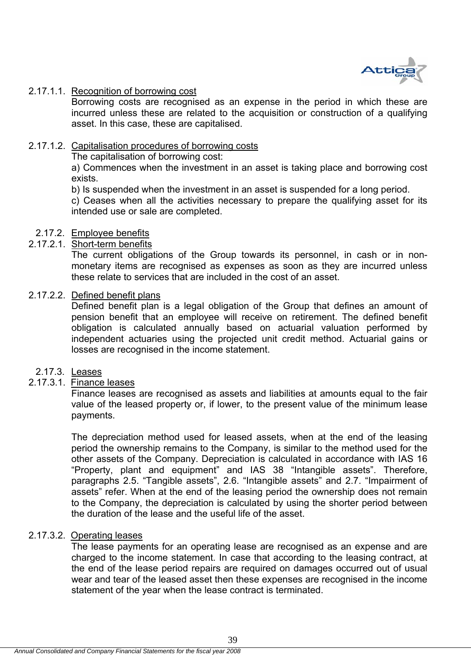

## 2.17.1.1. Recognition of borrowing cost

Borrowing costs are recognised as an expense in the period in which these are incurred unless these are related to the acquisition or construction of a qualifying asset. In this case, these are capitalised.

#### 2.17.1.2. Capitalisation procedures of borrowing costs

The capitalisation of borrowing cost:

a) Commences when the investment in an asset is taking place and borrowing cost exists.

b) Is suspended when the investment in an asset is suspended for a long period.

c) Ceases when all the activities necessary to prepare the qualifying asset for its intended use or sale are completed.

#### 2.17.2. Employee benefits

#### 2.17.2.1. Short-term benefits

The current obligations of the Group towards its personnel, in cash or in nonmonetary items are recognised as expenses as soon as they are incurred unless these relate to services that are included in the cost of an asset.

## 2.17.2.2. Defined benefit plans

Defined benefit plan is a legal obligation of the Group that defines an amount of pension benefit that an employee will receive on retirement. The defined benefit obligation is calculated annually based on actuarial valuation performed by independent actuaries using the projected unit credit method. Actuarial gains or losses are recognised in the income statement.

#### 2.17.3. Leases

## 2.17.3.1. Finance leases

Finance leases are recognised as assets and liabilities at amounts equal to the fair value of the leased property or, if lower, to the present value of the minimum lease payments.

The depreciation method used for leased assets, when at the end of the leasing period the ownership remains to the Company, is similar to the method used for the other assets of the Company. Depreciation is calculated in accordance with IAS 16 "Property, plant and equipment" and IAS 38 "Intangible assets". Therefore, paragraphs 2.5. "Tangible assets", 2.6. "Intangible assets" and 2.7. "Impairment of assets" refer. When at the end of the leasing period the ownership does not remain to the Company, the depreciation is calculated by using the shorter period between the duration of the lease and the useful life of the asset.

## 2.17.3.2. Operating leases

The lease payments for an operating lease are recognised as an expense and are charged to the income statement. In case that according to the leasing contract, at the end of the lease period repairs are required on damages occurred out of usual wear and tear of the leased asset then these expenses are recognised in the income statement of the year when the lease contract is terminated.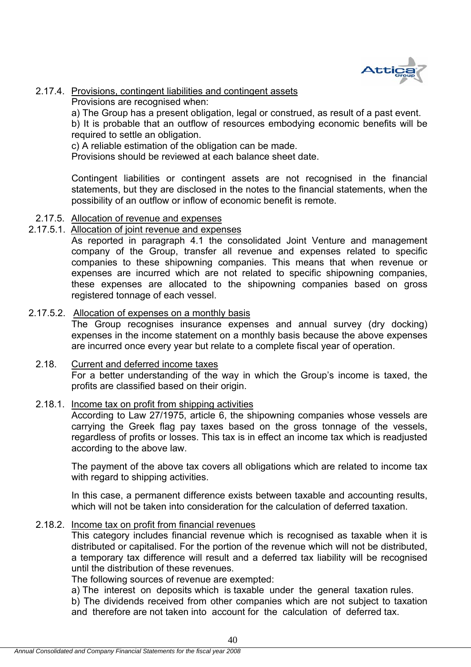

# 2.17.4. Provisions, contingent liabilities and contingent assets

Provisions are recognised when:

a) The Group has a present obligation, legal or construed, as result of a past event. b) It is probable that an outflow of resources embodying economic benefits will be required to settle an obligation.

c) A reliable estimation of the obligation can be made.

Provisions should be reviewed at each balance sheet date.

Contingent liabilities or contingent assets are not recognised in the financial statements, but they are disclosed in the notes to the financial statements, when the possibility of an outflow or inflow of economic benefit is remote.

## 2.17.5. Allocation of revenue and expenses

## 2.17.5.1. Allocation of joint revenue and expenses

As reported in paragraph 4.1 the consolidated Joint Venture and management company of the Group, transfer all revenue and expenses related to specific companies to these shipowning companies. This means that when revenue or expenses are incurred which are not related to specific shipowning companies, these expenses are allocated to the shipowning companies based on gross registered tonnage of each vessel.

## 2.17.5.2. Allocation of expenses on a monthly basis

The Group recognises insurance expenses and annual survey (dry docking) expenses in the income statement on a monthly basis because the above expenses are incurred once every year but relate to a complete fiscal year of operation.

# 2.18. Current and deferred income taxes

For a better understanding of the way in which the Group's income is taxed, the profits are classified based on their origin.

## 2.18.1. Income tax on profit from shipping activities

According to Law 27/1975, article 6, the shipowning companies whose vessels are carrying the Greek flag pay taxes based on the gross tonnage of the vessels, regardless of profits or losses. This tax is in effect an income tax which is readjusted according to the above law.

The payment of the above tax covers all obligations which are related to income tax with regard to shipping activities.

In this case, a permanent difference exists between taxable and accounting results, which will not be taken into consideration for the calculation of deferred taxation.

## 2.18.2. Income tax on profit from financial revenues

This category includes financial revenue which is recognised as taxable when it is distributed or capitalised. For the portion of the revenue which will not be distributed, a temporary tax difference will result and a deferred tax liability will be recognised until the distribution of these revenues.

The following sources of revenue are exempted:

a) The interest on deposits which is taxable under the general taxation rules.

b) The dividends received from other companies which are not subject to taxation and therefore are not taken into account for the calculation of deferred tax.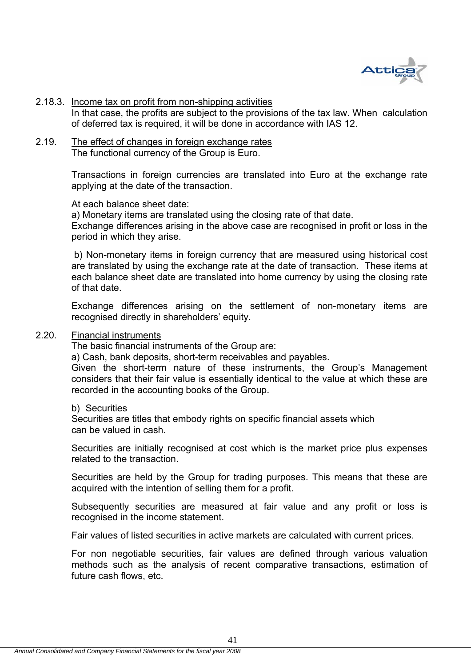

#### 2.18.3. Income tax on profit from non-shipping activities

In that case, the profits are subject to the provisions of the tax law. When calculation of deferred tax is required, it will be done in accordance with IAS 12.

2.19. The effect of changes in foreign exchange rates The functional currency of the Group is Euro.

> Transactions in foreign currencies are translated into Euro at the exchange rate applying at the date of the transaction.

At each balance sheet date:

a) Monetary items are translated using the closing rate of that date.

Exchange differences arising in the above case are recognised in profit or loss in the period in which they arise.

 b) Non-monetary items in foreign currency that are measured using historical cost are translated by using the exchange rate at the date of transaction. These items at each balance sheet date are translated into home currency by using the closing rate of that date.

Exchange differences arising on the settlement of non-monetary items are recognised directly in shareholders' equity.

## 2.20. Financial instruments

The basic financial instruments of the Group are:

a) Cash, bank deposits, short-term receivables and payables.

Given the short-term nature of these instruments, the Group's Management considers that their fair value is essentially identical to the value at which these are recorded in the accounting books of the Group.

b) Securities

Securities are titles that embody rights on specific financial assets which can be valued in cash.

Securities are initially recognised at cost which is the market price plus expenses related to the transaction.

Securities are held by the Group for trading purposes. This means that these are acquired with the intention of selling them for a profit.

Subsequently securities are measured at fair value and any profit or loss is recognised in the income statement.

Fair values of listed securities in active markets are calculated with current prices.

For non negotiable securities, fair values are defined through various valuation methods such as the analysis of recent comparative transactions, estimation of future cash flows, etc.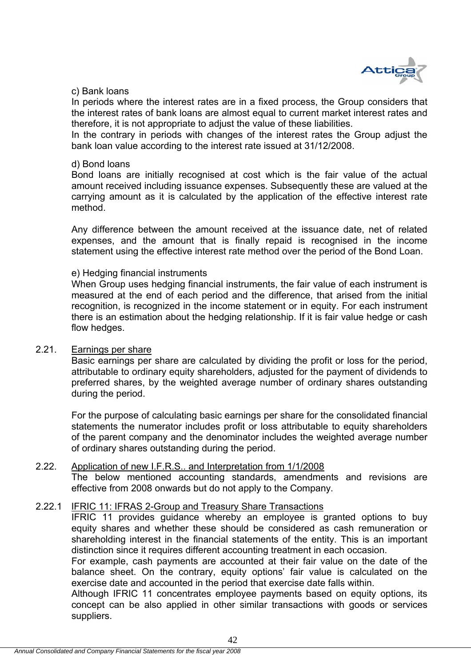

## c) Bank loans

In periods where the interest rates are in a fixed process, the Group considers that the interest rates of bank loans are almost equal to current market interest rates and therefore, it is not appropriate to adjust the value of these liabilities.

In the contrary in periods with changes of the interest rates the Group adjust the bank loan value according to the interest rate issued at 31/12/2008.

#### d) Bond loans

Bond loans are initially recognised at cost which is the fair value of the actual amount received including issuance expenses. Subsequently these are valued at the carrying amount as it is calculated by the application of the effective interest rate method.

Any difference between the amount received at the issuance date, net of related expenses, and the amount that is finally repaid is recognised in the income statement using the effective interest rate method over the period of the Bond Loan.

#### e) Hedging financial instruments

When Group uses hedging financial instruments, the fair value of each instrument is measured at the end of each period and the difference, that arised from the initial recognition, is recognized in the income statement or in equity. For each instrument there is an estimation about the hedging relationship. If it is fair value hedge or cash flow hedges.

## 2.21. Earnings per share

Basic earnings per share are calculated by dividing the profit or loss for the period, attributable to ordinary equity shareholders, adjusted for the payment of dividends to preferred shares, by the weighted average number of ordinary shares outstanding during the period.

For the purpose of calculating basic earnings per share for the consolidated financial statements the numerator includes profit or loss attributable to equity shareholders of the parent company and the denominator includes the weighted average number of ordinary shares outstanding during the period.

## 2.22. Application of new I.F.R.S.. and Interpretation from 1/1/2008

The below mentioned accounting standards, amendments and revisions are effective from 2008 onwards but do not apply to the Company.

## 2.22.1 IFRIC 11: IFRAS 2-Group and Treasury Share Transactions

IFRIC 11 provides guidance whereby an employee is granted options to buy equity shares and whether these should be considered as cash remuneration or shareholding interest in the financial statements of the entity. This is an important distinction since it requires different accounting treatment in each occasion.

For example, cash payments are accounted at their fair value on the date of the balance sheet. On the contrary, equity options' fair value is calculated on the exercise date and accounted in the period that exercise date falls within.

Although IFRIC 11 concentrates employee payments based on equity options, its concept can be also applied in other similar transactions with goods or services suppliers.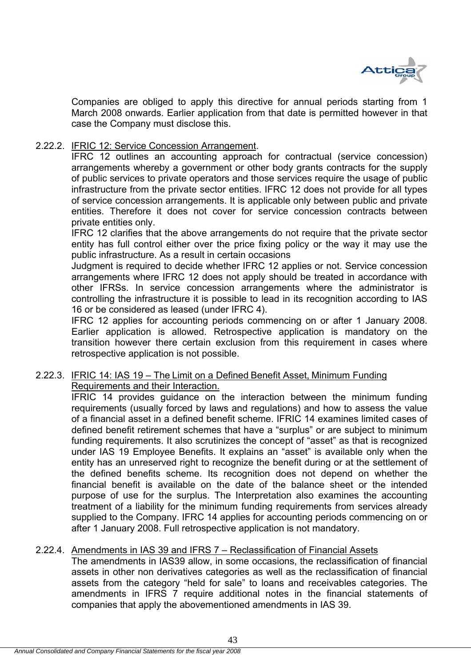

Companies are obliged to apply this directive for annual periods starting from 1 March 2008 onwards. Earlier application from that date is permitted however in that case the Company must disclose this.

## 2.22.2. IFRIC 12: Service Concession Arrangement.

IFRC 12 outlines an accounting approach for contractual (service concession) arrangements whereby a government or other body grants contracts for the supply of public services to private operators and those services require the usage of public infrastructure from the private sector entities. IFRC 12 does not provide for all types of service concession arrangements. It is applicable only between public and private entities. Therefore it does not cover for service concession contracts between private entities only.

IFRC 12 clarifies that the above arrangements do not require that the private sector entity has full control either over the price fixing policy or the way it may use the public infrastructure. As a result in certain occasions

Judgment is required to decide whether IFRC 12 applies or not. Service concession arrangements where IFRC 12 does not apply should be treated in accordance with other IFRSs. In service concession arrangements where the administrator is controlling the infrastructure it is possible to lead in its recognition according to IAS 16 or be considered as leased (under IFRC 4).

IFRC 12 applies for accounting periods commencing on or after 1 January 2008. Earlier application is allowed. Retrospective application is mandatory on the transition however there certain exclusion from this requirement in cases where retrospective application is not possible.

## 2.22.3. IFRIC 14: IAS 19 – The Limit on a Defined Benefit Asset, Minimum Funding Requirements and their Interaction.

IFRIC 14 provides guidance on the interaction between the minimum funding requirements (usually forced by laws and regulations) and how to assess the value of a financial asset in a defined benefit scheme. IFRIC 14 examines limited cases of defined benefit retirement schemes that have a "surplus" or are subject to minimum funding requirements. It also scrutinizes the concept of "asset" as that is recognized under IAS 19 Employee Benefits. It explains an "asset" is available only when the entity has an unreserved right to recognize the benefit during or at the settlement of the defined benefits scheme. Its recognition does not depend on whether the financial benefit is available on the date of the balance sheet or the intended purpose of use for the surplus. The Interpretation also examines the accounting treatment of a liability for the minimum funding requirements from services already supplied to the Company. IFRC 14 applies for accounting periods commencing on or after 1 January 2008. Full retrospective application is not mandatory.

## 2.22.4. Amendments in IAS 39 and IFRS 7 – Reclassification of Financial Assets

The amendments in IAS39 allow, in some occasions, the reclassification of financial assets in other non derivatives categories as well as the reclassification of financial assets from the category "held for sale" to loans and receivables categories. The amendments in IFRS 7 require additional notes in the financial statements of companies that apply the abovementioned amendments in IAS 39.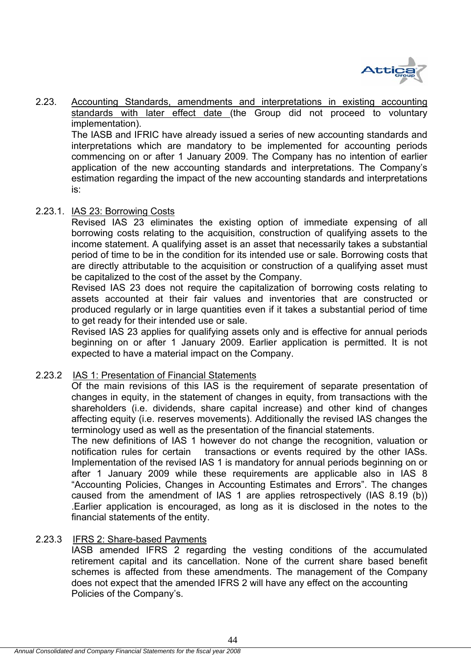

2.23. Accounting Standards, amendments and interpretations in existing accounting standards with later effect date (the Group did not proceed to voluntary implementation).

The IASB and IFRIC have already issued a series of new accounting standards and interpretations which are mandatory to be implemented for accounting periods commencing on or after 1 January 2009. The Company has no intention of earlier application of the new accounting standards and interpretations. The Company's estimation regarding the impact of the new accounting standards and interpretations is:

## 2.23.1. IAS 23: Borrowing Costs

Revised IAS 23 eliminates the existing option of immediate expensing of all borrowing costs relating to the acquisition, construction of qualifying assets to the income statement. A qualifying asset is an asset that necessarily takes a substantial period of time to be in the condition for its intended use or sale. Borrowing costs that are directly attributable to the acquisition or construction of a qualifying asset must be capitalized to the cost of the asset by the Company.

Revised IAS 23 does not require the capitalization of borrowing costs relating to assets accounted at their fair values and inventories that are constructed or produced regularly or in large quantities even if it takes a substantial period of time to get ready for their intended use or sale.

Revised IAS 23 applies for qualifying assets only and is effective for annual periods beginning on or after 1 January 2009. Earlier application is permitted. It is not expected to have a material impact on the Company.

## 2.23.2 IAS 1: Presentation of Financial Statements

Of the main revisions of this IAS is the requirement of separate presentation of changes in equity, in the statement of changes in equity, from transactions with the shareholders (i.e. dividends, share capital increase) and other kind of changes affecting equity (i.e. reserves movements). Additionally the revised IAS changes the terminology used as well as the presentation of the financial statements.

The new definitions of IAS 1 however do not change the recognition, valuation or notification rules for certain transactions or events required by the other IASs. Implementation of the revised IAS 1 is mandatory for annual periods beginning on or after 1 January 2009 while these requirements are applicable also in IAS 8 "Accounting Policies, Changes in Accounting Estimates and Errors". The changes caused from the amendment of IAS 1 are applies retrospectively (IAS 8.19 (b)) .Earlier application is encouraged, as long as it is disclosed in the notes to the financial statements of the entity.

## 2.23.3 IFRS 2: Share-based Payments

IASB amended IFRS 2 regarding the vesting conditions of the accumulated retirement capital and its cancellation. None of the current share based benefit schemes is affected from these amendments. The management of the Company does not expect that the amended IFRS 2 will have any effect on the accounting Policies of the Company's.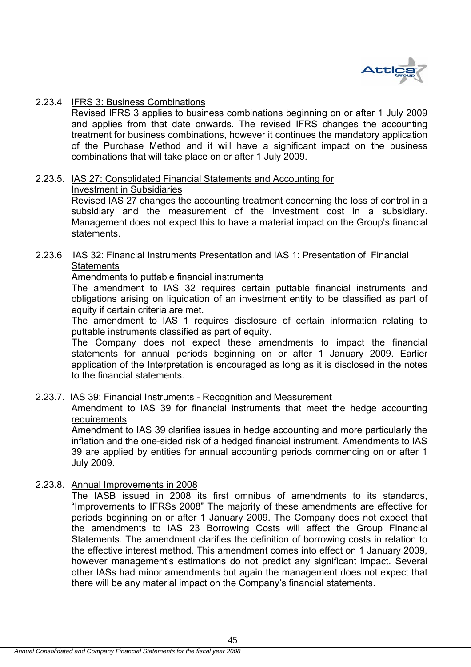

## 2.23.4 IFRS 3: Business Combinations

Revised IFRS 3 applies to business combinations beginning on or after 1 July 2009 and applies from that date onwards. The revised IFRS changes the accounting treatment for business combinations, however it continues the mandatory application of the Purchase Method and it will have a significant impact on the business combinations that will take place on or after 1 July 2009.

# 2.23.5. IAS 27: Consolidated Financial Statements and Accounting for

## Investment in Subsidiaries

Revised IAS 27 changes the accounting treatment concerning the loss of control in a subsidiary and the measurement of the investment cost in a subsidiary. Management does not expect this to have a material impact on the Group's financial statements.

## 2.23.6 IAS 32: Financial Instruments Presentation and IAS 1: Presentation of Financial **Statements**

Amendments to puttable financial instruments

The amendment to IAS 32 requires certain puttable financial instruments and obligations arising on liquidation of an investment entity to be classified as part of equity if certain criteria are met.

The amendment to IAS 1 requires disclosure of certain information relating to puttable instruments classified as part of equity.

The Company does not expect these amendments to impact the financial statements for annual periods beginning on or after 1 January 2009. Earlier application of the Interpretation is encouraged as long as it is disclosed in the notes to the financial statements.

## 2.23.7. IAS 39: Financial Instruments - Recognition and Measurement

Amendment to IAS 39 for financial instruments that meet the hedge accounting **requirements** 

Amendment to IAS 39 clarifies issues in hedge accounting and more particularly the inflation and the one-sided risk of a hedged financial instrument. Amendments to IAS 39 are applied by entities for annual accounting periods commencing on or after 1 July 2009.

# 2.23.8. Annual Improvements in 2008

The IASB issued in 2008 its first omnibus of amendments to its standards, "Improvements to IFRSs 2008" The majority of these amendments are effective for periods beginning on or after 1 January 2009. The Company does not expect that the amendments to IAS 23 Borrowing Costs will affect the Group Financial Statements. The amendment clarifies the definition of borrowing costs in relation to the effective interest method. This amendment comes into effect on 1 January 2009, however management's estimations do not predict any significant impact. Several other IASs had minor amendments but again the management does not expect that there will be any material impact on the Company's financial statements.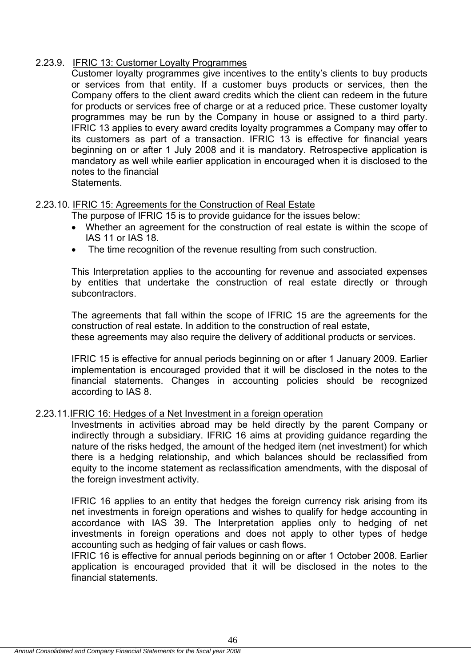# 2.23.9. IFRIC 13: Customer Loyalty Programmes

Customer loyalty programmes give incentives to the entity's clients to buy products or services from that entity. If a customer buys products or services, then the Company offers to the client award credits which the client can redeem in the future for products or services free of charge or at a reduced price. These customer loyalty programmes may be run by the Company in house or assigned to a third party. IFRIC 13 applies to every award credits loyalty programmes a Company may offer to its customers as part of a transaction. IFRIC 13 is effective for financial years beginning on or after 1 July 2008 and it is mandatory. Retrospective application is mandatory as well while earlier application in encouraged when it is disclosed to the notes to the financial **Statements** 

## 2.23.10. IFRIC 15: Agreements for the Construction of Real Estate

The purpose of IFRIC 15 is to provide guidance for the issues below:

- Whether an agreement for the construction of real estate is within the scope of IAS 11 or IAS 18.
- The time recognition of the revenue resulting from such construction.

This Interpretation applies to the accounting for revenue and associated expenses by entities that undertake the construction of real estate directly or through subcontractors.

The agreements that fall within the scope of IFRIC 15 are the agreements for the construction of real estate. In addition to the construction of real estate, these agreements may also require the delivery of additional products or services.

IFRIC 15 is effective for annual periods beginning on or after 1 January 2009. Earlier implementation is encouraged provided that it will be disclosed in the notes to the financial statements. Changes in accounting policies should be recognized according to IAS 8.

## 2.23.11.IFRIC 16: Hedges of a Net Investment in a foreign operation

Investments in activities abroad may be held directly by the parent Company or indirectly through a subsidiary. IFRIC 16 aims at providing guidance regarding the nature of the risks hedged, the amount of the hedged item (net investment) for which there is a hedging relationship, and which balances should be reclassified from equity to the income statement as reclassification amendments, with the disposal of the foreign investment activity.

IFRIC 16 applies to an entity that hedges the foreign currency risk arising from its net investments in foreign operations and wishes to qualify for hedge accounting in accordance with IAS 39. The Interpretation applies only to hedging of net investments in foreign operations and does not apply to other types of hedge accounting such as hedging of fair values or cash flows.

IFRIC 16 is effective for annual periods beginning on or after 1 October 2008. Earlier application is encouraged provided that it will be disclosed in the notes to the financial statements.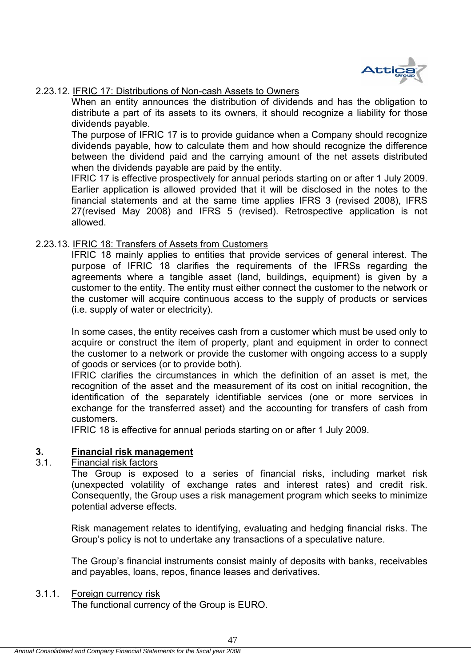

## 2.23.12. IFRIC 17: Distributions of Non-cash Assets to Owners

When an entity announces the distribution of dividends and has the obligation to distribute a part of its assets to its owners, it should recognize a liability for those dividends payable.

The purpose of IFRIC 17 is to provide guidance when a Company should recognize dividends payable, how to calculate them and how should recognize the difference between the dividend paid and the carrying amount of the net assets distributed when the dividends payable are paid by the entity.

IFRIC 17 is effective prospectively for annual periods starting on or after 1 July 2009. Earlier application is allowed provided that it will be disclosed in the notes to the financial statements and at the same time applies IFRS 3 (revised 2008), IFRS 27(revised May 2008) and IFRS 5 (revised). Retrospective application is not allowed.

## 2.23.13. IFRIC 18: Transfers of Assets from Customers

IFRIC 18 mainly applies to entities that provide services of general interest. The purpose of IFRIC 18 clarifies the requirements of the IFRSs regarding the agreements where a tangible asset (land, buildings, equipment) is given by a customer to the entity. The entity must either connect the customer to the network or the customer will acquire continuous access to the supply of products or services (i.e. supply of water or electricity).

In some cases, the entity receives cash from a customer which must be used only to acquire or construct the item of property, plant and equipment in order to connect the customer to a network or provide the customer with ongoing access to a supply of goods or services (or to provide both).

IFRIC clarifies the circumstances in which the definition of an asset is met, the recognition of the asset and the measurement of its cost on initial recognition, the identification of the separately identifiable services (one or more services in exchange for the transferred asset) and the accounting for transfers of cash from customers.

IFRIC 18 is effective for annual periods starting on or after 1 July 2009.

## **3. Financial risk management**

## 3.1. Financial risk factors

The Group is exposed to a series of financial risks, including market risk (unexpected volatility of exchange rates and interest rates) and credit risk. Consequently, the Group uses a risk management program which seeks to minimize potential adverse effects.

Risk management relates to identifying, evaluating and hedging financial risks. The Group's policy is not to undertake any transactions of a speculative nature.

The Group's financial instruments consist mainly of deposits with banks, receivables and payables, loans, repos, finance leases and derivatives.

#### 3.1.1. Foreign currency risk

The functional currency of the Group is EURO.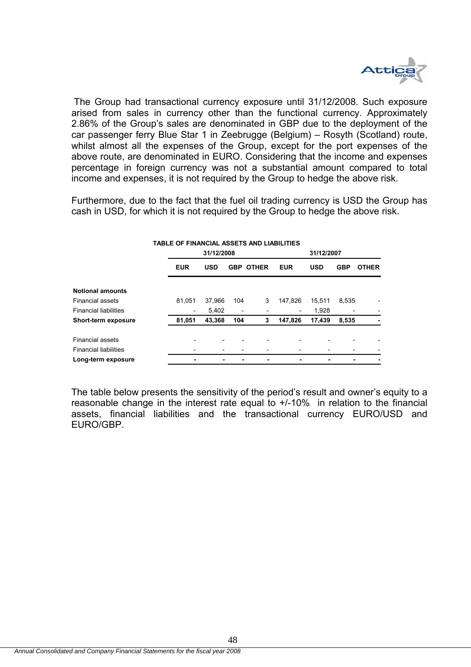

 The Group had transactional currency exposure until 31/12/2008. Such exposure arised from sales in currency other than the functional currency. Approximately 2.86% of the Group's sales are denominated in GBP due to the deployment of the car passenger ferry Blue Star 1 in Zeebrugge (Belgium) – Rosyth (Scotland) route, whilst almost all the expenses of the Group, except for the port expenses of the above route, are denominated in EURO. Considering that the income and expenses percentage in foreign currency was not a substantial amount compared to total income and expenses, it is not required by the Group to hedge the above risk.

Furthermore, due to the fact that the fuel oil trading currency is USD the Group has cash in USD, for which it is not required by the Group to hedge the above risk.

#### **TABLE OF FINANCIAL ASSETS AND LIABILITIES**

|                              |                          |                          |                          | 31/12/2007       |                          |            |            |              |
|------------------------------|--------------------------|--------------------------|--------------------------|------------------|--------------------------|------------|------------|--------------|
|                              | <b>EUR</b>               | <b>USD</b>               |                          | <b>GBP OTHER</b> | <b>EUR</b>               | <b>USD</b> | <b>GBP</b> | <b>OTHER</b> |
| <b>Notional amounts</b>      |                          |                          |                          |                  |                          |            |            |              |
| <b>Financial assets</b>      | 81,051                   | 37,966                   | 104                      | 3                | 147.826                  | 15.511     | 8,535      |              |
| <b>Financial liabilities</b> | $\overline{\phantom{a}}$ | 5,402                    | $\overline{\phantom{a}}$ |                  | $\overline{\phantom{a}}$ | 1,928      |            |              |
| <b>Short-term exposure</b>   | 81,051                   | 43,368                   | 104                      | 3                | 147,826                  | 17,439     | 8,535      |              |
|                              |                          |                          |                          |                  |                          |            |            |              |
| Financial assets             |                          | $\overline{\phantom{0}}$ |                          |                  |                          |            |            |              |
| <b>Financial liabilities</b> |                          |                          |                          |                  |                          |            |            |              |
| Long-term exposure           |                          |                          |                          |                  |                          |            |            |              |

The table below presents the sensitivity of the period's result and owner's equity to a reasonable change in the interest rate equal to +/-10% in relation to the financial assets, financial liabilities and the transactional currency EURO/USD and EURO/GBP.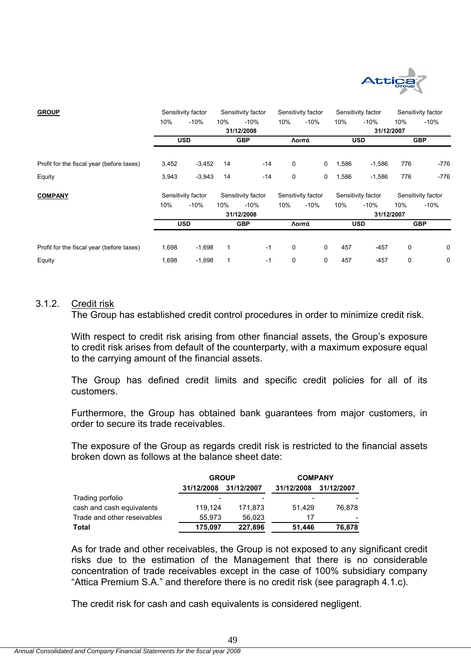

| <b>GROUP</b>                              |       | Sensitivity factor |     | Sensitivity factor |             | Sensitivity factor |       | Sensitivity factor |             | Sensitivity factor |
|-------------------------------------------|-------|--------------------|-----|--------------------|-------------|--------------------|-------|--------------------|-------------|--------------------|
|                                           | 10%   | $-10%$             | 10% | $-10%$             | 10%         | $-10%$             | 10%   | $-10%$             | 10%         | $-10%$             |
|                                           |       |                    |     | 31/12/2008         |             |                    |       | 31/12/2007         |             |                    |
|                                           |       | <b>USD</b>         |     | <b>GBP</b>         |             | Λοιπά              |       | <b>USD</b>         |             | <b>GBP</b>         |
| Profit for the fiscal year (before taxes) | 3,452 | $-3,452$           | 14  | $-14$              | 0           | 0                  | 1,586 | $-1,586$           | 776         | $-776$             |
| Equity                                    | 3,943 | $-3,943$           | 14  | $-14$              | 0           | 0                  | 1,586 | $-1,586$           | 776         | $-776$             |
| <b>COMPANY</b>                            |       | Sensitivity factor |     | Sensitivity factor |             | Sensitivity factor |       | Sensitivity factor |             | Sensitivity factor |
|                                           | 10%   | $-10%$             | 10% | $-10%$             | 10%         | $-10%$             | 10%   | $-10%$             | 10%         | $-10%$             |
|                                           |       |                    |     | 31/12/2008         |             |                    |       | 31/12/2007         |             |                    |
|                                           |       | <b>USD</b>         |     | <b>GBP</b>         |             | Λοιπά              |       | <b>USD</b>         |             | <b>GBP</b>         |
|                                           |       |                    |     |                    |             |                    |       |                    |             |                    |
| Profit for the fiscal year (before taxes) | 1,698 | $-1,698$           | 1   | $-1$               | $\mathbf 0$ | 0                  | 457   | $-457$             | $\mathbf 0$ | 0                  |
| Equity                                    | 1,698 | $-1,698$           | 1   | $-1$               | 0           | 0                  | 457   | $-457$             | 0           | 0                  |

## 3.1.2. Credit risk

The Group has established credit control procedures in order to minimize credit risk.

With respect to credit risk arising from other financial assets, the Group's exposure to credit risk arises from default of the counterparty, with a maximum exposure equal to the carrying amount of the financial assets.

The Group has defined credit limits and specific credit policies for all of its customers.

Furthermore, the Group has obtained bank guarantees from major customers, in order to secure its trade receivables.

The exposure of the Group as regards credit risk is restricted to the financial assets broken down as follows at the balance sheet date:

|                             | <b>GROUP</b> |            | <b>COMPANY</b> |            |  |
|-----------------------------|--------------|------------|----------------|------------|--|
|                             | 31/12/2008   | 31/12/2007 | 31/12/2008     | 31/12/2007 |  |
| Trading porfolio            |              |            |                |            |  |
| cash and cash equivalents   | 119.124      | 171.873    | 51.429         | 76.878     |  |
| Trade and other reseivables | 55.973       | 56,023     | 17             |            |  |
| Total                       | 175.097      | 227,896    | 51.446         | 76,878     |  |

As for trade and other receivables, the Group is not exposed to any significant credit risks due to the estimation of the Management that there is no considerable concentration of trade receivables except in the case of 100% subsidiary company "Attica Premium S.A." and therefore there is no credit risk (see paragraph 4.1.c).

The credit risk for cash and cash equivalents is considered negligent.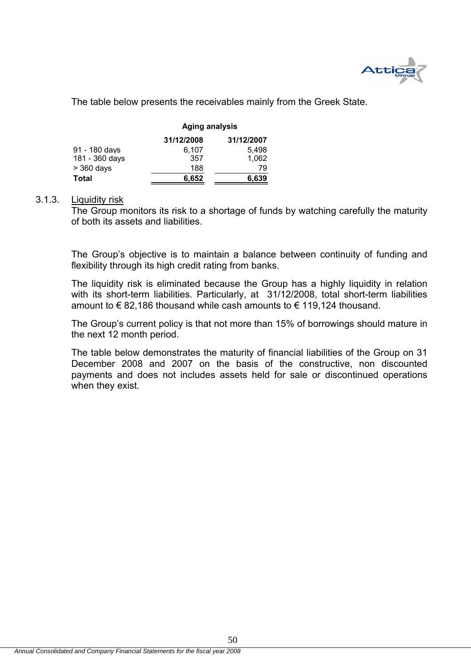

The table below presents the receivables mainly from the Greek State.

|                | <b>Aging analysis</b> |            |  |  |  |  |
|----------------|-----------------------|------------|--|--|--|--|
|                | 31/12/2008            | 31/12/2007 |  |  |  |  |
| 91 - 180 days  | 6.107                 | 5.498      |  |  |  |  |
| 181 - 360 days | 357                   | 1,062      |  |  |  |  |
| $>$ 360 days   | 188                   | 79         |  |  |  |  |
| Total          | 6.652                 | 6.639      |  |  |  |  |

## 3.1.3. Liquidity risk

The Group monitors its risk to a shortage of funds by watching carefully the maturity of both its assets and liabilities.

The Group's objective is to maintain a balance between continuity of funding and flexibility through its high credit rating from banks.

The liquidity risk is eliminated because the Group has a highly liquidity in relation with its short-term liabilities. Particularly, at 31/12/2008, total short-term liabilities amount to € 82,186 thousand while cash amounts to € 119,124 thousand.

The Group's current policy is that not more than 15% of borrowings should mature in the next 12 month period.

The table below demonstrates the maturity of financial liabilities of the Group on 31 December 2008 and 2007 on the basis of the constructive, non discounted payments and does not includes assets held for sale or discontinued operations when they exist.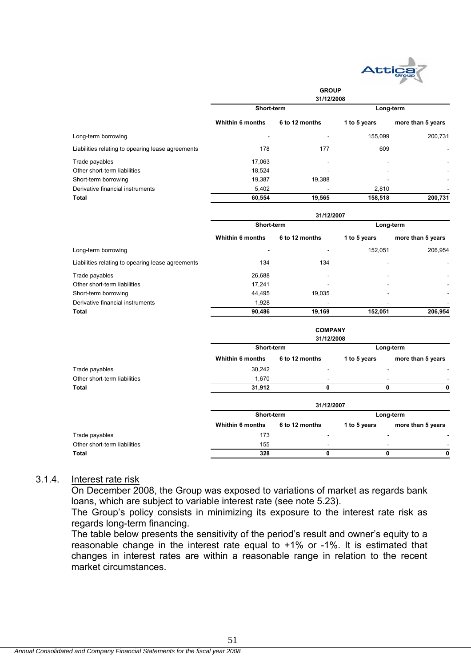

|                                                   |                         | <b>GROUP</b><br>31/12/2008 |              |                   |  |
|---------------------------------------------------|-------------------------|----------------------------|--------------|-------------------|--|
|                                                   | Short-term              |                            | Long-term    |                   |  |
|                                                   | <b>Whithin 6 months</b> | 6 to 12 months             | 1 to 5 years | more than 5 years |  |
| Long-term borrowing                               |                         |                            | 155,099      | 200,731           |  |
| Liabilities relating to opearing lease agreements | 178                     | 177                        | 609          |                   |  |
| Trade payables                                    | 17,063                  |                            |              |                   |  |
| Other short-term liabilities                      | 18,524                  |                            |              |                   |  |
| Short-term borrowing                              | 19,387                  | 19,388                     |              |                   |  |
| Derivative financial instruments                  | 5,402                   |                            | 2,810        |                   |  |
| <b>Total</b>                                      | 60,554                  | 19,565                     | 158,518      | 200,731           |  |
|                                                   |                         | 31/12/2007                 |              |                   |  |
|                                                   | Short-term              |                            | Long-term    |                   |  |
|                                                   | Whithin 6 months        | 6 to 12 months             | 1 to 5 years | more than 5 years |  |
| Long-term borrowing                               |                         |                            | 152,051      | 206,954           |  |
| Liabilities relating to opearing lease agreements | 134                     | 134                        |              |                   |  |
| Trade payables                                    | 26,688                  |                            |              |                   |  |
| Other short-term liabilities                      | 17,241                  |                            |              |                   |  |
| Short-term borrowing                              | 44,495                  | 19,035                     |              |                   |  |
| Derivative financial instruments                  | 1,928                   |                            |              |                   |  |
| Total                                             | 90,486                  | 19,169                     | 152,051      | 206,954           |  |
|                                                   |                         | <b>COMPANY</b>             |              |                   |  |
|                                                   |                         | 31/12/2008                 |              |                   |  |
|                                                   | Short-term              |                            | Long-term    |                   |  |
|                                                   | Whithin 6 months        | 6 to 12 months             | 1 to 5 years | more than 5 years |  |
| Trade payables                                    | 30,242                  |                            |              |                   |  |
| Other short-term liabilities                      | 1,670                   |                            |              |                   |  |
| <b>Total</b>                                      | 31,912                  | 0                          | $\mathbf{0}$ | 0                 |  |
|                                                   |                         | 31/12/2007                 |              |                   |  |
|                                                   | Short-term              |                            | Long-term    |                   |  |
|                                                   | <b>Whithin 6 months</b> | 6 to 12 months             | 1 to 5 years | more than 5 years |  |
| Trade payables                                    | 173                     |                            |              |                   |  |
| Other short-term liabilities                      | 155                     |                            |              |                   |  |
| <b>Total</b>                                      | 328                     | 0                          | 0            | 0                 |  |

## 3.1.4. Interest rate risk

On December 2008, the Group was exposed to variations of market as regards bank loans, which are subject to variable interest rate (see note 5.23).

The Group's policy consists in minimizing its exposure to the interest rate risk as regards long-term financing.

The table below presents the sensitivity of the period's result and owner's equity to a reasonable change in the interest rate equal to +1% or -1%. It is estimated that changes in interest rates are within a reasonable range in relation to the recent market circumstances.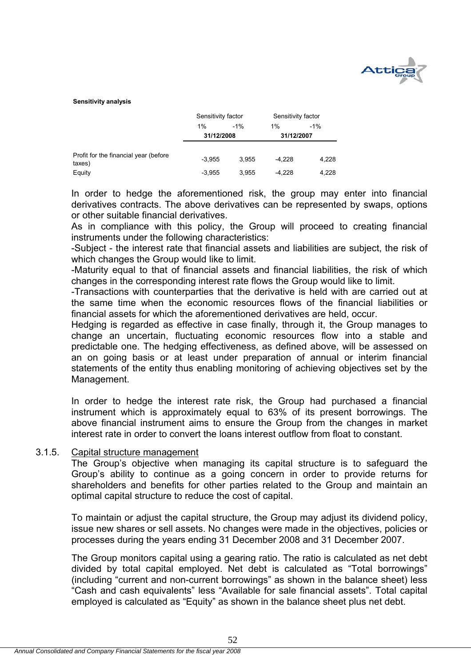

#### **Sensitivity analysis**

|                                                  | Sensitivity factor |       | Sensitivity factor |       |  |
|--------------------------------------------------|--------------------|-------|--------------------|-------|--|
|                                                  | $-1\%$<br>1%       |       | $1\%$              | $-1%$ |  |
|                                                  | 31/12/2008         |       | 31/12/2007         |       |  |
|                                                  |                    |       |                    |       |  |
| Profit for the financial year (before)<br>taxes) | $-3.955$           | 3.955 | $-4.228$           | 4,228 |  |
| Equity                                           | $-3.955$           | 3.955 | $-4.228$           | 4,228 |  |

In order to hedge the aforementioned risk, the group may enter into financial derivatives contracts. The above derivatives can be represented by swaps, options or other suitable financial derivatives.

As in compliance with this policy, the Group will proceed to creating financial instruments under the following characteristics:

-Subject - the interest rate that financial assets and liabilities are subject, the risk of which changes the Group would like to limit.

-Maturity equal to that of financial assets and financial liabilities, the risk of which changes in the corresponding interest rate flows the Group would like to limit.

-Transactions with counterparties that the derivative is held with are carried out at the same time when the economic resources flows of the financial liabilities or financial assets for which the aforementioned derivatives are held, occur.

Hedging is regarded as effective in case finally, through it, the Group manages to change an uncertain, fluctuating economic resources flow into a stable and predictable one. The hedging effectiveness, as defined above, will be assessed on an on going basis or at least under preparation of annual or interim financial statements of the entity thus enabling monitoring of achieving objectives set by the Management.

In order to hedge the interest rate risk, the Group had purchased a financial instrument which is approximately equal to 63% of its present borrowings. The above financial instrument aims to ensure the Group from the changes in market interest rate in order to convert the loans interest outflow from float to constant.

#### 3.1.5. Capital structure management

The Group's objective when managing its capital structure is to safeguard the Group's ability to continue as a going concern in order to provide returns for shareholders and benefits for other parties related to the Group and maintain an optimal capital structure to reduce the cost of capital.

To maintain or adjust the capital structure, the Group may adjust its dividend policy, issue new shares or sell assets. No changes were made in the objectives, policies or processes during the years ending 31 December 2008 and 31 December 2007.

The Group monitors capital using a gearing ratio. The ratio is calculated as net debt divided by total capital employed. Net debt is calculated as "Total borrowings" (including "current and non-current borrowings" as shown in the balance sheet) less "Cash and cash equivalents" less "Available for sale financial assets". Total capital employed is calculated as "Equity" as shown in the balance sheet plus net debt.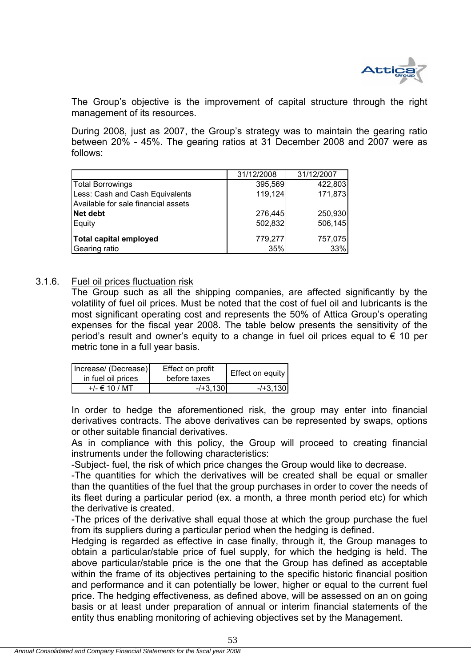

The Group's objective is the improvement of capital structure through the right management of its resources.

During 2008, just as 2007, the Group's strategy was to maintain the gearing ratio between 20% - 45%. The gearing ratios at 31 December 2008 and 2007 were as follows:

|                                     | 31/12/2008 | 31/12/2007 |
|-------------------------------------|------------|------------|
| <b>Total Borrowings</b>             | 395,569    | 422,803    |
| Less: Cash and Cash Equivalents     | 119,124    | 171,873    |
| Available for sale financial assets |            |            |
| Net debt                            | 276,445    | 250,930    |
| Equity                              | 502,832    | 506,145    |
| Total capital employed              | 779,277    | 757,075    |
| Gearing ratio                       | 35%        | 33%        |

## 3.1.6. Fuel oil prices fluctuation risk

The Group such as all the shipping companies, are affected significantly by the volatility of fuel oil prices. Must be noted that the cost of fuel oil and lubricants is the most significant operating cost and represents the 50% of Attica Group's operating expenses for the fiscal year 2008. The table below presents the sensitivity of the period's result and owner's equity to a change in fuel oil prices equal to  $\epsilon$  10 per metric tone in a full year basis.

| Increase/ (Decrease)<br>in fuel oil prices | Effect on profit<br>before taxes | Effect on equity |
|--------------------------------------------|----------------------------------|------------------|
| $+/- \in 10 / MT$                          | $-1 + 3.130$                     | $-1 + 3.130$     |

In order to hedge the aforementioned risk, the group may enter into financial derivatives contracts. The above derivatives can be represented by swaps, options or other suitable financial derivatives.

As in compliance with this policy, the Group will proceed to creating financial instruments under the following characteristics:

-Subject- fuel, the risk of which price changes the Group would like to decrease.

-The quantities for which the derivatives will be created shall be equal or smaller than the quantities of the fuel that the group purchases in order to cover the needs of its fleet during a particular period (ex. a month, a three month period etc) for which the derivative is created.

-The prices of the derivative shall equal those at which the group purchase the fuel from its suppliers during a particular period when the hedging is defined.

Hedging is regarded as effective in case finally, through it, the Group manages to obtain a particular/stable price of fuel supply, for which the hedging is held. The above particular/stable price is the one that the Group has defined as acceptable within the frame of its objectives pertaining to the specific historic financial position and performance and it can potentially be lower, higher or equal to the current fuel price. The hedging effectiveness, as defined above, will be assessed on an on going basis or at least under preparation of annual or interim financial statements of the entity thus enabling monitoring of achieving objectives set by the Management.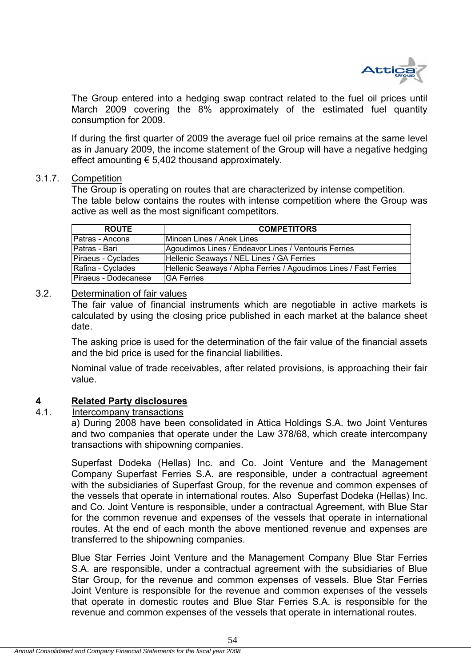

The Group entered into a hedging swap contract related to the fuel oil prices until March 2009 covering the 8% approximately of the estimated fuel quantity consumption for 2009.

If during the first quarter of 2009 the average fuel oil price remains at the same level as in January 2009, the income statement of the Group will have a negative hedging effect amounting  $\epsilon$  5,402 thousand approximately.

## 3.1.7. Competition

The Group is operating on routes that are characterized by intense competition. The table below contains the routes with intense competition where the Group was active as well as the most significant competitors.

| <b>ROUTE</b>         | <b>COMPETITORS</b>                                                |
|----------------------|-------------------------------------------------------------------|
| Patras - Ancona      | Minoan Lines / Anek Lines                                         |
| Patras - Bari        | Agoudimos Lines / Endeavor Lines / Ventouris Ferries              |
| Piraeus - Cyclades   | Hellenic Seaways / NEL Lines / GA Ferries                         |
| Rafina - Cyclades    | Hellenic Seaways / Alpha Ferries / Agoudimos Lines / Fast Ferries |
| Piraeus - Dodecanese | <b>IGA Ferries</b>                                                |

## 3.2. Determination of fair values

The fair value of financial instruments which are negotiable in active markets is calculated by using the closing price published in each market at the balance sheet date.

The asking price is used for the determination of the fair value of the financial assets and the bid price is used for the financial liabilities.

Nominal value of trade receivables, after related provisions, is approaching their fair value.

# **4 Related Party disclosures**

## Intercompany transactions

a) During 2008 have been consolidated in Attica Holdings S.A. two Joint Ventures and two companies that operate under the Law 378/68, which create intercompany transactions with shipowning companies.

Superfast Dodeka (Hellas) Inc. and Co. Joint Venture and the Management Company Superfast Ferries S.A. are responsible, under a contractual agreement with the subsidiaries of Superfast Group, for the revenue and common expenses of the vessels that operate in international routes. Also Superfast Dodeka (Hellas) Inc. and Co. Joint Venture is responsible, under a contractual Agreement, with Blue Star for the common revenue and expenses of the vessels that operate in international routes. At the end of each month the above mentioned revenue and expenses are transferred to the shipowning companies.

Blue Star Ferries Joint Venture and the Management Company Blue Star Ferries S.A. are responsible, under a contractual agreement with the subsidiaries of Blue Star Group, for the revenue and common expenses of vessels. Blue Star Ferries Joint Venture is responsible for the revenue and common expenses of the vessels that operate in domestic routes and Blue Star Ferries S.A. is responsible for the revenue and common expenses of the vessels that operate in international routes.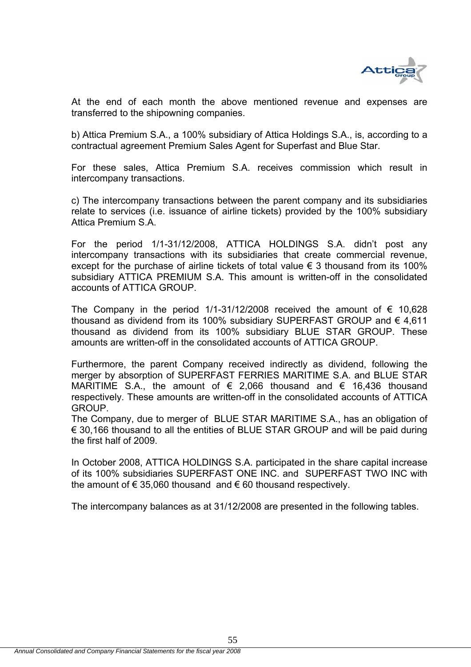

At the end of each month the above mentioned revenue and expenses are transferred to the shipowning companies.

b) Attica Premium S.A., a 100% subsidiary of Attica Holdings S.A., is, according to a contractual agreement Premium Sales Agent for Superfast and Blue Star.

For these sales, Attica Premium S.A. receives commission which result in intercompany transactions.

c) The intercompany transactions between the parent company and its subsidiaries relate to services (i.e. issuance of airline tickets) provided by the 100% subsidiary Attica Premium S.A.

For the period 1/1-31/12/2008, ATTICA HOLDINGS S.A. didn't post any intercompany transactions with its subsidiaries that create commercial revenue, except for the purchase of airline tickets of total value  $\epsilon$  3 thousand from its 100% subsidiary ATTICA PREMIUM S.A. This amount is written-off in the consolidated accounts of ATTICA GROUP.

The Company in the period 1/1-31/12/2008 received the amount of  $\epsilon$  10,628 thousand as dividend from its 100% subsidiary SUPERFAST GROUP and  $\epsilon$  4,611 thousand as dividend from its 100% subsidiary BLUE STAR GROUP. These amounts are written-off in the consolidated accounts of ATTICA GROUP.

Furthermore, the parent Company received indirectly as dividend, following the merger by absorption of SUPERFAST FERRIES MARITIME S.A. and BLUE STAR MARITIME S.A., the amount of  $\epsilon$  2,066 thousand and  $\epsilon$  16,436 thousand respectively. These amounts are written-off in the consolidated accounts of ATTICA GROUP.

The Company, due to merger of BLUE STAR MARITIME S.A., has an obligation of € 30,166 thousand to all the entities of BLUE STAR GROUP and will be paid during the first half of 2009.

In October 2008, ATTICA HOLDINGS S.A. participated in the share capital increase of its 100% subsidiaries SUPERFAST ONE INC. and SUPERFAST TWO INC with the amount of  $\epsilon$  35,060 thousand and  $\epsilon$  60 thousand respectively.

The intercompany balances as at 31/12/2008 are presented in the following tables.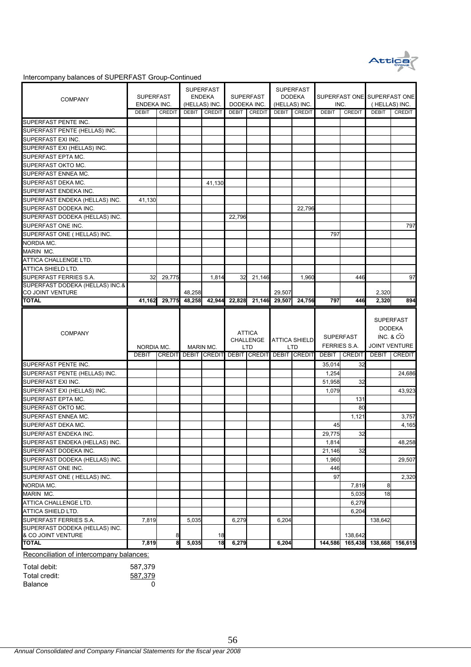

#### Intercompany balances of SUPERFAST Group-Continued

| <b>COMPANY</b>                                           | <b>SUPERFAST</b><br>ENDEKA INC.<br><b>DEBIT</b><br><b>CREDIT</b> |        | <b>SUPERFAST</b><br><b>ENDEKA</b><br>(HELLAS) INC. |                                               | <b>SUPERFAST</b><br>DODEKA INC. |                                          | <b>SUPERFAST</b><br><b>DODEKA</b><br>(HELLAS) INC. |                                    | INC.                             |                 | SUPERFAST ONE SUPERFAST ONE<br>(HELLAS) INC.       |                 |
|----------------------------------------------------------|------------------------------------------------------------------|--------|----------------------------------------------------|-----------------------------------------------|---------------------------------|------------------------------------------|----------------------------------------------------|------------------------------------|----------------------------------|-----------------|----------------------------------------------------|-----------------|
|                                                          |                                                                  |        | DEBIT                                              | CREDIT                                        | DEBIT                           | <b>CREDIT</b>                            | <b>DEBIT</b>                                       | CREDIT                             | <b>DEBIT</b>                     | <b>CREDIT</b>   | <b>DEBIT</b>                                       | CREDIT          |
| SUPERFAST PENTE INC.                                     |                                                                  |        |                                                    |                                               |                                 |                                          |                                                    |                                    |                                  |                 |                                                    |                 |
| SUPERFAST PENTE (HELLAS) INC.                            |                                                                  |        |                                                    |                                               |                                 |                                          |                                                    |                                    |                                  |                 |                                                    |                 |
| SUPERFAST EXI INC.                                       |                                                                  |        |                                                    |                                               |                                 |                                          |                                                    |                                    |                                  |                 |                                                    |                 |
| SUPERFAST EXI (HELLAS) INC.                              |                                                                  |        |                                                    |                                               |                                 |                                          |                                                    |                                    |                                  |                 |                                                    |                 |
| SUPERFAST EPTA MC.                                       |                                                                  |        |                                                    |                                               |                                 |                                          |                                                    |                                    |                                  |                 |                                                    |                 |
| SUPERFAST OKTO MC.                                       |                                                                  |        |                                                    |                                               |                                 |                                          |                                                    |                                    |                                  |                 |                                                    |                 |
| SUPERFAST ENNEA MC.                                      |                                                                  |        |                                                    |                                               |                                 |                                          |                                                    |                                    |                                  |                 |                                                    |                 |
| SUPERFAST DEKA MC.                                       |                                                                  |        |                                                    | 41,130                                        |                                 |                                          |                                                    |                                    |                                  |                 |                                                    |                 |
| SUPERFAST ENDEKA INC.                                    |                                                                  |        |                                                    |                                               |                                 |                                          |                                                    |                                    |                                  |                 |                                                    |                 |
| SUPERFAST ENDEKA (HELLAS) INC.                           | 41,130                                                           |        |                                                    |                                               |                                 |                                          |                                                    |                                    |                                  |                 |                                                    |                 |
| SUPERFAST DODEKA INC.                                    |                                                                  |        |                                                    |                                               |                                 |                                          |                                                    | 22,796                             |                                  |                 |                                                    |                 |
| SUPERFAST DODEKA (HELLAS) INC.                           |                                                                  |        |                                                    |                                               | 22,796                          |                                          |                                                    |                                    |                                  |                 |                                                    |                 |
| SUPERFAST ONE INC.                                       |                                                                  |        |                                                    |                                               |                                 |                                          |                                                    |                                    |                                  |                 |                                                    | 797             |
| SUPERFAST ONE ( HELLAS) INC.                             |                                                                  |        |                                                    |                                               |                                 |                                          |                                                    |                                    | 797                              |                 |                                                    |                 |
| NORDIA MC.                                               |                                                                  |        |                                                    |                                               |                                 |                                          |                                                    |                                    |                                  |                 |                                                    |                 |
| <b>MARIN MC.</b>                                         |                                                                  |        |                                                    |                                               |                                 |                                          |                                                    |                                    |                                  |                 |                                                    |                 |
| ATTICA CHALLENGE LTD.                                    |                                                                  |        |                                                    |                                               |                                 |                                          |                                                    |                                    |                                  |                 |                                                    |                 |
| ATTICA SHIELD LTD.                                       |                                                                  |        |                                                    |                                               |                                 |                                          |                                                    |                                    |                                  |                 |                                                    |                 |
| SUPERFAST FERRIES S.A.                                   | 32                                                               | 29,775 |                                                    | 1,814                                         | 32                              | 21,146                                   |                                                    | 1,960                              |                                  | 446             |                                                    | 97              |
| SUPERFAST DODEKA (HELLAS) INC.&<br>CO JOINT VENTURE      |                                                                  |        | 48,258                                             |                                               |                                 |                                          | 29,507                                             |                                    |                                  |                 | 2,320                                              |                 |
| <b>TOTAL</b>                                             | 41,162                                                           | 29,775 | 48,258                                             | 42,944                                        | 22,828                          | 21,146                                   | 29,507                                             | 24,756                             | 797                              | 446             | 2,320                                              | 894             |
|                                                          |                                                                  |        |                                                    |                                               |                                 |                                          |                                                    |                                    | <b>SUPERFAST</b><br>FERRIES S.A. |                 |                                                    |                 |
| <b>COMPANY</b>                                           | NORDIA MC.                                                       |        |                                                    | MARIN MC.                                     |                                 | <b>ATTICA</b><br><b>CHALLENGE</b><br>LTD |                                                    | <b>ATTICA SHIELD</b><br><b>LTD</b> |                                  |                 | <b>DODEKA</b><br>INC. & CO<br><b>JOINT VENTURE</b> |                 |
|                                                          | <b>DEBIT</b>                                                     |        |                                                    | CREDIT DEBIT CREDIT DEBIT CREDIT DEBIT CREDIT |                                 |                                          |                                                    |                                    | <b>DEBIT</b>                     | <b>CREDIT</b>   | <b>DEBIT</b>                                       | <b>CREDIT</b>   |
| SUPERFAST PENTE INC.                                     |                                                                  |        |                                                    |                                               |                                 |                                          |                                                    |                                    | 35,014                           | 32              |                                                    |                 |
| SUPERFAST PENTE (HELLAS) INC.                            |                                                                  |        |                                                    |                                               |                                 |                                          |                                                    |                                    | 1,254                            |                 |                                                    | 24,686          |
| SUPERFAST EXI INC.                                       |                                                                  |        |                                                    |                                               |                                 |                                          |                                                    |                                    | 51,958                           | 32              |                                                    |                 |
| SUPERFAST EXI (HELLAS) INC.                              |                                                                  |        |                                                    |                                               |                                 |                                          |                                                    |                                    | 1,079                            |                 |                                                    | 43,923          |
| SUPERFAST EPTA MC.                                       |                                                                  |        |                                                    |                                               |                                 |                                          |                                                    |                                    |                                  | 131             |                                                    |                 |
| SUPERFAST OKTO MC.                                       |                                                                  |        |                                                    |                                               |                                 |                                          |                                                    |                                    |                                  | 80              |                                                    |                 |
| SUPERFAST ENNEA MC.                                      |                                                                  |        |                                                    |                                               |                                 |                                          |                                                    |                                    |                                  | 1,121           |                                                    | 3,757           |
| SUPERFAST DEKA MC.                                       |                                                                  |        |                                                    |                                               |                                 |                                          |                                                    |                                    | 45                               |                 |                                                    | 4,165           |
| SUPERFAST ENDEKA INC.                                    |                                                                  |        |                                                    |                                               |                                 |                                          |                                                    |                                    | 29,775                           | 32              |                                                    |                 |
| SUPERFAST ENDEKA (HELLAS) INC.                           |                                                                  |        |                                                    |                                               |                                 |                                          |                                                    |                                    | 1,814                            |                 |                                                    |                 |
| SUPERFAST DODEKA INC.                                    |                                                                  |        |                                                    |                                               |                                 |                                          |                                                    |                                    | 21,146                           | 32              |                                                    |                 |
|                                                          |                                                                  |        |                                                    |                                               |                                 |                                          |                                                    |                                    | 1,960                            |                 |                                                    | 29,507          |
| SUPERFAST DODEKA (HELLAS) INC.<br>SUPERFAST ONE INC.     |                                                                  |        |                                                    |                                               |                                 |                                          |                                                    |                                    | 446                              |                 |                                                    |                 |
| SUPERFAST ONE (HELLAS) INC.                              |                                                                  |        |                                                    |                                               |                                 |                                          |                                                    |                                    | 97                               |                 |                                                    | 2,320           |
| NORDIA MC.                                               |                                                                  |        |                                                    |                                               |                                 |                                          |                                                    |                                    |                                  | 7,819           | 8                                                  |                 |
| MARIN MC.                                                |                                                                  |        |                                                    |                                               |                                 |                                          |                                                    |                                    |                                  | 5,035           | 18                                                 |                 |
| ATTICA CHALLENGE LTD.                                    |                                                                  |        |                                                    |                                               |                                 |                                          |                                                    |                                    |                                  | 6,279           |                                                    |                 |
| ATTICA SHIELD LTD.                                       |                                                                  |        |                                                    |                                               |                                 |                                          |                                                    |                                    |                                  | 6,204           |                                                    |                 |
| SUPERFAST FERRIES S.A.                                   | 7,819                                                            |        | 5,035                                              |                                               | 6,279                           |                                          | 6,204                                              |                                    |                                  |                 | 138,642                                            |                 |
| SUPERFAST DODEKA (HELLAS) INC.                           |                                                                  |        |                                                    |                                               |                                 |                                          |                                                    |                                    |                                  |                 |                                                    |                 |
| & CO JOINT VENTURE                                       |                                                                  | 8      |                                                    | 18                                            |                                 |                                          |                                                    |                                    |                                  | 138,642         |                                                    | 48,258          |
| <b>TOTAL</b><br>Reconciliation of intercompany balances: | 7,819                                                            | 8      | 5,035                                              | 18                                            | 6,279                           |                                          | 6,204                                              |                                    |                                  | 144,586 165,438 |                                                    | 138,668 156,615 |

| Total debit:   | 587.379 |
|----------------|---------|
| Total credit:  | 587.379 |
| <b>Balance</b> |         |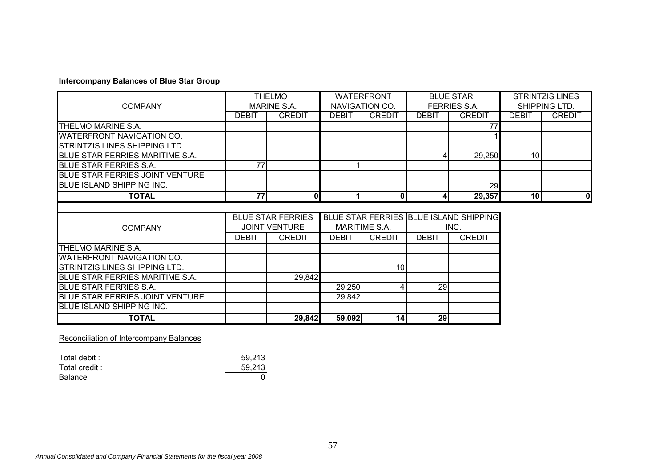## **Intercompany Balances of Blue Star Group**

|                                         | <b>THELMO</b>   |                          | <b>WATERFRONT</b>    |               | <b>BLUE STAR</b> |                                        | <b>STRINTZIS LINES</b> |               |
|-----------------------------------------|-----------------|--------------------------|----------------------|---------------|------------------|----------------------------------------|------------------------|---------------|
| <b>COMPANY</b>                          |                 | MARINE S.A.              | NAVIGATION CO.       |               | FERRIES S.A.     |                                        | SHIPPING LTD.          |               |
|                                         | <b>DEBIT</b>    | <b>CREDIT</b>            | <b>DEBIT</b>         | <b>CREDIT</b> | <b>DEBIT</b>     | <b>CREDIT</b>                          | <b>DEBIT</b>           | <b>CREDIT</b> |
| THELMO MARINE S.A.                      |                 |                          |                      |               |                  |                                        |                        |               |
| <b>WATERFRONT NAVIGATION CO.</b>        |                 |                          |                      |               |                  |                                        |                        |               |
| STRINTZIS LINES SHIPPING LTD.           |                 |                          |                      |               |                  |                                        |                        |               |
| BLUE STAR FERRIES MARITIME S.A.         |                 |                          |                      |               | 4                | 29,250                                 | 10 <sup>1</sup>        |               |
| <b>BLUE STAR FERRIES S.A.</b>           | 77              |                          |                      |               |                  |                                        |                        |               |
| <b>IBLUE STAR FERRIES JOINT VENTURE</b> |                 |                          |                      |               |                  |                                        |                        |               |
| <b>BLUE ISLAND SHIPPING INC.</b>        |                 |                          |                      |               |                  | 29                                     |                        |               |
| <b>TOTAL</b>                            | $\overline{77}$ | $\mathbf{0}$             | 11                   | 0             | $\overline{4}$   | 29,357                                 | 10                     | 0             |
|                                         |                 |                          |                      |               |                  |                                        |                        |               |
|                                         |                 | <b>BLUE STAR FERRIES</b> |                      |               |                  | BLUE STAR FERRIES BLUE ISLAND SHIPPING |                        |               |
| <b>COMPANY</b>                          |                 | <b>JOINT VENTURE</b>     | <b>MARITIME S.A.</b> |               | INC.             |                                        |                        |               |
|                                         | <b>DEBIT</b>    | <b>CREDIT</b>            | <b>DEBIT</b>         |               |                  |                                        |                        |               |
| THELMO MARINE S.A.                      |                 |                          |                      | <b>CREDIT</b> | <b>DEBIT</b>     | <b>CREDIT</b>                          |                        |               |
|                                         |                 |                          |                      |               |                  |                                        |                        |               |
| <b>WATERFRONT NAVIGATION CO.</b>        |                 |                          |                      |               |                  |                                        |                        |               |
| <b>STRINTZIS LINES SHIPPING LTD.</b>    |                 |                          |                      | 10            |                  |                                        |                        |               |
| BLUE STAR FERRIES MARITIME S.A.         |                 | 29,842                   |                      |               |                  |                                        |                        |               |
| <b>BLUE STAR FERRIES S.A.</b>           |                 |                          | 29,250               |               | 29               |                                        |                        |               |
| <b>BLUE STAR FERRIES JOINT VENTURE</b>  |                 |                          | 29,842               |               |                  |                                        |                        |               |
| BLUE ISLAND SHIPPING INC.               |                 |                          |                      |               |                  |                                        |                        |               |

Reconciliation of Intercompany Balances

| Total debit : | 59.213 |
|---------------|--------|
| Total credit: | 59.213 |
| Balance       |        |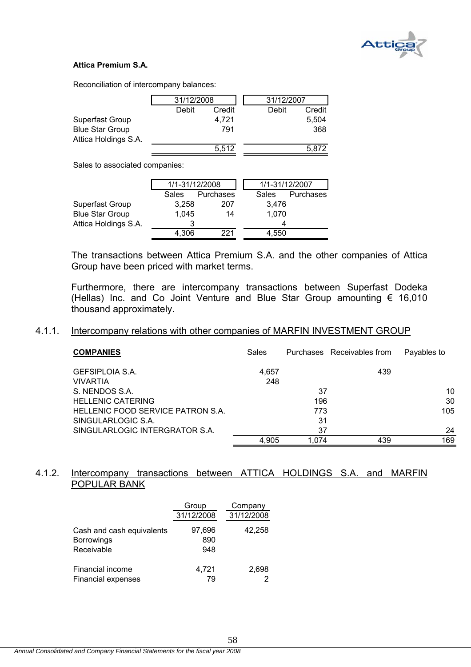

#### **Attica Premium S.A.**

Reconciliation of intercompany balances:

|                        | 31/12/2008 |        | 31/12/2007 |        |
|------------------------|------------|--------|------------|--------|
|                        | Debit      | Credit | Debit      | Credit |
| Superfast Group        |            | 4.721  |            | 5.504  |
| <b>Blue Star Group</b> |            | 791    |            | 368    |
| Attica Holdings S.A.   |            |        |            |        |
|                        |            | 5.512  |            | 5.872  |

Sales to associated companies:

|                        | 1/1-31/12/2008 |           |              | 1/1-31/12/2007 |           |
|------------------------|----------------|-----------|--------------|----------------|-----------|
|                        | <b>Sales</b>   | Purchases | <b>Sales</b> |                | Purchases |
| Superfast Group        | 3,258          | 207       |              | 3,476          |           |
| <b>Blue Star Group</b> | 1.045          | 14        |              | 1,070          |           |
| Attica Holdings S.A.   | 3              |           |              |                |           |
|                        | 4.306          | 221       |              | 4,550          |           |

The transactions between Attica Premium S.A. and the other companies of Attica Group have been priced with market terms.

Furthermore, there are intercompany transactions between Superfast Dodeka (Hellas) Inc. and Co Joint Venture and Blue Star Group amounting € 16,010 thousand approximately.

#### 4.1.1. Intercompany relations with other companies of MARFIN INVESTMENT GROUP

| <b>COMPANIES</b>                  | Sales |       | Purchases Receivables from | Payables to |
|-----------------------------------|-------|-------|----------------------------|-------------|
| GEFSIPLOIA S.A.                   | 4.657 |       | 439                        |             |
| <b>VIVARTIA</b>                   | 248   |       |                            |             |
| S. NENDOS S.A.                    |       | 37    |                            | 10          |
| <b>HELLENIC CATERING</b>          |       | 196   |                            | 30          |
| HELLENIC FOOD SERVICE PATRON S.A. |       | 773   |                            | 105         |
| SINGULARLOGIC S.A.                |       | 31    |                            |             |
| SINGULARLOGIC INTERGRATOR S.A.    |       | 37    |                            | 24          |
|                                   | 4,905 | 1.074 | 439                        | 169         |

## 4.1.2. Intercompany transactions between ATTICA HOLDINGS S.A. and MARFIN POPULAR BANK

|                           | Group      | Company    |
|---------------------------|------------|------------|
|                           | 31/12/2008 | 31/12/2008 |
| Cash and cash equivalents | 97,696     | 42,258     |
| <b>Borrowings</b>         | 890        |            |
| Receivable                | 948        |            |
| Financial income          | 4,721      | 2,698      |
| <b>Financial expenses</b> | 79         |            |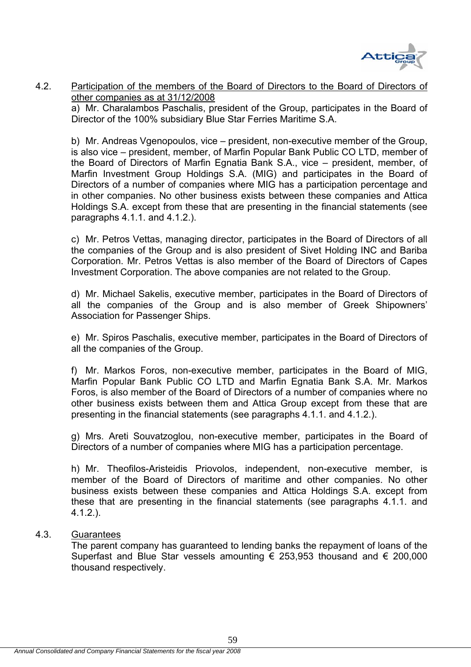

## 4.2. Participation of the members of the Board of Directors to the Board of Directors of other companies as at 31/12/2008

 a) Mr. Charalambos Paschalis, president of the Group, participates in the Board of Director of the 100% subsidiary Blue Star Ferries Maritime S.A.

b) Mr. Andreas Vgenopoulos, vice – president, non-executive member of the Group, is also vice – president, member, of Marfin Popular Bank Public CO LTD, member of the Board of Directors of Marfin Egnatia Bank S.A., vice – president, member, of Marfin Investment Group Holdings S.A. (MIG) and participates in the Board of Directors of a number of companies where MIG has a participation percentage and in other companies. No other business exists between these companies and Attica Holdings S.A. except from these that are presenting in the financial statements (see paragraphs 4.1.1. and 4.1.2.).

c) Mr. Petros Vettas, managing director, participates in the Board of Directors of all the companies of the Group and is also president of Sivet Holding INC and Bariba Corporation. Mr. Petros Vettas is also member of the Board of Directors of Capes Investment Corporation. The above companies are not related to the Group.

d) Mr. Michael Sakelis, executive member, participates in the Board of Directors of all the companies of the Group and is also member of Greek Shipowners' Association for Passenger Ships.

e) Mr. Spiros Paschalis, executive member, participates in the Board of Directors of all the companies of the Group.

f) Mr. Markos Foros, non-executive member, participates in the Board of MIG, Marfin Popular Bank Public CO LTD and Marfin Egnatia Bank S.A. Mr. Markos Foros, is also member of the Board of Directors of a number of companies where no other business exists between them and Attica Group except from these that are presenting in the financial statements (see paragraphs 4.1.1. and 4.1.2.).

g) Mrs. Areti Souvatzoglou, non-executive member, participates in the Board of Directors of a number of companies where MIG has a participation percentage.

h) Mr. Theofilos-Aristeidis Priovolos, independent, non-executive member, is member of the Board of Directors of maritime and other companies. No other business exists between these companies and Attica Holdings S.A. except from these that are presenting in the financial statements (see paragraphs 4.1.1. and 4.1.2.).

## 4.3. Guarantees

 The parent company has guaranteed to lending banks the repayment of loans of the Superfast and Blue Star vessels amounting  $\epsilon$  253,953 thousand and  $\epsilon$  200,000 thousand respectively.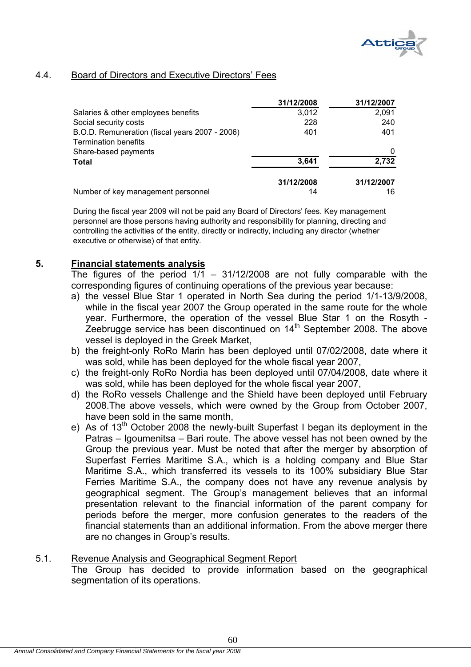

## 4.4. Board of Directors and Executive Directors' Fees

|                                                | 31/12/2008 | 31/12/2007 |
|------------------------------------------------|------------|------------|
| Salaries & other employees benefits            | 3,012      | 2,091      |
| Social security costs                          | 228        | 240        |
| B.O.D. Remuneration (fiscal years 2007 - 2006) | 401        | 401        |
| <b>Termination benefits</b>                    |            |            |
| Share-based payments                           |            |            |
| <b>Total</b>                                   | 3,641      | 2,732      |
|                                                | 31/12/2008 | 31/12/2007 |
| Number of key management personnel             | 14         | 16         |

During the fiscal year 2009 will not be paid any Board of Directors' fees. Key management personnel are those persons having authority and responsibility for planning, directing and controlling the activities of the entity, directly or indirectly, including any director (whether executive or otherwise) of that entity.

## **5. Financial statements analysis**

The figures of the period  $1/1 - 31/12/2008$  are not fully comparable with the corresponding figures of continuing operations of the previous year because:

- a) the vessel Blue Star 1 operated in North Sea during the period 1/1-13/9/2008, while in the fiscal year 2007 the Group operated in the same route for the whole year. Furthermore, the operation of the vessel Blue Star 1 on the Rosyth - Zeebrugge service has been discontinued on  $14<sup>th</sup>$  September 2008. The above vessel is deployed in the Greek Market,
- b) the freight-only RoRo Marin has been deployed until 07/02/2008, date where it was sold, while has been deployed for the whole fiscal year 2007,
- c) the freight-only RoRo Nordia has been deployed until 07/04/2008, date where it was sold, while has been deployed for the whole fiscal year 2007,
- d) the RoRo vessels Challenge and the Shield have been deployed until February 2008.The above vessels, which were owned by the Group from October 2007, have been sold in the same month,
- e) As of 13<sup>th</sup> October 2008 the newly-built Superfast I began its deployment in the Patras – Igoumenitsa – Bari route. The above vessel has not been owned by the Group the previous year. Must be noted that after the merger by absorption of Superfast Ferries Maritime S.A., which is a holding company and Blue Star Maritime S.A., which transferred its vessels to its 100% subsidiary Blue Star Ferries Maritime S.A., the company does not have any revenue analysis by geographical segment. The Group's management believes that an informal presentation relevant to the financial information of the parent company for periods before the merger, more confusion generates to the readers of the financial statements than an additional information. From the above merger there are no changes in Group's results.

## 5.1. Revenue Analysis and Geographical Segment Report The Group has decided to provide information based on the geographical

segmentation of its operations.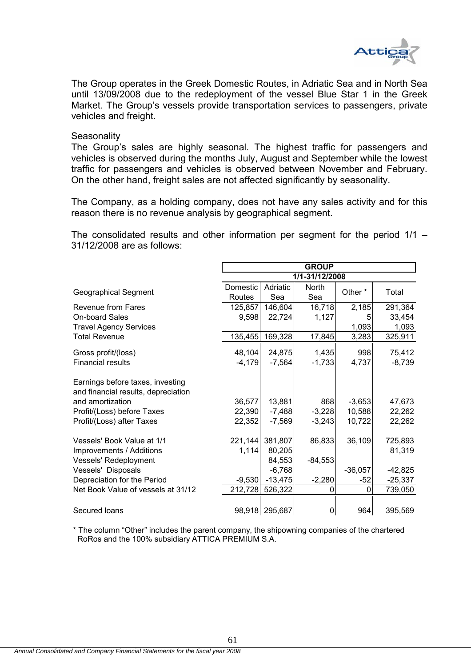

The Group operates in the Greek Domestic Routes, in Adriatic Sea and in North Sea until 13/09/2008 due to the redeployment of the vessel Blue Star 1 in the Greek Market. The Group's vessels provide transportation services to passengers, private vehicles and freight.

#### **Seasonality**

The Group's sales are highly seasonal. The highest traffic for passengers and vehicles is observed during the months July, August and September while the lowest traffic for passengers and vehicles is observed between November and February. On the other hand, freight sales are not affected significantly by seasonality.

The Company, as a holding company, does not have any sales activity and for this reason there is no revenue analysis by geographical segment.

The consolidated results and other information per segment for the period 1/1 – 31/12/2008 are as follows:

|                                                                         | <b>GROUP</b>        |                       |                |            |           |  |
|-------------------------------------------------------------------------|---------------------|-----------------------|----------------|------------|-----------|--|
|                                                                         |                     |                       | 1/1-31/12/2008 |            |           |  |
| <b>Geographical Segment</b>                                             | Domestic            | Adriatic              | North          | Other *    | Total     |  |
|                                                                         | Routes              | Sea                   | Sea            |            |           |  |
| Revenue from Fares                                                      | 125,857             | 146,604               | 16,718         | 2,185      | 291,364   |  |
| <b>On-board Sales</b>                                                   | 9,598               | 22,724                | 1,127          | 5          | 33,454    |  |
| <b>Travel Agency Services</b>                                           |                     |                       |                | 1,093      | 1,093     |  |
| <b>Total Revenue</b>                                                    | 135,455             | 169,328               | 17,845         | 3,283      | 325,911   |  |
| Gross profit/(loss)                                                     | 48,104              | 24,875                | 1,435          | 998        | 75,412    |  |
| <b>Financial results</b>                                                | $-4,179$            | $-7,564$              | $-1,733$       | 4,737      | $-8,739$  |  |
| Earnings before taxes, investing<br>and financial results, depreciation |                     |                       |                |            |           |  |
| and amortization                                                        | 36,577              | 13,881                | 868            | $-3,653$   | 47,673    |  |
| Profit/(Loss) before Taxes                                              | 22,390              | $-7,488$              | $-3,228$       | 10,588     | 22,262    |  |
| Profit/(Loss) after Taxes                                               | 22,352              | $-7,569$              | $-3,243$       | 10,722     | 22,262    |  |
| Vessels' Book Value at 1/1                                              | 221,144             | 381,807               | 86,833         | 36,109     | 725,893   |  |
| Improvements / Additions                                                | 1,114               | 80,205                |                |            | 81,319    |  |
| Vessels' Redeployment                                                   |                     | 84,553                | $-84,553$      |            |           |  |
| Vessels' Disposals<br>Depreciation for the Period                       |                     | $-6,768$<br>$-13,475$ | $-2,280$       | $-36,057$  | $-42,825$ |  |
| Net Book Value of vessels at 31/12                                      | $-9,530$<br>212,728 | 526,322               | 0              | $-52$<br>0 | $-25,337$ |  |
|                                                                         |                     |                       |                |            | 739,050   |  |
| Secured loans                                                           |                     | 98,918 295,687        | 0              | 964        | 395,569   |  |

\* The column "Other" includes the parent company, the shipowning companies of the chartered RoRos and the 100% subsidiary ATTICA PREMIUM S.A.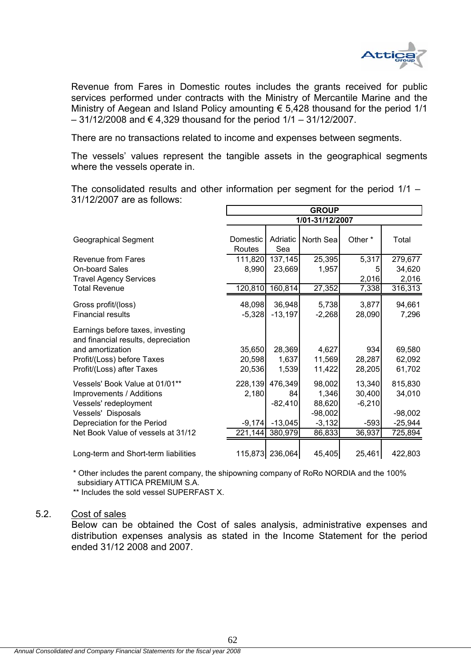

Revenue from Fares in Domestic routes includes the grants received for public services performed under contracts with the Ministry of Mercantile Marine and the Ministry of Aegean and Island Policy amounting € 5,428 thousand for the period 1/1  $-31/12/2008$  and € 4,329 thousand for the period  $1/1 - 31/12/2007$ .

There are no transactions related to income and expenses between segments.

The vessels' values represent the tangible assets in the geographical segments where the vessels operate in.

The consolidated results and other information per segment for the period 1/1 – 31/12/2007 are as follows:

|                                                                                             | <b>GROUP</b>       |                 |                 |          |           |  |  |
|---------------------------------------------------------------------------------------------|--------------------|-----------------|-----------------|----------|-----------|--|--|
|                                                                                             |                    |                 | 1/01-31/12/2007 |          |           |  |  |
| <b>Geographical Segment</b>                                                                 | Domestic<br>Routes | Adriatic<br>Sea | North Sea       | Other *  | Total     |  |  |
| Revenue from Fares                                                                          | 111,820            | 137,145         | 25,395          | 5,317    | 279,677   |  |  |
| <b>On-board Sales</b>                                                                       | 8,990              | 23,669          | 1,957           | 5        | 34,620    |  |  |
| <b>Travel Agency Services</b>                                                               |                    |                 |                 | 2,016    | 2,016     |  |  |
| <b>Total Revenue</b>                                                                        | 120,810            | 160,814         | 27,352          | 7,338    | 316,313   |  |  |
| Gross profit/(loss)                                                                         | 48,098             | 36,948          | 5,738           | 3,877    | 94,661    |  |  |
| <b>Financial results</b>                                                                    | $-5,328$           | $-13,197$       | $-2,268$        | 28,090   | 7,296     |  |  |
| Earnings before taxes, investing<br>and financial results, depreciation<br>and amortization | 35,650             | 28,369          | 4,627           | 934      | 69,580    |  |  |
| Profit/(Loss) before Taxes                                                                  | 20,598             | 1,637           | 11,569          | 28,287   | 62,092    |  |  |
| Profit/(Loss) after Taxes                                                                   | 20,536             | 1,539           | 11,422          | 28,205   | 61,702    |  |  |
| Vessels' Book Value at 01/01**                                                              | 228,139            | 476,349         | 98,002          | 13,340   | 815,830   |  |  |
| Improvements / Additions                                                                    | 2,180              | 84              | 1,346           | 30,400   | 34,010    |  |  |
| Vessels' redeployment                                                                       |                    | $-82,410$       | 88,620          | $-6,210$ |           |  |  |
| Vessels' Disposals                                                                          |                    |                 | $-98,002$       |          | $-98,002$ |  |  |
| Depreciation for the Period                                                                 | $-9,174$           | $-13,045$       | $-3,132$        | $-593$   | $-25,944$ |  |  |
| Net Book Value of vessels at 31/12                                                          | 221,144            | 380,979         | 86,833          | 36,937   | 725,894   |  |  |
| Long-term and Short-term liabilities                                                        |                    | 115,873 236,064 | 45,405          | 25,461   | 422,803   |  |  |

\* Other includes the parent company, the shipowning company of RoRo NORDIA and the 100% subsidiary ATTICA PREMIUM S.A.

\*\* Includes the sold vessel SUPERFAST X.

#### 5.2. Cost of sales

Below can be obtained the Cost of sales analysis, administrative expenses and distribution expenses analysis as stated in the Income Statement for the period ended 31/12 2008 and 2007.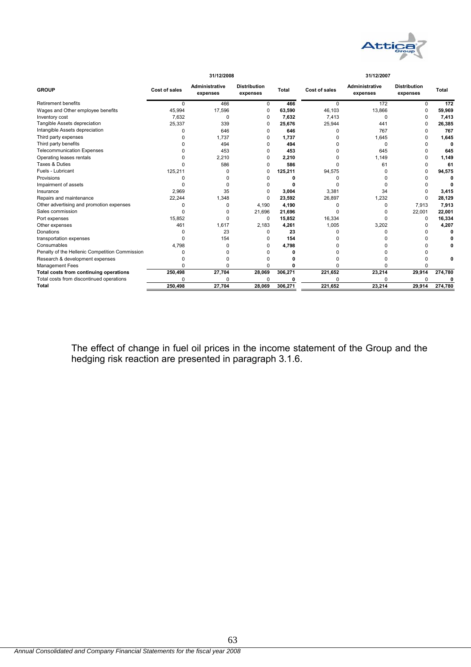

|                                                | 31/12/2008    |                            |                                 |         | 31/12/2007    |                                   |                                 |         |
|------------------------------------------------|---------------|----------------------------|---------------------------------|---------|---------------|-----------------------------------|---------------------------------|---------|
| <b>GROUP</b>                                   | Cost of sales | Administrative<br>expenses | <b>Distribution</b><br>expenses | Total   | Cost of sales | <b>Administrative</b><br>expenses | <b>Distribution</b><br>expenses | Total   |
| <b>Retirement benefits</b>                     | <sup>0</sup>  | 466                        | 0                               | 466     | n.            | 172                               |                                 | 172     |
| Wages and Other employee benefits              | 45,994        | 17,596                     | 0                               | 63,590  | 46,103        | 13,866                            |                                 | 59,969  |
| Inventory cost                                 | 7,632         | 0                          | 0                               | 7,632   | 7,413         | O                                 |                                 | 7,413   |
| Tangible Assets depreciation                   | 25,337        | 339                        | U                               | 25,676  | 25,944        | 441                               |                                 | 26,385  |
| Intangible Assets depreciation                 |               | 646                        | U                               | 646     | ი             | 767                               |                                 | 767     |
| Third party expenses                           |               | 1,737                      | O                               | 1,737   | n             | 1,645                             |                                 | 1,645   |
| Third party benefits                           |               | 494                        |                                 | 494     | n             | O                                 |                                 |         |
| <b>Telecommunication Expenses</b>              |               | 453                        | O                               | 453     |               | 645                               |                                 | 645     |
| Operating leases rentals                       |               | 2,210                      | n                               | 2,210   | n             | 1,149                             |                                 | 1,149   |
| Taxes & Duties                                 |               | 586                        | n                               | 586     | n             | 61                                |                                 | 61      |
| Fuels - Lubricant                              | 125,211       | 0                          | 0                               | 125,211 | 94,575        |                                   |                                 | 94,575  |
| Provisions                                     |               |                            |                                 | o       | n             |                                   |                                 |         |
| Impairment of assets                           |               | n                          |                                 |         |               |                                   |                                 |         |
| Insurance                                      | 2,969         | 35                         |                                 | 3,004   | 3,381         | 34                                |                                 | 3,415   |
| Repairs and maintenance                        | 22,244        | 1,348                      | U                               | 23,592  | 26,897        | 1,232                             |                                 | 28,129  |
| Other advertising and promotion expenses       | n             | $\Omega$                   | 4.190                           | 4,190   | U             | n                                 | 7.913                           | 7,913   |
| Sales commission                               |               | 0                          | 21,696                          | 21,696  | U             |                                   | 22,001                          | 22,001  |
| Port expenses                                  | 15,852        | ŋ                          | 0                               | 15,852  | 16,334        | n                                 | O                               | 16,334  |
| Other expenses                                 | 461           | 1,617                      | 2,183                           | 4,261   | 1,005         | 3,202                             |                                 | 4,207   |
| Donations                                      |               | 23                         | O                               | 23      |               |                                   |                                 |         |
| transportation expenses                        |               | 154                        | O                               | 154     | ი             |                                   |                                 |         |
| Consumables                                    | 4,798         | ŋ                          | O                               | 4,798   |               |                                   |                                 |         |
| Penalty of the Hellenic Competition Commission |               |                            |                                 |         |               |                                   |                                 |         |
| Research & development expenses                |               |                            |                                 |         |               |                                   |                                 |         |
| <b>Management Fees</b>                         |               | $\Omega$                   | O                               | ŋ       | n             |                                   |                                 |         |
| Total costs from continuing operations         | 250,498       | 27,704                     | 28,069                          | 306,271 | 221,652       | 23,214                            | 29,914                          | 274,780 |
| Total costs from discontinued operations       | n             | ŋ                          | U                               |         | n             | n                                 |                                 |         |
| <b>Total</b>                                   | 250.498       | 27.704                     | 28.069                          | 306,271 | 221.652       | 23.214                            | 29.914                          | 274,780 |

The effect of change in fuel oil prices in the income statement of the Group and the hedging risk reaction are presented in paragraph 3.1.6.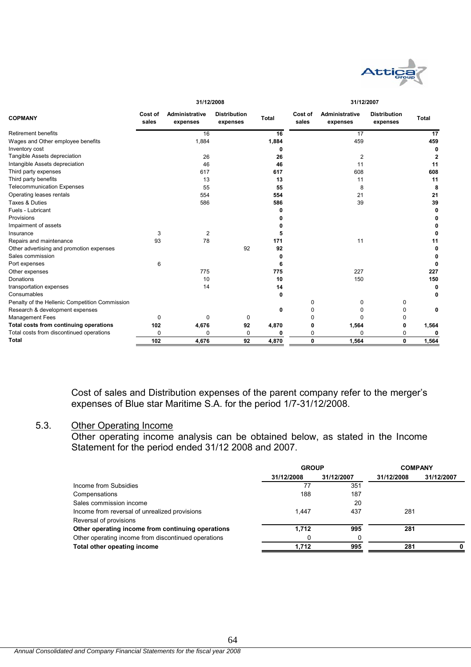

| <b>COPMANY</b><br>Retirement benefits<br>Wages and Other employee benefits<br>Inventory cost | Cost of<br>sales | Administrative<br>expenses<br>16 | <b>Distribution</b><br>expenses | <b>Total</b> | Cost of<br>sales | <b>Administrative</b> | <b>Distribution</b> | <b>Total</b> |
|----------------------------------------------------------------------------------------------|------------------|----------------------------------|---------------------------------|--------------|------------------|-----------------------|---------------------|--------------|
|                                                                                              |                  |                                  |                                 |              |                  | expenses              | expenses            |              |
|                                                                                              |                  |                                  |                                 | 16           |                  | 17                    |                     | 17           |
|                                                                                              |                  | 1,884                            |                                 | 1,884        |                  | 459                   |                     | 459          |
|                                                                                              |                  |                                  |                                 | 0            |                  |                       |                     | 0            |
| Tangible Assets depreciation                                                                 |                  | 26                               |                                 | 26           |                  | $\overline{c}$        |                     | 2            |
| Intangible Assets depreciation                                                               |                  | 46                               |                                 | 46           |                  | 11                    |                     | 11           |
| Third party expenses                                                                         |                  | 617                              |                                 | 617          |                  | 608                   |                     | 608          |
| Third party benefits                                                                         |                  | 13                               |                                 | 13           |                  | 11                    |                     | 11           |
| <b>Telecommunication Expenses</b>                                                            |                  | 55                               |                                 | 55           |                  | 8                     |                     | 8            |
| Operating leases rentals                                                                     |                  | 554                              |                                 | 554          |                  | 21                    |                     | 21           |
| Taxes & Duties                                                                               |                  | 586                              |                                 | 586          |                  | 39                    |                     | 39           |
| Fuels - Lubricant                                                                            |                  |                                  |                                 | ŋ            |                  |                       |                     | 0            |
| Provisions                                                                                   |                  |                                  |                                 |              |                  |                       |                     |              |
| Impairment of assets                                                                         |                  |                                  |                                 |              |                  |                       |                     |              |
| Insurance                                                                                    | 3                | 2                                |                                 | 5            |                  |                       |                     | 0            |
| Repairs and maintenance                                                                      | 93               | 78                               |                                 | 171          |                  | 11                    |                     | 11           |
| Other advertising and promotion expenses                                                     |                  |                                  | 92                              | 92           |                  |                       |                     | 0            |
| Sales commission                                                                             |                  |                                  |                                 | 0            |                  |                       |                     |              |
| Port expenses                                                                                | 6                |                                  |                                 | 6            |                  |                       |                     |              |
| Other expenses                                                                               |                  | 775                              |                                 | 775          |                  | 227                   |                     | 227          |
| Donations                                                                                    |                  | 10                               |                                 | 10           |                  | 150                   |                     | 150          |
| transportation expenses                                                                      |                  | 14                               |                                 | 14           |                  |                       |                     | 0            |
| Consumables                                                                                  |                  |                                  |                                 | 0            |                  |                       |                     | 0            |
| Penalty of the Hellenic Competition Commission                                               |                  |                                  |                                 |              | 0                | 0                     | 0                   |              |
| Research & development expenses                                                              |                  |                                  |                                 | $\mathbf{0}$ | O                | O                     | 0                   | 0            |
| <b>Management Fees</b>                                                                       | 0                | 0                                | 0                               |              |                  | n                     | 0                   |              |
| Total costs from continuing operations                                                       | 102              | 4,676                            | 92                              | 4,870        |                  | 1,564                 | 0                   | 1,564        |
| Total costs from discontinued operations                                                     | 0                | 0                                | 0                               | 0            | 0                | $\Omega$              | 0                   | 0            |
| <b>Total</b>                                                                                 | 102              | 4,676                            | 92                              | 4,870        | $\mathbf{0}$     | 1,564                 | $\mathbf{0}$        | 1,564        |

Cost of sales and Distribution expenses of the parent company refer to the merger's expenses of Blue star Maritime S.A. for the period 1/7-31/12/2008.

## 5.3. Other Operating Income

Other operating income analysis can be obtained below, as stated in the Income Statement for the period ended 31/12 2008 and 2007.

|                                                     | <b>GROUP</b> |            | <b>COMPANY</b> |            |  |
|-----------------------------------------------------|--------------|------------|----------------|------------|--|
|                                                     | 31/12/2008   | 31/12/2007 | 31/12/2008     | 31/12/2007 |  |
| Income from Subsidies                               | 77           | 351        |                |            |  |
| Compensations                                       | 188          | 187        |                |            |  |
| Sales commission income                             |              | 20         |                |            |  |
| Income from reversal of unrealized provisions       | 1.447        | 437        | 281            |            |  |
| Reversal of provisions                              |              |            |                |            |  |
| Other operating income from continuing operations   | 1.712        | 995        | 281            |            |  |
| Other operating income from discontinued operations |              |            |                |            |  |
| Total other opeating income                         | 1.712        | 995        | 281            |            |  |
|                                                     |              |            |                |            |  |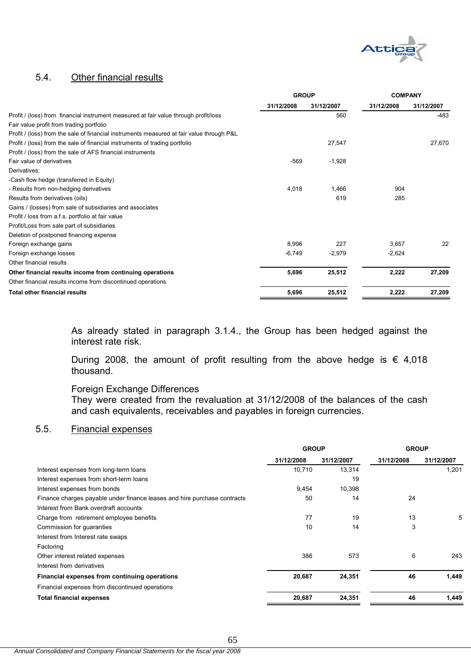

# 5.4. Other financial results

|                                                                                           | <b>GROUP</b> |            | <b>COMPANY</b> |            |
|-------------------------------------------------------------------------------------------|--------------|------------|----------------|------------|
|                                                                                           | 31/12/2008   | 31/12/2007 | 31/12/2008     | 31/12/2007 |
| Profit / (loss) from financial instrument measured at fair value through profit/loss      |              | 560        |                | -483       |
| Fair value profit from trading portfolio                                                  |              |            |                |            |
| Profit / (loss) from the sale of financial instruments measured at fair value through P&L |              |            |                |            |
| Profit / (loss) from the sale of financial instruments of trading portfolio               |              | 27,547     |                | 27,670     |
| Profit / (loss) from the sale of AFS financial instruments                                |              |            |                |            |
| Fair value of derivatives                                                                 | $-569$       | $-1,928$   |                |            |
| Derivatives:                                                                              |              |            |                |            |
| -Cash flow hedge (transferred in Equity)                                                  |              |            |                |            |
| - Results from non-hedging derivatives                                                    | 4,018        | 1.466      | 904            |            |
| Results from derivatives (oils)                                                           |              | 619        | 285            |            |
| Gains / (losses) from sale of subsidiaries and associates                                 |              |            |                |            |
| Profit / loss from a.f.s. portfolio at fair value                                         |              |            |                |            |
| Profit/Loss from sale part of subsidiaries                                                |              |            |                |            |
| Deletion of postponed financing expense                                                   |              |            |                |            |
| Foreign exchange gains                                                                    | 8,996        | 227        | 3.657          | 22         |
| Foreign exchange losses                                                                   | $-6,749$     | $-2,979$   | $-2,624$       |            |
| Other financial results                                                                   |              |            |                |            |
| Other financial results income from continuing operations                                 | 5,696        | 25,512     | 2,222          | 27,209     |
| Other financial results income from discontinued operations                               |              |            |                |            |
| <b>Total other financial results</b>                                                      | 5,696        | 25,512     | 2,222          | 27,209     |

As already stated in paragraph 3.1.4., the Group has been hedged against the interest rate risk.

During 2008, the amount of profit resulting from the above hedge is  $\epsilon$  4,018 thousand.

# Foreign Exchange Differences

They were created from the revaluation at 31/12/2008 of the balances of the cash and cash equivalents, receivables and payables in foreign currencies.

## 5.5. Financial expenses

|                                                                          | <b>GROUP</b> |            | <b>GROUP</b> |            |
|--------------------------------------------------------------------------|--------------|------------|--------------|------------|
|                                                                          | 31/12/2008   | 31/12/2007 | 31/12/2008   | 31/12/2007 |
| Interest expenses from long-term loans                                   | 10,710       | 13,314     |              | 1.201      |
| Interest expenses from short-term loans                                  |              | 19         |              |            |
| Interest expenses from bonds                                             | 9,454        | 10,398     |              |            |
| Finance charges payable under finance leases and hire purchase contracts | 50           | 14         | 24           |            |
| Interest from Bank overdraft accounts                                    |              |            |              |            |
| Charge from retirement employee benefits                                 | 77           | 19         | 13           | 5          |
| Commission for guaranties                                                | 10           | 14         | 3            |            |
| Interest from Interest rate swaps                                        |              |            |              |            |
| Factoring                                                                |              |            |              |            |
| Other interest related expenses                                          | 386          | 573        | 6            | 243        |
| Interest from derivatives                                                |              |            |              |            |
| Financial expenses from continuing operations                            | 20,687       | 24,351     | 46           | 1,449      |
| Financial expenses from discontinued operations                          |              |            |              |            |
| <b>Total financial expenses</b>                                          | 20,687       | 24,351     | 46           | 1,449      |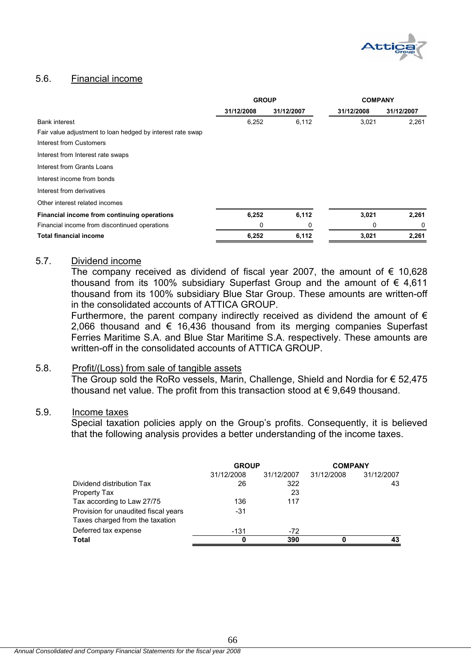

## 5.6. Financial income

|                                                            | <b>GROUP</b> |            | <b>COMPANY</b> |            |
|------------------------------------------------------------|--------------|------------|----------------|------------|
|                                                            | 31/12/2008   | 31/12/2007 | 31/12/2008     | 31/12/2007 |
| <b>Bank interest</b>                                       | 6,252        | 6,112      | 3,021          | 2,261      |
| Fair value adjustment to loan hedged by interest rate swap |              |            |                |            |
| Interest from Customers                                    |              |            |                |            |
| Interest from Interest rate swaps                          |              |            |                |            |
| Interest from Grants Loans                                 |              |            |                |            |
| Interest income from bonds                                 |              |            |                |            |
| Interest from derivatives                                  |              |            |                |            |
| Other interest related incomes                             |              |            |                |            |
| Financial income from continuing operations                | 6,252        | 6,112      | 3,021          | 2,261      |
| Financial income from discontinued operations              | 0            | 0          | 0              | 0          |
| <b>Total financial income</b>                              | 6,252        | 6,112      | 3,021          | 2,261      |

## 5.7. Dividend income

The company received as dividend of fiscal year 2007, the amount of  $\epsilon$  10,628 thousand from its 100% subsidiary Superfast Group and the amount of  $\epsilon$  4,611 thousand from its 100% subsidiary Blue Star Group. These amounts are written-off in the consolidated accounts of ATTICA GROUP.

Furthermore, the parent company indirectly received as dividend the amount of  $\epsilon$ 2,066 thousand and € 16,436 thousand from its merging companies Superfast Ferries Maritime S.A. and Blue Star Maritime S.A. respectively. These amounts are written-off in the consolidated accounts of ATTICA GROUP.

## 5.8. Profit/(Loss) from sale of tangible assets

The Group sold the RoRo vessels, Marin, Challenge, Shield and Nordia for € 52,475 thousand net value. The profit from this transaction stood at  $\epsilon$  9,649 thousand.

#### 5.9. Income taxes

Special taxation policies apply on the Group's profits. Consequently, it is believed that the following analysis provides a better understanding of the income taxes.

|            |            | <b>COMPANY</b> |            |  |
|------------|------------|----------------|------------|--|
| 31/12/2008 | 31/12/2007 | 31/12/2008     | 31/12/2007 |  |
| 26         | 322        |                | 43         |  |
|            | 23         |                |            |  |
| 136        | 117        |                |            |  |
| $-31$      |            |                |            |  |
|            |            |                |            |  |
| -131       | $-72$      |                |            |  |
| 0          | 390        |                | 43         |  |
|            |            | <b>GROUP</b>   |            |  |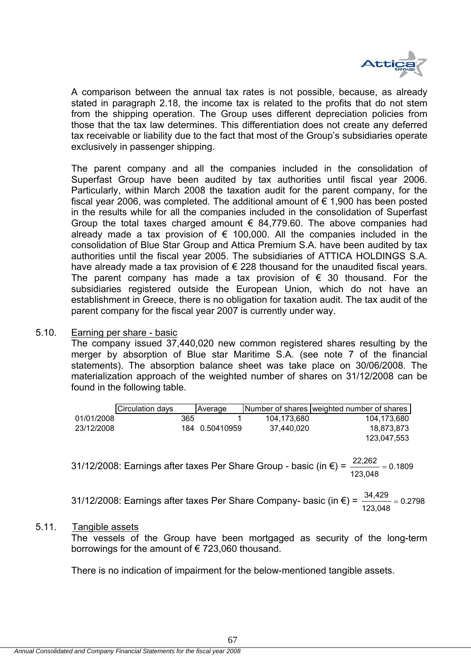

A comparison between the annual tax rates is not possible, because, as already stated in paragraph 2.18, the income tax is related to the profits that do not stem from the shipping operation. The Group uses different depreciation policies from those that the tax law determines. This differentiation does not create any deferred tax receivable or liability due to the fact that most of the Group's subsidiaries operate exclusively in passenger shipping.

The parent company and all the companies included in the consolidation of Superfast Group have been audited by tax authorities until fiscal year 2006. Particularly, within March 2008 the taxation audit for the parent company, for the fiscal year 2006, was completed. The additional amount of  $\epsilon$  1,900 has been posted in the results while for all the companies included in the consolidation of Superfast Group the total taxes charged amount  $\epsilon$  84,779.60. The above companies had already made a tax provision of  $\epsilon$  100,000. All the companies included in the consolidation of Blue Star Group and Attica Premium S.A. have been audited by tax authorities until the fiscal year 2005. The subsidiaries of ATTICA HOLDINGS S.A. have already made a tax provision of  $\epsilon$  228 thousand for the unaudited fiscal years. The parent company has made a tax provision of  $\epsilon$  30 thousand. For the subsidiaries registered outside the European Union, which do not have an establishment in Greece, there is no obligation for taxation audit. The tax audit of the parent company for the fiscal year 2007 is currently under way.

## 5.10. Earning per share - basic

The company issued 37,440,020 new common registered shares resulting by the merger by absorption of Blue star Maritime S.A. (see note 7 of the financial statements). The absorption balance sheet was take place on 30/06/2008. The materialization approach of the weighted number of shares on 31/12/2008 can be found in the following table.

|            | Circulation days |     | Average        |             | Number of shares weighted number of shares |
|------------|------------------|-----|----------------|-------------|--------------------------------------------|
| 01/01/2008 |                  | 365 |                | 104.173.680 | 104.173.680                                |
| 23/12/2008 |                  |     | 184 0.50410959 | 37.440.020  | 18.873.873                                 |
|            |                  |     |                |             | 123,047,553                                |

31/12/2008: Earnings after taxes Per Share Group - basic (in  $\varepsilon$ ) =  $\frac{22,202}{\cdots}$  = 0.1809 123,048  $\frac{22,262}{ }$  =

31/12/2008: Earnings after taxes Per Share Company- basic (in  $\epsilon$ ) =  $\frac{34,425}{2}$  = 0.2798 123,048  $\frac{34,429}{2}$  =

#### 5.11. Tangible assets

The vessels of the Group have been mortgaged as security of the long-term borrowings for the amount of  $\epsilon$  723,060 thousand.

There is no indication of impairment for the below-mentioned tangible assets.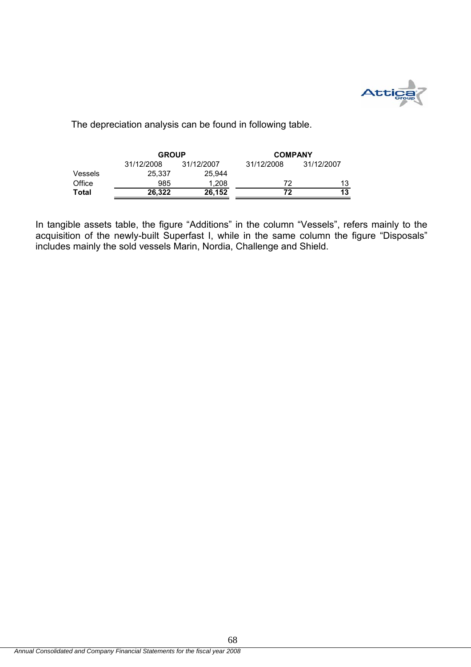

The depreciation analysis can be found in following table.

|         | <b>GROUP</b> |            | <b>COMPANY</b> |            |  |  |
|---------|--------------|------------|----------------|------------|--|--|
|         | 31/12/2008   | 31/12/2007 | 31/12/2008     | 31/12/2007 |  |  |
| Vessels | 25.337       | 25.944     |                |            |  |  |
| Office  | 985          | 1.208      | 72             | 13         |  |  |
| Total   | 26.322       | 26,152     | 72             | 13         |  |  |

In tangible assets table, the figure "Additions" in the column "Vessels", refers mainly to the acquisition of the newly-built Superfast I, while in the same column the figure "Disposals" includes mainly the sold vessels Marin, Nordia, Challenge and Shield.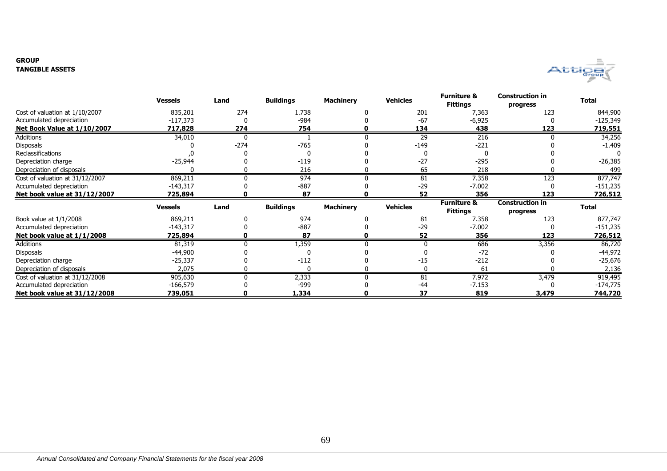#### **GROUPTANGIBLE ASSETS**



|                                 | <b>Vessels</b> | Land   | <b>Buildings</b> | <b>Machinery</b> | <b>Vehicles</b> | <b>Furniture &amp;</b><br><b>Fittings</b> | <b>Construction in</b><br>progress | <b>Total</b>   |
|---------------------------------|----------------|--------|------------------|------------------|-----------------|-------------------------------------------|------------------------------------|----------------|
| Cost of valuation at 1/10/2007  | 835,201        | 274    | 1.738            |                  | 201             | 7,363                                     | 123                                | 844,900        |
| Accumulated depreciation        | $-117,373$     |        | $-984$           |                  | $-67$           | $-6,925$                                  |                                    | -125,349       |
| Net Book Value at 1/10/2007     | 717,828        | 274    | 754              |                  | 134             | 438                                       | 123                                | <u>719,551</u> |
| Additions                       | 34,010         | 0      |                  |                  | 29              | 216                                       |                                    | 34,256         |
| <b>Disposals</b>                |                | $-274$ | $-765$           |                  | $-149$          | $-221$                                    |                                    | $-1.409$       |
| <b>Reclassifications</b>        |                |        |                  |                  |                 |                                           |                                    |                |
| Depreciation charge             | $-25,944$      |        | $-119$           |                  | $-27$           | $-295$                                    |                                    | $-26,385$      |
| Depreciation of disposals       |                |        | 216              |                  | 65              | 218                                       |                                    | 499            |
| Cost of valuation at 31/12/2007 | 869,211        | O      | 974              |                  | 81              | 7.358                                     | 123                                | 877,747        |
| Accumulated depreciation        | $-143,317$     |        | $-887$           |                  | $-29$           | $-7.002$                                  |                                    | $-151,235$     |
| Net book value at 31/12/2007    | 725,894        |        | 87               |                  | 52              | 356                                       | 123                                | 726,512        |
|                                 | <b>Vessels</b> | Land   | <b>Buildings</b> | <b>Machinery</b> | <b>Vehicles</b> | <b>Furniture &amp;</b>                    | <b>Construction in</b>             | <b>Total</b>   |
|                                 |                |        |                  |                  |                 | <b>Fittings</b>                           | progress                           |                |
| Book value at 1/1/2008          | 869,211        |        | 974              |                  | 81              | 7.358                                     | 123                                | 877,747        |
| Accumulated depreciation        | $-143,317$     |        | $-887$           |                  | $-29$           | $-7.002$                                  |                                    | $-151,235$     |
| Net book value at 1/1/2008      | 725,894        |        | 87               |                  | 52              | 356                                       | 123                                | 726,512        |
| Additions                       | 81,319         |        | 1,359            |                  | $\Omega$        | 686                                       | 3,356                              | 86,720         |
| <b>Disposals</b>                | $-44,900$      |        |                  |                  |                 | $-72$                                     |                                    | -44,972        |
| Depreciation charge             | $-25,337$      |        | $-112$           |                  | $-15$           | $-212$                                    |                                    | -25,676        |
| Depreciation of disposals       | 2,075          |        | 0                |                  | $\mathbf{0}$    | 61                                        |                                    | 2,136          |
| Cost of valuation at 31/12/2008 | 905,630        |        |                  |                  | 81              | 7.972                                     | 3,479                              | 919,495        |
|                                 |                |        | 2,333            |                  |                 |                                           |                                    |                |
| Accumulated depreciation        | $-166,579$     |        | -999             |                  | $-44$           | $-7.153$                                  |                                    | $-174,775$     |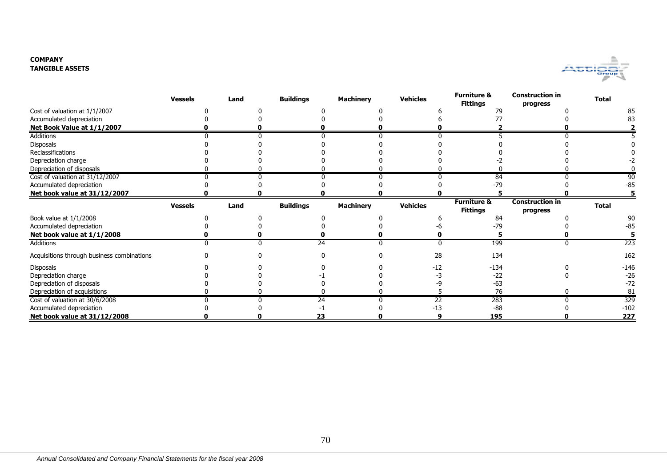#### **COMPANYTANGIBLE ASSETS**



|                                            | <b>Vessels</b> | Land | <b>Buildings</b> | <b>Machinery</b> | <b>Vehicles</b> | <b>Furniture &amp;</b><br><b>Fittings</b> | <b>Construction in</b><br>progress | <b>Total</b> |
|--------------------------------------------|----------------|------|------------------|------------------|-----------------|-------------------------------------------|------------------------------------|--------------|
| Cost of valuation at 1/1/2007              |                |      |                  |                  |                 | 79                                        |                                    |              |
| Accumulated depreciation                   |                |      |                  |                  |                 |                                           |                                    |              |
| Net Book Value at 1/1/2007                 |                |      |                  |                  |                 |                                           |                                    |              |
| <b>Additions</b>                           |                |      |                  |                  |                 |                                           |                                    |              |
| Disposals                                  |                |      |                  |                  |                 |                                           |                                    |              |
| Reclassifications                          |                |      |                  |                  |                 |                                           |                                    |              |
| Depreciation charge                        |                |      |                  |                  |                 |                                           |                                    |              |
| Depreciation of disposals                  |                |      |                  |                  |                 |                                           |                                    |              |
| Cost of valuation at 31/12/2007            |                |      |                  |                  |                 | 84                                        |                                    |              |
| Accumulated depreciation                   |                |      |                  |                  |                 | $-79$                                     |                                    | -85          |
| Net book value at 31/12/2007               |                |      |                  |                  |                 |                                           |                                    |              |
|                                            | <b>Vessels</b> | Land | <b>Buildings</b> | <b>Machinery</b> | <b>Vehicles</b> | <b>Furniture &amp;</b>                    | <b>Construction in</b>             | <b>Total</b> |
|                                            |                |      |                  |                  |                 | <b>Fittings</b>                           | progress                           |              |
| Book value at 1/1/2008                     |                |      |                  |                  |                 | 84                                        |                                    | 90           |
| Accumulated depreciation                   |                |      |                  |                  |                 | $-79$                                     |                                    | -85          |
| Net book value at 1/1/2008                 |                |      |                  |                  |                 |                                           |                                    |              |
| Additions                                  |                |      | 24               |                  |                 | 199                                       |                                    | 223          |
| Acquisitions through business combinations |                |      |                  |                  | 28              | 134                                       |                                    | 162          |
| Disposals                                  |                |      |                  |                  | -12             | $-134$                                    |                                    | $-146$       |
| Depreciation charge                        |                |      |                  |                  |                 | $-22$                                     |                                    | $-26$        |
| Depreciation of disposals                  |                |      |                  |                  |                 | $-63$                                     |                                    | $-72$        |
| Depreciation of acquisitions               |                |      |                  |                  |                 | 76                                        |                                    | 81           |
| Cost of valuation at 30/6/2008             |                |      | 24               |                  | 22              | 283                                       |                                    | 329          |
| Accumulated depreciation                   |                |      |                  |                  | -13             | $-88$                                     |                                    | $-102$       |
| Net book value at 31/12/2008               |                |      | 23               |                  |                 | 195                                       |                                    | 227          |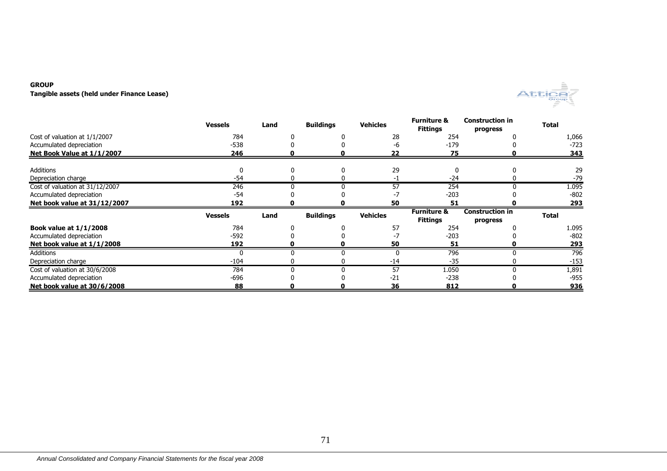## **GROUP**

**Tangible assets (held under Finance Lease)**



|                                 | <b>Vessels</b> | Land | <b>Buildings</b> | <b>Vehicles</b> | <b>Furniture &amp;</b><br><b>Fittings</b> | <b>Construction in</b><br>progress | <b>Total</b> |
|---------------------------------|----------------|------|------------------|-----------------|-------------------------------------------|------------------------------------|--------------|
| Cost of valuation at 1/1/2007   | 784            |      |                  | 28              | 254                                       |                                    | 1,066        |
| Accumulated depreciation        | $-538$         |      |                  | -6              | $-179$                                    |                                    | $-723$       |
| Net Book Value at 1/1/2007      | 246            |      |                  | 22              | 75                                        |                                    | 343          |
| Additions                       |                |      |                  | 29              | U                                         |                                    | 29           |
| Depreciation charge             | $-54$          |      |                  |                 | $-24$                                     |                                    | $-79$        |
| Cost of valuation at 31/12/2007 | 246            |      |                  | 57              | 254                                       |                                    | 1.095        |
| Accumulated depreciation        | $-54$          |      |                  |                 | $-203$                                    |                                    | $-802$       |
| Net book value at 31/12/2007    | 192            |      |                  | 50              | 51                                        |                                    | 293          |
|                                 | <b>Vessels</b> | Land | <b>Buildings</b> | <b>Vehicles</b> | <b>Furniture &amp;</b>                    | <b>Construction in</b>             | <b>Total</b> |
|                                 |                |      |                  |                 | <b>Fittings</b>                           | progress                           |              |
| <b>Book value at 1/1/2008</b>   | 784            |      |                  | 57              | 254                                       |                                    | 1.095        |
| Accumulated depreciation        | $-592$         |      |                  |                 | $-203$                                    |                                    | $-802$       |
| Net book value at 1/1/2008      | 192            |      |                  | 50              | 51                                        |                                    | <u>293</u>   |
| Additions                       |                |      |                  |                 | 796                                       |                                    | 796          |
| Depreciation charge             | $-104$         |      |                  | -14             | $-35$                                     |                                    | $-153$       |
| Cost of valuation at 30/6/2008  | 784            | U    |                  | 57              | 1.050                                     | U                                  | 1,891        |
| Accumulated depreciation        | $-696$         |      |                  | $-21$           | $-238$                                    |                                    | $-955$       |
| Net book value at 30/6/2008     | 88             |      |                  | 36              | 812                                       |                                    | 936          |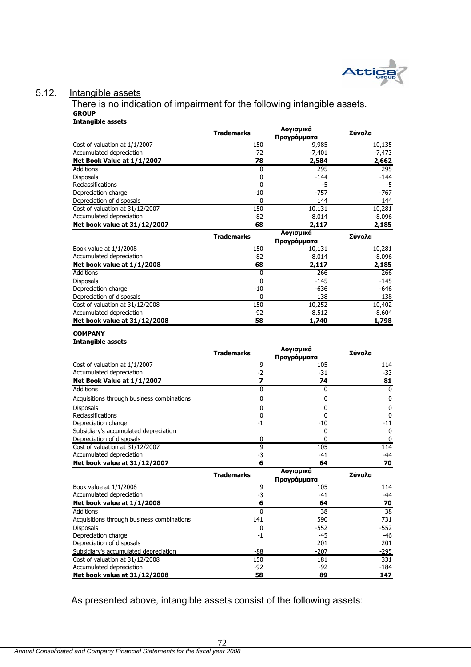

# 5.12. Intangible assets

There is no indication of impairment for the following intangible assets. **GROUP Intangible assets**

|                                                             | <b>Trademarks</b> | Λογισμικά<br>Προγράμματα | Σύνολα             |
|-------------------------------------------------------------|-------------------|--------------------------|--------------------|
| Cost of valuation at 1/1/2007                               | 150               | 9,985                    | 10,135             |
| Accumulated depreciation                                    | $-72$             | $-7,401$                 | $-7,473$           |
| Net Book Value at 1/1/2007                                  | 78                | 2,584                    | 2,662              |
| <b>Additions</b>                                            | 0                 | 295                      | 295                |
| <b>Disposals</b>                                            | $\mathbf{0}$      | $-144$                   | $-144$             |
| Reclassifications                                           | 0                 | -5                       | -5                 |
| Depreciation charge                                         | $-10$             | $-757$                   | -767               |
| Depreciation of disposals                                   | $\Omega$          | 144                      | 144                |
| Cost of valuation at 31/12/2007                             | 150               | 10.131                   | 10,281             |
| Accumulated depreciation                                    | $-82$             | $-8.014$                 | $-8.096$           |
| Net book value at 31/12/2007                                | 68                | 2,117                    | 2,185              |
|                                                             | <b>Trademarks</b> | Λογισμικά                | Σύνολα             |
|                                                             |                   | Προγράμματα              |                    |
| Book value at 1/1/2008<br>Accumulated depreciation          | 150<br>$-82$      | 10,131<br>$-8.014$       | 10,281<br>$-8.096$ |
|                                                             |                   |                          |                    |
| Net book value at 1/1/2008                                  | 68                | 2,117                    | 2,185              |
| <b>Additions</b>                                            | 0<br>$\mathbf{0}$ | 266                      | 266                |
| <b>Disposals</b>                                            | $-10$             | $-145$<br>-636           | -145<br>$-646$     |
| Depreciation charge                                         | $\mathbf{0}$      | 138                      |                    |
| Depreciation of disposals                                   |                   |                          | 138                |
| Cost of valuation at 31/12/2008<br>Accumulated depreciation | 150<br>$-92$      | 10,252<br>$-8.512$       | 10,402<br>$-8.604$ |
|                                                             |                   |                          |                    |
| Net book value at 31/12/2008                                | 58                | 1,740                    | 1,798              |
| <b>COMPANY</b>                                              |                   |                          |                    |
| <b>Intangible assets</b>                                    |                   |                          |                    |
|                                                             | <b>Trademarks</b> | Λογισμικά                | Σύνολα             |
|                                                             |                   | Προγράμματα              |                    |
| Cost of valuation at 1/1/2007                               | 9                 | 105                      | 114                |
| Accumulated depreciation                                    | $-2$              | $-31$                    | $-33$              |
| Net Book Value at 1/1/2007                                  | $\overline{z}$    | 74                       | 81                 |
| Additions                                                   | $\overline{0}$    | $\mathbf{0}$             | $\bf{0}$           |
| Acquisitions through business combinations                  | 0                 | 0                        | $\bf{0}$           |
| <b>Disposals</b>                                            | 0                 | 0                        | 0                  |
| Reclassifications                                           | 0                 | 0                        | $\mathbf 0$        |
| Depreciation charge                                         | -1                | -10                      | $-11$              |
| Subsidiary's accumulated depreciation                       |                   | 0                        | 0                  |
| Depreciation of disposals                                   | 0                 | $\Omega$                 | 0                  |
| Cost of valuation at 31/12/2007                             | 9                 | 105                      | $\overline{114}$   |
| Accumulated depreciation                                    | $-3$              | $-41$                    | $-44$              |
| Net book value at 31/12/2007                                | 6                 | 64                       | 70                 |
|                                                             | <b>Trademarks</b> | Λογισμικά                | Σύνολα             |
|                                                             |                   | Προνράμματα              |                    |
| Book value at 1/1/2008                                      | 9                 | 105                      | 114                |
| Accumulated depreciation                                    | $-3$              | $-41$                    | $-44$              |
| Net book value at 1/1/2008                                  | 6                 | 64                       | 70                 |
| Additions                                                   | 0                 | 38                       | $\overline{38}$    |
| Acquisitions through business combinations                  | 141               | 590                      | 731                |
| <b>Disposals</b>                                            | $\pmb{0}$         | $-552$                   | $-552$             |
| Depreciation charge                                         | -1                | $-45$                    | -46                |
| Depreciation of disposals                                   |                   | 201                      | 201                |
| Subsidiary's accumulated depreciation                       | $-88$             | $-207$                   | $-295$             |
| Cost of valuation at 31/12/2008                             | 150               | 181                      | 331                |
| Accumulated depreciation                                    | $-92$             | $-92$                    | $-184$             |
| Net book value at 31/12/2008                                | 58                | 89                       | 147                |

As presented above, intangible assets consist of the following assets:

72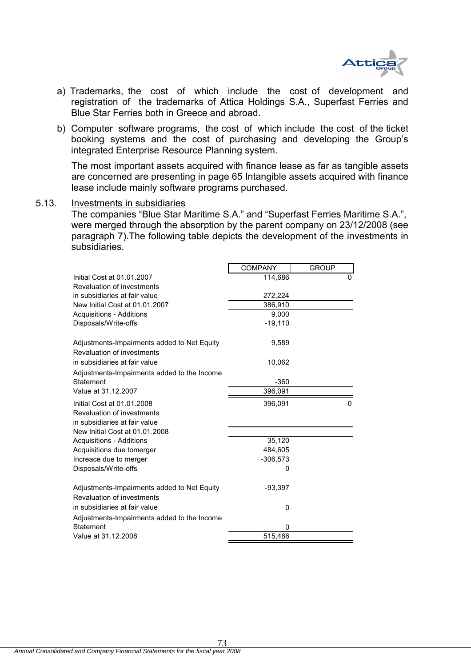

- a) Trademarks, the cost of which include the cost of development and registration of the trademarks of Attica Holdings S.A., Superfast Ferries and Blue Star Ferries both in Greece and abroad.
- b) Computer software programs, the cost of which include the cost of the ticket booking systems and the cost of purchasing and developing the Group's integrated Enterprise Resource Planning system.

The most important assets acquired with finance lease as far as tangible assets are concerned are presenting in page 65 Intangible assets acquired with finance lease include mainly software programs purchased.

### 5.13. Investments in subsidiaries

The companies "Blue Star Maritime S.A." and "Superfast Ferries Maritime S.A.", were merged through the absorption by the parent company on 23/12/2008 (see paragraph 7).The following table depicts the development of the investments in subsidiaries.

|                                             | <b>COMPANY</b> | <b>GROUP</b> |
|---------------------------------------------|----------------|--------------|
| Initial Cost at 01.01.2007                  | 114,686        | 0            |
| Revaluation of investments                  |                |              |
| in subsidiaries at fair value               | 272,224        |              |
| New Initial Cost at 01.01.2007              | 386,910        |              |
| <b>Acquisitions - Additions</b>             | 9,000          |              |
| Disposals/Write-offs                        | $-19,110$      |              |
| Adjustments-Impairments added to Net Equity | 9,589          |              |
| Revaluation of investments                  |                |              |
| in subsidiaries at fair value               | 10,062         |              |
| Adjustments-Impairments added to the Income |                |              |
| Statement                                   | $-360$         |              |
| Value at 31.12.2007                         | 396,091        |              |
| Initial Cost at 01.01.2008                  | 396,091        | 0            |
| Revaluation of investments                  |                |              |
| in subsidiaries at fair value               |                |              |
| New Initial Cost at 01.01.2008              |                |              |
| <b>Acquisitions - Additions</b>             | 35,120         |              |
| Acquisitions due tomerger                   | 484,605        |              |
| Increace due to merger                      | $-306,573$     |              |
| Disposals/Write-offs                        | O              |              |
| Adjustments-Impairments added to Net Equity | $-93,397$      |              |
| Revaluation of investments                  |                |              |
| in subsidiaries at fair value               | 0              |              |
| Adjustments-Impairments added to the Income |                |              |
| Statement                                   | 0              |              |
| Value at 31.12.2008                         | 515,486        |              |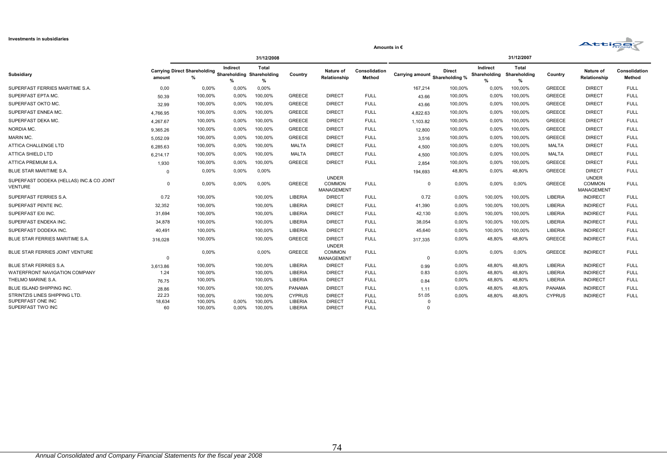| <b>Investments in subsidiaries</b>                                      |                       |                                                                |                      |                               |                                     |                                                    |                                           |                                |               |                      |                     |               | <b>Attice</b>                                      |                         |
|-------------------------------------------------------------------------|-----------------------|----------------------------------------------------------------|----------------------|-------------------------------|-------------------------------------|----------------------------------------------------|-------------------------------------------|--------------------------------|---------------|----------------------|---------------------|---------------|----------------------------------------------------|-------------------------|
|                                                                         |                       |                                                                |                      |                               |                                     |                                                    | Amounts in $\epsilon$                     |                                |               |                      |                     |               |                                                    |                         |
|                                                                         |                       |                                                                | Indirect             | 31/12/2008<br><b>Total</b>    |                                     |                                                    |                                           |                                |               | Indirect             | 31/12/2007<br>Total |               |                                                    |                         |
| Subsidiary                                                              | amount                | Carrying Direct Shareholding<br>Shareholding Shareholding<br>% | %                    | %                             | Country                             | Nature of<br>Relationship                          | Consolidation<br>Method                   | Carrying amount Shareholding % | <b>Direct</b> | Shareholding<br>$\%$ | Shareholding<br>%   | Country       | Nature of<br>Relationship                          | Consolidation<br>Method |
| SUPERFAST FERRIES MARITIME S.A.                                         | 0,00                  | $0.00\%$                                                       | $0.00\%$             | 0,00%                         |                                     |                                                    |                                           | 167,214                        | 100.00%       | $0.00\%$             | 100,00%             | <b>GREECE</b> | <b>DIRECT</b>                                      | <b>FULL</b>             |
| SUPERFAST EPTA MC.                                                      | 50.39                 | 100,00%                                                        | $0.00\%$             | 100,00%                       | <b>GREECE</b>                       | <b>DIRECT</b>                                      | <b>FULL</b>                               | 43.66                          | 100,00%       | $0.00\%$             | 100,00%             | <b>GREECE</b> | <b>DIRECT</b>                                      | <b>FULL</b>             |
| SUPERFAST OKTO MC.                                                      | 32.99                 | 100,00%                                                        | 0,00%                | 100,00%                       | <b>GREECE</b>                       | <b>DIRECT</b>                                      | <b>FULL</b>                               | 43.66                          | 100,00%       | $0,00\%$             | 100,00%             | <b>GREECE</b> | <b>DIRECT</b>                                      | <b>FULL</b>             |
| SUPERFAST ENNEA MC.                                                     | 4.766.95              | 100,00%                                                        | 0,00%                | 100,00%                       | <b>GREECE</b>                       | <b>DIRECT</b>                                      | <b>FULL</b>                               | 4,822.63                       | 100,00%       | $0,00\%$             | 100,00%             | <b>GREECE</b> | <b>DIRECT</b>                                      | <b>FULL</b>             |
| SUPERFAST DEKA MC.                                                      | 4.267.67              | 100,00%                                                        | 0,00%                | 100,00%                       | <b>GREECE</b>                       | <b>DIRECT</b>                                      | <b>FULL</b>                               | 1.103.82                       | 100,00%       | $0,00\%$             | 100,00%             | <b>GREECE</b> | <b>DIRECT</b>                                      | <b>FULL</b>             |
| NORDIA MC.                                                              | 9.365.26              | 100,00%                                                        | $0.00\%$             | 100,00%                       | <b>GREECE</b>                       | <b>DIRECT</b>                                      | <b>FULL</b>                               | 12,800                         | 100,00%       | $0.00\%$             | 100,00%             | <b>GREECE</b> | <b>DIRECT</b>                                      | <b>FULL</b>             |
| MARIN MC.                                                               | 5,052.09              | 100,00%                                                        | 0,00%                | 100,00%                       | <b>GREECE</b>                       | <b>DIRECT</b>                                      | <b>FULL</b>                               | 3,516                          | 100,00%       | $0,00\%$             | 100,00%             | <b>GREECE</b> | <b>DIRECT</b>                                      | <b>FULL</b>             |
| ATTICA CHALLENGE LTD                                                    | 6,285.63              | 100,00%                                                        | 0,00%                | 100,00%                       | <b>MALTA</b>                        | <b>DIRECT</b>                                      | <b>FULL</b>                               | 4,500                          | 100,00%       | 0,00%                | 100,00%             | <b>MALTA</b>  | <b>DIRECT</b>                                      | <b>FULL</b>             |
| ATTICA SHIELD LTD                                                       | 6.214.17              | 100,00%                                                        | 0,00%                | 100,00%                       | <b>MALTA</b>                        | <b>DIRECT</b>                                      | <b>FULL</b>                               | 4,500                          | 100,00%       | 0,00%                | 100,00%             | <b>MALTA</b>  | <b>DIRECT</b>                                      | <b>FULL</b>             |
| ATTICA PREMIUM S.A.                                                     | 1,930                 | 100,00%                                                        | $0,00\%$             | 100,00%                       | <b>GREECE</b>                       | <b>DIRECT</b>                                      | <b>FULL</b>                               | 2.854                          | 100,00%       | $0,00\%$             | 100,00%             | <b>GREECE</b> | <b>DIRECT</b>                                      | <b>FULL</b>             |
| BLUE STAR MARITIME S.A.                                                 | $\Omega$              | 0,00%                                                          | 0,00%                | $0,00\%$                      |                                     |                                                    |                                           | 194,693                        | 48,80%        | $0,00\%$             | 48,80%              | <b>GREECE</b> | <b>DIRECT</b>                                      | <b>FULL</b>             |
| SUPERFAST DODEKA (HELLAS) INC.& CO JOINT<br>VENTURE                     | $\Omega$              | $0,00\%$                                                       | 0,00%                | 0,00%                         | <b>GREECE</b>                       | <b>UNDER</b><br><b>COMMON</b><br><b>MANAGEMENT</b> | <b>FULL</b>                               | $\Omega$                       | 0,00%         | $0,00\%$             | 0,00%               | <b>GREECE</b> | <b>UNDER</b><br><b>COMMON</b><br><b>MANAGEMENT</b> | <b>FULL</b>             |
| SUPERFAST FERRIES S.A.                                                  | 0.72                  | 100,00%                                                        |                      | 100,00%                       | LIBERIA                             | <b>DIRECT</b>                                      | <b>FULL</b>                               | 0.72                           | 0,00%         | 100,00%              | 100,00%             | LIBERIA       | <b>INDIRECT</b>                                    | <b>FULL</b>             |
| SUPERFAST PENTE INC.                                                    | 32,352                | 100.00%                                                        |                      | 100,00%                       | LIBERIA                             | <b>DIRECT</b>                                      | <b>FULL</b>                               | 41,390                         | $0.00\%$      | 100,00%              | 100,00%             | LIBERIA       | <b>INDIRECT</b>                                    | <b>FULL</b>             |
| SUPERFAST EXI INC.                                                      | 31,694                | 100,00%                                                        |                      | 100,00%                       | LIBERIA                             | <b>DIRECT</b>                                      | <b>FULL</b>                               | 42,130                         | 0,00%         | 100,00%              | 100,00%             | LIBERIA       | <b>INDIRECT</b>                                    | <b>FULL</b>             |
| SUPERFAST ENDEKA INC.                                                   | 34,878                | 100,00%                                                        |                      | 100,00%                       | LIBERIA                             | <b>DIRECT</b>                                      | <b>FULL</b>                               | 38,054                         | 0,00%         | 100,00%              | 100,00%             | LIBERIA       | <b>INDIRECT</b>                                    | <b>FULL</b>             |
| SUPERFAST DODEKA INC.                                                   | 40,491                | 100,00%                                                        |                      | 100,00%                       | LIBERIA                             | <b>DIRECT</b>                                      | <b>FULL</b>                               | 45,640                         | 0,00%         | 100,00%              | 100,00%             | LIBERIA       | <b>INDIRECT</b>                                    | <b>FULL</b>             |
| BLUE STAR FERRIES MARITIME S.A                                          | 316.028               | 100.00%                                                        |                      | 100,00%                       | <b>GREECE</b>                       | <b>DIRECT</b><br><b>UNDER</b>                      | <b>FULL</b>                               | 317,335                        | 0.00%         | 48,80%               | 48,80%              | <b>GREECE</b> | <b>INDIRECT</b>                                    | <b>FULL</b>             |
| BLUE STAR FERRIES JOINT VENTURE                                         | $\Omega$              | $0,00\%$                                                       |                      | 0,00%                         | <b>GREECE</b>                       | <b>COMMON</b><br>MANAGEMENT                        | <b>FULL</b>                               | $\Omega$                       | 0.00%         | $0,00\%$             | 0,00%               | <b>GREECE</b> | <b>INDIRECT</b>                                    | <b>FULL</b>             |
| <b>BLUE STAR FERRIES S.A.</b>                                           | 3,613.86              | 100,00%                                                        |                      | 100,00%                       | LIBERIA                             | <b>DIRECT</b>                                      | <b>FULL</b>                               | 0.99                           | 0,00%         | 48,80%               | 48.80%              | LIBERIA       | <b>INDIRECT</b>                                    | <b>FULL</b>             |
| WATERFRONT NAVIGATION COMPANY                                           | 1.24                  | 100,00%                                                        |                      | 100,00%                       | LIBERIA                             | <b>DIRECT</b>                                      | <b>FULL</b>                               | 0.83                           | 0,00%         | 48,80%               | 48,80%              | LIBERIA       | <b>INDIRECT</b>                                    | <b>FULL</b>             |
| THELMO MARINE S.A                                                       | 76.75                 | 100,00%                                                        |                      | 100,00%                       | LIBERIA                             | <b>DIRECT</b>                                      | <b>FULL</b>                               | 0.84                           | 0.00%         | 48,80%               | 48,80%              | LIBERIA       | <b>INDIRECT</b>                                    | <b>FULL</b>             |
| BLUE ISLAND SHIPPING INC.                                               | 28.86                 | 100,00%                                                        |                      | 100,00%                       | <b>PANAMA</b>                       | <b>DIRECT</b>                                      | <b>FULL</b>                               | 1.11                           | 0,00%         | 48,80%               | 48,80%              | <b>PANAMA</b> | <b>INDIRECT</b>                                    | <b>FULL</b>             |
| STRINTZIS LINES SHIPPING LTD.<br>SUPERFAST ONE INC<br>SUPERFAST TWO INC | 22.23<br>18,634<br>60 | 100,00%<br>100,00%<br>100.00%                                  | $0,00\%$<br>$0.00\%$ | 100,00%<br>100,00%<br>100,00% | <b>CYPRUS</b><br>LIBERIA<br>LIBERIA | <b>DIRECT</b><br><b>DIRECT</b><br><b>DIRECT</b>    | <b>FULL</b><br><b>FULL</b><br><b>FULL</b> | 51.05<br>$\Omega$<br>$\Omega$  | 0.00%         | 48,80%               | 48,80%              | <b>CYPRUS</b> | <b>INDIRECT</b>                                    | <b>FULL</b>             |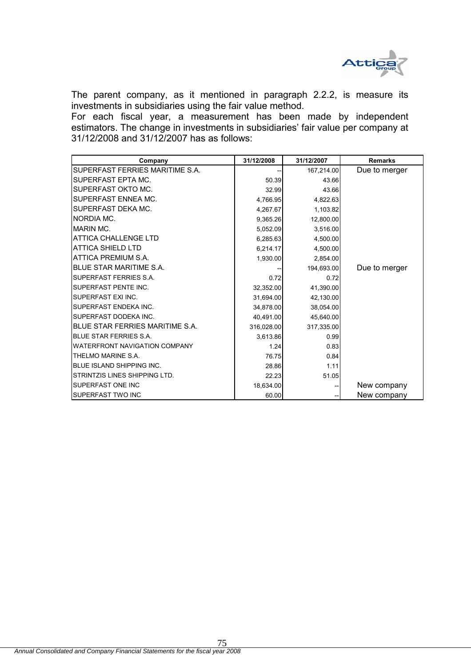

The parent company, as it mentioned in paragraph 2.2.2, is measure its investments in subsidiaries using the fair value method.

For each fiscal year, a measurement has been made by independent estimators. The change in investments in subsidiaries' fair value per company at 31/12/2008 and 31/12/2007 has as follows:

| Company                         | 31/12/2008 | 31/12/2007 | <b>Remarks</b> |
|---------------------------------|------------|------------|----------------|
| SUPERFAST FERRIES MARITIME S.A. |            | 167,214.00 | Due to merger  |
| SUPERFAST EPTA MC.              | 50.39      | 43.66      |                |
| SUPERFAST OKTO MC.              | 32.99      | 43.66      |                |
| SUPERFAST ENNEA MC.             | 4,766.95   | 4,822.63   |                |
| SUPERFAST DEKA MC.              | 4,267.67   | 1,103.82   |                |
| NORDIA MC.                      | 9,365.26   | 12,800.00  |                |
| <b>MARIN MC.</b>                | 5,052.09   | 3,516.00   |                |
| <b>ATTICA CHALLENGE LTD</b>     | 6,285.63   | 4,500.00   |                |
| <b>ATTICA SHIELD LTD</b>        | 6,214.17   | 4,500.00   |                |
| ATTICA PREMIUM S.A.             | 1,930.00   | 2,854.00   |                |
| <b>BLUE STAR MARITIME S.A.</b>  |            | 194,693.00 | Due to merger  |
| SUPERFAST FERRIES S.A.          | 0.72       | 0.72       |                |
| SUPERFAST PENTE INC.            | 32,352.00  | 41,390.00  |                |
| SUPERFAST EXI INC.              | 31,694.00  | 42,130.00  |                |
| SUPERFAST ENDEKA INC.           | 34,878.00  | 38,054.00  |                |
| SUPERFAST DODEKA INC.           | 40,491.00  | 45,640.00  |                |
| BLUE STAR FERRIES MARITIME S.A. | 316,028.00 | 317,335.00 |                |
| <b>BLUE STAR FERRIES S.A.</b>   | 3,613.86   | 0.99       |                |
| WATERFRONT NAVIGATION COMPANY   | 1.24       | 0.83       |                |
| THELMO MARINE S.A.              | 76.75      | 0.84       |                |
| BLUE ISLAND SHIPPING INC.       | 28.86      | 1.11       |                |
| STRINTZIS LINES SHIPPING LTD.   | 22.23      | 51.05      |                |
| SUPERFAST ONE INC               | 18,634.00  |            | New company    |
| SUPERFAST TWO INC               | 60.00      |            | New company    |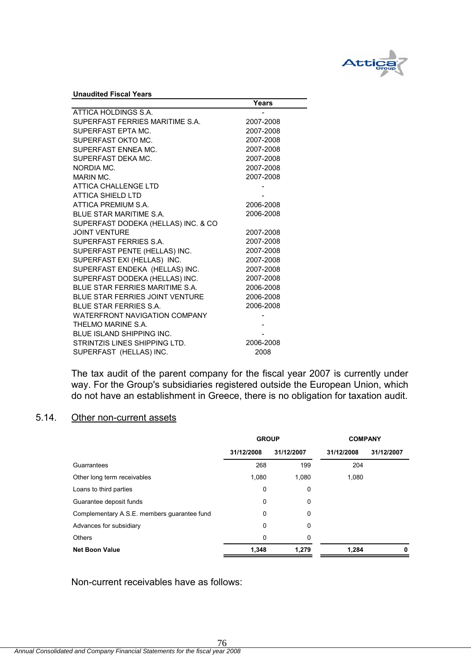

**Unaudited Fiscal Years**

|                                        | Years     |
|----------------------------------------|-----------|
| ATTICA HOLDINGS S.A.                   |           |
| SUPERFAST FERRIES MARITIME S.A.        | 2007-2008 |
| SUPERFAST EPTA MC.                     | 2007-2008 |
| SUPERFAST OKTO MC.                     | 2007-2008 |
| SUPERFAST FNNFA MC.                    | 2007-2008 |
| SUPERFAST DEKA MC.                     | 2007-2008 |
| NORDIA MC.                             | 2007-2008 |
| MARIN MC.                              | 2007-2008 |
| <b>ATTICA CHALLENGE LTD</b>            |           |
| <b>ATTICA SHIELD LTD</b>               |           |
| ATTICA PREMIUM S.A.                    | 2006-2008 |
| BI UF STAR MARITIME S.A.               | 2006-2008 |
| SUPERFAST DODEKA (HELLAS) INC. & CO    |           |
| <b>JOINT VENTURE</b>                   | 2007-2008 |
| SUPERFAST FERRIES S.A.                 | 2007-2008 |
| SUPERFAST PENTE (HELLAS) INC.          | 2007-2008 |
| SUPERFAST EXI (HELLAS) INC.            | 2007-2008 |
| SUPERFAST ENDEKA (HELLAS) INC.         | 2007-2008 |
| SUPERFAST DODEKA (HELLAS) INC.         | 2007-2008 |
| BLUE STAR FERRIES MARITIME S.A.        | 2006-2008 |
| <b>BLUE STAR FERRIES JOINT VENTURE</b> | 2006-2008 |
| BLUE STAR FERRIES S.A.                 | 2006-2008 |
| <b>WATERFRONT NAVIGATION COMPANY</b>   |           |
| THELMO MARINE S.A.                     |           |
| <b>BLUE ISLAND SHIPPING INC.</b>       |           |
| STRINTZIS LINES SHIPPING LTD.          | 2006-2008 |
| SUPERFAST (HELLAS) INC.                | 2008      |

The tax audit of the parent company for the fiscal year 2007 is currently under way. For the Group's subsidiaries registered outside the European Union, which do not have an establishment in Greece, there is no obligation for taxation audit.

# 5.14. Other non-current assets

|                                             | <b>GROUP</b> |            | <b>COMPANY</b> |            |  |
|---------------------------------------------|--------------|------------|----------------|------------|--|
|                                             | 31/12/2008   | 31/12/2007 | 31/12/2008     | 31/12/2007 |  |
| Guarrantees                                 | 268          | 199        | 204            |            |  |
| Other long term receivables                 | 1,080        | 1,080      | 1,080          |            |  |
| Loans to third parties                      | 0            | 0          |                |            |  |
| Guarantee deposit funds                     | 0            | 0          |                |            |  |
| Complementary A.S.E. members guarantee fund | 0            | 0          |                |            |  |
| Advances for subsidiary                     | 0            | 0          |                |            |  |
| <b>Others</b>                               | 0            | 0          |                |            |  |
| <b>Net Boon Value</b>                       | 1,348        | 1,279      | 1,284          | 0          |  |

Non-current receivables have as follows: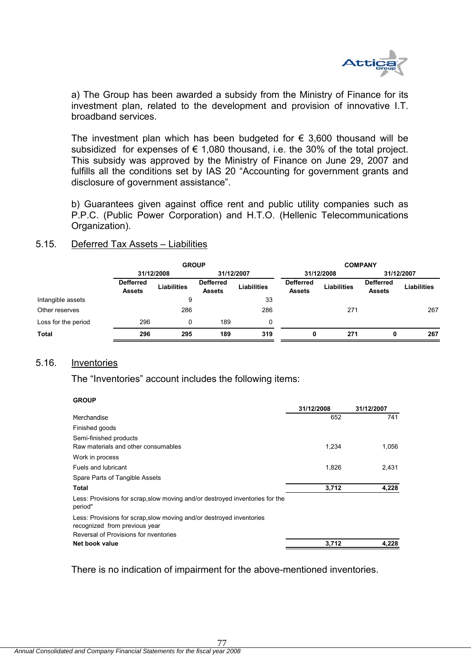

 a) The Group has been awarded a subsidy from the Ministry of Finance for its investment plan, related to the development and provision of innovative I.T. broadband services.

The investment plan which has been budgeted for  $\epsilon$  3,600 thousand will be subsidized for expenses of  $\epsilon$  1,080 thousand, i.e. the 30% of the total project. This subsidy was approved by the Ministry of Finance on June 29, 2007 and fulfills all the conditions set by IAS 20 "Accounting for government grants and disclosure of government assistance".

b) Guarantees given against office rent and public utility companies such as P.P.C. (Public Power Corporation) and H.T.O. (Hellenic Telecommunications Organization).

### 5.15. Deferred Tax Assets – Liabilities

|                     | <b>GROUP</b>                      |                    |                                   |                    | <b>COMPANY</b>                    |                    |                                   |                    |
|---------------------|-----------------------------------|--------------------|-----------------------------------|--------------------|-----------------------------------|--------------------|-----------------------------------|--------------------|
|                     |                                   | 31/12/2008         | 31/12/2007                        |                    | 31/12/2008                        |                    | 31/12/2007                        |                    |
|                     | <b>Defferred</b><br><b>Assets</b> | <b>Liabilities</b> | <b>Defferred</b><br><b>Assets</b> | <b>Liabilities</b> | <b>Defferred</b><br><b>Assets</b> | <b>Liabilities</b> | <b>Defferred</b><br><b>Assets</b> | <b>Liabilities</b> |
| Intangible assets   |                                   | 9                  |                                   | 33                 |                                   |                    |                                   |                    |
| Other reserves      |                                   | 286                |                                   | 286                |                                   | 271                |                                   | 267                |
| Loss for the period | 296                               | 0                  | 189                               | 0                  |                                   |                    |                                   |                    |
| <b>Total</b>        | 296                               | 295                | 189                               | 319                | 0                                 | 271                | 0                                 | 267                |

### 5.16. Inventories

**GROUP**

The "Inventories" account includes the following items:

| uruur                                                                                                 |            |            |
|-------------------------------------------------------------------------------------------------------|------------|------------|
|                                                                                                       | 31/12/2008 | 31/12/2007 |
| Merchandise                                                                                           | 652        | 741        |
| Finished goods                                                                                        |            |            |
| Semi-finished products                                                                                |            |            |
| Raw materials and other consumables                                                                   | 1,234      | 1,056      |
| Work in process                                                                                       |            |            |
| Fuels and lubricant                                                                                   | 1,826      | 2,431      |
| Spare Parts of Tangible Assets                                                                        |            |            |
| Total                                                                                                 | 3,712      | 4,228      |
| Less: Provisions for scrap, slow moving and/or destroyed inventories for the<br>period"               |            |            |
| Less: Provisions for scrap, slow moving and/or destroyed inventories<br>recognized from previous year |            |            |
| Reversal of Provisions for nyentories                                                                 |            |            |
| Net book value                                                                                        | 3,712      | 4,228      |

There is no indication of impairment for the above-mentioned inventories.

77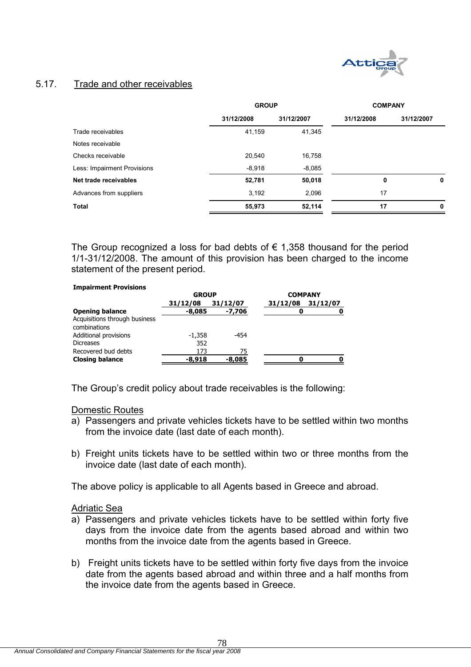

# 5.17. Trade and other receivables

|                             | <b>GROUP</b> |            | <b>COMPANY</b> |            |  |
|-----------------------------|--------------|------------|----------------|------------|--|
|                             | 31/12/2008   | 31/12/2007 | 31/12/2008     | 31/12/2007 |  |
| Trade receivables           | 41,159       | 41,345     |                |            |  |
| Notes receivable            |              |            |                |            |  |
| Checks receivable           | 20,540       | 16,758     |                |            |  |
| Less: Impairment Provisions | $-8,918$     | $-8,085$   |                |            |  |
| Net trade receivables       | 52,781       | 50,018     | 0              | 0          |  |
| Advances from suppliers     | 3,192        | 2.096      | 17             |            |  |
| <b>Total</b>                | 55,973       | 52,114     | 17             | 0          |  |

The Group recognized a loss for bad debts of  $\epsilon$  1,358 thousand for the period 1/1-31/12/2008. The amount of this provision has been charged to the income statement of the present period.

### **Impairment Provisions**

|                               | <b>GROUP</b> |          | <b>COMPANY</b> |          |
|-------------------------------|--------------|----------|----------------|----------|
|                               | 31/12/08     | 31/12/07 | 31/12/08       | 31/12/07 |
| <b>Opening balance</b>        | $-8,085$     | -7,706   | O              |          |
| Acquisitions through business |              |          |                |          |
| combinations                  |              |          |                |          |
| Additional provisions         | $-1,358$     | -454     |                |          |
| <b>Dicreases</b>              | 352          |          |                |          |
| Recovered bud debts           | 173          | 75       |                |          |
| <b>Closing balance</b>        | $-8.918$     | $-8,085$ |                |          |

The Group's credit policy about trade receivables is the following:

### Domestic Routes

- a) Passengers and private vehicles tickets have to be settled within two months from the invoice date (last date of each month).
- b) Freight units tickets have to be settled within two or three months from the invoice date (last date of each month).

The above policy is applicable to all Agents based in Greece and abroad.

### Adriatic Sea

- a) Passengers and private vehicles tickets have to be settled within forty five days from the invoice date from the agents based abroad and within two months from the invoice date from the agents based in Greece.
- b) Freight units tickets have to be settled within forty five days from the invoice date from the agents based abroad and within three and a half months from the invoice date from the agents based in Greece.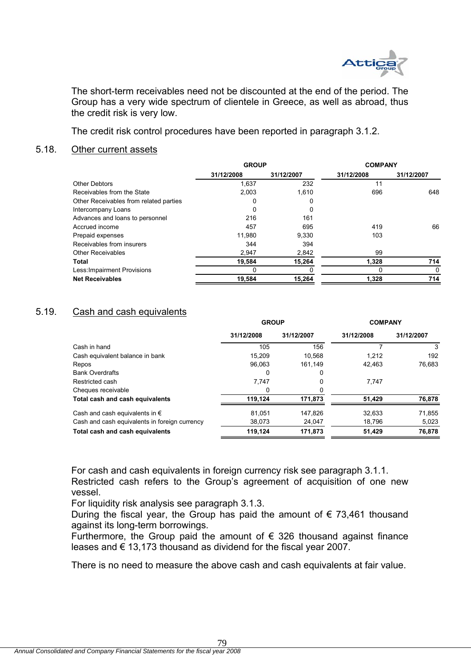

The short-term receivables need not be discounted at the end of the period. The Group has a very wide spectrum of clientele in Greece, as well as abroad, thus the credit risk is very low.

The credit risk control procedures have been reported in paragraph 3.1.2.

### 5.18. Other current assets

|                                        | <b>GROUP</b> |            | <b>COMPANY</b> |            |
|----------------------------------------|--------------|------------|----------------|------------|
|                                        | 31/12/2008   | 31/12/2007 | 31/12/2008     | 31/12/2007 |
| <b>Other Debtors</b>                   | 1,637        | 232        | 11             |            |
| Receivables from the State             | 2,003        | 1.610      | 696            | 648        |
| Other Receivables from related parties | 0            | O          |                |            |
| Intercompany Loans                     | 0            | $\Omega$   |                |            |
| Advances and loans to personnel        | 216          | 161        |                |            |
| Accrued income                         | 457          | 695        | 419            | 66         |
| Prepaid expenses                       | 11,980       | 9.330      | 103            |            |
| Receivables from insurers              | 344          | 394        |                |            |
| <b>Other Receivables</b>               | 2,947        | 2,842      | 99             |            |
| <b>Total</b>                           | 19,584       | 15,264     | 1,328          | 714        |
| Less: Impairment Provisions            |              |            |                | 0          |
| <b>Net Receivables</b>                 | 19,584       | 15,264     | 1.328          | 714        |
|                                        |              |            |                |            |

# 5.19. Cash and cash equivalents

|                                               | <b>GROUP</b> |            | <b>COMPANY</b> |            |  |
|-----------------------------------------------|--------------|------------|----------------|------------|--|
|                                               | 31/12/2008   | 31/12/2007 | 31/12/2008     | 31/12/2007 |  |
| Cash in hand                                  | 105          | 156        |                | 3          |  |
| Cash equivalent balance in bank               | 15,209       | 10,568     | 1.212          | 192        |  |
| Repos                                         | 96.063       | 161.149    | 42.463         | 76.683     |  |
| <b>Bank Overdrafts</b>                        | 0            | 0          |                |            |  |
| Restricted cash                               | 7,747        | 0          | 7.747          |            |  |
| Cheques receivable                            | 0            |            |                |            |  |
| Total cash and cash equivalents               | 119.124      | 171,873    | 51,429         | 76,878     |  |
| Cash and cash equivalents in $\epsilon$       | 81,051       | 147,826    | 32,633         | 71,855     |  |
| Cash and cash equivalents in foreign currency | 38,073       | 24,047     | 18,796         | 5,023      |  |
| Total cash and cash equivalents               | 119,124      | 171,873    | 51,429         | 76,878     |  |

For cash and cash equivalents in foreign currency risk see paragraph 3.1.1. Restricted cash refers to the Group's agreement of acquisition of one new vessel.

For liquidity risk analysis see paragraph 3.1.3.

During the fiscal year, the Group has paid the amount of  $\epsilon$  73,461 thousand against its long-term borrowings.

Furthermore, the Group paid the amount of  $\epsilon$  326 thousand against finance leases and  $\epsilon$  13,173 thousand as dividend for the fiscal year 2007.

There is no need to measure the above cash and cash equivalents at fair value.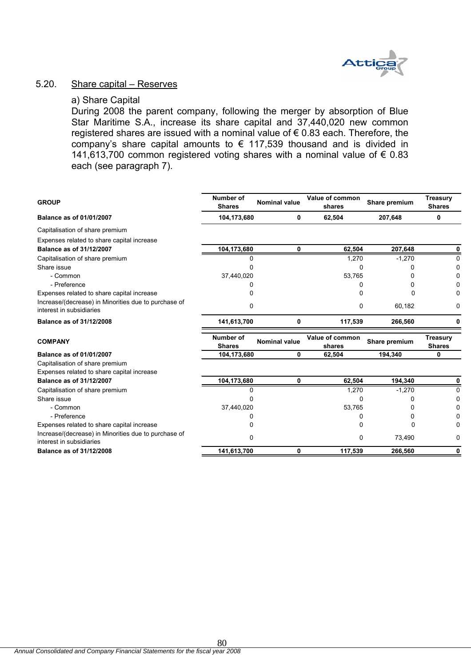

### 5.20. Share capital – Reserves

### a) Share Capital

During 2008 the parent company, following the merger by absorption of Blue Star Maritime S.A., increase its share capital and 37,440,020 new common registered shares are issued with a nominal value of € 0.83 each. Therefore, the company's share capital amounts to  $\epsilon$  117,539 thousand and is divided in 141,613,700 common registered voting shares with a nominal value of € 0.83 each (see paragraph 7).

| <b>GROUP</b>                                                                     | Number of<br><b>Shares</b> | <b>Nominal value</b> | Value of common<br>shares | Share premium | <b>Treasury</b><br><b>Shares</b> |
|----------------------------------------------------------------------------------|----------------------------|----------------------|---------------------------|---------------|----------------------------------|
| Balance as of 01/01/2007                                                         | 104,173,680                | 0                    | 62,504                    | 207,648       | 0                                |
| Capitalisation of share premium                                                  |                            |                      |                           |               |                                  |
| Expenses related to share capital increase                                       |                            |                      |                           |               |                                  |
| Balance as of 31/12/2007                                                         | 104,173,680                | 0                    | 62,504                    | 207.648       | 0                                |
| Capitalisation of share premium                                                  | n                          |                      | 1,270                     | $-1,270$      | <sup>0</sup>                     |
| Share issue                                                                      |                            |                      | O                         | O             | 0                                |
| - Common                                                                         | 37,440,020                 |                      | 53,765                    |               |                                  |
| - Preference                                                                     |                            |                      | 0                         | O             |                                  |
| Expenses related to share capital increase                                       |                            |                      | 0                         | 0             |                                  |
| Increase/(decrease) in Minorities due to purchase of<br>interest in subsidiaries | 0                          |                      | 0                         | 60,182        | 0                                |
| Balance as of 31/12/2008                                                         | 141,613,700                | 0                    | 117,539                   | 266,560       | 0                                |
| <b>COMPANY</b>                                                                   | Number of<br><b>Shares</b> | <b>Nominal value</b> | Value of common<br>shares | Share premium | <b>Treasury</b><br><b>Shares</b> |
| Balance as of 01/01/2007                                                         | 104,173,680                | 0                    | 62,504                    | 194.340       | 0                                |
| Capitalisation of share premium                                                  |                            |                      |                           |               |                                  |
| Expenses related to share capital increase                                       |                            |                      |                           |               |                                  |
| Balance as of 31/12/2007                                                         | 104,173,680                | 0                    | 62,504                    | 194,340       | 0                                |
|                                                                                  |                            |                      |                           |               |                                  |
| Capitalisation of share premium                                                  |                            |                      | 1,270                     | $-1,270$      | 0                                |
| Share issue                                                                      |                            |                      | 0                         |               | n                                |
| - Common                                                                         | 37,440,020                 |                      | 53,765                    |               |                                  |
| - Preference                                                                     |                            |                      |                           | 0             |                                  |
| Expenses related to share capital increase                                       |                            |                      | O                         | 0             |                                  |
| Increase/(decrease) in Minorities due to purchase of<br>interest in subsidiaries | 0                          |                      | 0                         | 73,490        | 0                                |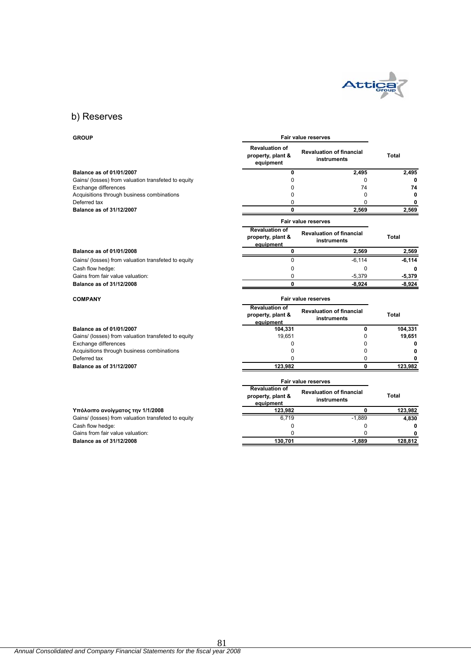

**Fair value reserves**

# b) Reserves

### **GROUP**

|                                                     | <b>Revaluation of</b><br>property, plant &<br>equipment | <b>Revaluation of financial</b><br>instruments | Total        |
|-----------------------------------------------------|---------------------------------------------------------|------------------------------------------------|--------------|
| Balance as of 01/01/2007                            | 0                                                       | 2,495                                          | 2,495        |
| Gains/ (losses) from valuation transfeted to equity | $\Omega$                                                | $\Omega$                                       |              |
| Exchange differences                                | 0                                                       | 74                                             | 74           |
| Acquisitions through business combinations          | 0                                                       | $\Omega$                                       | 0            |
| Deferred tax                                        | 0                                                       | $\Omega$                                       | 0            |
| Balance as of 31/12/2007                            | $\mathbf{0}$                                            | 2,569                                          | 2,569        |
|                                                     |                                                         | <b>Fair value reserves</b>                     |              |
|                                                     | <b>Revaluation of</b><br>property, plant &<br>equipment | <b>Revaluation of financial</b><br>instruments | <b>Total</b> |
| Balance as of 01/01/2008                            | 0                                                       | 2,569                                          | 2,569        |
| Gains/ (losses) from valuation transfeted to equity | $\Omega$                                                | $-6, 114$                                      | $-6, 114$    |
| Cash flow hedge:                                    | 0                                                       | $\Omega$                                       |              |
| Gains from fair value valuation:                    | 0                                                       | $-5,379$                                       | $-5,379$     |
| Balance as of 31/12/2008                            | 0                                                       | $-8,924$                                       | $-8,924$     |
| <b>COMPANY</b>                                      |                                                         | <b>Fair value reserves</b>                     |              |
|                                                     | <b>Revaluation of</b><br>property, plant &<br>equipment | <b>Revaluation of financial</b><br>instruments | Total        |
| Balance as of 01/01/2007                            | 104,331                                                 | 0                                              | 104,331      |
| Gains/ (losses) from valuation transfeted to equity | 19,651                                                  | 0                                              | 19,651       |
| Exchange differences                                | $\Omega$                                                | $\Omega$                                       | 0            |
| Acquisitions through business combinations          | $\Omega$                                                | $\Omega$                                       | 0            |
| Deferred tax                                        | O                                                       | 0                                              |              |
| Balance as of 31/12/2007                            | 123,982                                                 | 0                                              | 123,982      |
|                                                     |                                                         | <b>Fair value reserves</b>                     |              |
|                                                     | <b>Revaluation of</b><br>property, plant &<br>equipment | <b>Revaluation of financial</b><br>instruments | Total        |
| Υπόλοιπο ανοίγματος την 1/1/2008                    | 123,982                                                 | 0                                              | 123,982      |
| Gains/ (losses) from valuation transfeted to equity | 6,719                                                   | $-1,889$                                       | 4,830        |
|                                                     |                                                         |                                                |              |
| Cash flow hedge:                                    | 0                                                       | 0                                              | 0            |
| Gains from fair value valuation:                    | 0                                                       | 0                                              | 128,812      |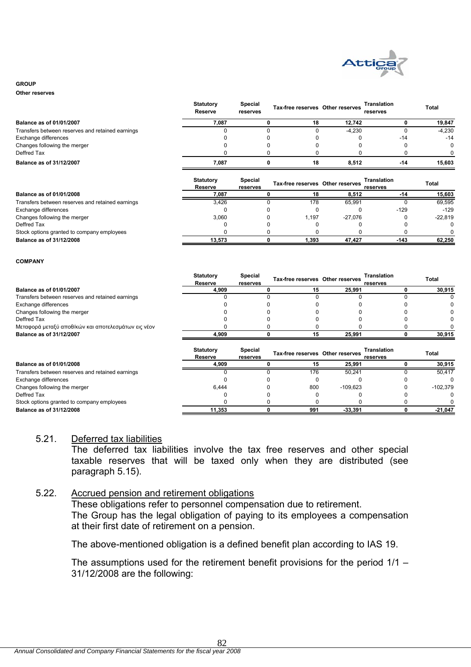

#### **GROUP**

**Other reserves**

|                                                  | <b>Statutory</b><br>Reserve | <b>Special</b><br>reserves |    | Tax-free reserves Other reserves | <b>Translation</b><br>reserves | <b>Total</b> |
|--------------------------------------------------|-----------------------------|----------------------------|----|----------------------------------|--------------------------------|--------------|
| <b>Balance as of 01/01/2007</b>                  | 7.087                       |                            | 18 | 12.742                           |                                | 19,847       |
| Transfers between reserves and retained earnings |                             |                            |    | $-4,230$                         |                                | $-4,230$     |
| Exchange differences                             |                             |                            |    |                                  | $-14$                          | $-14$        |
| Changes following the merger                     |                             |                            |    |                                  |                                | 0            |
| Deffred Tax                                      |                             |                            |    |                                  |                                | n.           |
| <b>Balance as of 31/12/2007</b>                  | 7.087                       |                            | 18 | 8.512                            | $-14$                          | 15.603       |
|                                                  |                             |                            |    |                                  |                                |              |

|                                                  | <b>Statutory</b><br>Reserve | <b>Special</b><br>reserves | Tax-free reserves Other reserves |           | <b>Translation</b><br>reserves | Total   |
|--------------------------------------------------|-----------------------------|----------------------------|----------------------------------|-----------|--------------------------------|---------|
| <b>Balance as of 01/01/2008</b>                  | 7,087                       |                            | 18                               | 8.512     | -14                            | 15,603  |
| Transfers between reserves and retained earnings | 3.426                       |                            | 178                              | 65.991    |                                | 69,595  |
| Exchange differences                             |                             |                            |                                  |           | $-129$                         | $-129$  |
| Changes following the merger                     | 3.060                       |                            | 1.197                            | $-27.076$ |                                | -22.819 |
| Deffred Tax                                      |                             |                            |                                  |           |                                |         |
| Stock options granted to company employees       |                             |                            |                                  |           |                                |         |
| Balance as of 31/12/2008                         | 13.573                      |                            | 1.393                            | 47.427    | $-143$                         | 62,250  |

**Special** 

**Statutory** 

#### **COMPANY**

|                                                     | <b>Statutory</b>            | <b>Special</b>      | Tax-free reserves Other reserves |            | Translation                    | Total      |
|-----------------------------------------------------|-----------------------------|---------------------|----------------------------------|------------|--------------------------------|------------|
|                                                     | Reserve                     | reserves            |                                  |            | reserves                       |            |
| Balance as of 01/01/2007                            | 4,909                       |                     | 15                               | 25,991     |                                | 30,915     |
| Transfers between reserves and retained earnings    |                             |                     |                                  |            |                                |            |
| Exchange differences                                |                             |                     |                                  |            |                                |            |
| Changes following the merger                        |                             |                     |                                  |            |                                |            |
| Deffred Tax                                         |                             |                     |                                  |            |                                |            |
| Μεταφορά μεταξύ αποθ/κών και αποτελεσμάτων εις νέον |                             |                     |                                  |            |                                |            |
| Balance as of 31/12/2007                            | 4,909                       |                     | 15                               | 25,991     |                                | 30,915     |
|                                                     | <b>Statutory</b><br>Reserve | Special<br>reserves | Tax-free reserves Other reserves |            | <b>Translation</b><br>reserves | Total      |
| Balance as of 01/01/2008                            | 4,909                       |                     | 15                               | 25,991     |                                | 30,915     |
| Transfers between reserves and retained earnings    |                             |                     | 176                              | 50,241     |                                | 50,417     |
| Exchange differences                                |                             |                     |                                  |            |                                |            |
| Changes following the merger                        | 6,444                       |                     | 800                              | $-109,623$ |                                | $-102,379$ |
| Deffred Tax                                         |                             |                     |                                  |            |                                |            |
| Stock options granted to company employees          |                             |                     |                                  |            |                                |            |
|                                                     |                             |                     |                                  |            |                                |            |

### 5.21. Deferred tax liabilities

The deferred tax liabilities involve the tax free reserves and other special taxable reserves that will be taxed only when they are distributed (see paragraph 5.15).

### 5.22. Accrued pension and retirement obligations

These obligations refer to personnel compensation due to retirement. The Group has the legal obligation of paying to its employees a compensation at their first date of retirement on a pension.

The above-mentioned obligation is a defined benefit plan according to IAS 19.

The assumptions used for the retirement benefit provisions for the period 1/1 – 31/12/2008 are the following: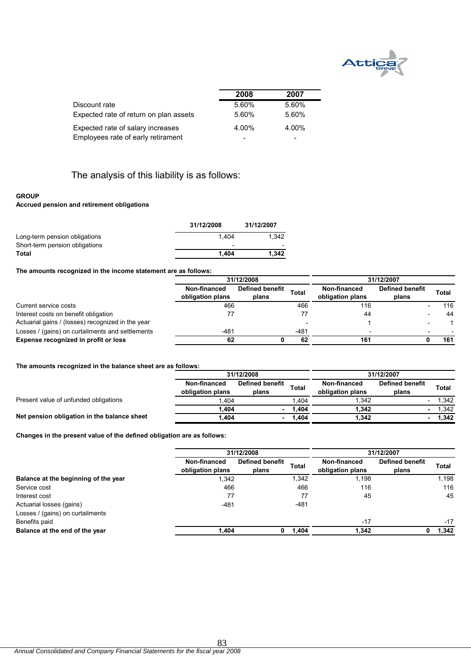

|                                        | 2008  | 2007  |  |
|----------------------------------------|-------|-------|--|
| Discount rate                          | 5.60% | 5.60% |  |
| Expected rate of return on plan assets | 5.60% | 5.60% |  |
| Expected rate of salary increases      | 4.00% | 4.00% |  |
| Employees rate of early retirament     |       |       |  |

# The analysis of this liability is as follows:

### **GROUP**

### **Accrued pension and retirement obligations**

|                                                                 | 31/12/2008                        | 31/12/2007 |
|-----------------------------------------------------------------|-----------------------------------|------------|
| Long-term pension obligations<br>Short-term pension obligations | 1.404<br>$\overline{\phantom{0}}$ | 1.342      |
| Total                                                           | 1.404                             | 1.342      |

### **The amounts recognized in the income statement are as follows:**

|                                                   | 31/12/2008                       |                                 |              | 31/12/2007                       |                                 |  |       |  |
|---------------------------------------------------|----------------------------------|---------------------------------|--------------|----------------------------------|---------------------------------|--|-------|--|
|                                                   | Non-financed<br>obligation plans | <b>Defined benefit</b><br>plans | <b>Total</b> | Non-financed<br>obligation plans | <b>Defined benefit</b><br>plans |  | Total |  |
| Current service costs                             | 466                              |                                 | 466          | 116                              |                                 |  | 116   |  |
| Interest costs on benefit obligation              |                                  |                                 |              | 44                               |                                 |  | 44    |  |
| Actuarial gains / (losses) recognized in the year |                                  |                                 |              |                                  |                                 |  |       |  |
| Losses / (gains) on curtailments and settlements  | $-481$                           |                                 | $-481$       | $\overline{\phantom{0}}$         |                                 |  |       |  |
| Expense recognized in profit or loss              | 62                               |                                 | 62           | 161                              |                                 |  | 161   |  |

### **The amounts recognized in the balance sheet are as follows:**

|                                             |                                  | 31/12/2008                      |        |                                  | 31/12/2007                      |       |  |
|---------------------------------------------|----------------------------------|---------------------------------|--------|----------------------------------|---------------------------------|-------|--|
|                                             | Non-financed<br>obligation plans | <b>Defined benefit</b><br>plans | Total  | Non-financed<br>obligation plans | <b>Defined benefit</b><br>plans | Total |  |
| Present value of unfunded obligations       | .404                             |                                 | .404   | .342                             |                                 | .342  |  |
|                                             | .404                             |                                 | 1.404  | 1.342                            |                                 | .342  |  |
| Net pension obligation in the balance sheet | .404                             |                                 | 404، ۱ | 1,342                            | $\blacksquare$                  | 1,342 |  |

### **Changes in the present value of the defined obligation are as follows:**

|                                      | 31/12/2008                       |                                 |              | 31/12/2007                       |                                 |       |
|--------------------------------------|----------------------------------|---------------------------------|--------------|----------------------------------|---------------------------------|-------|
|                                      | Non-financed<br>obligation plans | <b>Defined benefit</b><br>plans | <b>Total</b> | Non-financed<br>obligation plans | <b>Defined benefit</b><br>plans | Total |
| Balance at the beginning of the year | 1.342                            |                                 | 1,342        | 1,198                            |                                 | 1,198 |
| Service cost                         | 466                              |                                 | 466          | 116                              |                                 | 116   |
| Interest cost                        | 77                               |                                 | 77           | 45                               |                                 | 45    |
| Actuarial losses (gains)             | $-481$                           |                                 | $-481$       |                                  |                                 |       |
| Losses / (gains) on curtailments     |                                  |                                 |              |                                  |                                 |       |
| Benefits paid                        |                                  |                                 |              | $-17$                            |                                 | $-17$ |
| Balance at the end of the year       | 1,404                            | o                               | 1,404        | 1,342                            |                                 | 1,342 |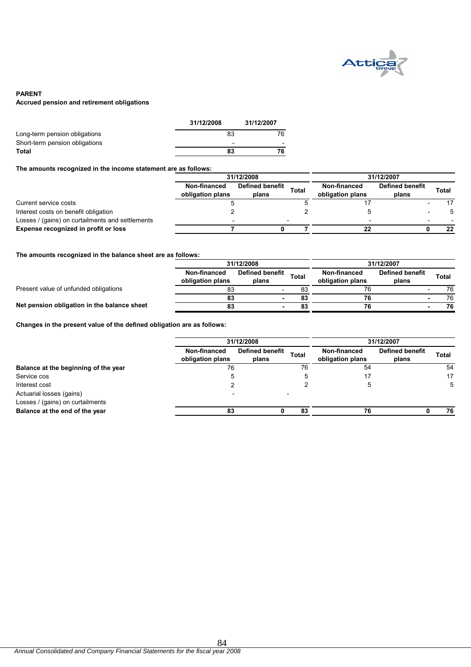

### **PARENT Accrued pension and retirement obligations**

|                                | 31/12/2008               | 31/12/2007 |
|--------------------------------|--------------------------|------------|
| Long-term pension obligations  | 83                       | 76         |
| Short-term pension obligations | $\overline{\phantom{0}}$ |            |
| Total                          | 83                       | 76         |
|                                |                          |            |

### **The amounts recognized in the income statement are as follows:**

|                                                  |                                  | 31/12/2008                      | 31/12/2007 |                                  |                                 |       |    |
|--------------------------------------------------|----------------------------------|---------------------------------|------------|----------------------------------|---------------------------------|-------|----|
|                                                  | Non-financed<br>obligation plans | <b>Defined benefit</b><br>plans | Total      | Non-financed<br>obligation plans | <b>Defined benefit</b><br>plans | Total |    |
| Current service costs                            |                                  |                                 |            |                                  |                                 |       | 17 |
| Interest costs on benefit obligation             |                                  |                                 |            |                                  |                                 |       |    |
| Losses / (gains) on curtailments and settlements |                                  |                                 |            |                                  |                                 |       |    |
| Expense recognized in profit or loss             |                                  |                                 |            | 22                               |                                 |       | 22 |

**The amounts recognized in the balance sheet are as follows:**

|                                             | 31/12/2008                       |                                 |              | 31/12/2007                       |                                 |       |    |
|---------------------------------------------|----------------------------------|---------------------------------|--------------|----------------------------------|---------------------------------|-------|----|
|                                             | Non-financed<br>obligation plans | <b>Defined benefit</b><br>plans | <b>Total</b> | Non-financed<br>obligation plans | <b>Defined benefit</b><br>plans | Total |    |
| Present value of unfunded obligations       | 83                               | -                               |              | 76                               |                                 |       | 76 |
|                                             | 83                               |                                 | 83           | 76                               |                                 |       | 76 |
| Net pension obligation in the balance sheet | 83                               |                                 | 83           | 76                               |                                 |       | 76 |

**Changes in the present value of the defined obligation are as follows:**

|                                      | 31/12/2008                       |                                 |              | 31/12/2007                       |                          |       |
|--------------------------------------|----------------------------------|---------------------------------|--------------|----------------------------------|--------------------------|-------|
|                                      | Non-financed<br>obligation plans | <b>Defined benefit</b><br>plans | <b>Total</b> | Non-financed<br>obligation plans | Defined benefit<br>plans | Total |
| Balance at the beginning of the year | 76                               |                                 | 76           | 54                               |                          | 54    |
| Service cos                          |                                  |                                 | Э            | 17                               |                          | 17    |
| Interest cost                        |                                  |                                 |              | G                                |                          |       |
| Actuarial losses (gains)             |                                  |                                 |              |                                  |                          |       |
| Losses / (gains) on curtailments     |                                  |                                 |              |                                  |                          |       |
| Balance at the end of the year       | 83                               |                                 | 83           | 76                               |                          | 76    |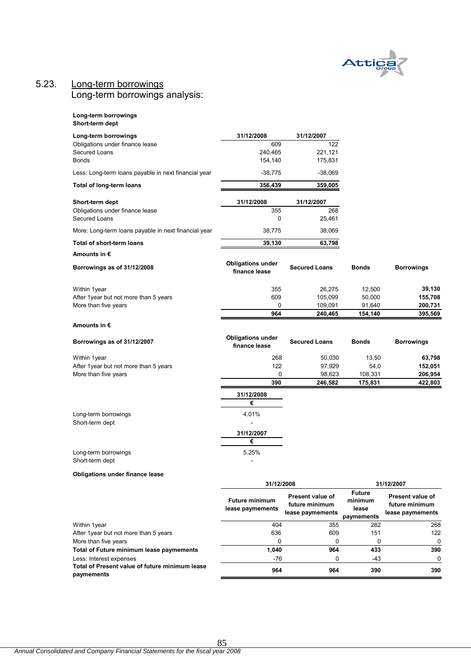

# 5.23. Long-term borrowings

Long-term borrowings analysis:

| Long-term borrowings |
|----------------------|
| Short-term dept      |

| Long-term borrowings                                 | 31/12/2008                                | 31/12/2007                                             |                                                 |                                                        |
|------------------------------------------------------|-------------------------------------------|--------------------------------------------------------|-------------------------------------------------|--------------------------------------------------------|
| Obligations under finance lease                      | 609                                       | 122                                                    |                                                 |                                                        |
| Secured Loans                                        | 240,465                                   | 221,121                                                |                                                 |                                                        |
| <b>Bonds</b>                                         | 154,140                                   | 175,831                                                |                                                 |                                                        |
| Less: Long-term loans payable in next financial year | $-38,775$                                 | $-38,069$                                              |                                                 |                                                        |
| Total of long-term loans                             | 356,439                                   | 359,005                                                |                                                 |                                                        |
| Short-term dept                                      | 31/12/2008                                | 31/12/2007                                             |                                                 |                                                        |
| Obligations under finance lease                      | 355                                       | 268                                                    |                                                 |                                                        |
| Secured Loans                                        | 0                                         | 25,461                                                 |                                                 |                                                        |
| More: Long-term loans payable in next financial year | 38,775                                    | 38,069                                                 |                                                 |                                                        |
| Total of short-term loans                            | 39,130                                    | 63,798                                                 |                                                 |                                                        |
| Amounts in €                                         |                                           |                                                        |                                                 |                                                        |
| Borrowings as of 31/12/2008                          | <b>Obligations under</b><br>finance lease | <b>Secured Loans</b>                                   | Bonds                                           | <b>Borrowings</b>                                      |
| Within 1year                                         | 355                                       | 26,275                                                 | 12,500                                          | 39,130                                                 |
| After 1year but not more than 5 years                | 609                                       | 105,099                                                | 50,000                                          | 155,708                                                |
| More than five years                                 | 0                                         | 109,091                                                | 91,640                                          | 200,731                                                |
|                                                      | 964                                       | 240,465                                                | 154,140                                         | 395,569                                                |
| Amounts in €                                         |                                           |                                                        |                                                 |                                                        |
| Borrowings as of 31/12/2007                          | <b>Obligations under</b><br>finance lease | <b>Secured Loans</b>                                   | <b>Bonds</b>                                    | <b>Borrowings</b>                                      |
| Within 1year                                         | 268                                       | 50,030                                                 | 13,50                                           | 63,798                                                 |
| After 1year but not more than 5 years                | 122                                       | 97,929                                                 | 54,0                                            | 152,051                                                |
| More than five years                                 | 0                                         | 98,623                                                 | 108,331                                         | 206,954                                                |
|                                                      | 390                                       | 246,582                                                | 175,831                                         | 422,803                                                |
|                                                      | 31/12/2008                                |                                                        |                                                 |                                                        |
|                                                      | €                                         |                                                        |                                                 |                                                        |
| Long-term borrowings                                 | 4.01%                                     |                                                        |                                                 |                                                        |
| Short-term dept                                      |                                           |                                                        |                                                 |                                                        |
|                                                      | 31/12/2007                                |                                                        |                                                 |                                                        |
|                                                      | €                                         |                                                        |                                                 |                                                        |
| Long-term borrowings<br>Short-term dept              | 5.25%                                     |                                                        |                                                 |                                                        |
| <b>Obligations under finance lease</b>               |                                           |                                                        |                                                 |                                                        |
|                                                      | 31/12/2008                                |                                                        |                                                 | 31/12/2007                                             |
|                                                      | <b>Future minimum</b><br>lease paymements | Present value of<br>future minimum<br>lease paymements | <b>Future</b><br>minimum<br>lease<br>paymements | Present value of<br>future minimum<br>lease paymements |
| Within 1year                                         | 404                                       | 355                                                    | 282                                             | 268                                                    |
| After 1year but not more than 5 years                | 636                                       | 609                                                    | 151                                             | 122                                                    |
| More than five years                                 | 0                                         | 0                                                      | 0                                               | 0                                                      |

Total of Future minimum lease paymements **1,040** 964 433 390 Less: Interest expenses 0 -76 0 -43 0 0 -43 0 0 -43 0 0 -43 0 0 -43 0 0 -43 0 0 -43 0 0 -43 0 0 -43 0 0 -43 0 0 -43 0 0 -43 0 0 -5 0 -5 0 0 -43 0 0 -5 0 0 -5 0 0 -5 0 0 -5 0 0 -5 0 0 -5 0 0 -5 0 0 -5 0 0 -5 0 0 -5 0 0 -5 0 **Total of Present value of future minimum lease paymements 964 964 390 390**

85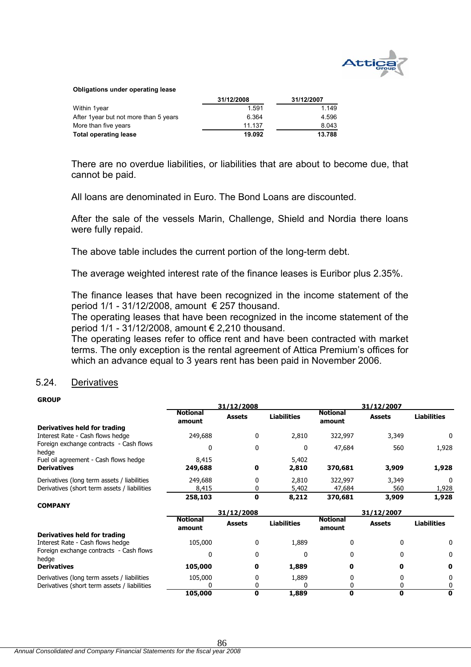

#### **Obligations under operating lease**

|                                        | 31/12/2008 | 31/12/2007 |
|----------------------------------------|------------|------------|
| Within 1year                           | 1.591      | 1.149      |
| After 1 year but not more than 5 years | 6.364      | 4.596      |
| More than five years                   | 11.137     | 8.043      |
| <b>Total operating lease</b>           | 19.092     | 13.788     |

There are no overdue liabilities, or liabilities that are about to become due, that cannot be paid.

All loans are denominated in Euro. The Bond Loans are discounted.

After the sale of the vessels Marin, Challenge, Shield and Nordia there loans were fully repaid.

The above table includes the current portion of the long-term debt.

The average weighted interest rate of the finance leases is Euribor plus 2.35%.

The finance leases that have been recognized in the income statement of the period 1/1 - 31/12/2008, amount € 257 thousand.

The operating leases that have been recognized in the income statement of the period 1/1 - 31/12/2008, amount € 2,210 thousand.

The operating leases refer to office rent and have been contracted with market terms. The only exception is the rental agreement of Attica Premium's offices for which an advance equal to 3 years rent has been paid in November 2006.

### 5.24. Derivatives

### **GROUP**

|                                                             | 31/12/2008                |               |                    | 31/12/2007                |               |                    |
|-------------------------------------------------------------|---------------------------|---------------|--------------------|---------------------------|---------------|--------------------|
|                                                             | <b>Notional</b><br>amount | <b>Assets</b> | <b>Liabilities</b> | <b>Notional</b><br>amount | <b>Assets</b> | <b>Liabilities</b> |
| Derivatives held for trading                                |                           |               |                    |                           |               |                    |
| Interest Rate - Cash flows hedge                            | 249,688                   | 0             | 2,810              | 322,997                   | 3,349         | 0                  |
| Foreign exchange contracts - Cash flows<br>hedge            |                           | $\mathbf{0}$  | 0                  | 47,684                    | 560           | 1,928              |
| Fuel oil agreement - Cash flows hedge<br><b>Derivatives</b> | 8,415<br>249,688          | 0             | 5,402<br>2,810     | 370,681                   | 3,909         | 1,928              |
| Derivatives (long term assets / liabilities                 | 249,688                   | 0             | 2,810              | 322,997                   | 3,349         | $\Omega$           |
| Derivatives (short term assets / liabilities                | 8,415                     | 0             | 5,402              | 47,684                    | 560           | 1,928              |
|                                                             | 258,103                   | 0             | 8,212              | 370,681                   | 3,909         | 1,928              |
| <b>COMPANY</b>                                              |                           |               |                    |                           |               |                    |
|                                                             |                           | 31/12/2008    |                    |                           | 31/12/2007    |                    |
|                                                             | <b>Notional</b><br>amount | <b>Assets</b> | <b>Liabilities</b> | <b>Notional</b><br>amount | <b>Assets</b> | <b>Liabilities</b> |
| Derivatives held for trading                                |                           |               |                    |                           |               |                    |
| Interest Rate - Cash flows hedge                            | 105,000                   | $\mathbf{0}$  | 1,889              | 0                         | 0             | 0                  |
| Foreign exchange contracts - Cash flows<br>hedge            |                           | 0             | 0                  |                           |               | 0                  |
| <b>Derivatives</b>                                          | 105,000                   | 0             | 1,889              | 0                         | Ω             | 0                  |
| Derivatives (long term assets / liabilities                 | 105,000                   | 0             | 1,889              |                           |               | 0                  |
| Derivatives (short term assets / liabilities                |                           |               |                    |                           |               | 0                  |
|                                                             | 105,000                   | 0             | 1,889              | 0                         | 0             | 0                  |

**105,000 0 1,889 0 0 0**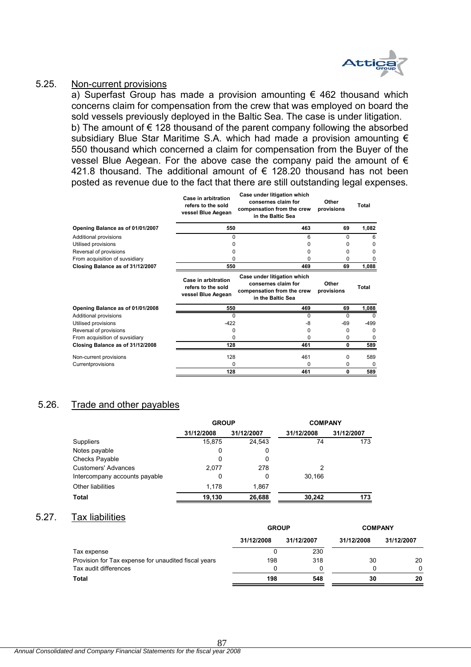

## 5.25. Non-current provisions

a) Superfast Group has made a provision amounting  $\epsilon$  462 thousand which concerns claim for compensation from the crew that was employed on board the sold vessels previously deployed in the Baltic Sea. The case is under litigation. b) The amount of € 128 thousand of the parent company following the absorbed subsidiary Blue Star Maritime S.A. which had made a provision amounting  $\epsilon$ 550 thousand which concerned a claim for compensation from the Buyer of the vessel Blue Aegean. For the above case the company paid the amount of  $\epsilon$ 421.8 thousand. The additional amount of € 128.20 thousand has not been posted as revenue due to the fact that there are still outstanding legal expenses.

|                                  | Case in arbitration<br>refers to the sold<br>vessel Blue Aegean | Case under litigation which<br>consernes claim for<br>compensation from the crew<br>in the Baltic Sea | Other<br>provisions | Total    |
|----------------------------------|-----------------------------------------------------------------|-------------------------------------------------------------------------------------------------------|---------------------|----------|
| Opening Balance as of 01/01/2007 | 550                                                             | 463                                                                                                   | 69                  | 1,082    |
| Additional provisions            | 0                                                               | 6                                                                                                     | 0                   | 6        |
| Utilised provisions              | U                                                               | 0                                                                                                     | O                   | 0        |
| Reversal of provisions           | <sup>0</sup>                                                    | 0                                                                                                     | <sup>0</sup>        | 0        |
| From acquisition of suvsidiary   | O                                                               | 0                                                                                                     | 0                   | 0        |
| Closing Balance as of 31/12/2007 | 550                                                             | 469                                                                                                   | 69                  | 1,088    |
|                                  | Case in arbitration<br>refers to the sold<br>vessel Blue Aegean | Case under litigation which<br>consernes claim for<br>compensation from the crew<br>in the Baltic Sea | Other<br>provisions | Total    |
| Opening Balance as of 01/01/2008 | 550                                                             | 469                                                                                                   | 69                  | 1,088    |
| Additional provisions            | $\Omega$                                                        | 0                                                                                                     | $\Omega$            | $\Omega$ |
| Utilised provisions              | $-422$<br>-8                                                    |                                                                                                       | $-69$               | $-499$   |
|                                  |                                                                 |                                                                                                       |                     |          |
| Reversal of provisions           | <sup>0</sup>                                                    | 0                                                                                                     | 0                   | $\Omega$ |
| From acquisition of suvsidiary   | U                                                               | 0                                                                                                     | 0                   | 0        |
| Closing Balance as of 31/12/2008 | 128                                                             | 461                                                                                                   | 0                   | 589      |
| Non-current provisions           | 128                                                             | 461                                                                                                   | 0                   | 589      |
| Currentprovisions                | $\Omega$                                                        | 0                                                                                                     | 0                   | $\Omega$ |

# 5.26. Trade and other payables

|                               | <b>GROUP</b> |            | <b>COMPANY</b> |            |  |
|-------------------------------|--------------|------------|----------------|------------|--|
|                               | 31/12/2008   | 31/12/2007 | 31/12/2008     | 31/12/2007 |  |
| <b>Suppliers</b>              | 15,875       | 24,543     | 74             | 173        |  |
| Notes payable                 | 0            | 0          |                |            |  |
| Checks Payable                | 0            | 0          |                |            |  |
| <b>Customers' Advances</b>    | 2.077        | 278        | 2              |            |  |
| Intercompany accounts payable | 0            | 0          | 30.166         |            |  |
| <b>Other liabilities</b>      | 1.178        | 1.867      |                |            |  |
| <b>Total</b>                  | 19,130       | 26,688     | 30,242         | 173        |  |

### 5.27. Tax liabilities

|                                                      | <b>GROUP</b> |            | <b>COMPANY</b> |            |  |
|------------------------------------------------------|--------------|------------|----------------|------------|--|
|                                                      | 31/12/2008   | 31/12/2007 | 31/12/2008     | 31/12/2007 |  |
| Tax expense                                          |              | 230        |                |            |  |
| Provision for Tax expense for unaudited fiscal years | 198          | 318        | 30             | 20         |  |
| Tax audit differences                                |              | n          |                | 0          |  |
| Total                                                | 198          | 548        | 30             | 20         |  |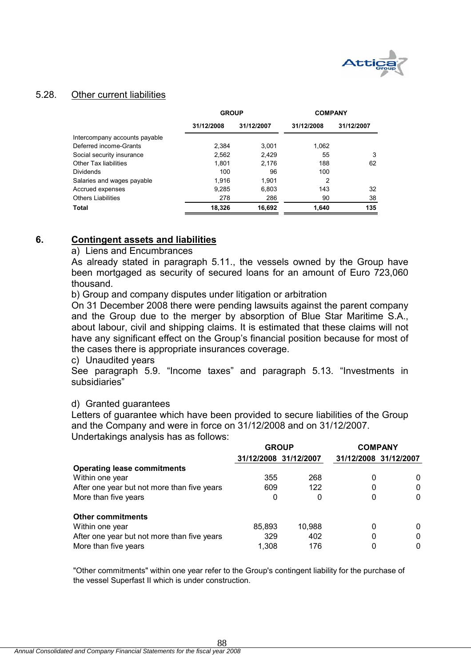

# 5.28. Other current liabilities

|                               | <b>GROUP</b> |            | <b>COMPANY</b> |            |  |
|-------------------------------|--------------|------------|----------------|------------|--|
|                               | 31/12/2008   | 31/12/2007 | 31/12/2008     | 31/12/2007 |  |
| Intercompany accounts payable |              |            |                |            |  |
| Deferred income-Grants        | 2.384        | 3.001      | 1.062          |            |  |
| Social security insurance     | 2,562        | 2.429      | 55             | 3          |  |
| <b>Other Tax liabilities</b>  | 1,801        | 2.176      | 188            | 62         |  |
| <b>Dividends</b>              | 100          | 96         | 100            |            |  |
| Salaries and wages payable    | 1.916        | 1.901      | 2              |            |  |
| Accrued expenses              | 9,285        | 6,803      | 143            | 32         |  |
| <b>Others Liabilities</b>     | 278          | 286        | 90             | 38         |  |
| <b>Total</b>                  | 18,326       | 16,692     | 1,640          | 135        |  |

# **6. Contingent assets and liabilities**

### a) Liens and Encumbrances

As already stated in paragraph 5.11., the vessels owned by the Group have been mortgaged as security of secured loans for an amount of Euro 723,060 thousand.

b) Group and company disputes under litigation or arbitration

On 31 December 2008 there were pending lawsuits against the parent company and the Group due to the merger by absorption of Blue Star Maritime S.A., about labour, civil and shipping claims. It is estimated that these claims will not have any significant effect on the Group's financial position because for most of the cases there is appropriate insurances coverage.

c) Unaudited years

See paragraph 5.9. "Income taxes" and paragraph 5.13. "Investments in subsidiaries"

# d) Granted guarantees

Letters of guarantee which have been provided to secure liabilities of the Group and the Company and were in force on 31/12/2008 and on 31/12/2007. Undertakings analysis has as follows:

|                                             | <b>GROUP</b>          |        |            | <b>COMPANY</b> |
|---------------------------------------------|-----------------------|--------|------------|----------------|
|                                             | 31/12/2008 31/12/2007 |        | 31/12/2008 | 31/12/2007     |
| <b>Operating lease commitments</b>          |                       |        |            |                |
| Within one year                             | 355                   | 268    | 0          | $\Omega$       |
| After one year but not more than five years | 609                   | 122    | 0          | 0              |
| More than five years                        | 0                     | 0      | 0          | 0              |
| <b>Other commitments</b>                    |                       |        |            |                |
| Within one year                             | 85,893                | 10,988 | 0          | 0              |
| After one year but not more than five years | 329                   | 402    | 0          | 0              |
| More than five years                        | 1,308                 | 176    | 0          | 0              |

"Other commitments" within one year refer to the Group's contingent liability for the purchase of the vessel Superfast II which is under construction.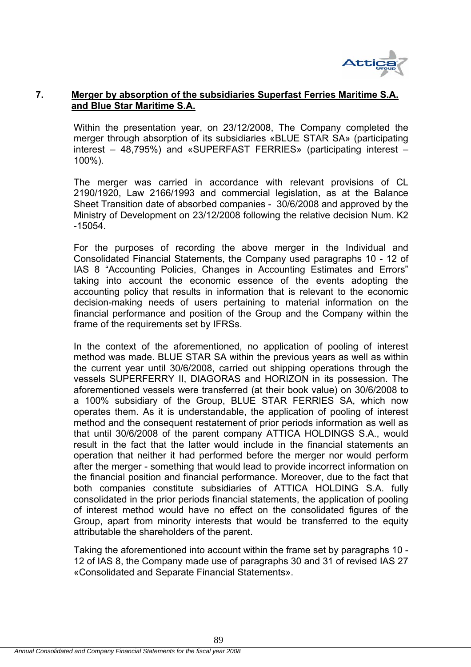

# **7. Merger by absorption of the subsidiaries Superfast Ferries Maritime S.A. and Blue Star Maritime S.A.**

Within the presentation year, on 23/12/2008, The Company completed the merger through absorption of its subsidiaries «BLUE STAR SA» (participating interest – 48,795%) and «SUPERFAST FERRIES» (participating interest – 100%).

The merger was carried in accordance with relevant provisions of CL 2190/1920, Law 2166/1993 and commercial legislation, as at the Balance Sheet Transition date of absorbed companies - 30/6/2008 and approved by the Ministry of Development on 23/12/2008 following the relative decision Num. K2 -15054.

For the purposes of recording the above merger in the Individual and Consolidated Financial Statements, the Company used paragraphs 10 - 12 of IAS 8 "Accounting Policies, Changes in Accounting Estimates and Errors" taking into account the economic essence of the events adopting the accounting policy that results in information that is relevant to the economic decision-making needs of users pertaining to material information on the financial performance and position of the Group and the Company within the frame of the requirements set by IFRSs.

In the context of the aforementioned, no application of pooling of interest method was made. BLUE STAR SA within the previous years as well as within the current year until 30/6/2008, carried out shipping operations through the vessels SUPERFERRY II, DIAGORAS and HORIZON in its possession. The aforementioned vessels were transferred (at their book value) on 30/6/2008 to a 100% subsidiary of the Group, BLUE STAR FERRIES SA, which now operates them. As it is understandable, the application of pooling of interest method and the consequent restatement of prior periods information as well as that until 30/6/2008 of the parent company ATTICA HOLDINGS S.A., would result in the fact that the latter would include in the financial statements an operation that neither it had performed before the merger nor would perform after the merger - something that would lead to provide incorrect information on the financial position and financial performance. Moreover, due to the fact that both companies constitute subsidiaries of ATTICA HOLDING S.A. fully consolidated in the prior periods financial statements, the application of pooling of interest method would have no effect on the consolidated figures of the Group, apart from minority interests that would be transferred to the equity attributable the shareholders of the parent.

Taking the aforementioned into account within the frame set by paragraphs 10 - 12 of IAS 8, the Company made use of paragraphs 30 and 31 of revised IAS 27 «Consolidated and Separate Financial Statements».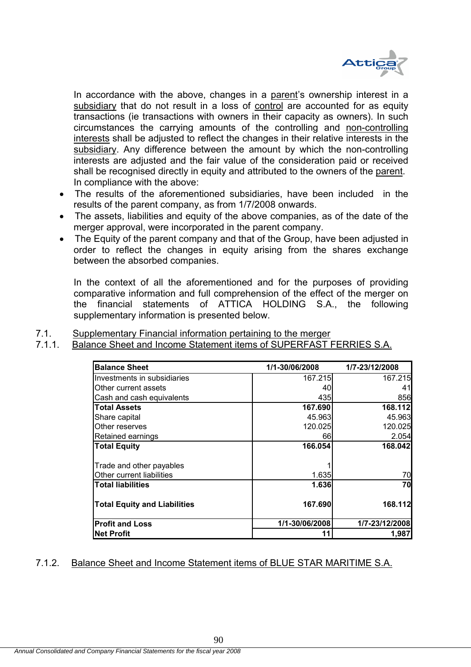

In accordance with the above, changes in a parent's ownership interest in a subsidiary that do not result in a loss of control are accounted for as equity transactions (ie transactions with owners in their capacity as owners). In such circumstances the carrying amounts of the controlling and non-controlling interests shall be adjusted to reflect the changes in their relative interests in the subsidiary. Any difference between the amount by which the non-controlling interests are adjusted and the fair value of the consideration paid or received shall be recognised directly in equity and attributed to the owners of the parent. In compliance with the above:

- The results of the aforementioned subsidiaries, have been included in the results of the parent company, as from 1/7/2008 onwards.
- The assets, liabilities and equity of the above companies, as of the date of the merger approval, were incorporated in the parent company.
- The Equity of the parent company and that of the Group, have been adjusted in order to reflect the changes in equity arising from the shares exchange between the absorbed companies.

In the context of all the aforementioned and for the purposes of providing comparative information and full comprehension of the effect of the merger on the financial statements of ATTICA HOLDING S.A., the following supplementary information is presented below.

## 7.1. Supplementary Financial information pertaining to the merger

# 7.1.1. Balance Sheet and Income Statement items of SUPERFAST FERRIES S.A.

| <b>Balance Sheet</b>                | 1/1-30/06/2008 | 1/7-23/12/2008 |
|-------------------------------------|----------------|----------------|
| Investments in subsidiaries         | 167.215        | 167.215        |
| Other current assets                | 40             | 41             |
| Cash and cash equivalents           | 435            | 856            |
| <b>Total Assets</b>                 | 167.690        | 168.112        |
| Share capital                       | 45.963         | 45.963         |
| Other reserves                      | 120.025        | 120.025        |
| Retained earnings                   | 66             | 2.054          |
| <b>Total Equity</b>                 | 166.054        | 168.042        |
| Trade and other payables            |                |                |
| Other current liabilities           | 1.635          | 70             |
| <b>Total liabilities</b>            | 1.636          | 70             |
| <b>Total Equity and Liabilities</b> | 167.690        | 168.112        |
| <b>Profit and Loss</b>              | 1/1-30/06/2008 | 1/7-23/12/2008 |
| <b>Net Profit</b>                   | 11             | 1,987          |

# 7.1.2. Balance Sheet and Income Statement items of BLUE STAR MARITIME S.A.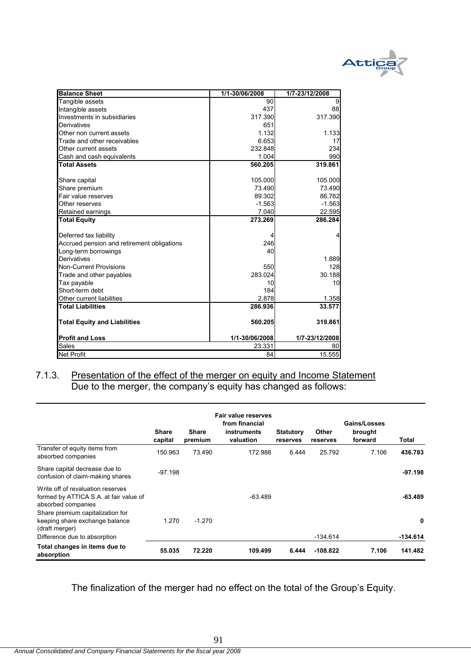

| <b>Balance Sheet</b>                       | 1/1-30/06/2008 | 1/7-23/12/2008 |
|--------------------------------------------|----------------|----------------|
| Tangible assets                            | 90             | 9              |
| Intangible assets                          | 437            | 88             |
| Investments in subsidiaries                | 317.390        | 317.390        |
| Derivatives                                | 651            |                |
| Other non current assets                   | 1.132          | 1.133          |
| Trade and other receivables                | 6.653          | 17             |
| Other current assets                       | 232.848        | 234            |
| Cash and cash equivalents                  | 1.004          | 990            |
| <b>Total Assets</b>                        | 560.205        | 319.861        |
|                                            |                |                |
| Share capital                              | 105.000        | 105.000        |
| Share premium                              | 73.490         | 73.490         |
| Fair value reserves                        | 89.302         | 86.762         |
| Other reserves                             | $-1.563$       | $-1.563$       |
| Retained earnings                          | 7.040          | 22.595         |
| <b>Total Equity</b>                        | 273.269        | 286.284        |
|                                            |                |                |
| Deferred tax liability                     |                |                |
| Accrued pension and retirement obligations | 246            |                |
| Long-term borrowings                       | 40             |                |
| Derivatives                                |                | 1.889          |
| <b>Non-Current Provisions</b>              | 550            | 128            |
| Trade and other payables                   | 283.024        | 30.188         |
| Tax payable                                | 10             | 10             |
| Short-term debt                            | 184            |                |
| Other current liabilities                  | 2.878          | 1.358          |
| <b>Total Liabilities</b>                   | 286.936        | 33.577         |
| <b>Total Equity and Liabilities</b>        | 560.205        | 319.861        |
| <b>Profit and Loss</b>                     | 1/1-30/06/2008 | 1/7-23/12/2008 |
| Sales                                      | 23.331         | 80             |
| <b>Net Profit</b>                          | 84             | 15.555         |

### 7.1.3. Presentation of the effect of the merger on equity and Income Statement Due to the merger, the company's equity has changed as follows:

|                                                                                                                                                                         | <b>Share</b><br>capital | <b>Share</b><br>premium | Fair value reserves<br>from financial<br>instruments<br>valuation | <b>Statutory</b><br>reserves | <b>Other</b><br>reserves | Gains/Losses<br>brought<br>forward | Total          |
|-------------------------------------------------------------------------------------------------------------------------------------------------------------------------|-------------------------|-------------------------|-------------------------------------------------------------------|------------------------------|--------------------------|------------------------------------|----------------|
| Transfer of equity items from<br>absorbed companies                                                                                                                     | 150.963                 | 73.490                  | 172.988                                                           | 6.444                        | 25.792                   | 7.106                              | 436.783        |
| Share capital decrease due to<br>confusion of claim-making shares                                                                                                       | $-97.198$               |                         |                                                                   |                              |                          |                                    | $-97.198$      |
| Write off of revaluation reserves<br>formed by ATTICA S.A. at fair value of<br>absorbed companies<br>Share premium capitalization for<br>keeping share exchange balance | 1.270                   | $-1.270$                | $-63.489$                                                         |                              |                          |                                    | $-63.489$<br>0 |
| (draft merger)<br>Difference due to absorption                                                                                                                          |                         |                         |                                                                   |                              | -134.614                 |                                    | -134.614       |
| Total changes in items due to<br>absorption                                                                                                                             | 55.035                  | 72.220                  | 109.499                                                           | 6.444                        | $-108.822$               | 7.106                              | 141.482        |

The finalization of the merger had no effect on the total of the Group's Equity.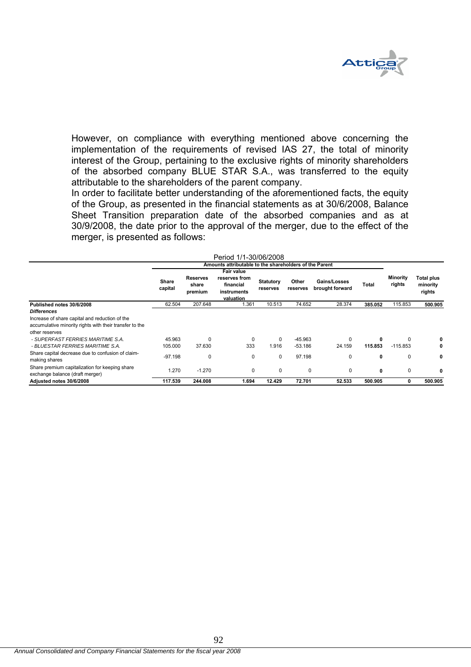

However, on compliance with everything mentioned above concerning the implementation of the requirements of revised IAS 27, the total of minority interest of the Group, pertaining to the exclusive rights of minority shareholders of the absorbed company BLUE STAR S.A., was transferred to the equity attributable to the shareholders of the parent company.

In order to facilitate better understanding of the aforementioned facts, the equity of the Group, as presented in the financial statements as at 30/6/2008, Balance Sheet Transition preparation date of the absorbed companies and as at 30/9/2008, the date prior to the approval of the merger, due to the effect of the merger, is presented as follows:

|                                                                                                                             |                  |                                                        | Period 1/1-30/06/2008                                                |                              |                   |                                 |         |                    |                                  |
|-----------------------------------------------------------------------------------------------------------------------------|------------------|--------------------------------------------------------|----------------------------------------------------------------------|------------------------------|-------------------|---------------------------------|---------|--------------------|----------------------------------|
|                                                                                                                             |                  | Amounts attributable to the shareholders of the Parent |                                                                      |                              |                   |                                 |         |                    |                                  |
|                                                                                                                             | Share<br>capital | <b>Reserves</b><br>share<br>premium                    | Fair value<br>reserves from<br>financial<br>instruments<br>valuation | <b>Statutory</b><br>reserves | Other<br>reserves | Gains/Losses<br>brought forward | Total   | Minority<br>rights | Total plus<br>minority<br>rights |
| Published notes 30/6/2008                                                                                                   | 62.504           | 207.648                                                | 1.361                                                                | 10.513                       | 74.652            | 28.374                          | 385.052 | 115.853            | 500.905                          |
| <b>Differences</b>                                                                                                          |                  |                                                        |                                                                      |                              |                   |                                 |         |                    |                                  |
| Increase of share capital and reduction of the<br>accumulative minority rights with their transfer to the<br>other reserves |                  |                                                        |                                                                      |                              |                   |                                 |         |                    |                                  |
| - SUPERFAST FERRIES MARITIME S.A.                                                                                           | 45.963           | $\Omega$                                               | $\Omega$                                                             | $\Omega$                     | $-45.963$         | $\Omega$                        | 0       | $\Omega$           |                                  |
| - BLUESTAR FERRIES MARITIME S.A.                                                                                            | 105.000          | 37.630                                                 | 333                                                                  | 1.916                        | $-53.186$         | 24.159                          | 115.853 | $-115.853$         |                                  |
| Share capital decrease due to confusion of claim-<br>making shares                                                          | $-97.198$        | 0                                                      | 0                                                                    | 0                            | 97.198            | 0                               | 0       | 0                  | 0                                |
| Share premium capitalization for keeping share<br>exchange balance (draft merger)                                           | 1.270            | $-1.270$                                               | 0                                                                    | 0                            | 0                 | 0                               | 0       | 0                  | 0                                |
| Adiusted notes 30/6/2008                                                                                                    | 117.539          | 244.008                                                | 1.694                                                                | 12.429                       | 72.701            | 52.533                          | 500.905 | 0                  | 500.905                          |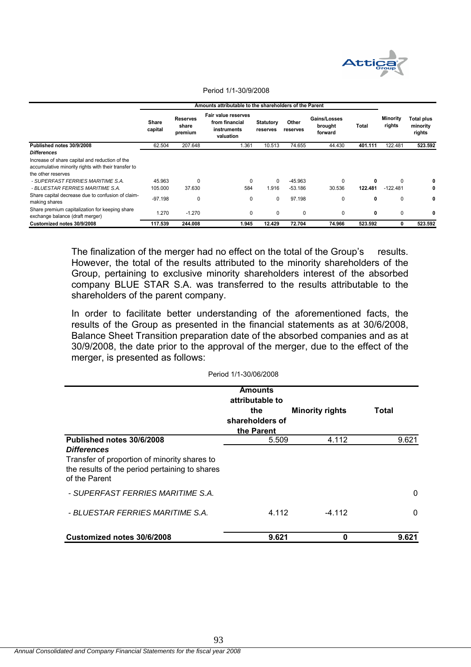

|                                                                                                       |                  | Amounts attributable to the shareholders of the Parent |                                                                   |                              |                   |                                    |          |                    |                                  |
|-------------------------------------------------------------------------------------------------------|------------------|--------------------------------------------------------|-------------------------------------------------------------------|------------------------------|-------------------|------------------------------------|----------|--------------------|----------------------------------|
|                                                                                                       | Share<br>capital | <b>Reserves</b><br>share<br>premium                    | Fair value reserves<br>from financial<br>instruments<br>valuation | <b>Statutory</b><br>reserves | Other<br>reserves | Gains/Losses<br>brought<br>forward | Total    | Minority<br>rights | Total plus<br>minority<br>rights |
| Published notes 30/9/2008                                                                             | 62.504           | 207.648                                                | 1.361                                                             | 10.513                       | 74.655            | 44.430                             | 401.111  | 122.481            | 523.592                          |
| <b>Differences</b>                                                                                    |                  |                                                        |                                                                   |                              |                   |                                    |          |                    |                                  |
| Increase of share capital and reduction of the<br>accumulative minority rights with their transfer to |                  |                                                        |                                                                   |                              |                   |                                    |          |                    |                                  |
| the other reserves                                                                                    |                  |                                                        |                                                                   |                              |                   |                                    |          |                    |                                  |
| - SUPERFAST FERRIES MARITIME S.A.                                                                     | 45.963           | <sup>0</sup>                                           | $\Omega$                                                          | $\Omega$                     | $-45.963$         | $\Omega$                           | $\Omega$ | 0                  | 0                                |
| - BLUESTAR FERRIES MARITIME S.A.                                                                      | 105.000          | 37.630                                                 | 584                                                               | 1.916                        | $-53.186$         | 30.536                             | 122.481  | $-122.481$         | 0                                |
| Share capital decrease due to confusion of claim-<br>making shares                                    | $-97.198$        | 0                                                      | 0                                                                 | 0                            | 97.198            | 0                                  | 0        | 0                  | 0                                |
| Share premium capitalization for keeping share<br>exchange balance (draft merger)                     | 1.270            | $-1.270$                                               | $\mathbf 0$                                                       | 0                            | 0                 | $\Omega$                           | 0        | 0                  | 0                                |
| Customized notes 30/9/2008                                                                            | 117.539          | 244.008                                                | 1.945                                                             | 12.429                       | 72.704            | 74.966                             | 523.592  | 0                  | 523.592                          |

#### Period 1/1-30/9/2008

The finalization of the merger had no effect on the total of the Group's results. However, the total of the results attributed to the minority shareholders of the Group, pertaining to exclusive minority shareholders interest of the absorbed company BLUE STAR S.A. was transferred to the results attributable to the shareholders of the parent company.

In order to facilitate better understanding of the aforementioned facts, the results of the Group as presented in the financial statements as at 30/6/2008, Balance Sheet Transition preparation date of the absorbed companies and as at 30/9/2008, the date prior to the approval of the merger, due to the effect of the merger, is presented as follows:

|                                                                                                                 | <b>Amounts</b><br>attributable to<br>the<br>shareholders of<br>the Parent | <b>Minority rights</b> | Total |
|-----------------------------------------------------------------------------------------------------------------|---------------------------------------------------------------------------|------------------------|-------|
| Published notes 30/6/2008                                                                                       | 5.509                                                                     | 4.112                  | 9.621 |
| <b>Differences</b>                                                                                              |                                                                           |                        |       |
| Transfer of proportion of minority shares to<br>the results of the period pertaining to shares<br>of the Parent |                                                                           |                        |       |
| - SUPERFAST FERRIES MARITIME S.A.                                                                               |                                                                           |                        | 0     |
| - BLUESTAR FERRIES MARITIME S.A.                                                                                | 4.112                                                                     | $-4.112$               | 0     |
| Customized notes 30/6/2008                                                                                      | 9.621                                                                     | 0                      | 9.621 |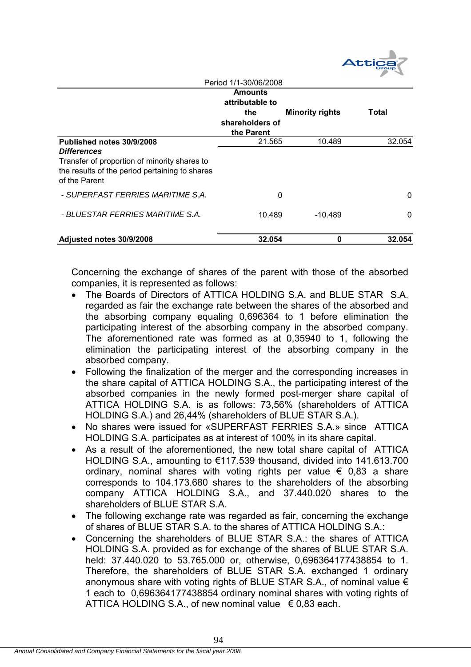

|                                                                                                                                                                    | Period 1/1-30/06/2008                                                     |                        |          |
|--------------------------------------------------------------------------------------------------------------------------------------------------------------------|---------------------------------------------------------------------------|------------------------|----------|
|                                                                                                                                                                    | <b>Amounts</b><br>attributable to<br>the<br>shareholders of<br>the Parent | <b>Minority rights</b> | Total    |
| Published notes 30/9/2008<br><b>Differences</b><br>Transfer of proportion of minority shares to<br>the results of the period pertaining to shares<br>of the Parent | 21.565                                                                    | 10.489                 | 32.054   |
| - SUPERFAST FERRIES MARITIME S.A.                                                                                                                                  | 0                                                                         |                        | $\Omega$ |
| - BLUESTAR FERRIES MARITIME S.A.                                                                                                                                   | 10.489                                                                    | $-10.489$              | 0        |
| Adjusted notes 30/9/2008                                                                                                                                           | 32.054                                                                    | Ω                      | 32.054   |

Concerning the exchange of shares of the parent with those of the absorbed companies, it is represented as follows:

- The Boards of Directors of ATTICA HOLDING S.A. and BLUE STAR S.A. regarded as fair the exchange rate between the shares of the absorbed and the absorbing company equaling 0,696364 to 1 before elimination the participating interest of the absorbing company in the absorbed company. The aforementioned rate was formed as at 0,35940 to 1, following the elimination the participating interest of the absorbing company in the absorbed company.
- Following the finalization of the merger and the corresponding increases in the share capital of ATTICA HOLDING S.A., the participating interest of the absorbed companies in the newly formed post-merger share capital of ATTICA HOLDING S.A. is as follows: 73,56% (shareholders of ATTICA HOLDING S.A.) and 26,44% (shareholders of BLUE STAR S.A.).
- No shares were issued for «SUPERFAST FERRIES S.A.» since ATTICA HOLDING S.A. participates as at interest of 100% in its share capital.
- As a result of the aforementioned, the new total share capital of ATTICA HOLDING S.A., amounting to €117.539 thousand, divided into 141.613.700 ordinary, nominal shares with voting rights per value  $\epsilon$  0.83 a share corresponds to 104.173.680 shares to the shareholders of the absorbing company ATTICA HOLDING S.A., and 37.440.020 shares to the shareholders of BLUE STAR S.A.
- The following exchange rate was regarded as fair, concerning the exchange of shares of BLUE STAR S.A. to the shares of ATTICA HOLDING S.A.:
- Concerning the shareholders of BLUE STAR S.A.: the shares of ATTICA HOLDING S.A. provided as for exchange of the shares of BLUE STAR S.A. held: 37.440.020 to 53.765.000 or, otherwise, 0,696364177438854 to 1. Therefore, the shareholders of BLUE STAR S.A. exchanged 1 ordinary anonymous share with voting rights of BLUE STAR S.A., of nominal value  $\epsilon$ 1 each to 0,696364177438854 ordinary nominal shares with voting rights of ATTICA HOLDING S.A., of new nominal value  $\epsilon$  0.83 each.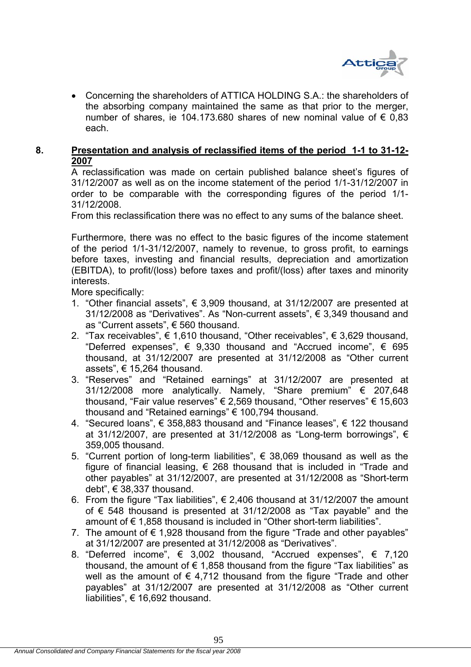

 Concerning the shareholders of ATTICA HOLDING S.A.: the shareholders of the absorbing company maintained the same as that prior to the merger, number of shares, ie 104.173.680 shares of new nominal value of € 0,83 each.

# **8. Presentation and analysis of reclassified items of the period 1-1 to 31-12- 2007**

A reclassification was made on certain published balance sheet's figures of 31/12/2007 as well as on the income statement of the period 1/1-31/12/2007 in order to be comparable with the corresponding figures of the period 1/1- 31/12/2008.

From this reclassification there was no effect to any sums of the balance sheet.

Furthermore, there was no effect to the basic figures of the income statement of the period 1/1-31/12/2007, namely to revenue, to gross profit, to earnings before taxes, investing and financial results, depreciation and amortization (EBITDA), to profit/(loss) before taxes and profit/(loss) after taxes and minority interests.

More specifically:

- 1. "Other financial assets",  $\epsilon$  3,909 thousand, at 31/12/2007 are presented at 31/12/2008 as "Derivatives". As "Non-current assets", € 3,349 thousand and as "Current assets", € 560 thousand.
- 2. "Tax receivables", € 1,610 thousand, "Other receivables", € 3,629 thousand, "Deferred expenses",  $\epsilon$  9,330 thousand and "Accrued income",  $\epsilon$  695 thousand, at 31/12/2007 are presented at 31/12/2008 as "Other current assets", € 15,264 thousand.
- 3. "Reserves" and "Retained earnings" at 31/12/2007 are presented at 31/12/2008 more analytically. Namely, "Share premium" € 207,648 thousand, "Fair value reserves" € 2,569 thousand, "Other reserves" € 15,603 thousand and "Retained earnings" € 100,794 thousand.
- 4. "Secured loans", € 358,883 thousand and "Finance leases", € 122 thousand at 31/12/2007, are presented at 31/12/2008 as "Long-term borrowings",  $\epsilon$ 359,005 thousand.
- 5. "Current portion of long-term liabilities",  $\epsilon$  38,069 thousand as well as the figure of financial leasing,  $\epsilon$  268 thousand that is included in "Trade and other payables" at 31/12/2007, are presented at 31/12/2008 as "Short-term debt", € 38,337 thousand.
- 6. From the figure "Tax liabilities",  $\epsilon$  2,406 thousand at 31/12/2007 the amount of  $∈$  548 thousand is presented at 31/12/2008 as "Tax payable" and the amount of € 1,858 thousand is included in "Other short-term liabilities".
- 7. The amount of  $\epsilon$  1,928 thousand from the figure "Trade and other payables" at 31/12/2007 are presented at 31/12/2008 as "Derivatives".
- 8. "Deferred income",  $\epsilon$  3,002 thousand, "Accrued expenses",  $\epsilon$  7,120 thousand, the amount of  $\epsilon$  1,858 thousand from the figure "Tax liabilities" as well as the amount of  $\epsilon$  4,712 thousand from the figure "Trade and other payables" at 31/12/2007 are presented at 31/12/2008 as "Other current liabilities", € 16,692 thousand.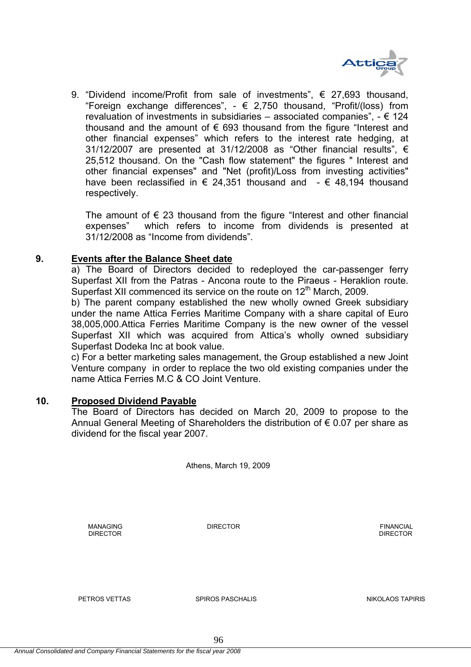

9. "Dividend income/Profit from sale of investments", € 27,693 thousand, "Foreign exchange differences",  $- \in 2.750$  thousand, "Profit/(loss) from revaluation of investments in subsidiaries – associated companies",  $- \epsilon$  124 thousand and the amount of  $\epsilon$  693 thousand from the figure "Interest and other financial expenses" which refers to the interest rate hedging, at 31/12/2007 are presented at 31/12/2008 as "Other financial results",  $\epsilon$ 25,512 thousand. On the "Cash flow statement" the figures " Interest and other financial expenses" and "Net (profit)/Loss from investing activities" have been reclassified in  $\epsilon$  24,351 thousand and  $\epsilon$  48,194 thousand respectively.

The amount of  $\epsilon$  23 thousand from the figure "Interest and other financial expenses" which refers to income from dividends is presented at 31/12/2008 as "Income from dividends".

### **9. Events after the Balance Sheet date**

a) The Board of Directors decided to redeployed the car-passenger ferry Superfast XII from the Patras - Ancona route to the Piraeus - Heraklion route. Superfast XII commenced its service on the route on 12<sup>th</sup> March, 2009.

b) The parent company established the new wholly owned Greek subsidiary under the name Attica Ferries Maritime Company with a share capital of Euro 38,005,000.Attica Ferries Maritime Company is the new owner of the vessel Superfast XII which was acquired from Attica's wholly owned subsidiary Superfast Dodeka Inc at book value.

c) For a better marketing sales management, the Group established a new Joint Venture company in order to replace the two old existing companies under the name Attica Ferries M.C & CO Joint Venture.

### **10. Proposed Dividend Payable**

The Board of Directors has decided on March 20, 2009 to propose to the Annual General Meeting of Shareholders the distribution of € 0.07 per share as dividend for the fiscal year 2007.

Athens, March 19, 2009

**DIRECTOR** DIRECTOR **DIRECTOR** 

MANAGING DIRECTOR FINANCIAL

PETROS VETTAS SPIROS PASCHALIS NIKOLAOS TAPIRIS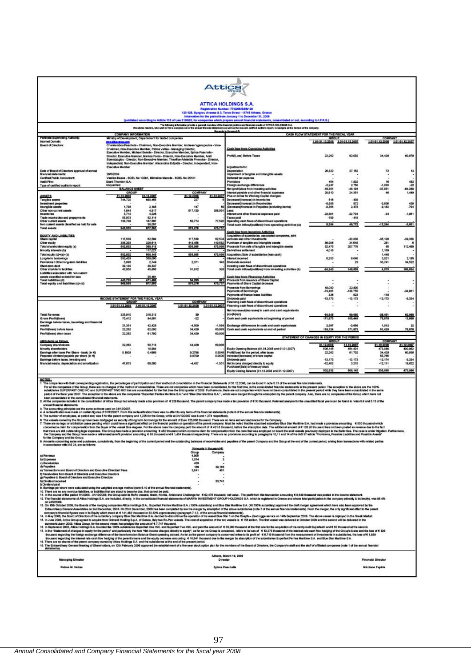

#### **ATTICA HOLDINGS S.A.**

### una, Gresco<br>ir 31., 2008

#### AS 20MOLD FOR results of AT sial position and

| WA BOVING MADEM, WHO WILL TO THE A COMPAGE VALOR STAGE WEAVER EXEMPTIONS AS WHI AS THE MOMENT OWNERS ANDERS ANDERS AN OVER 20 YOU AS ON THE COMPAGE. |  |
|------------------------------------------------------------------------------------------------------------------------------------------------------|--|
| After mode to the cases of the                                                                                                                       |  |

|                                                  |                                      |                                                                    |                                                                                           |                 | Amounts in thousand Co                                    |                                                         |                 |                 |                 |
|--------------------------------------------------|--------------------------------------|--------------------------------------------------------------------|-------------------------------------------------------------------------------------------|-----------------|-----------------------------------------------------------|---------------------------------------------------------|-----------------|-----------------|-----------------|
| Pertment Supervising Authority.                  | <b>COMPANY INFORMATION</b>           | Ministry of Development, Departement for limited companies         |                                                                                           |                 |                                                           | CASH FLOW STATEMENT FOR THE FISCAL YEAR<br><b>GROUP</b> |                 | <b>COMPANY</b>  |                 |
| <b>Internet Domain:</b>                          | www.filesonen.com                    |                                                                    |                                                                                           |                 |                                                           | 1.01-31.12.2000                                         | 1.01-31.12.2007 | 1.01-31.12.2008 | 1.01-31.12.2007 |
| <b>Board of Directors:</b>                       |                                      |                                                                    | Charalambos Paschalls - Chairman, Non-Executive Member, Andreas Vgenopoulos - Vice-       |                 |                                                           |                                                         |                 |                 |                 |
|                                                  |                                      | Chairman, Non-Executive Member, Petros Vettas - Managing Director, |                                                                                           |                 | Cash flow from Operating Activities                       |                                                         |                 |                 |                 |
|                                                  |                                      |                                                                    | Executive Member, Michael Sakelle - Director, Executive Member, Spiros Paschalte -        |                 |                                                           |                                                         |                 |                 |                 |
|                                                  |                                      |                                                                    | Director, Executive Member, Markos Force - Director, Non-Executive Member, Areti          |                 | Profit/(Loss) Before Taxes                                | 22,262                                                  | 62,092          | 34,429          | 60,979          |
|                                                  |                                      |                                                                    | Souvatzogiou - Director, Non-Executive Member, Theofilos-Aristeicis Priovolos - Director, |                 |                                                           |                                                         |                 |                 |                 |
|                                                  |                                      |                                                                    | Independent, Non-Executive Member, Alexandros Edipidis - Director, Independent, Non-      |                 |                                                           |                                                         |                 |                 |                 |
|                                                  | <b>Erecutive Mamber</b>              |                                                                    |                                                                                           |                 | Adjustments for:                                          |                                                         |                 |                 |                 |
| Date of Board of Directors approval of annual    |                                      |                                                                    |                                                                                           |                 | Depreciation                                              | 28,322                                                  | 27,152          | 72              | 13              |
| financial statements:                            | 20/3/2009                            |                                                                    |                                                                                           |                 | Impairment of tangible and intengible assets              |                                                         |                 |                 |                 |
| Certified Public Accountant:                     |                                      | Vasilios Kazas - SOEL No 13251, Michallos Manolis - SOEL No 25131  |                                                                                           |                 | Deferred tax expense                                      |                                                         |                 |                 |                 |
| <b>Audit Firm:</b>                               | <b>Grant Thomson S.A.</b>            |                                                                    |                                                                                           |                 | Provisions                                                | 454                                                     | 1,832           | 16              | 483             |
| Type of certified auditor's report               | Unqualitied                          |                                                                    |                                                                                           |                 | Foreign exchange differences                              | $-2,247$                                                | 2,750           | $-1,033$        | -22             |
|                                                  | <b>BALANCE SHEET</b>                 |                                                                    |                                                                                           |                 | Net (profit)/lose from investing activities               | $-19,351$                                               | 48,104          | $-37,951$       | $-64,288$       |
|                                                  | GROUP                                |                                                                    | <b>COMPANY</b>                                                                            |                 | Interest payable and other financial expenses             | 20,610                                                  | 24,351          | 46              | 1,449           |
| <b>ASSETS</b>                                    | 31.12.2008                           | 31.12.2007                                                         | 31.12.2008                                                                                | 31.12.2007      | Plus or minus for Working Capital changes:                |                                                         |                 |                 |                 |
| <b>Tangibio assets</b>                           | 744,720                              | 690,455                                                            | 227                                                                                       |                 | Decrease/(increase) in Inventories                        | 516                                                     | $-430$          |                 |                 |
| Investment properties                            |                                      |                                                                    |                                                                                           |                 | Decrease/lincrease) in Receivables                        | $888.5 -$                                               | 872             | $-3.606$        | 430             |
| Intengible assets                                | 1,798                                | 2,185                                                              | 147                                                                                       |                 | (Decrease)/increase in Payables (excluding benits)        | $-8,364$                                                | 2,478           | $-9,183$        | $-794$          |
| Other non current assets                         | 1,844                                | 4,817                                                              | 517,530                                                                                   | 398,091         | Less:                                                     |                                                         |                 |                 |                 |
| Inventories                                      | 3.712                                | 4,228                                                              |                                                                                           |                 | Interest and other financial expenses paid                | $-22.801$                                               | $-22,704$       | $-34$           | $-1.851$        |
| Trade receivables and prepayments                | 55.973                               | 52,114                                                             |                                                                                           |                 | <b>Taxes</b> paid                                         | $-150$                                                  | $-418$          |                 |                 |
| Other current assets                             | 138,708                              | 187,697                                                            | 52,774                                                                                    | 77,592          | Operating cash flows of discontinued operations           |                                                         |                 |                 |                 |
| Non current assets classified as held for sale   |                                      | 36,057                                                             |                                                                                           |                 | Total cash inflow(joutflow) from operating activities (a) | 8,354                                                   | 49,772          | $-17,264$       | $-3,601$        |
| <b>Total sessets</b>                             | 948 555                              | 977,553                                                            | 570,278                                                                                   | 473,767         |                                                           |                                                         |                 |                 |                 |
|                                                  |                                      |                                                                    |                                                                                           |                 | Cash flow from investing Activities                       |                                                         |                 |                 |                 |
| EQUITY AND LIABILITIES                           |                                      |                                                                    |                                                                                           |                 | Acquisition of subsidiaries, associated companies, joint  |                                                         |                 |                 |                 |
| <b>Share capital</b>                             | 117,539                              | 62,504                                                             | 117,539                                                                                   | 62,504          | ventures and other investments                            |                                                         | $-30,338$       | $-35,120$       | $-39.338$       |
| Other equity                                     | 385,293                              | 326,614                                                            | 418,456                                                                                   | 410,582         | Purchase of tangible and intengible assets                | 88.986                                                  | $-34,548$       | $-281$          | $-5$            |
| Total shareholders equity (a)                    | 602,832                              | 389,118                                                            | 535,995                                                                                   | 473,008         | Proceeds from sale of tangible and intengible assets      | 52,475                                                  | 207,778         | 65              | 112,460         |
| Minority interests (b)                           |                                      | 117,027                                                            |                                                                                           |                 | Derivatives settlement                                    | 4,018                                                   |                 | 1,189           |                 |
| Total equity (c)=(a)=(b)                         | 602,832                              | 506, 145                                                           | 535,995                                                                                   | 473,008         | Acquisition /Sale of subsidiaties (less cash)             |                                                         |                 | 1,440           |                 |
| Lang-term barrowings                             | 358,439                              | 359,005                                                            |                                                                                           |                 | Interest received                                         | 8,253                                                   | 6,048           | 3,021           | 2,195           |
| Provisions / Other long-term liabilities         | 5.098                                | 2,749                                                              | 2,371                                                                                     | 343             | Dividends received                                        |                                                         | 23              | 33,741          | 34,522          |
| Short-term debt                                  | 39.130                               | 38,337                                                             |                                                                                           |                 | Investing cash flows of discontinued operations           |                                                         |                 |                 |                 |
| Other short-larm liabilities                     | 43.056                               | 45,856                                                             | 31,912                                                                                    | 328             | Total cash inflow(joutflow) from investing activities (b) | $-24.240$                                               | 148,950         | 4.076           | 109.834         |
| Liabilities associated with non current          |                                      |                                                                    |                                                                                           |                 |                                                           |                                                         |                 |                 |                 |
| assets classified as held for sale               |                                      | 25,481                                                             |                                                                                           |                 | Cash flow from Financing Activities                       |                                                         |                 |                 |                 |
| <b>Total Ilabilities (d)</b>                     | 443,725<br>88.811                    | 471,400                                                            | 34,283                                                                                    | 671             | Proceeds from issuance of Share Cacital                   |                                                         |                 |                 | ×<br>÷.         |
| Total equity and inbilities (c)+(d)              |                                      | 077,683                                                            | 670.278                                                                                   | 673,757         | Payments of Share Capital decrease                        |                                                         |                 |                 |                 |
|                                                  |                                      |                                                                    |                                                                                           |                 | Proceeds from Borrowings                                  | 48,000                                                  | 22,800          |                 |                 |
|                                                  |                                      |                                                                    |                                                                                           |                 | Payments of Boltowings                                    | $-73,461$                                               | $-138,755$      |                 | $-34.931$       |
|                                                  |                                      |                                                                    |                                                                                           |                 | Payments of finance lease liabilities                     | $-326$                                                  | $-823$          | $-119$          |                 |
|                                                  | INCOME STATEMENT FOR THE FISCAL YEAR |                                                                    | <b>COMPANY</b>                                                                            |                 | Dividenda paid                                            | $-13,173$                                               | $-13,173$       | $-13,173$       | $-8.334$        |
|                                                  | GROUP                                |                                                                    | 1.01-31.12.2008                                                                           | 1.01-31.12.2007 | Financing cash flows of discontinued operations           |                                                         |                 |                 |                 |
|                                                  | 1.01-31.12.2008                      | 1.01-31.12.2007                                                    |                                                                                           |                 | Financing cash flows of discontinued operations           |                                                         |                 |                 |                 |
|                                                  |                                      |                                                                    |                                                                                           |                 | Net increase//decrease) in cash and cash equivalents      |                                                         |                 |                 |                 |
| <b>Total Revenue</b>                             | 325,910                              | 316,313                                                            | 80                                                                                        |                 | $(a)+(b)+(c)$                                             | 64.848                                                  | 69,080          | -26.461         | 62,968          |
| <b>Gross Profit(loss)</b>                        | 75,412                               | 94,681                                                             | $-22$                                                                                     |                 | Cash and cash equivalents at baginning of period          | 171,873                                                 | 105,440         | 76,878          | 13,888          |
| Earnings before taxes, investing and financial   |                                      |                                                                    |                                                                                           |                 |                                                           |                                                         |                 |                 |                 |
| results                                          | 21,351                               | 42,428                                                             | $-4,509$                                                                                  | $-1,564$        | Exchange differences in cash and cash equivalents         | 2,007                                                   | $-2,886$        | 1,012           | 22              |
| Profit@oss) before taxes                         | 22,262                               | 62,092                                                             | 34,429                                                                                    | 60,979          | Cash and cash equivalents at end of period                | 110,124                                                 | 171,873         | 61,429          | 76,878          |
| Profit@oss) after taxes                          | 22.262                               | 61,702                                                             | 34,429                                                                                    | 60,936          |                                                           |                                                         |                 |                 |                 |
|                                                  |                                      |                                                                    |                                                                                           |                 |                                                           | STATEMENT OF CHANGES IN EQUITY FOR THE PERIOD           |                 |                 |                 |
| Attitutable as follows:                          |                                      |                                                                    |                                                                                           |                 |                                                           | <b>GROUP</b>                                            |                 | <b>COMPANY</b>  |                 |
| Company shareholders                             | 22.262                               | 50,718                                                             | 34,429                                                                                    | 60,936          |                                                           | 31.12.2006                                              | 31.12.2007      | 31.12.2006      | 31.12.2007      |
| Minority shareholders                            |                                      | 10,984                                                             |                                                                                           |                 | Equity Opening Balance (01.01.2008 and 01.01.2007)        | 508,145                                                 | 454,401         | 473,088         | 400.862         |
| Earnings after taxes Per Share - basic (in €)    | 0.1809                               | 0.4889                                                             | 0.2796                                                                                    | 0.5849          | Frofbliosa) for the period, after boxes                   | 22,262                                                  | 61,702          | 34,429          | 60,936          |
| Proposed dividend payable per share (in €)       |                                      |                                                                    | 0.0700                                                                                    | 0.0800          | Increase@decrease} of share capital                       |                                                         |                 | 53,785          |                 |
| Earnings before taxes, investing and             |                                      |                                                                    |                                                                                           |                 | Dividends paid                                            | $-13,173$                                               | $-13,173$       | $-13,174$       | $-8.334$        |
| financial results, depreciation and amortization | 47,873                               | 69,580                                                             | $-4.437$                                                                                  | $-1,551$        | Net income charged directly to equity                     | $-12,402$                                               | 3,215           | $-12,111$       | 19,622          |
|                                                  |                                      |                                                                    |                                                                                           |                 | Putchase/(Sale) of treasury stock                         |                                                         |                 |                 |                 |
|                                                  |                                      |                                                                    |                                                                                           |                 | Equity Closing Balance (31.12.2008 and 31.12.2007)        | 502,832                                                 | 508, 548        | 535,005         | 473.086         |
|                                                  |                                      |                                                                    |                                                                                           |                 |                                                           |                                                         |                 |                 |                 |
|                                                  |                                      |                                                                    |                                                                                           |                 |                                                           |                                                         |                 |                 |                 |

0783.<br>The computer with the consequently againstics, the percentage of paticipation and their metal of consideres in the Francis Statement of 3.1.2.2003, can be fund in the first annota for animal statements. The computer<br>

atements.<br>Attica Group had already made a tax provision of € 226 thousand. The parent company has made a tax provision of€ 30 tho

. The accurating minimization in the state at these that distributed in Stripped in the control of the controller in the state of the file of the file in the state of the state of the state of the state of the state of the

(Amounts in thousand 4) Group<br>4,905<br>1,074<br>169<br>169<br>3,641 Comp a) Revenue<br>b) Experies<br>c) Revalvals<br>e) Transactions and Board of Directors and Executive Directors' Fees<br>e) Transactions and Board of Directors and Executive Directors' Fees  $\overline{\phantom{a}}$ 30,166 amendiens and Beard of Directors and Executive Universite<br>calvation from Board of Directors and Executive Directors<br>wishes to Board of Directors and Executive Directors<br>wished mostwol<br>mining par share were calculated using 33,741 ie calculate using the weighted average method (note 5,10 of the annual francial statements).<br>ride abidities, or abidities the decout to be an intercent the paid and Challenge for . € 52,475 thousand, net wilw . The profit 9,649 thousand was posted in the Income statement.<br>cse total participation in the company (directly & indirectly), was 86.4%. The Tinancial stat 12. The frame in distinction of Alta Histography control and the considered method in the considered in the constant of MAPPH INVESTMENT GROUP HOLDINGS S.A. which magnitude in disco and whose and whose this paper in the c Athens, March 19, 2000 **Monacina Pinester Financial Primering** 

| www.edu.ch materials                                                     | <b><i><u><u>DALANDAR</u></u></i></b><br>------                                                                        | <b>FINANCIAL LARGERSH</b>       |
|--------------------------------------------------------------------------|-----------------------------------------------------------------------------------------------------------------------|---------------------------------|
| and the state of the control of the<br>Petros M. Vettas<br>_____________ | the control and the control of the control of the control of the control of the control of<br><b>Spiros Panchalls</b> | <b>Nikolaos Tapiris</b><br>---- |
| the same and same of the con-                                            | the product of the second policies.                                                                                   | The present and the first con-  |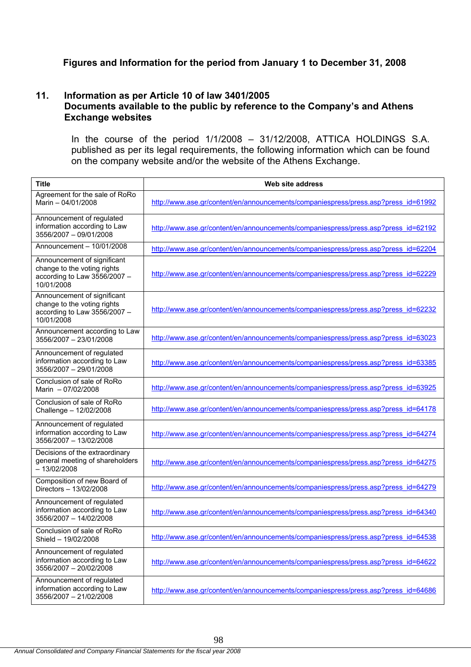# **Figures and Information for the period from January 1 to December 31, 2008**

# **11. Information as per Article 10 of law 3401/2005 Documents available to the public by reference to the Company's and Athens Exchange websites**

In the course of the period 1/1/2008 – 31/12/2008, ATTICA HOLDINGS S.Α. published as per its legal requirements, the following information which can be found on the company website and/or the website of the Athens Exchange.

| <b>Title</b>                                                                                             | Web site address                                                                   |
|----------------------------------------------------------------------------------------------------------|------------------------------------------------------------------------------------|
| Agreement for the sale of RoRo<br>Marin - 04/01/2008                                                     | http://www.ase.gr/content/en/announcements/companiespress/press.asp?press_id=61992 |
| Announcement of regulated<br>information according to Law<br>3556/2007 - 09/01/2008                      | http://www.ase.gr/content/en/announcements/companiespress/press.asp?press_id=62192 |
| Announcement - 10/01/2008                                                                                | http://www.ase.gr/content/en/announcements/companiespress/press.asp?press_id=62204 |
| Announcement of significant<br>change to the voting rights<br>according to Law 3556/2007 -<br>10/01/2008 | http://www.ase.gr/content/en/announcements/companiespress/press.asp?press_id=62229 |
| Announcement of significant<br>change to the voting rights<br>according to Law 3556/2007 -<br>10/01/2008 | http://www.ase.gr/content/en/announcements/companiespress/press.asp?press_id=62232 |
| Announcement according to Law<br>3556/2007 - 23/01/2008                                                  | http://www.ase.gr/content/en/announcements/companiespress/press.asp?press_id=63023 |
| Announcement of regulated<br>information according to Law<br>3556/2007 - 29/01/2008                      | http://www.ase.gr/content/en/announcements/companiespress/press.asp?press_id=63385 |
| Conclusion of sale of RoRo<br>Marin - 07/02/2008                                                         | http://www.ase.gr/content/en/announcements/companiespress/press.asp?press_id=63925 |
| Conclusion of sale of RoRo<br>Challenge - 12/02/2008                                                     | http://www.ase.gr/content/en/announcements/companiespress/press.asp?press_id=64178 |
| Announcement of regulated<br>information according to Law<br>3556/2007 - 13/02/2008                      | http://www.ase.gr/content/en/announcements/companiespress/press.asp?press_id=64274 |
| Decisions of the extraordinary<br>general meeting of shareholders<br>$-13/02/2008$                       | http://www.ase.gr/content/en/announcements/companiespress/press.asp?press_id=64275 |
| Composition of new Board of<br>Directors - 13/02/2008                                                    | http://www.ase.gr/content/en/announcements/companiespress/press.asp?press_id=64279 |
| Announcement of regulated<br>information according to Law<br>3556/2007 - 14/02/2008                      | http://www.ase.gr/content/en/announcements/companiespress/press.asp?press_id=64340 |
| Conclusion of sale of RoRo<br>Shield - 19/02/2008                                                        | http://www.ase.gr/content/en/announcements/companiespress/press.asp?press_id=64538 |
| Announcement of regulated<br>information according to Law<br>3556/2007 - 20/02/2008                      | http://www.ase.gr/content/en/announcements/companiespress/press.asp?press_id=64622 |
| Announcement of regulated<br>information according to Law<br>3556/2007 - 21/02/2008                      | http://www.ase.gr/content/en/announcements/companiespress/press.asp?press_id=64686 |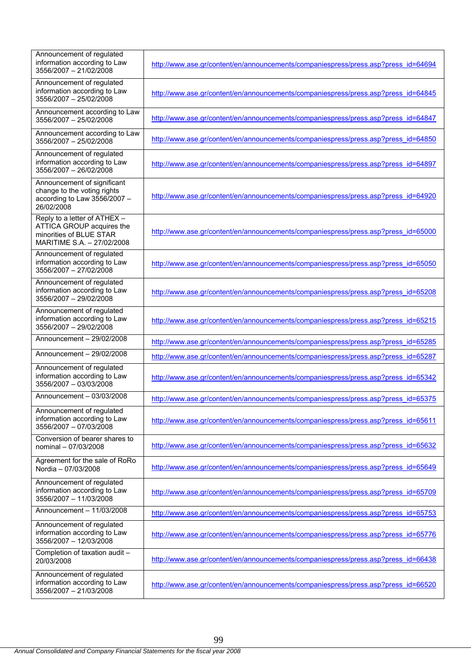| Announcement of regulated<br>information according to Law<br>3556/2007 - 21/02/2008                                | http://www.ase.gr/content/en/announcements/companiespress/press.asp?press_id=64694 |
|--------------------------------------------------------------------------------------------------------------------|------------------------------------------------------------------------------------|
| Announcement of regulated<br>information according to Law<br>3556/2007 - 25/02/2008                                | http://www.ase.gr/content/en/announcements/companiespress/press.asp?press_id=64845 |
| Announcement according to Law<br>3556/2007 - 25/02/2008                                                            | http://www.ase.gr/content/en/announcements/companiespress/press.asp?press_id=64847 |
| Announcement according to Law<br>3556/2007 - 25/02/2008                                                            | http://www.ase.gr/content/en/announcements/companiespress/press.asp?press_id=64850 |
| Announcement of regulated<br>information according to Law<br>3556/2007 - 26/02/2008                                | http://www.ase.gr/content/en/announcements/companiespress/press.asp?press_id=64897 |
| Announcement of significant<br>change to the voting rights<br>according to Law 3556/2007 -<br>26/02/2008           | http://www.ase.gr/content/en/announcements/companiespress/press.asp?press_id=64920 |
| Reply to a letter of ATHEX -<br>ATTICA GROUP acquires the<br>minorities of BLUE STAR<br>MARITIME S.A. - 27/02/2008 | http://www.ase.gr/content/en/announcements/companiespress/press.asp?press_id=65000 |
| Announcement of regulated<br>information according to Law<br>3556/2007 - 27/02/2008                                | http://www.ase.gr/content/en/announcements/companiespress/press.asp?press_id=65050 |
| Announcement of regulated<br>information according to Law<br>3556/2007 - 29/02/2008                                | http://www.ase.gr/content/en/announcements/companiespress/press.asp?press_id=65208 |
| Announcement of regulated<br>information according to Law<br>3556/2007 - 29/02/2008                                | http://www.ase.gr/content/en/announcements/companiespress/press.asp?press_id=65215 |
| Announcement - 29/02/2008                                                                                          | http://www.ase.gr/content/en/announcements/companiespress/press.asp?press_id=65285 |
| Announcement $-29/02/2008$                                                                                         | http://www.ase.gr/content/en/announcements/companiespress/press.asp?press_id=65287 |
| Announcement of regulated<br>information according to Law<br>3556/2007 - 03/03/2008                                | http://www.ase.gr/content/en/announcements/companiespress/press.asp?press_id=65342 |
| Announcement - 03/03/2008                                                                                          | http://www.ase.gr/content/en/announcements/companiespress/press.asp?press_id=65375 |
| Announcement of regulated<br>information according to Law<br>3556/2007 - 07/03/2008                                | http://www.ase.gr/content/en/announcements/companiespress/press.asp?press_id=65611 |
| Conversion of bearer shares to<br>nominal - 07/03/2008                                                             | http://www.ase.gr/content/en/announcements/companiespress/press.asp?press_id=65632 |
| Agreement for the sale of RoRo<br>Nordia - 07/03/2008                                                              | http://www.ase.gr/content/en/announcements/companiespress/press.asp?press_id=65649 |
| Announcement of regulated<br>information according to Law<br>3556/2007 - 11/03/2008                                | http://www.ase.gr/content/en/announcements/companiespress/press.asp?press_id=65709 |
| Announcement - 11/03/2008                                                                                          | http://www.ase.gr/content/en/announcements/companiespress/press.asp?press_id=65753 |
| Announcement of regulated<br>information according to Law<br>3556/2007 - 12/03/2008                                | http://www.ase.gr/content/en/announcements/companiespress/press.asp?press_id=65776 |
| Completion of taxation audit -<br>20/03/2008                                                                       | http://www.ase.gr/content/en/announcements/companiespress/press.asp?press_id=66438 |
| Announcement of regulated<br>information according to Law<br>3556/2007 - 21/03/2008                                | http://www.ase.gr/content/en/announcements/companiespress/press.asp?press_id=66520 |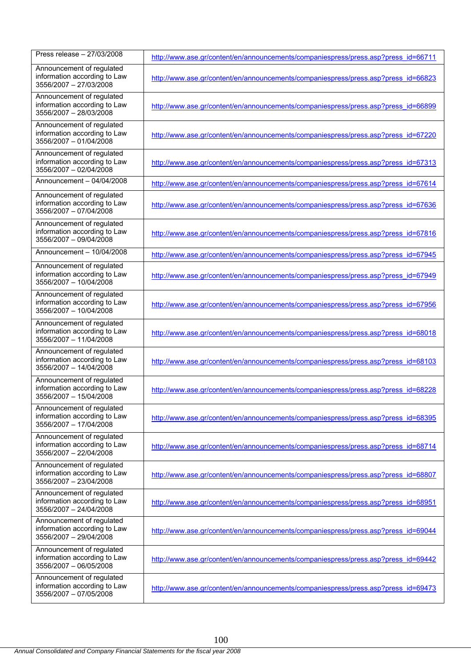| Press release - 27/03/2008                                                          | http://www.ase.gr/content/en/announcements/companiespress/press.asp?press_id=66711 |
|-------------------------------------------------------------------------------------|------------------------------------------------------------------------------------|
| Announcement of regulated<br>information according to Law<br>3556/2007 - 27/03/2008 | http://www.ase.gr/content/en/announcements/companiespress/press.asp?press_id=66823 |
| Announcement of regulated<br>information according to Law<br>3556/2007 - 28/03/2008 | http://www.ase.gr/content/en/announcements/companiespress/press.asp?press_id=66899 |
| Announcement of regulated<br>information according to Law<br>3556/2007 - 01/04/2008 | http://www.ase.gr/content/en/announcements/companiespress/press.asp?press_id=67220 |
| Announcement of regulated<br>information according to Law<br>3556/2007 - 02/04/2008 | http://www.ase.gr/content/en/announcements/companiespress/press.asp?press_id=67313 |
| Announcement - 04/04/2008                                                           | http://www.ase.gr/content/en/announcements/companiespress/press.asp?press_id=67614 |
| Announcement of regulated<br>information according to Law<br>3556/2007 - 07/04/2008 | http://www.ase.gr/content/en/announcements/companiespress/press.asp?press_id=67636 |
| Announcement of regulated<br>information according to Law<br>3556/2007 - 09/04/2008 | http://www.ase.gr/content/en/announcements/companiespress/press.asp?press_id=67816 |
| Announcement - 10/04/2008                                                           | http://www.ase.gr/content/en/announcements/companiespress/press.asp?press_id=67945 |
| Announcement of regulated<br>information according to Law<br>3556/2007 - 10/04/2008 | http://www.ase.gr/content/en/announcements/companiespress/press.asp?press_id=67949 |
| Announcement of regulated<br>information according to Law<br>3556/2007 - 10/04/2008 | http://www.ase.gr/content/en/announcements/companiespress/press.asp?press_id=67956 |
| Announcement of regulated<br>information according to Law<br>3556/2007 - 11/04/2008 | http://www.ase.gr/content/en/announcements/companiespress/press.asp?press_id=68018 |
| Announcement of regulated<br>information according to Law<br>3556/2007 - 14/04/2008 | http://www.ase.gr/content/en/announcements/companiespress/press.asp?press_id=68103 |
| Announcement of regulated<br>information according to Law<br>3556/2007 - 15/04/2008 | http://www.ase.gr/content/en/announcements/companiespress/press.asp?press_id=68228 |
| Announcement of regulated<br>information according to Law<br>3556/2007 - 17/04/2008 | http://www.ase.gr/content/en/announcements/companiespress/press.asp?press_id=68395 |
| Announcement of regulated<br>information according to Law<br>3556/2007 - 22/04/2008 | http://www.ase.gr/content/en/announcements/companiespress/press.asp?press_id=68714 |
| Announcement of regulated<br>information according to Law<br>3556/2007 - 23/04/2008 | http://www.ase.gr/content/en/announcements/companiespress/press.asp?press_id=68807 |
| Announcement of regulated<br>information according to Law<br>3556/2007 - 24/04/2008 | http://www.ase.gr/content/en/announcements/companiespress/press.asp?press_id=68951 |
| Announcement of regulated<br>information according to Law<br>3556/2007 - 29/04/2008 | http://www.ase.gr/content/en/announcements/companiespress/press.asp?press_id=69044 |
| Announcement of regulated<br>information according to Law<br>3556/2007 - 06/05/2008 | http://www.ase.gr/content/en/announcements/companiespress/press.asp?press_id=69442 |
| Announcement of regulated<br>information according to Law<br>3556/2007 - 07/05/2008 | http://www.ase.gr/content/en/announcements/companiespress/press.asp?press_id=69473 |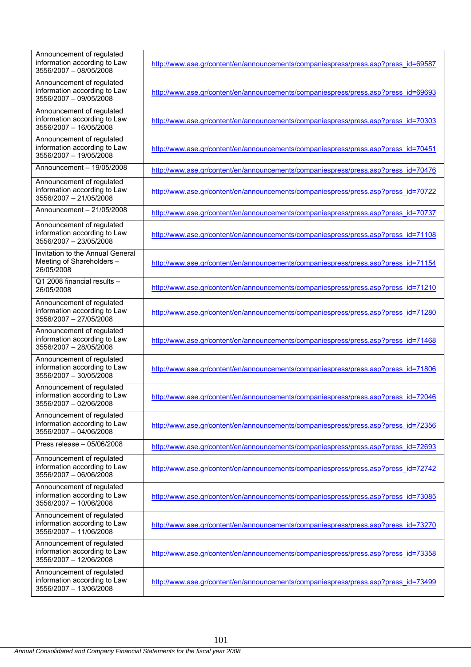| Announcement of regulated<br>information according to Law<br>3556/2007 - 08/05/2008 | http://www.ase.gr/content/en/announcements/companiespress/press.asp?press_id=69587 |
|-------------------------------------------------------------------------------------|------------------------------------------------------------------------------------|
| Announcement of regulated<br>information according to Law<br>3556/2007 - 09/05/2008 | http://www.ase.gr/content/en/announcements/companiespress/press.asp?press_id=69693 |
| Announcement of regulated<br>information according to Law<br>3556/2007 - 16/05/2008 | http://www.ase.gr/content/en/announcements/companiespress/press.asp?press_id=70303 |
| Announcement of regulated<br>information according to Law<br>3556/2007 - 19/05/2008 | http://www.ase.gr/content/en/announcements/companiespress/press.asp?press_id=70451 |
| Announcement - 19/05/2008                                                           | http://www.ase.gr/content/en/announcements/companiespress/press.asp?press_id=70476 |
| Announcement of regulated<br>information according to Law<br>3556/2007 - 21/05/2008 | http://www.ase.gr/content/en/announcements/companiespress/press.asp?press_id=70722 |
| Announcement - 21/05/2008                                                           | http://www.ase.gr/content/en/announcements/companiespress/press.asp?press_id=70737 |
| Announcement of regulated<br>information according to Law<br>3556/2007 - 23/05/2008 | http://www.ase.gr/content/en/announcements/companiespress/press.asp?press_id=71108 |
| Invitation to the Annual General<br>Meeting of Shareholders -<br>26/05/2008         | http://www.ase.gr/content/en/announcements/companiespress/press.asp?press_id=71154 |
| Q1 2008 financial results -<br>26/05/2008                                           | http://www.ase.gr/content/en/announcements/companiespress/press.asp?press_id=71210 |
| Announcement of regulated<br>information according to Law<br>3556/2007 - 27/05/2008 | http://www.ase.gr/content/en/announcements/companiespress/press.asp?press_id=71280 |
| Announcement of regulated<br>information according to Law<br>3556/2007 - 28/05/2008 | http://www.ase.gr/content/en/announcements/companiespress/press.asp?press_id=71468 |
| Announcement of regulated<br>information according to Law<br>3556/2007 - 30/05/2008 | http://www.ase.gr/content/en/announcements/companiespress/press.asp?press_id=71806 |
| Announcement of regulated<br>information according to Law<br>3556/2007 - 02/06/2008 | http://www.ase.gr/content/en/announcements/companiespress/press.asp?press_id=72046 |
| Announcement of regulated<br>information according to Law<br>3556/2007 - 04/06/2008 | http://www.ase.gr/content/en/announcements/companiespress/press.asp?press_id=72356 |
| Press release - 05/06/2008                                                          | http://www.ase.gr/content/en/announcements/companiespress/press.asp?press_id=72693 |
| Announcement of regulated<br>information according to Law<br>3556/2007 - 06/06/2008 | http://www.ase.gr/content/en/announcements/companiespress/press.asp?press_id=72742 |
| Announcement of regulated<br>information according to Law<br>3556/2007 - 10/06/2008 | http://www.ase.gr/content/en/announcements/companiespress/press.asp?press_id=73085 |
| Announcement of regulated<br>information according to Law<br>3556/2007 - 11/06/2008 | http://www.ase.gr/content/en/announcements/companiespress/press.asp?press_id=73270 |
| Announcement of regulated<br>information according to Law<br>3556/2007 - 12/06/2008 | http://www.ase.gr/content/en/announcements/companiespress/press.asp?press_id=73358 |
| Announcement of regulated<br>information according to Law<br>3556/2007 - 13/06/2008 | http://www.ase.gr/content/en/announcements/companiespress/press.asp?press_id=73499 |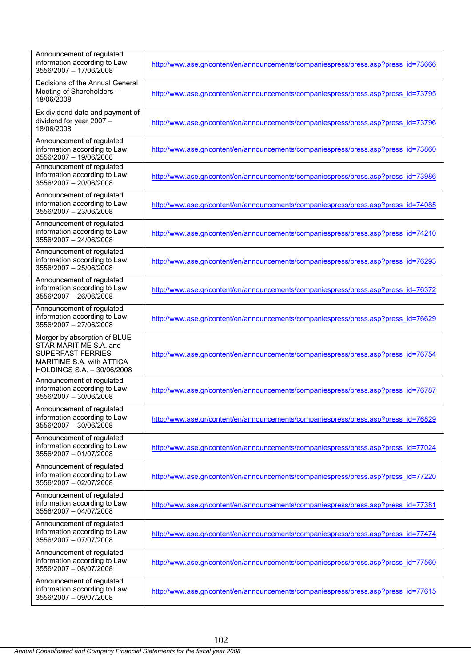| Announcement of regulated<br>information according to Law<br>3556/2007 - 17/06/2008                                                           | http://www.ase.gr/content/en/announcements/companiespress/press.asp?press_id=73666 |
|-----------------------------------------------------------------------------------------------------------------------------------------------|------------------------------------------------------------------------------------|
| Decisions of the Annual General<br>Meeting of Shareholders -<br>18/06/2008                                                                    | http://www.ase.gr/content/en/announcements/companiespress/press.asp?press_id=73795 |
| Ex dividend date and payment of<br>dividend for year 2007 -<br>18/06/2008                                                                     | http://www.ase.gr/content/en/announcements/companiespress/press.asp?press_id=73796 |
| Announcement of regulated<br>information according to Law<br>3556/2007 - 19/06/2008                                                           | http://www.ase.gr/content/en/announcements/companiespress/press.asp?press_id=73860 |
| Announcement of regulated<br>information according to Law<br>3556/2007 - 20/06/2008                                                           | http://www.ase.gr/content/en/announcements/companiespress/press.asp?press_id=73986 |
| Announcement of regulated<br>information according to Law<br>3556/2007 - 23/06/2008                                                           | http://www.ase.gr/content/en/announcements/companiespress/press.asp?press_id=74085 |
| Announcement of regulated<br>information according to Law<br>3556/2007 - 24/06/2008                                                           | http://www.ase.gr/content/en/announcements/companiespress/press.asp?press_id=74210 |
| Announcement of regulated<br>information according to Law<br>3556/2007 - 25/06/2008                                                           | http://www.ase.gr/content/en/announcements/companiespress/press.asp?press_id=76293 |
| Announcement of regulated<br>information according to Law<br>3556/2007 - 26/06/2008                                                           | http://www.ase.gr/content/en/announcements/companiespress/press.asp?press_id=76372 |
| Announcement of regulated<br>information according to Law<br>3556/2007 - 27/06/2008                                                           | http://www.ase.gr/content/en/announcements/companiespress/press.asp?press_id=76629 |
| Merger by absorption of BLUE<br>STAR MARITIME S.A. and<br><b>SUPERFAST FERRIES</b><br>MARITIME S.A. with ATTICA<br>HOLDINGS S.A. - 30/06/2008 | http://www.ase.gr/content/en/announcements/companiespress/press.asp?press_id=76754 |
| Announcement of regulated<br>information according to Law<br>3556/2007 - 30/06/2008                                                           | http://www.ase.gr/content/en/announcements/companiespress/press.asp?press_id=76787 |
| Announcement of regulated<br>information according to Law<br>3556/2007 - 30/06/2008                                                           | http://www.ase.gr/content/en/announcements/companiespress/press.asp?press_id=76829 |
| Announcement of regulated<br>information according to Law<br>3556/2007 - 01/07/2008                                                           | http://www.ase.gr/content/en/announcements/companiespress/press.asp?press_id=77024 |
| Announcement of regulated<br>information according to Law<br>3556/2007 - 02/07/2008                                                           | http://www.ase.gr/content/en/announcements/companiespress/press.asp?press_id=77220 |
| Announcement of regulated<br>information according to Law<br>3556/2007 - 04/07/2008                                                           | http://www.ase.gr/content/en/announcements/companiespress/press.asp?press_id=77381 |
| Announcement of regulated<br>information according to Law<br>3556/2007 - 07/07/2008                                                           | http://www.ase.gr/content/en/announcements/companiespress/press.asp?press_id=77474 |
| Announcement of regulated<br>information according to Law<br>3556/2007 - 08/07/2008                                                           | http://www.ase.gr/content/en/announcements/companiespress/press.asp?press_id=77560 |
| Announcement of regulated<br>information according to Law<br>3556/2007 - 09/07/2008                                                           | http://www.ase.gr/content/en/announcements/companiespress/press.asp?press_id=77615 |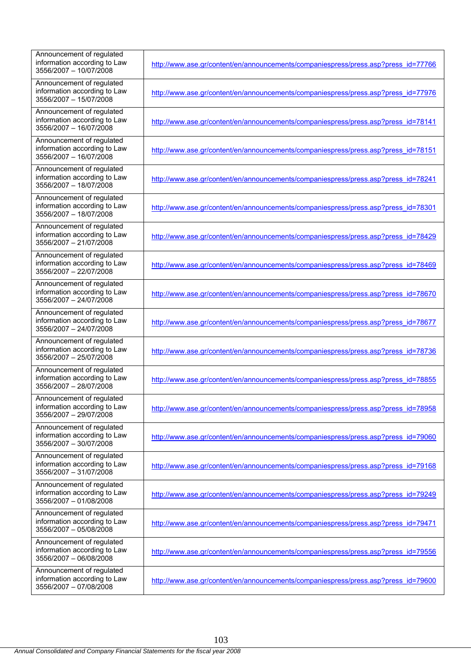| Announcement of regulated<br>information according to Law<br>3556/2007 - 10/07/2008 | http://www.ase.gr/content/en/announcements/companiespress/press.asp?press_id=77766 |
|-------------------------------------------------------------------------------------|------------------------------------------------------------------------------------|
| Announcement of regulated<br>information according to Law<br>3556/2007 - 15/07/2008 | http://www.ase.gr/content/en/announcements/companiespress/press.asp?press_id=77976 |
| Announcement of regulated<br>information according to Law<br>3556/2007 - 16/07/2008 | http://www.ase.gr/content/en/announcements/companiespress/press.asp?press_id=78141 |
| Announcement of regulated<br>information according to Law<br>3556/2007 - 16/07/2008 | http://www.ase.gr/content/en/announcements/companiespress/press.asp?press_id=78151 |
| Announcement of regulated<br>information according to Law<br>3556/2007 - 18/07/2008 | http://www.ase.gr/content/en/announcements/companiespress/press.asp?press_id=78241 |
| Announcement of regulated<br>information according to Law<br>3556/2007 - 18/07/2008 | http://www.ase.gr/content/en/announcements/companiespress/press.asp?press_id=78301 |
| Announcement of regulated<br>information according to Law<br>3556/2007 - 21/07/2008 | http://www.ase.gr/content/en/announcements/companiespress/press.asp?press_id=78429 |
| Announcement of regulated<br>information according to Law<br>3556/2007 - 22/07/2008 | http://www.ase.gr/content/en/announcements/companiespress/press.asp?press_id=78469 |
| Announcement of regulated<br>information according to Law<br>3556/2007 - 24/07/2008 | http://www.ase.gr/content/en/announcements/companiespress/press.asp?press_id=78670 |
| Announcement of regulated<br>information according to Law<br>3556/2007 - 24/07/2008 | http://www.ase.gr/content/en/announcements/companiespress/press.asp?press_id=78677 |
| Announcement of regulated<br>information according to Law<br>3556/2007 - 25/07/2008 | http://www.ase.gr/content/en/announcements/companiespress/press.asp?press_id=78736 |
| Announcement of regulated<br>information according to Law<br>3556/2007 - 28/07/2008 | http://www.ase.gr/content/en/announcements/companiespress/press.asp?press_id=78855 |
| Announcement of regulated<br>information according to Law<br>3556/2007 - 29/07/2008 | http://www.ase.gr/content/en/announcements/companiespress/press.asp?press_id=78958 |
| Announcement of regulated<br>information according to Law<br>3556/2007 - 30/07/2008 | http://www.ase.gr/content/en/announcements/companiespress/press.asp?press_id=79060 |
| Announcement of regulated<br>information according to Law<br>3556/2007 - 31/07/2008 | http://www.ase.gr/content/en/announcements/companiespress/press.asp?press_id=79168 |
| Announcement of regulated<br>information according to Law<br>3556/2007 - 01/08/2008 | http://www.ase.gr/content/en/announcements/companiespress/press.asp?press_id=79249 |
| Announcement of regulated<br>information according to Law<br>3556/2007 - 05/08/2008 | http://www.ase.gr/content/en/announcements/companiespress/press.asp?press_id=79471 |
| Announcement of regulated<br>information according to Law<br>3556/2007 - 06/08/2008 | http://www.ase.gr/content/en/announcements/companiespress/press.asp?press_id=79556 |
| Announcement of regulated<br>information according to Law<br>3556/2007 - 07/08/2008 | http://www.ase.gr/content/en/announcements/companiespress/press.asp?press_id=79600 |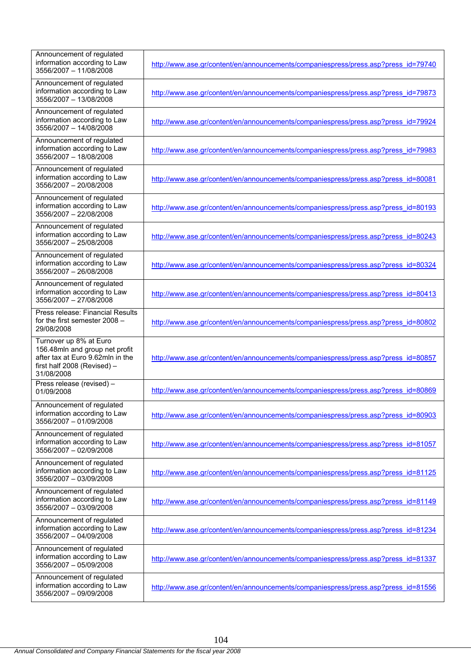| Announcement of regulated<br>information according to Law<br>3556/2007 - 11/08/2008                                                       | http://www.ase.gr/content/en/announcements/companiespress/press.asp?press_id=79740 |
|-------------------------------------------------------------------------------------------------------------------------------------------|------------------------------------------------------------------------------------|
| Announcement of regulated<br>information according to Law<br>3556/2007 - 13/08/2008                                                       | http://www.ase.gr/content/en/announcements/companiespress/press.asp?press_id=79873 |
| Announcement of regulated<br>information according to Law<br>3556/2007 - 14/08/2008                                                       | http://www.ase.gr/content/en/announcements/companiespress/press.asp?press_id=79924 |
| Announcement of regulated<br>information according to Law<br>3556/2007 - 18/08/2008                                                       | http://www.ase.gr/content/en/announcements/companiespress/press.asp?press_id=79983 |
| Announcement of regulated<br>information according to Law<br>3556/2007 - 20/08/2008                                                       | http://www.ase.gr/content/en/announcements/companiespress/press.asp?press_id=80081 |
| Announcement of regulated<br>information according to Law<br>3556/2007 - 22/08/2008                                                       | http://www.ase.gr/content/en/announcements/companiespress/press.asp?press_id=80193 |
| Announcement of regulated<br>information according to Law<br>3556/2007 - 25/08/2008                                                       | http://www.ase.gr/content/en/announcements/companiespress/press.asp?press_id=80243 |
| Announcement of regulated<br>information according to Law<br>3556/2007 - 26/08/2008                                                       | http://www.ase.gr/content/en/announcements/companiespress/press.asp?press_id=80324 |
| Announcement of regulated<br>information according to Law<br>3556/2007 - 27/08/2008                                                       | http://www.ase.gr/content/en/announcements/companiespress/press.asp?press_id=80413 |
| Press release: Financial Results<br>for the first semester 2008 -<br>29/08/2008                                                           | http://www.ase.gr/content/en/announcements/companiespress/press.asp?press_id=80802 |
| Turnover up 8% at Euro<br>156.48mln and group net profit<br>after tax at Euro 9.62mln in the<br>first half 2008 (Revised) -<br>31/08/2008 | http://www.ase.gr/content/en/announcements/companiespress/press.asp?press_id=80857 |
| Press release (revised) -<br>01/09/2008                                                                                                   | http://www.ase.gr/content/en/announcements/companiespress/press.asp?press_id=80869 |
| Announcement of regulated<br>information according to Law<br>3556/2007 - 01/09/2008                                                       | http://www.ase.gr/content/en/announcements/companiespress/press.asp?press_id=80903 |
| Announcement of regulated<br>information according to Law<br>3556/2007 - 02/09/2008                                                       | http://www.ase.gr/content/en/announcements/companiespress/press.asp?press_id=81057 |
| Announcement of regulated<br>information according to Law<br>3556/2007 - 03/09/2008                                                       | http://www.ase.gr/content/en/announcements/companiespress/press.asp?press_id=81125 |
| Announcement of regulated<br>information according to Law<br>3556/2007 - 03/09/2008                                                       | http://www.ase.gr/content/en/announcements/companiespress/press.asp?press_id=81149 |
| Announcement of regulated<br>information according to Law<br>3556/2007 - 04/09/2008                                                       | http://www.ase.gr/content/en/announcements/companiespress/press.asp?press_id=81234 |
| Announcement of regulated<br>information according to Law<br>3556/2007 - 05/09/2008                                                       | http://www.ase.gr/content/en/announcements/companiespress/press.asp?press_id=81337 |
| Announcement of regulated<br>information according to Law<br>3556/2007 - 09/09/2008                                                       | http://www.ase.gr/content/en/announcements/companiespress/press.asp?press_id=81556 |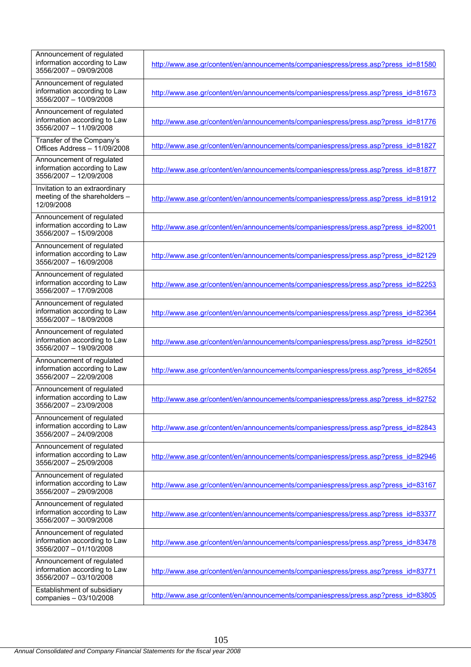| Announcement of regulated<br>information according to Law<br>3556/2007 - 09/09/2008 | http://www.ase.gr/content/en/announcements/companiespress/press.asp?press_id=81580 |
|-------------------------------------------------------------------------------------|------------------------------------------------------------------------------------|
| Announcement of regulated<br>information according to Law<br>3556/2007 - 10/09/2008 | http://www.ase.gr/content/en/announcements/companiespress/press.asp?press_id=81673 |
| Announcement of regulated<br>information according to Law<br>3556/2007 - 11/09/2008 | http://www.ase.gr/content/en/announcements/companiespress/press.asp?press_id=81776 |
| Transfer of the Company's<br>Offices Address - 11/09/2008                           | http://www.ase.gr/content/en/announcements/companiespress/press.asp?press_id=81827 |
| Announcement of regulated<br>information according to Law<br>3556/2007 - 12/09/2008 | http://www.ase.gr/content/en/announcements/companiespress/press.asp?press_id=81877 |
| Invitation to an extraordinary<br>meeting of the shareholders -<br>12/09/2008       | http://www.ase.gr/content/en/announcements/companiespress/press.asp?press_id=81912 |
| Announcement of regulated<br>information according to Law<br>3556/2007 - 15/09/2008 | http://www.ase.gr/content/en/announcements/companiespress/press.asp?press_id=82001 |
| Announcement of regulated<br>information according to Law<br>3556/2007 - 16/09/2008 | http://www.ase.gr/content/en/announcements/companiespress/press.asp?press_id=82129 |
| Announcement of regulated<br>information according to Law<br>3556/2007 - 17/09/2008 | http://www.ase.gr/content/en/announcements/companiespress/press.asp?press_id=82253 |
| Announcement of regulated<br>information according to Law<br>3556/2007 - 18/09/2008 | http://www.ase.gr/content/en/announcements/companiespress/press.asp?press_id=82364 |
| Announcement of regulated<br>information according to Law<br>3556/2007 - 19/09/2008 | http://www.ase.gr/content/en/announcements/companiespress/press.asp?press_id=82501 |
| Announcement of regulated<br>information according to Law<br>3556/2007 - 22/09/2008 | http://www.ase.gr/content/en/announcements/companiespress/press.asp?press_id=82654 |
| Announcement of regulated<br>information according to Law<br>3556/2007 - 23/09/2008 | http://www.ase.gr/content/en/announcements/companiespress/press.asp?press_id=82752 |
| Announcement of regulated<br>information according to Law<br>3556/2007 - 24/09/2008 | http://www.ase.gr/content/en/announcements/companiespress/press.asp?press_id=82843 |
| Announcement of regulated<br>information according to Law<br>3556/2007 - 25/09/2008 | http://www.ase.gr/content/en/announcements/companiespress/press.asp?press_id=82946 |
| Announcement of regulated<br>information according to Law<br>3556/2007 - 29/09/2008 | http://www.ase.gr/content/en/announcements/companiespress/press.asp?press_id=83167 |
| Announcement of regulated<br>information according to Law<br>3556/2007 - 30/09/2008 | http://www.ase.gr/content/en/announcements/companiespress/press.asp?press_id=83377 |
| Announcement of regulated<br>information according to Law<br>3556/2007 - 01/10/2008 | http://www.ase.gr/content/en/announcements/companiespress/press.asp?press_id=83478 |
| Announcement of regulated<br>information according to Law<br>3556/2007 - 03/10/2008 | http://www.ase.gr/content/en/announcements/companiespress/press.asp?press_id=83771 |
| Establishment of subsidiary<br>companies - 03/10/2008                               | http://www.ase.gr/content/en/announcements/companiespress/press.asp?press_id=83805 |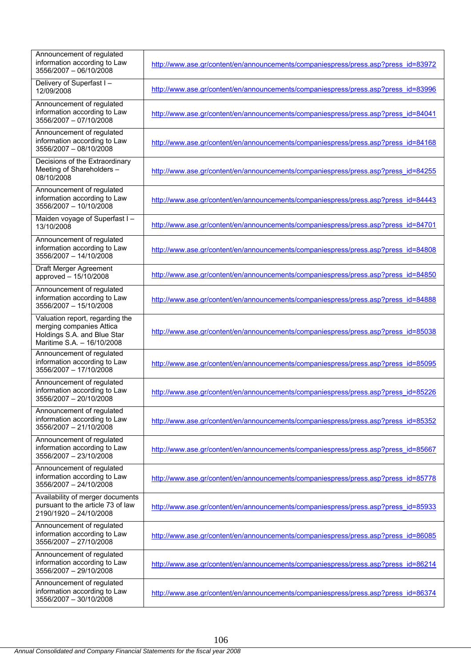| Announcement of regulated<br>information according to Law<br>3556/2007 - 06/10/2008                                      | http://www.ase.gr/content/en/announcements/companiespress/press.asp?press_id=83972 |
|--------------------------------------------------------------------------------------------------------------------------|------------------------------------------------------------------------------------|
| Delivery of Superfast I-<br>12/09/2008                                                                                   | http://www.ase.gr/content/en/announcements/companiespress/press.asp?press_id=83996 |
| Announcement of regulated<br>information according to Law<br>3556/2007 - 07/10/2008                                      | http://www.ase.gr/content/en/announcements/companiespress/press.asp?press_id=84041 |
| Announcement of regulated<br>information according to Law<br>3556/2007 - 08/10/2008                                      | http://www.ase.gr/content/en/announcements/companiespress/press.asp?press_id=84168 |
| Decisions of the Extraordinary<br>Meeting of Shareholders -<br>08/10/2008                                                | http://www.ase.gr/content/en/announcements/companiespress/press.asp?press_id=84255 |
| Announcement of regulated<br>information according to Law<br>3556/2007 - 10/10/2008                                      | http://www.ase.gr/content/en/announcements/companiespress/press.asp?press_id=84443 |
| Maiden voyage of Superfast I-<br>13/10/2008                                                                              | http://www.ase.gr/content/en/announcements/companiespress/press.asp?press_id=84701 |
| Announcement of regulated<br>information according to Law<br>3556/2007 - 14/10/2008                                      | http://www.ase.gr/content/en/announcements/companiespress/press.asp?press_id=84808 |
| Draft Merger Agreement<br>approved - 15/10/2008                                                                          | http://www.ase.gr/content/en/announcements/companiespress/press.asp?press_id=84850 |
| Announcement of regulated<br>information according to Law<br>3556/2007 - 15/10/2008                                      | http://www.ase.gr/content/en/announcements/companiespress/press.asp?press_id=84888 |
| Valuation report, regarding the<br>merging companies Attica<br>Holdings S.A. and Blue Star<br>Maritime S.A. - 16/10/2008 | http://www.ase.gr/content/en/announcements/companiespress/press.asp?press_id=85038 |
| Announcement of regulated<br>information according to Law<br>3556/2007 - 17/10/2008                                      | http://www.ase.gr/content/en/announcements/companiespress/press.asp?press_id=85095 |
| Announcement of regulated<br>information according to Law<br>3556/2007 - 20/10/2008                                      | http://www.ase.gr/content/en/announcements/companiespress/press.asp?press_id=85226 |
| Announcement of regulated<br>information according to Law<br>3556/2007 - 21/10/2008                                      | http://www.ase.gr/content/en/announcements/companiespress/press.asp?press_id=85352 |
| Announcement of regulated<br>information according to Law<br>3556/2007 - 23/10/2008                                      | http://www.ase.gr/content/en/announcements/companiespress/press.asp?press_id=85667 |
| Announcement of regulated<br>information according to Law<br>3556/2007 - 24/10/2008                                      | http://www.ase.gr/content/en/announcements/companiespress/press.asp?press_id=85778 |
| Availability of merger documents<br>pursuant to the article 73 of law<br>2190/1920 - 24/10/2008                          | http://www.ase.gr/content/en/announcements/companiespress/press.asp?press_id=85933 |
| Announcement of regulated<br>information according to Law<br>3556/2007 - 27/10/2008                                      | http://www.ase.gr/content/en/announcements/companiespress/press.asp?press_id=86085 |
| Announcement of regulated<br>information according to Law<br>3556/2007 - 29/10/2008                                      | http://www.ase.gr/content/en/announcements/companiespress/press.asp?press_id=86214 |
| Announcement of regulated<br>information according to Law<br>3556/2007 - 30/10/2008                                      | http://www.ase.gr/content/en/announcements/companiespress/press.asp?press_id=86374 |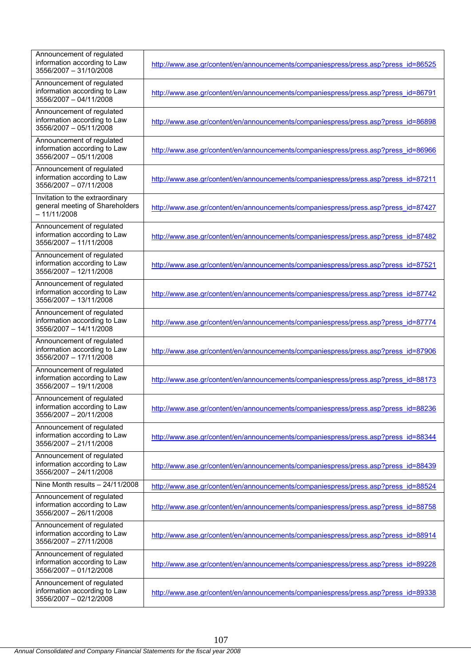| Announcement of regulated<br>information according to Law<br>3556/2007 - 31/10/2008 | http://www.ase.gr/content/en/announcements/companiespress/press.asp?press_id=86525 |
|-------------------------------------------------------------------------------------|------------------------------------------------------------------------------------|
| Announcement of regulated<br>information according to Law<br>3556/2007 - 04/11/2008 | http://www.ase.gr/content/en/announcements/companiespress/press.asp?press_id=86791 |
| Announcement of regulated<br>information according to Law<br>3556/2007 - 05/11/2008 | http://www.ase.gr/content/en/announcements/companiespress/press.asp?press_id=86898 |
| Announcement of regulated<br>information according to Law<br>3556/2007 - 05/11/2008 | http://www.ase.gr/content/en/announcements/companiespress/press.asp?press_id=86966 |
| Announcement of regulated<br>information according to Law<br>3556/2007 - 07/11/2008 | http://www.ase.gr/content/en/announcements/companiespress/press.asp?press_id=87211 |
| Invitation to the extraordinary<br>general meeting of Shareholders<br>$-11/11/2008$ | http://www.ase.gr/content/en/announcements/companiespress/press.asp?press_id=87427 |
| Announcement of regulated<br>information according to Law<br>3556/2007 - 11/11/2008 | http://www.ase.gr/content/en/announcements/companiespress/press.asp?press_id=87482 |
| Announcement of regulated<br>information according to Law<br>3556/2007 - 12/11/2008 | http://www.ase.gr/content/en/announcements/companiespress/press.asp?press_id=87521 |
| Announcement of regulated<br>information according to Law<br>3556/2007 - 13/11/2008 | http://www.ase.gr/content/en/announcements/companiespress/press.asp?press_id=87742 |
| Announcement of regulated<br>information according to Law<br>3556/2007 - 14/11/2008 | http://www.ase.gr/content/en/announcements/companiespress/press.asp?press_id=87774 |
| Announcement of regulated<br>information according to Law<br>3556/2007 - 17/11/2008 | http://www.ase.gr/content/en/announcements/companiespress/press.asp?press_id=87906 |
| Announcement of regulated<br>information according to Law<br>3556/2007 - 19/11/2008 | http://www.ase.gr/content/en/announcements/companiespress/press.asp?press_id=88173 |
| Announcement of regulated<br>information according to Law<br>3556/2007 - 20/11/2008 | http://www.ase.gr/content/en/announcements/companiespress/press.asp?press_id=88236 |
| Announcement of regulated<br>information according to Law<br>3556/2007 - 21/11/2008 | http://www.ase.gr/content/en/announcements/companiespress/press.asp?press_id=88344 |
| Announcement of regulated<br>information according to Law<br>3556/2007 - 24/11/2008 | http://www.ase.gr/content/en/announcements/companiespress/press.asp?press_id=88439 |
| Nine Month results $- 24/11/2008$                                                   | http://www.ase.gr/content/en/announcements/companiespress/press.asp?press_id=88524 |
| Announcement of regulated<br>information according to Law<br>3556/2007 - 26/11/2008 | http://www.ase.gr/content/en/announcements/companiespress/press.asp?press_id=88758 |
| Announcement of regulated<br>information according to Law<br>3556/2007 - 27/11/2008 | http://www.ase.gr/content/en/announcements/companiespress/press.asp?press_id=88914 |
| Announcement of regulated<br>information according to Law<br>3556/2007 - 01/12/2008 | http://www.ase.gr/content/en/announcements/companiespress/press.asp?press_id=89228 |
| Announcement of regulated<br>information according to Law<br>3556/2007 - 02/12/2008 | http://www.ase.gr/content/en/announcements/companiespress/press.asp?press_id=89338 |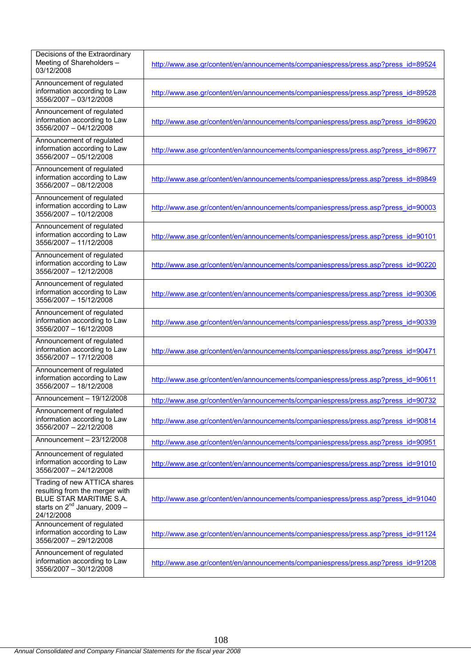| Decisions of the Extraordinary<br>Meeting of Shareholders -<br>03/12/2008                                                                     | http://www.ase.gr/content/en/announcements/companiespress/press.asp?press_id=89524 |
|-----------------------------------------------------------------------------------------------------------------------------------------------|------------------------------------------------------------------------------------|
| Announcement of regulated<br>information according to Law<br>3556/2007 - 03/12/2008                                                           | http://www.ase.gr/content/en/announcements/companiespress/press.asp?press_id=89528 |
| Announcement of regulated<br>information according to Law<br>3556/2007 - 04/12/2008                                                           | http://www.ase.gr/content/en/announcements/companiespress/press.asp?press_id=89620 |
| Announcement of regulated<br>information according to Law<br>3556/2007 - 05/12/2008                                                           | http://www.ase.gr/content/en/announcements/companiespress/press.asp?press_id=89677 |
| Announcement of regulated<br>information according to Law<br>3556/2007 - 08/12/2008                                                           | http://www.ase.gr/content/en/announcements/companiespress/press.asp?press_id=89849 |
| Announcement of regulated<br>information according to Law<br>3556/2007 - 10/12/2008                                                           | http://www.ase.gr/content/en/announcements/companiespress/press.asp?press_id=90003 |
| Announcement of regulated<br>information according to Law<br>3556/2007 - 11/12/2008                                                           | http://www.ase.gr/content/en/announcements/companiespress/press.asp?press_id=90101 |
| Announcement of regulated<br>information according to Law<br>3556/2007 - 12/12/2008                                                           | http://www.ase.gr/content/en/announcements/companiespress/press.asp?press_id=90220 |
| Announcement of regulated<br>information according to Law<br>3556/2007 - 15/12/2008                                                           | http://www.ase.gr/content/en/announcements/companiespress/press.asp?press_id=90306 |
| Announcement of regulated<br>information according to Law<br>3556/2007 - 16/12/2008                                                           | http://www.ase.gr/content/en/announcements/companiespress/press.asp?press_id=90339 |
| Announcement of regulated<br>information according to Law<br>3556/2007 - 17/12/2008                                                           | http://www.ase.gr/content/en/announcements/companiespress/press.asp?press_id=90471 |
| Announcement of regulated<br>information according to Law<br>3556/2007 - 18/12/2008                                                           | http://www.ase.gr/content/en/announcements/companiespress/press.asp?press_id=90611 |
| Announcement - 19/12/2008                                                                                                                     | http://www.ase.gr/content/en/announcements/companiespress/press.asp?press_id=90732 |
| Announcement of regulated<br>information according to Law<br>3556/2007 - 22/12/2008                                                           | http://www.ase.gr/content/en/announcements/companiespress/press.asp?press_id=90814 |
| Announcement - 23/12/2008                                                                                                                     | http://www.ase.gr/content/en/announcements/companiespress/press.asp?press_id=90951 |
| Announcement of regulated<br>information according to Law<br>3556/2007 - 24/12/2008                                                           | http://www.ase.gr/content/en/announcements/companiespress/press.asp?press_id=91010 |
| Trading of new ATTICA shares<br>resulting from the merger with<br>BLUE STAR MARITIME S.A.<br>starts on $2^{nd}$ January, 2009 -<br>24/12/2008 | http://www.ase.gr/content/en/announcements/companiespress/press.asp?press_id=91040 |
| Announcement of regulated<br>information according to Law<br>3556/2007 - 29/12/2008                                                           | http://www.ase.gr/content/en/announcements/companiespress/press.asp?press_id=91124 |
| Announcement of regulated<br>information according to Law<br>3556/2007 - 30/12/2008                                                           | http://www.ase.gr/content/en/announcements/companiespress/press.asp?press_id=91208 |